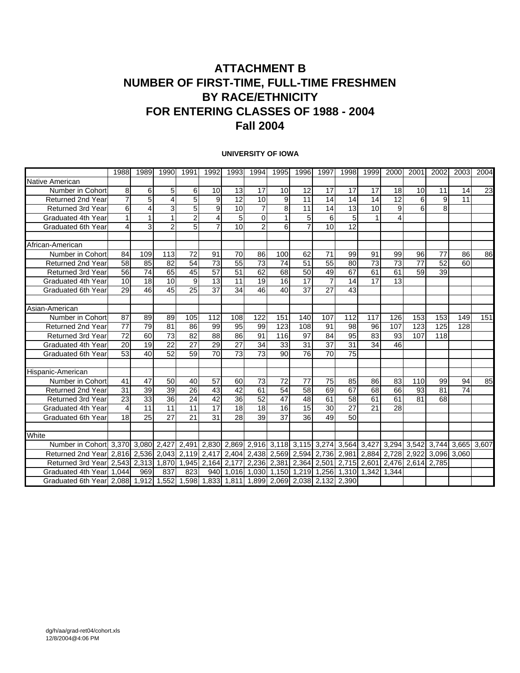### **ATTACHMENT B NUMBER OF FIRST-TIME, FULL-TIME FRESHMEN BY RACE/ETHNICITY FOR ENTERING CLASSES OF 1988 - 2004 Fall 2004**

#### **UNIVERSITY OF IOWA**

|                                                                                          | 1988                          | 1989            | 1990            | 1991                                                                          | 1992            | 1993            | 1994           | 1995 | 1996            | 1997            | 1998                                          | 1999            | 2000           | 2001              | 2002                          | 2003 | 2004 |
|------------------------------------------------------------------------------------------|-------------------------------|-----------------|-----------------|-------------------------------------------------------------------------------|-----------------|-----------------|----------------|------|-----------------|-----------------|-----------------------------------------------|-----------------|----------------|-------------------|-------------------------------|------|------|
| Native American                                                                          |                               |                 |                 |                                                                               |                 |                 |                |      |                 |                 |                                               |                 |                |                   |                               |      |      |
| Number in Cohort                                                                         | 8                             | 6               | 5 <sup>1</sup>  | 6                                                                             | 10              | 13              | 17             | 10   | 12              | 17              | 17                                            | 17              | 18             | 10                | 11                            | 14   | 23   |
| Returned 2nd Year                                                                        | $\overline{7}$                | 5 <sup>1</sup>  | 4               | $\overline{5}$                                                                | 9               | 12              | 10             | 9    | 11              | 14              | 14                                            | 14              | 12             | 6                 | 9                             | 11   |      |
| <b>Returned 3rd Year</b>                                                                 | 6                             | 4               | 3               | 5                                                                             | 9               | 10              | 7              | 8    | 11              | 14              | 13                                            | 10              | 9              | 6                 | 8                             |      |      |
| Graduated 4th Year                                                                       | $\mathbf{1}$                  |                 |                 | $\overline{2}$                                                                | 4               | 5               | $\Omega$       |      | 5               | 6               | 5                                             |                 | $\overline{4}$ |                   |                               |      |      |
| <b>Graduated 6th Year</b>                                                                | 4                             | 3               | $\overline{2}$  | 5                                                                             | $\overline{7}$  | 10              | $\overline{c}$ | 6    |                 | 10              | 12                                            |                 |                |                   |                               |      |      |
| African-American                                                                         |                               |                 |                 |                                                                               |                 |                 |                |      |                 |                 |                                               |                 |                |                   |                               |      |      |
| Number in Cohort                                                                         | 84                            | 109             | 113             | $\overline{72}$                                                               | 91              | 70              | 86             | 100  | 62              | 71              | 99                                            | 91              | 99             | 96                | 77                            | 86   | 86   |
| <b>Returned 2nd Year</b>                                                                 | 58                            | 85              | 82              | $\overline{54}$                                                               | $\overline{73}$ | 55              | 73             | 74   | $\overline{51}$ | $\overline{55}$ | 80                                            | $\overline{73}$ | 73             | 77                | 52                            | 60   |      |
| Returned 3rd Year                                                                        | 56                            | 74              | 65              | 45                                                                            | $\overline{57}$ | 51              | 62             | 68   | 50              | 49              | 67                                            | 61              | 61             | 59                | 39                            |      |      |
| Graduated 4th Year                                                                       | 10                            | 18              | 10              | 9                                                                             | 13              | 11              | 19             | 16   | 17              | $\overline{7}$  | 14                                            | 17              | 13             |                   |                               |      |      |
| Graduated 6th Year                                                                       | 29                            | 46              | 45              | $\overline{25}$                                                               | $\overline{37}$ | $\overline{34}$ | 46             | 40   | $\overline{37}$ | $\overline{27}$ | 43                                            |                 |                |                   |                               |      |      |
|                                                                                          |                               |                 |                 |                                                                               |                 |                 |                |      |                 |                 |                                               |                 |                |                   |                               |      |      |
| Asian-American                                                                           |                               |                 |                 |                                                                               |                 |                 |                |      |                 |                 |                                               |                 |                |                   |                               |      |      |
| Number in Cohort                                                                         | 87                            | 89              | 89              | 105                                                                           | 112             | 108             | 122            | 151  | 140             | 107             | 112                                           | 117             | 126            | 153               | 153                           | 149  | 151  |
| <b>Returned 2nd Year</b>                                                                 | 77                            | $\overline{79}$ | 81              | 86                                                                            | 99              | 95              | 99             | 123  | 108             | 91              | 98                                            | 96              | 107            | 123               | 125                           | 128  |      |
| <b>Returned 3rd Year</b>                                                                 | 72                            | 60              | 73              | 82                                                                            | 88              | 86              | 91             | 116  | 97              | 84              | 95                                            | 83              | 93             | 107               | 118                           |      |      |
| Graduated 4th Year                                                                       | $\overline{20}$               | 19              | $\overline{22}$ | $\overline{27}$                                                               | 29              | $\overline{27}$ | 34             | 33   | 31              | $\overline{37}$ | $\overline{31}$                               | 34              | 46             |                   |                               |      |      |
| Graduated 6th Year                                                                       | 53                            | 40              | 52              | 59                                                                            | 70              | 73              | 73             | 90   | 76              | 70              | 75                                            |                 |                |                   |                               |      |      |
| Hispanic-American                                                                        |                               |                 |                 |                                                                               |                 |                 |                |      |                 |                 |                                               |                 |                |                   |                               |      |      |
| Number in Cohort                                                                         | 41                            | 47              | 50              | 40                                                                            | 57              | 60              | 73             | 72   | 77              | 75              | 85                                            | 86              | 83             | 110               | 99                            | 94   | 85   |
| <b>Returned 2nd Year</b>                                                                 | 31                            | 39              | 39              | 26                                                                            | 43              | 42              | 61             | 54   | 58              | 69              | 67                                            | 68              | 66             | 93                | 81                            | 74   |      |
| <b>Returned 3rd Year</b>                                                                 | 23                            | 33              | 36              | 24                                                                            | 42              | 36              | 52             | 47   | 48              | 61              | 58                                            | 61              | 61             | 81                | 68                            |      |      |
| Graduated 4th Year                                                                       | 4                             | 11              | 11              | 11                                                                            | 17              | 18              | 18             | 16   | 15              | 30              | 27                                            | 21              | 28             |                   |                               |      |      |
| Graduated 6th Year                                                                       | 18                            | 25              | 27              | 21                                                                            | 31              | 28              | 39             | 37   | 36              | 49              | 50                                            |                 |                |                   |                               |      |      |
|                                                                                          |                               |                 |                 |                                                                               |                 |                 |                |      |                 |                 |                                               |                 |                |                   |                               |      |      |
| White                                                                                    |                               |                 |                 |                                                                               |                 |                 |                |      |                 |                 |                                               |                 |                |                   |                               |      |      |
| Number in Cohort 3,370 3,080 2,427 2,491 2,830 2,869 2,916 3,118 3,115 3,274 3,564 3,427 |                               |                 |                 |                                                                               |                 |                 |                |      |                 |                 |                                               |                 |                |                   | 3,294 3,542 3,744 3,665 3,607 |      |      |
| Returned 2nd Yearl                                                                       | 2,816 2,536 2,043 2,119 2,417 |                 |                 |                                                                               |                 |                 |                |      |                 |                 | 2,404  2,438  2,569  2,594  2,736  2,981      | 2,884           |                |                   | 2,728 2,922 3,096 3,060       |      |      |
| Returned 3rd Year                                                                        |                               |                 |                 | 2,543   2,313   1,870   1,945   2,164   2,177   2,236   2,381   2,364   2,501 |                 |                 |                |      |                 |                 |                                               | 2,715 2,601     |                | 2,476 2,614 2,785 |                               |      |      |
| Graduated 4th Yearl 1.044                                                                |                               | 969             | 837             | 823                                                                           |                 |                 |                |      |                 |                 | 940 1.016 1.030 1.150 1.219 1.256 1.310 1.342 |                 | 1.344          |                   |                               |      |      |
| Graduated 6th Year 2,088 1,912 1,552 1,598 1,833 1,811 1,899 2,069 2,038 2,132 2,390     |                               |                 |                 |                                                                               |                 |                 |                |      |                 |                 |                                               |                 |                |                   |                               |      |      |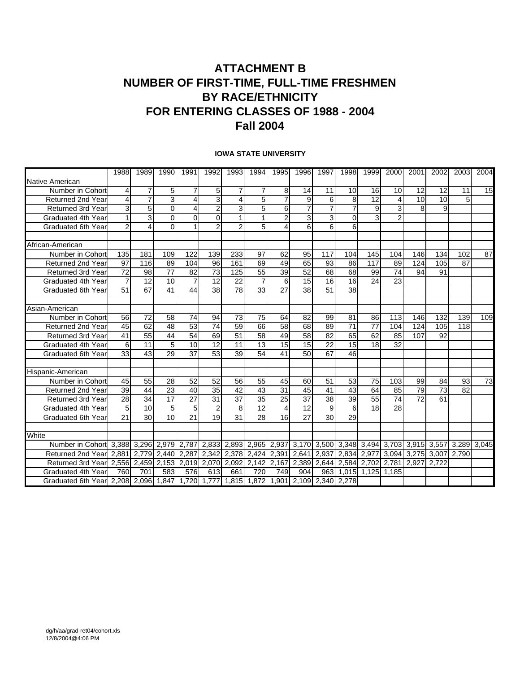### **ATTACHMENT B NUMBER OF FIRST-TIME, FULL-TIME FRESHMEN BY RACE/ETHNICITY FOR ENTERING CLASSES OF 1988 - 2004 Fall 2004**

|                                                                                      | 1988            | 1989              | 1990            | 1991            | 1992            | 1993           | 1994                                                                        | 1995            | 1996            | 1997            | 1998             | 1999            | 2000                    | 2001              | 2002 | 2003        | 2004 |
|--------------------------------------------------------------------------------------|-----------------|-------------------|-----------------|-----------------|-----------------|----------------|-----------------------------------------------------------------------------|-----------------|-----------------|-----------------|------------------|-----------------|-------------------------|-------------------|------|-------------|------|
| Native American                                                                      |                 |                   |                 |                 |                 |                |                                                                             |                 |                 |                 |                  |                 |                         |                   |      |             |      |
| Number in Cohort                                                                     | 4               | $\overline{7}$    | 5 <sub>5</sub>  |                 | 5               | $\overline{7}$ | $\overline{7}$                                                              | 8               | 14              | 11              | 10               | 16              | 10                      | 12                | 12   | 11          | 15   |
| <b>Returned 2nd Year</b>                                                             | 4               | 7                 | 3               | 4               | 3               | 4              | 5                                                                           | 7               | 9               | 6               | 8                | 12              | 4                       | 10                | 10   | 5           |      |
| <b>Returned 3rd Year</b>                                                             | 3               | 5                 | $\Omega$        | 4               | $\overline{2}$  | 3              | 5                                                                           | 6               | $\overline{7}$  | $\overline{7}$  | 7                | $\overline{9}$  | 3                       | 8                 | 9    |             |      |
| Graduated 4th Year                                                                   | 1               | 3                 | $\Omega$        | $\Omega$        | $\Omega$        |                |                                                                             | $\overline{2}$  | 3               | 3               | $\Omega$         | 3               | $\overline{2}$          |                   |      |             |      |
| <b>Graduated 6th Year</b>                                                            | $\overline{2}$  | $\overline{4}$    | $\Omega$        |                 | $\overline{2}$  | $\overline{2}$ | 5                                                                           | 4               | 6               | 6               | 6                |                 |                         |                   |      |             |      |
|                                                                                      |                 |                   |                 |                 |                 |                |                                                                             |                 |                 |                 |                  |                 |                         |                   |      |             |      |
| African-American                                                                     |                 |                   |                 |                 |                 |                |                                                                             |                 |                 |                 |                  |                 |                         |                   |      |             |      |
| Number in Cohort                                                                     | 135             | 181               | 109             | 122             | 139             | 233            | 97                                                                          | 62              | 95              | 117             | 104              | 145             | 104                     | 146               | 134  | 102         | 87   |
| <b>Returned 2nd Year</b>                                                             | 97              | 116               | 89              | 104             | 96              | 161            | 69                                                                          | 49              | 65              | 93              | 86               | 117             | 89                      | 124               | 105  | 87          |      |
| Returned 3rd Year                                                                    | $\overline{72}$ | 98                | $\overline{77}$ | 82              | $\overline{73}$ | 125            | 55                                                                          | 39              | 52              | 68              | 68               | 99              | 74                      | 94                | 91   |             |      |
| Graduated 4th Year                                                                   | 7               | 12                | 10              | 7               | 12              | 22             | $\overline{7}$                                                              | 6               | 15              | 16              | 16               | 24              | 23                      |                   |      |             |      |
| <b>Graduated 6th Year</b>                                                            | 51              | 67                | 41              | $\overline{44}$ | 38              | 78             | 33                                                                          | $\overline{27}$ | $\overline{38}$ | $\overline{51}$ | 38               |                 |                         |                   |      |             |      |
|                                                                                      |                 |                   |                 |                 |                 |                |                                                                             |                 |                 |                 |                  |                 |                         |                   |      |             |      |
| Asian-American                                                                       |                 |                   |                 |                 |                 |                |                                                                             |                 |                 |                 |                  |                 |                         |                   |      |             |      |
| Number in Cohort                                                                     | 56              | 72                | 58              | 74              | 94              | 73             | 75                                                                          | 64              | 82              | 99              | 81               | 86              | 113                     | 146               | 132  | 139         | 109  |
| Returned 2nd Year                                                                    | 45              | 62                | 48              | 53              | 74              | 59             | 66                                                                          | 58              | 68              | 89              | 71               | $\overline{77}$ | 104                     | 124               | 105  | 118         |      |
| <b>Returned 3rd Year</b>                                                             | 41              | 55                | 44              | 54              | 69              | 51             | 58                                                                          | 49              | 58              | 82              | 65               | 62              | 85                      | 107               | 92   |             |      |
| Graduated 4th Year                                                                   | 6               | 11                | 5 <sub>l</sub>  | 10              | 12              | 11             | 13                                                                          | 15              | 15              | 22              | 15               | 18              | 32                      |                   |      |             |      |
| Graduated 6th Year                                                                   | 33              | 43                | 29              | 37              | 53              | 39             | 54                                                                          | 41              | 50              | 67              | 46               |                 |                         |                   |      |             |      |
|                                                                                      |                 |                   |                 |                 |                 |                |                                                                             |                 |                 |                 |                  |                 |                         |                   |      |             |      |
| Hispanic-American                                                                    |                 |                   |                 |                 |                 |                |                                                                             |                 |                 |                 |                  |                 |                         |                   |      |             |      |
| Number in Cohort                                                                     | 45              | 55                | 28              | 52              | 52              | 56             | 55                                                                          | 45              | 60              | 51              | 53               | 75              | 103                     | 99                | 84   | 93          | 73   |
| <b>Returned 2nd Year</b>                                                             | 39              | 44                | 23              | 40              | 35              | 42             | 43                                                                          | 31              | 45              | 41              | 43               | 64              | 85                      | 79                | 73   | 82          |      |
| <b>Returned 3rd Year</b>                                                             | 28              | 34                | 17              | 27              | 31              | 37             | 35                                                                          | 25              | 37              | 38              | 39               | 55              | 74                      | $\overline{72}$   | 61   |             |      |
| Graduated 4th Year                                                                   | 5               | 10                | 5 <sub>l</sub>  | 5               | $\overline{2}$  | 8              | 12                                                                          | 4               | 12              | 9               | $6 \overline{6}$ | 18              | 28                      |                   |      |             |      |
| Graduated 6th Year                                                                   | 21              | 30                | 10              | 21              | 19              | 31             | 28                                                                          | 16              | 27              | 30              | 29               |                 |                         |                   |      |             |      |
|                                                                                      |                 |                   |                 |                 |                 |                |                                                                             |                 |                 |                 |                  |                 |                         |                   |      |             |      |
| White                                                                                |                 |                   |                 |                 |                 |                |                                                                             |                 |                 |                 |                  |                 |                         |                   |      |             |      |
| Number in Cohort 3,388 3,296 2,979 2,787                                             |                 |                   |                 |                 |                 |                | 2,833  2,893  2,965  2,937  3,170  3,500  3,348  3,494  3,703  3,915  3,557 |                 |                 |                 |                  |                 |                         |                   |      | 3,289 3,045 |      |
| Returned 2nd Yearl 2.881                                                             |                 | 2.779 2.440 2.287 |                 |                 |                 |                | 2.342 2.378 2.424 2.391 2.641                                               |                 |                 | 2.937           | 2.834            | 2.977           |                         | 3.094 3.275 3.007 |      | 2.790       |      |
| Returned 3rd Year 2,556 2,459 2,153 2,019 2,070 2,092 2,142 2,167 2,389 2,644 2,584  |                 |                   |                 |                 |                 |                |                                                                             |                 |                 |                 |                  |                 | 2,702 2,781 2,927 2,722 |                   |      |             |      |
| Graduated 4th Year                                                                   | 760             | 701               | 583             | 576             | 613             | 661            | 720                                                                         | 749             | 904             | 963             |                  | 1,015 1,125     | 1.185                   |                   |      |             |      |
| Graduated 6th Year 2,208 2,096 1,847 1,720 1,777 1,815 1,872 1,901 2,109 2,340 2,278 |                 |                   |                 |                 |                 |                |                                                                             |                 |                 |                 |                  |                 |                         |                   |      |             |      |

#### **IOWA STATE UNIVERSITY**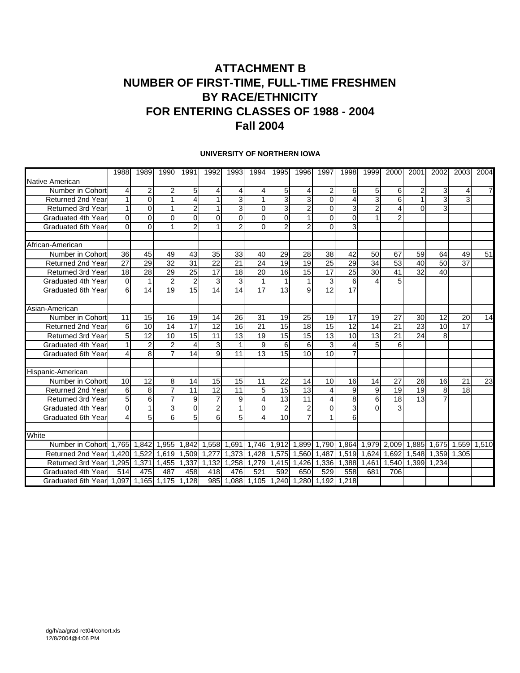### **ATTACHMENT B NUMBER OF FIRST-TIME, FULL-TIME FRESHMEN BY RACE/ETHNICITY FOR ENTERING CLASSES OF 1988 - 2004 Fall 2004**

#### **UNIVERSITY OF NORTHERN IOWA**

|                                            | 1988            | 1989            | 1990            | 1991                                | 1992            | 1993            | 1994                                    | 1995            | 1996            | 1997            | 1998             | 1999                    | 2000           | 2001            | 2002              | 2003            | 2004            |
|--------------------------------------------|-----------------|-----------------|-----------------|-------------------------------------|-----------------|-----------------|-----------------------------------------|-----------------|-----------------|-----------------|------------------|-------------------------|----------------|-----------------|-------------------|-----------------|-----------------|
| Native American                            |                 |                 |                 |                                     |                 |                 |                                         |                 |                 |                 |                  |                         |                |                 |                   |                 |                 |
| Number in Cohort                           | $\overline{4}$  | 2               | $\overline{2}$  | 5                                   | 4               | 4               | 4                                       | 5               | 4               | $\overline{2}$  | 6                | 5                       | 6              | 2               | 3                 | 4               | 7               |
| <b>Returned 2nd Year</b>                   | $\mathbf{1}$    | 0               |                 | 4                                   | $\mathbf 1$     | $\overline{3}$  | 1                                       | 3               | 3               | $\Omega$        | $\overline{4}$   | $\overline{3}$          | 6              | 1               | 3                 | 3               |                 |
| <b>Returned 3rd Year</b>                   | $\mathbf{1}$    | $\Omega$        | 1               | $\overline{2}$                      | $\mathbf 1$     | 3               | $\Omega$                                | 3               | $\overline{2}$  | $\Omega$        | 3                | $\overline{\mathbf{c}}$ | 4              | $\Omega$        | 3                 |                 |                 |
| Graduated 4th Year                         | $\mathbf 0$     | $\Omega$        | $\Omega$        | 0                                   | $\overline{0}$  | $\Omega$        | $\Omega$                                | $\mathbf{0}$    |                 | $\Omega$        | $\Omega$         |                         | $\overline{2}$ |                 |                   |                 |                 |
| Graduated 6th Year                         | $\Omega$        | $\Omega$        |                 | $\overline{2}$                      |                 | $\overline{2}$  | $\Omega$                                | $\overline{2}$  | 2               | $\Omega$        | 3                |                         |                |                 |                   |                 |                 |
| African-American                           |                 |                 |                 |                                     |                 |                 |                                         |                 |                 |                 |                  |                         |                |                 |                   |                 |                 |
| Number in Cohort                           | 36              | 45              | 49              | 43                                  | 35              | 33              | 40                                      | 29              | 28              | 38              | 42               | 50                      | 67             | 59              | 64                | 49              | 51              |
| <b>Returned 2nd Year</b>                   | $\overline{27}$ | $\overline{29}$ | $\overline{32}$ | $\overline{31}$                     | $\overline{22}$ | $\overline{21}$ | 24                                      | 19              | 19              | $\overline{25}$ | 29               | 34                      | 53             | 40              | 50                | 37              |                 |
| Returned 3rd Year                          | 18              | 28              | 29              | $\overline{25}$                     | $\overline{17}$ | 18              | 20                                      | 16              | 15              | $\overline{17}$ | $\overline{25}$  | $\overline{30}$         | 41             | $\overline{32}$ | 40                |                 |                 |
| Graduated 4th Year                         | 0               |                 | 2               | 2                                   | 3               | 3               | 1                                       | 1               |                 | 3               | 6                | 4                       | 5              |                 |                   |                 |                 |
| Graduated 6th Year                         | 6               | 14              | $\overline{19}$ | $\overline{15}$                     | $\overline{14}$ | $\overline{14}$ | $\overline{17}$                         | $\overline{13}$ | 9               | 12              | 17               |                         |                |                 |                   |                 |                 |
| Asian-American                             |                 |                 |                 |                                     |                 |                 |                                         |                 |                 |                 |                  |                         |                |                 |                   |                 |                 |
| Number in Cohort                           | 11              | 15              | 16              | 19                                  | 14              | 26              | 31                                      | 19              | 25              | 19              | 17               | 19                      | 27             | 30              | 12                | 20              | 14              |
| <b>Returned 2nd Year</b>                   | 6               | 10              | 14              | $\overline{17}$                     | $\overline{12}$ | 16              | $\overline{21}$                         | $\overline{15}$ | $\overline{18}$ | $\overline{15}$ | $\overline{12}$  | 14                      | 21             | $\overline{23}$ | 10                | $\overline{17}$ |                 |
| <b>Returned 3rd Year</b>                   | 5 <sup>1</sup>  | 12              | 10              | 15                                  | 11              | 13              | 19                                      | 15              | 15              | 13              | 10               | 13                      | 21             | 24              | 8                 |                 |                 |
| Graduated 4th Year                         | $\mathbf{1}$    | 2               | $\overline{2}$  | 4                                   | 3               | 1               | 9                                       | 6               | 6               | 3               | $\overline{4}$   | 5                       | 6              |                 |                   |                 |                 |
| Graduated 6th Year                         | 4               | 8               | 7               | 14                                  | 9               | 11              | 13                                      | 15              | 10              | 10              | $\overline{7}$   |                         |                |                 |                   |                 |                 |
| Hispanic-American                          |                 |                 |                 |                                     |                 |                 |                                         |                 |                 |                 |                  |                         |                |                 |                   |                 |                 |
| Number in Cohort                           | 10              | 12              | 8               | 14                                  | 15              | 15              | 11                                      | 22              | 14              | 10              | 16               | 14                      | 27             | 26              | 16                | 21              | $\overline{23}$ |
| <b>Returned 2nd Year</b>                   | 6               | 8               | 7               | 11                                  | 12              | 11              | 5                                       | 15              | 13              | 4               | $\boldsymbol{9}$ | 9                       | 19             | 19              | 8                 | 18              |                 |
| <b>Returned 3rd Year</b>                   | 5               | 6               | 7               | 9                                   | $\overline{7}$  | 9               | 4                                       | 13              | 11              | 4               | 8                | 6                       | 18             | 13              |                   |                 |                 |
| Graduated 4th Year                         | $\Omega$        | 1               | 3               | $\Omega$                            | $\overline{2}$  | 1               | $\Omega$                                | $\overline{2}$  | $\overline{2}$  | $\Omega$        | 3                | $\Omega$                | 3              |                 |                   |                 |                 |
| Graduated 6th Year                         | $\overline{4}$  | 5               | 6               | 5                                   | 6               | 5 <sup>1</sup>  | $\overline{4}$                          | 10              | 7               |                 | 6                |                         |                |                 |                   |                 |                 |
|                                            |                 |                 |                 |                                     |                 |                 |                                         |                 |                 |                 |                  |                         |                |                 |                   |                 |                 |
| White                                      |                 |                 |                 |                                     |                 |                 |                                         |                 |                 |                 |                  |                         |                |                 |                   |                 |                 |
| Number in Cohort                           |                 |                 |                 | 1,765 1,842 1,955 1,842 1,558 1,691 |                 |                 |                                         | 1,746 1,912     |                 | 1,899 1,790     | 1,864            | 1,979                   | 2,009 1,885    |                 | 1,675             | 1,559 1,510     |                 |
| Returned 2nd Year                          | 1,420           | 1,522           | 1,619           | 1,509 1,277                         |                 | 1,373           |                                         | 1,428 1,575     |                 | 1,560 1,487     | 1,519            | 1,624                   |                |                 | 1,692 1,548 1,359 | 1.305           |                 |
| <b>Returned 3rd Year</b>                   | 1.295           |                 | 1,371 1,455     | 1,337                               | 1.132           | 1.258           | 1.279                                   | 1,415           |                 | 1.426 1.336     | 1.388            | 1.461                   |                | 1.540 1.399     | 1.234             |                 |                 |
| Graduated 4th Year                         | 514             | 475             | 487             | 458                                 | 418             | 476             | 521                                     | 592             | 650             | 529             | 558              | 681                     | 706            |                 |                   |                 |                 |
| Graduated 6th Year 1,097 1,165 1,175 1,128 |                 |                 |                 |                                     |                 |                 | 985 1,088 1,105 1,240 1,280 1,192 1,218 |                 |                 |                 |                  |                         |                |                 |                   |                 |                 |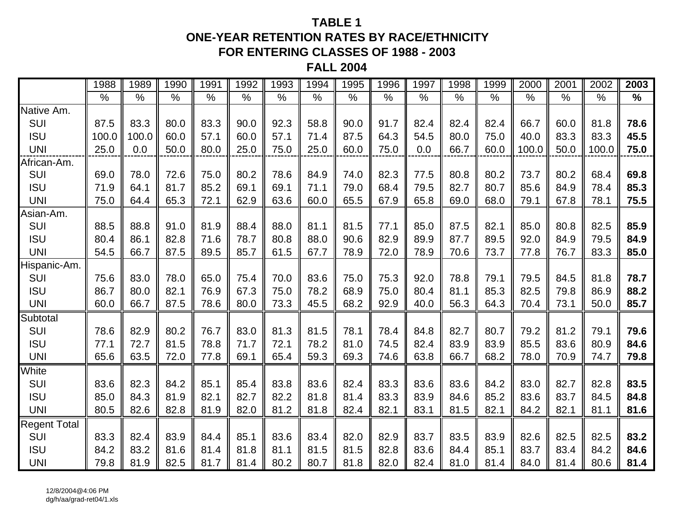### **TABLE 1ONE-YEAR RETENTION RATES BY RACE/ETHNICITY FOR ENTERING CLASSES OF 1988 - 2003**

**FALL 2004**

|                     | 1988          | 1989  | 1990          | 1991          | 1992          | 1993          | 1994          | 1995          | 1996 | 1997 | 1998          | 1999 | 2000  | 2001          | 2002          | 2003          |
|---------------------|---------------|-------|---------------|---------------|---------------|---------------|---------------|---------------|------|------|---------------|------|-------|---------------|---------------|---------------|
|                     | $\frac{0}{0}$ | $\%$  | $\frac{0}{0}$ | $\frac{0}{0}$ | $\frac{0}{0}$ | $\frac{0}{0}$ | $\frac{0}{0}$ | $\frac{1}{2}$ | $\%$ | $\%$ | $\frac{0}{0}$ | $\%$ | $\%$  | $\frac{0}{0}$ | $\frac{0}{0}$ | $\frac{0}{0}$ |
| Native Am.          |               |       |               |               |               |               |               |               |      |      |               |      |       |               |               |               |
| SUI                 | 87.5          | 83.3  | 80.0          | 83.3          | 90.0          | 92.3          | 58.8          | 90.0          | 91.7 | 82.4 | 82.4          | 82.4 | 66.7  | 60.0          | 81.8          | 78.6          |
| <b>ISU</b>          | 100.0         | 100.0 | 60.0          | 57.1          | 60.0          | 57.1          | 71.4          | 87.5          | 64.3 | 54.5 | 80.0          | 75.0 | 40.0  | 83.3          | 83.3          | 45.5          |
| <b>UNI</b>          | 25.0          | 0.0   | 50.0          | 80.0          | 25.0          | 75.0          | 25.0          | 60.0          | 75.0 | 0.0  | 66.7          | 60.0 | 100.0 | 50.0          | 100.0         | 75.0          |
| African-Am.         |               |       |               |               |               |               |               |               |      |      |               |      |       |               |               |               |
| SUI                 | 69.0          | 78.0  | 72.6          | 75.0          | 80.2          | 78.6          | 84.9          | 74.0          | 82.3 | 77.5 | 80.8          | 80.2 | 73.7  | 80.2          | 68.4          | 69.8          |
| <b>ISU</b>          | 71.9          | 64.1  | 81.7          | 85.2          | 69.1          | 69.1          | 71.1          | 79.0          | 68.4 | 79.5 | 82.7          | 80.7 | 85.6  | 84.9          | 78.4          | 85.3          |
| <b>UNI</b>          | 75.0          | 64.4  | 65.3          | 72.1          | 62.9          | 63.6          | 60.0          | 65.5          | 67.9 | 65.8 | 69.0          | 68.0 | 79.1  | 67.8          | 78.1          | 75.5          |
| Asian-Am.           |               |       |               |               |               |               |               |               |      |      |               |      |       |               |               |               |
| SUI                 | 88.5          | 88.8  | 91.0          | 81.9          | 88.4          | 88.0          | 81.1          | 81.5          | 77.1 | 85.0 | 87.5          | 82.1 | 85.0  | 80.8          | 82.5          | 85.9          |
| <b>ISU</b>          | 80.4          | 86.1  | 82.8          | 71.6          | 78.7          | 80.8          | 88.0          | 90.6          | 82.9 | 89.9 | 87.7          | 89.5 | 92.0  | 84.9          | 79.5          | 84.9          |
| <b>UNI</b>          | 54.5          | 66.7  | 87.5          | 89.5          | 85.7          | 61.5          | 67.7          | 78.9          | 72.0 | 78.9 | 70.6          | 73.7 | 77.8  | 76.7          | 83.3          | 85.0          |
| Hispanic-Am.        |               |       |               |               |               |               |               |               |      |      |               |      |       |               |               |               |
| SUI                 | 75.6          | 83.0  | 78.0          | 65.0          | 75.4          | 70.0          | 83.6          | 75.0          | 75.3 | 92.0 | 78.8          | 79.1 | 79.5  | 84.5          | 81.8          | 78.7          |
| <b>ISU</b>          | 86.7          | 80.0  | 82.1          | 76.9          | 67.3          | 75.0          | 78.2          | 68.9          | 75.0 | 80.4 | 81.1          | 85.3 | 82.5  | 79.8          | 86.9          | 88.2          |
| <b>UNI</b>          | 60.0          | 66.7  | 87.5          | 78.6          | 80.0          | 73.3          | 45.5          | 68.2          | 92.9 | 40.0 | 56.3          | 64.3 | 70.4  | 73.1          | 50.0          | 85.7          |
| Subtotal            |               |       |               |               |               |               |               |               |      |      |               |      |       |               |               |               |
| SUI                 | 78.6          | 82.9  | 80.2          | 76.7          | 83.0          | 81.3          | 81.5          | 78.1          | 78.4 | 84.8 | 82.7          | 80.7 | 79.2  | 81.2          | 79.1          | 79.6          |
| <b>ISU</b>          | 77.1          | 72.7  | 81.5          | 78.8          | 71.7          | 72.1          | 78.2          | 81.0          | 74.5 | 82.4 | 83.9          | 83.9 | 85.5  | 83.6          | 80.9          | 84.6          |
| <b>UNI</b>          | 65.6          | 63.5  | 72.0          | 77.8          | 69.1          | 65.4          | 59.3          | 69.3          | 74.6 | 63.8 | 66.7          | 68.2 | 78.0  | 70.9          | 74.7          | 79.8          |
| White               |               |       |               |               |               |               |               |               |      |      |               |      |       |               |               |               |
| <b>SUI</b>          | 83.6          | 82.3  | 84.2          | 85.1          | 85.4          | 83.8          | 83.6          | 82.4          | 83.3 | 83.6 | 83.6          | 84.2 | 83.0  | 82.7          | 82.8          | 83.5          |
| <b>ISU</b>          | 85.0          | 84.3  | 81.9          | 82.1          | 82.7          | 82.2          | 81.8          | 81.4          | 83.3 | 83.9 | 84.6          | 85.2 | 83.6  | 83.7          | 84.5          | 84.8          |
| <b>UNI</b>          | 80.5          | 82.6  | 82.8          | 81.9          | 82.0          | 81.2          | 81.8          | 82.4          | 82.1 | 83.1 | 81.5          | 82.1 | 84.2  | 82.1          | 81.1          | 81.6          |
| <b>Regent Total</b> |               |       |               |               |               |               |               |               |      |      |               |      |       |               |               |               |
| SUI                 | 83.3          | 82.4  | 83.9          | 84.4          | 85.1          | 83.6          | 83.4          | 82.0          | 82.9 | 83.7 | 83.5          | 83.9 | 82.6  | 82.5          | 82.5          | 83.2          |
| <b>ISU</b>          | 84.2          | 83.2  | 81.6          | 81.4          | 81.8          | 81.1          | 81.5          | 81.5          | 82.8 | 83.6 | 84.4          | 85.1 | 83.7  | 83.4          | 84.2          | 84.6          |
| <b>UNI</b>          | 79.8          | 81.9  | 82.5          | 81.7          | 81.4          | 80.2          | 80.7          | 81.8          | 82.0 | 82.4 | 81.0          | 81.4 | 84.0  | 81.4          | 80.6          | 81.4          |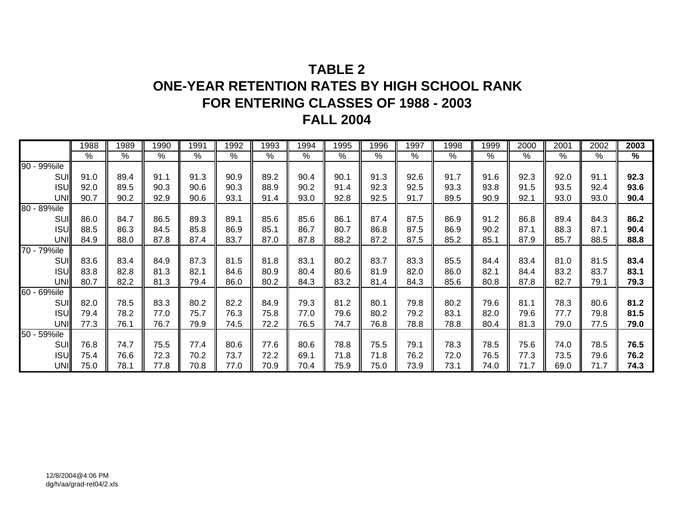## **TABLE 2ONE-YEAR RETENTION RATES BY HIGH SCHOOL RANK FOR ENTERING CLASSES OF 1988 - 2003 FALL 2004**

|             | 1988 | 1989 | 1990 | 1991 | 1992 | 1993 | 1994 | 1995 | 1996 | 1997 | 1998 | 1999 | 2000 | 2001 | 2002 | 2003 |
|-------------|------|------|------|------|------|------|------|------|------|------|------|------|------|------|------|------|
|             | %    | $\%$ | %    | %    | $\%$ | %    | %    | %    | %    | %    | %    | %    | %    | %    | %    | %    |
| 90 - 99%ile |      |      |      |      |      |      |      |      |      |      |      |      |      |      |      |      |
| SUI         | 91.0 | 89.4 | 91.1 | 91.3 | 90.9 | 89.2 | 90.4 | 90.1 | 91.3 | 92.6 | 91.7 | 91.6 | 92.3 | 92.0 | 91.1 | 92.3 |
| <b>ISU</b>  | 92.0 | 89.5 | 90.3 | 90.6 | 90.3 | 88.9 | 90.2 | 91.4 | 92.3 | 92.5 | 93.3 | 93.8 | 91.5 | 93.5 | 92.4 | 93.6 |
| UNI         | 90.7 | 90.2 | 92.9 | 90.6 | 93.1 | 91.4 | 93.0 | 92.8 | 92.5 | 91.7 | 89.5 | 90.9 | 92.1 | 93.0 | 93.0 | 90.4 |
| 80 - 89%ile |      |      |      |      |      |      |      |      |      |      |      |      |      |      |      |      |
| <b>SUI</b>  | 86.0 | 84.7 | 86.5 | 89.3 | 89.1 | 85.6 | 85.6 | 86.1 | 87.4 | 87.5 | 86.9 | 91.2 | 86.8 | 89.4 | 84.3 | 86.2 |
| <b>ISU</b>  | 88.5 | 86.3 | 84.5 | 85.8 | 86.9 | 85.1 | 86.7 | 80.7 | 86.8 | 87.5 | 86.9 | 90.2 | 87.1 | 88.3 | 87.1 | 90.4 |
| UNI         | 84.9 | 88.0 | 87.8 | 87.4 | 83.7 | 87.0 | 87.8 | 88.2 | 87.2 | 87.5 | 85.2 | 85.1 | 87.9 | 85.7 | 88.5 | 88.8 |
| 70 - 79%ile |      |      |      |      |      |      |      |      |      |      |      |      |      |      |      |      |
| SUI         | 83.6 | 83.4 | 84.9 | 87.3 | 81.5 | 81.8 | 83.1 | 80.2 | 83.7 | 83.3 | 85.5 | 84.4 | 83.4 | 81.0 | 81.5 | 83.4 |
| <b>ISU</b>  | 83.8 | 82.8 | 81.3 | 82.1 | 84.6 | 80.9 | 80.4 | 80.6 | 81.9 | 82.0 | 86.0 | 82.1 | 84.4 | 83.2 | 83.7 | 83.1 |
| <b>UNI</b>  | 80.7 | 82.2 | 81.3 | 79.4 | 86.0 | 80.2 | 84.3 | 83.2 | 81.4 | 84.3 | 85.6 | 80.8 | 87.8 | 82.7 | 79.1 | 79.3 |
| 60 - 69%ile |      |      |      |      |      |      |      |      |      |      |      |      |      |      |      |      |
| SUI         | 82.0 | 78.5 | 83.3 | 80.2 | 82.2 | 84.9 | 79.3 | 81.2 | 80.1 | 79.8 | 80.2 | 79.6 | 81.1 | 78.3 | 80.6 | 81.2 |
| <b>ISU</b>  | 79.4 | 78.2 | 77.0 | 75.7 | 76.3 | 75.8 | 77.0 | 79.6 | 80.2 | 79.2 | 83.1 | 82.0 | 79.6 | 77.7 | 79.8 | 81.5 |
| UNI         | 77.3 | 76.1 | 76.7 | 79.9 | 74.5 | 72.2 | 76.5 | 74.7 | 76.8 | 78.8 | 78.8 | 80.4 | 81.3 | 79.0 | 77.5 | 79.0 |
| 50 - 59%ile |      |      |      |      |      |      |      |      |      |      |      |      |      |      |      |      |
| SUI         | 76.8 | 74.7 | 75.5 | 77.4 | 80.6 | 77.6 | 80.6 | 78.8 | 75.5 | 79.1 | 78.3 | 78.5 | 75.6 | 74.0 | 78.5 | 76.5 |
| <b>ISU</b>  | 75.4 | 76.6 | 72.3 | 70.2 | 73.7 | 72.2 | 69.1 | 71.8 | 71.8 | 76.2 | 72.0 | 76.5 | 77.3 | 73.5 | 79.6 | 76.2 |
| <b>UNI</b>  | 75.0 | 78.1 | 77.8 | 70.8 | 77.0 | 70.9 | 70.4 | 75.9 | 75.0 | 73.9 | 73.1 | 74.0 | 71.7 | 69.0 | 71.7 | 74.3 |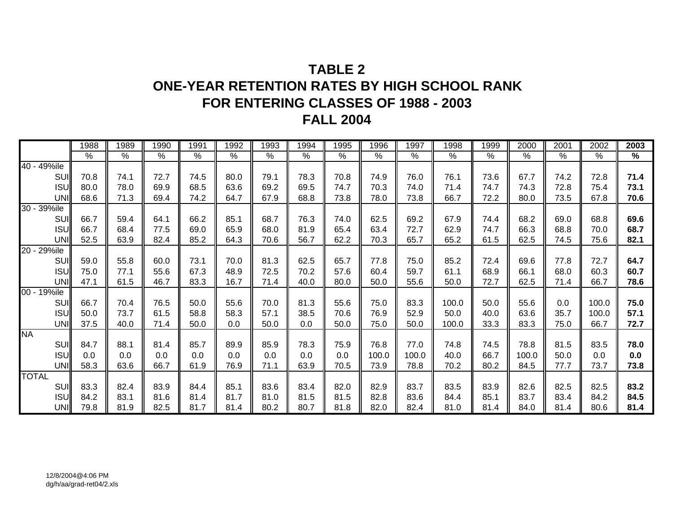## **TABLE 2ONE-YEAR RETENTION RATES BY HIGH SCHOOL RANK FOR ENTERING CLASSES OF 1988 - 2003 FALL 2004**

|              | 1988            | 1989 | 1990 | 1991          | 1992          | 1993          | 1994 | 1995 | 1996  | 1997  | 1998  | 1999 | 2000  | 2001 | 2002  | 2003 |
|--------------|-----------------|------|------|---------------|---------------|---------------|------|------|-------|-------|-------|------|-------|------|-------|------|
|              | $\overline{\%}$ | $\%$ | $\%$ | $\frac{1}{2}$ | $\frac{9}{6}$ | $\frac{9}{6}$ | $\%$ | $\%$ | $\%$  | $\%$  | $\%$  | $\%$ | $\%$  | $\%$ | $\%$  | $\%$ |
| 40 - 49%ile  |                 |      |      |               |               |               |      |      |       |       |       |      |       |      |       |      |
| SUI          | 70.8            | 74.1 | 72.7 | 74.5          | 80.0          | 79.1          | 78.3 | 70.8 | 74.9  | 76.0  | 76.1  | 73.6 | 67.7  | 74.2 | 72.8  | 71.4 |
| <b>ISU</b>   | 80.0            | 78.0 | 69.9 | 68.5          | 63.6          | 69.2          | 69.5 | 74.7 | 70.3  | 74.0  | 71.4  | 74.7 | 74.3  | 72.8 | 75.4  | 73.1 |
| UNI          | 68.6            | 71.3 | 69.4 | 74.2          | 64.7          | 67.9          | 68.8 | 73.8 | 78.0  | 73.8  | 66.7  | 72.2 | 80.0  | 73.5 | 67.8  | 70.6 |
| 30 - 39%ile  |                 |      |      |               |               |               |      |      |       |       |       |      |       |      |       |      |
| SUI          | 66.7            | 59.4 | 64.1 | 66.2          | 85.1          | 68.7          | 76.3 | 74.0 | 62.5  | 69.2  | 67.9  | 74.4 | 68.2  | 69.0 | 68.8  | 69.6 |
| <b>ISU</b>   | 66.7            | 68.4 | 77.5 | 69.0          | 65.9          | 68.0          | 81.9 | 65.4 | 63.4  | 72.7  | 62.9  | 74.7 | 66.3  | 68.8 | 70.0  | 68.7 |
| UNI          | 52.5            | 63.9 | 82.4 | 85.2          | 64.3          | 70.6          | 56.7 | 62.2 | 70.3  | 65.7  | 65.2  | 61.5 | 62.5  | 74.5 | 75.6  | 82.1 |
| 20 - 29%ile  |                 |      |      |               |               |               |      |      |       |       |       |      |       |      |       |      |
| SUI          | 59.0            | 55.8 | 60.0 | 73.1          | 70.0          | 81.3          | 62.5 | 65.7 | 77.8  | 75.0  | 85.2  | 72.4 | 69.6  | 77.8 | 72.7  | 64.7 |
| <b>ISU</b>   | 75.0            | 77.1 | 55.6 | 67.3          | 48.9          | 72.5          | 70.2 | 57.6 | 60.4  | 59.7  | 61.1  | 68.9 | 66.1  | 68.0 | 60.3  | 60.7 |
| UNI          | 47.1            | 61.5 | 46.7 | 83.3          | 16.7          | 71.4          | 40.0 | 80.0 | 50.0  | 55.6  | 50.0  | 72.7 | 62.5  | 71.4 | 66.7  | 78.6 |
| 00 - 19%ile  |                 |      |      |               |               |               |      |      |       |       |       |      |       |      |       |      |
| SUI          | 66.7            | 70.4 | 76.5 | 50.0          | 55.6          | 70.0          | 81.3 | 55.6 | 75.0  | 83.3  | 100.0 | 50.0 | 55.6  | 0.0  | 100.0 | 75.0 |
| <b>ISU</b>   | 50.0            | 73.7 | 61.5 | 58.8          | 58.3          | 57.1          | 38.5 | 70.6 | 76.9  | 52.9  | 50.0  | 40.0 | 63.6  | 35.7 | 100.0 | 57.1 |
| UNI          | 37.5            | 40.0 | 71.4 | 50.0          | 0.0           | 50.0          | 0.0  | 50.0 | 75.0  | 50.0  | 100.0 | 33.3 | 83.3  | 75.0 | 66.7  | 72.7 |
| <b>NA</b>    |                 |      |      |               |               |               |      |      |       |       |       |      |       |      |       |      |
| SUI          | 84.7            | 88.1 | 81.4 | 85.7          | 89.9          | 85.9          | 78.3 | 75.9 | 76.8  | 77.0  | 74.8  | 74.5 | 78.8  | 81.5 | 83.5  | 78.0 |
| <b>ISU</b>   | 0.0             | 0.0  | 0.0  | 0.0           | 0.0           | 0.0           | 0.0  | 0.0  | 100.0 | 100.0 | 40.0  | 66.7 | 100.0 | 50.0 | 0.0   | 0.0  |
| <b>UNI</b>   | 58.3            | 63.6 | 66.7 | 61.9          | 76.9          | 71.1          | 63.9 | 70.5 | 73.9  | 78.8  | 70.2  | 80.2 | 84.5  | 77.7 | 73.7  | 73.8 |
| <b>TOTAL</b> |                 |      |      |               |               |               |      |      |       |       |       |      |       |      |       |      |
| SUI          | 83.3            | 82.4 | 83.9 | 84.4          | 85.1          | 83.6          | 83.4 | 82.0 | 82.9  | 83.7  | 83.5  | 83.9 | 82.6  | 82.5 | 82.5  | 83.2 |
| <b>ISU</b>   | 84.2            | 83.1 | 81.6 | 81.4          | 81.7          | 81.0          | 81.5 | 81.5 | 82.8  | 83.6  | 84.4  | 85.1 | 83.7  | 83.4 | 84.2  | 84.5 |
| UNI          | 79.8            | 81.9 | 82.5 | 81.7          | 81.4          | 80.2          | 80.7 | 81.8 | 82.0  | 82.4  | 81.0  | 81.4 | 84.0  | 81.4 | 80.6  | 81.4 |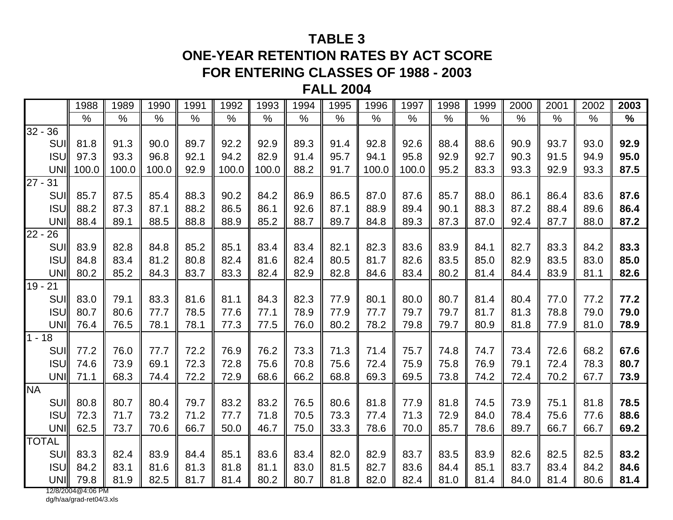### **TABLE 3**

# **ONE-YEAR RETENTION RATES BY ACT SCORE**

### **FOR ENTERING CLASSES OF 1988 - 2003**

#### **FALL 2004**

|              | 1988  | 1989  | 1990  | 1991 | 1992  | 1993  | 1994 | 1995 | 1996  | 1997  | 1998 | 1999 | 2000 | 2001 | 2002 | 2003 |
|--------------|-------|-------|-------|------|-------|-------|------|------|-------|-------|------|------|------|------|------|------|
|              | $\%$  | $\%$  | $\%$  | $\%$ | $\%$  | $\%$  | $\%$ | $\%$ | $\%$  | $\%$  | $\%$ | $\%$ | $\%$ | $\%$ | $\%$ | $\%$ |
| $32 - 36$    |       |       |       |      |       |       |      |      |       |       |      |      |      |      |      |      |
| SUI          | 81.8  | 91.3  | 90.0  | 89.7 | 92.2  | 92.9  | 89.3 | 91.4 | 92.8  | 92.6  | 88.4 | 88.6 | 90.9 | 93.7 | 93.0 | 92.9 |
| <b>ISU</b>   | 97.3  | 93.3  | 96.8  | 92.1 | 94.2  | 82.9  | 91.4 | 95.7 | 94.1  | 95.8  | 92.9 | 92.7 | 90.3 | 91.5 | 94.9 | 95.0 |
| <b>UNI</b>   | 100.0 | 100.0 | 100.0 | 92.9 | 100.0 | 100.0 | 88.2 | 91.7 | 100.0 | 100.0 | 95.2 | 83.3 | 93.3 | 92.9 | 93.3 | 87.5 |
| $27 -$<br>31 |       |       |       |      |       |       |      |      |       |       |      |      |      |      |      |      |
| SUI          | 85.7  | 87.5  | 85.4  | 88.3 | 90.2  | 84.2  | 86.9 | 86.5 | 87.0  | 87.6  | 85.7 | 88.0 | 86.1 | 86.4 | 83.6 | 87.6 |
| <b>ISU</b>   | 88.2  | 87.3  | 87.1  | 88.2 | 86.5  | 86.1  | 92.6 | 87.1 | 88.9  | 89.4  | 90.1 | 88.3 | 87.2 | 88.4 | 89.6 | 86.4 |
| <b>UNI</b>   | 88.4  | 89.1  | 88.5  | 88.8 | 88.9  | 85.2  | 88.7 | 89.7 | 84.8  | 89.3  | 87.3 | 87.0 | 92.4 | 87.7 | 88.0 | 87.2 |
| $22 -$<br>26 |       |       |       |      |       |       |      |      |       |       |      |      |      |      |      |      |
| <b>SUI</b>   | 83.9  | 82.8  | 84.8  | 85.2 | 85.1  | 83.4  | 83.4 | 82.1 | 82.3  | 83.6  | 83.9 | 84.1 | 82.7 | 83.3 | 84.2 | 83.3 |
| <b>ISU</b>   | 84.8  | 83.4  | 81.2  | 80.8 | 82.4  | 81.6  | 82.4 | 80.5 | 81.7  | 82.6  | 83.5 | 85.0 | 82.9 | 83.5 | 83.0 | 85.0 |
| <b>UNI</b>   | 80.2  | 85.2  | 84.3  | 83.7 | 83.3  | 82.4  | 82.9 | 82.8 | 84.6  | 83.4  | 80.2 | 81.4 | 84.4 | 83.9 | 81.1 | 82.6 |
| $19 - 21$    |       |       |       |      |       |       |      |      |       |       |      |      |      |      |      |      |
| SUI          | 83.0  | 79.1  | 83.3  | 81.6 | 81.1  | 84.3  | 82.3 | 77.9 | 80.1  | 80.0  | 80.7 | 81.4 | 80.4 | 77.0 | 77.2 | 77.2 |
| <b>ISU</b>   | 80.7  | 80.6  | 77.7  | 78.5 | 77.6  | 77.1  | 78.9 | 77.9 | 77.7  | 79.7  | 79.7 | 81.7 | 81.3 | 78.8 | 79.0 | 79.0 |
| <b>UNI</b>   | 76.4  | 76.5  | 78.1  | 78.1 | 77.3  | 77.5  | 76.0 | 80.2 | 78.2  | 79.8  | 79.7 | 80.9 | 81.8 | 77.9 | 81.0 | 78.9 |
| $1 - 18$     |       |       |       |      |       |       |      |      |       |       |      |      |      |      |      |      |
| <b>SUI</b>   | 77.2  | 76.0  | 77.7  | 72.2 | 76.9  | 76.2  | 73.3 | 71.3 | 71.4  | 75.7  | 74.8 | 74.7 | 73.4 | 72.6 | 68.2 | 67.6 |
| <b>ISU</b>   | 74.6  | 73.9  | 69.1  | 72.3 | 72.8  | 75.6  | 70.8 | 75.6 | 72.4  | 75.9  | 75.8 | 76.9 | 79.1 | 72.4 | 78.3 | 80.7 |
| UNI          | 71.1  | 68.3  | 74.4  | 72.2 | 72.9  | 68.6  | 66.2 | 68.8 | 69.3  | 69.5  | 73.8 | 74.2 | 72.4 | 70.2 | 67.7 | 73.9 |
| <b>NA</b>    |       |       |       |      |       |       |      |      |       |       |      |      |      |      |      |      |
| SUI          | 80.8  | 80.7  | 80.4  | 79.7 | 83.2  | 83.2  | 76.5 | 80.6 | 81.8  | 77.9  | 81.8 | 74.5 | 73.9 | 75.1 | 81.8 | 78.5 |
| <b>ISU</b>   | 72.3  | 71.7  | 73.2  | 71.2 | 77.7  | 71.8  | 70.5 | 73.3 | 77.4  | 71.3  | 72.9 | 84.0 | 78.4 | 75.6 | 77.6 | 88.6 |
| UNI          | 62.5  | 73.7  | 70.6  | 66.7 | 50.0  | 46.7  | 75.0 | 33.3 | 78.6  | 70.0  | 85.7 | 78.6 | 89.7 | 66.7 | 66.7 | 69.2 |
| <b>TOTAL</b> |       |       |       |      |       |       |      |      |       |       |      |      |      |      |      |      |
| SUI          | 83.3  | 82.4  | 83.9  | 84.4 | 85.1  | 83.6  | 83.4 | 82.0 | 82.9  | 83.7  | 83.5 | 83.9 | 82.6 | 82.5 | 82.5 | 83.2 |
| <b>ISU</b>   | 84.2  | 83.1  | 81.6  | 81.3 | 81.8  | 81.1  | 83.0 | 81.5 | 82.7  | 83.6  | 84.4 | 85.1 | 83.7 | 83.4 | 84.2 | 84.6 |
| UNI          | 79.8  | 81.9  | 82.5  | 81.7 | 81.4  | 80.2  | 80.7 | 81.8 | 82.0  | 82.4  | 81.0 | 81.4 | 84.0 | 81.4 | 80.6 | 81.4 |

12/8/2004@4:06 PM dg/h/aa/grad-ret04/3.xls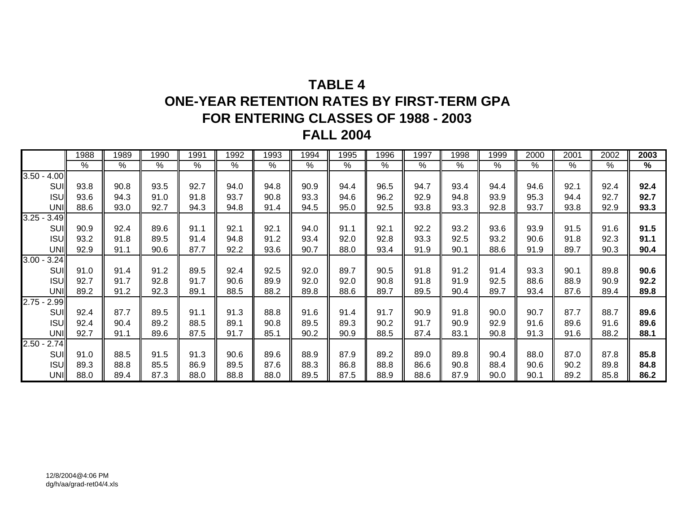# **TABLE 4ONE-YEAR RETENTION RATES BY FIRST-TERM GPA FOR ENTERING CLASSES OF 1988 - 2003 FALL 2004**

|                  | 1988 | 1989 | 1990 | 1991          | 1992 | 1993 | 1994       | 1995 | 1996 | 1997 | 1998 | 1999 | 2000       | 2001 | 2002 | 2003 |
|------------------|------|------|------|---------------|------|------|------------|------|------|------|------|------|------------|------|------|------|
|                  | %    | $\%$ | %    | $\frac{0}{0}$ | $\%$ | %    | $\sqrt{6}$ | $\%$ | %    | %    | $\%$ | %    | $\sqrt{2}$ | $\%$ | $\%$ | %    |
| $3.50 - 4.00$    |      |      |      |               |      |      |            |      |      |      |      |      |            |      |      |      |
| SUI              | 93.8 | 90.8 | 93.5 | 92.7          | 94.0 | 94.8 | 90.9       | 94.4 | 96.5 | 94.7 | 93.4 | 94.4 | 94.6       | 92.1 | 92.4 | 92.4 |
| <b>ISU</b>       | 93.6 | 94.3 | 91.0 | 91.8          | 93.7 | 90.8 | 93.3       | 94.6 | 96.2 | 92.9 | 94.8 | 93.9 | 95.3       | 94.4 | 92.7 | 92.7 |
| UNI              | 88.6 | 93.0 | 92.7 | 94.3          | 94.8 | 91.4 | 94.5       | 95.0 | 92.5 | 93.8 | 93.3 | 92.8 | 93.7       | 93.8 | 92.9 | 93.3 |
| $3.25 -$<br>3.49 |      |      |      |               |      |      |            |      |      |      |      |      |            |      |      |      |
| SUI              | 90.9 | 92.4 | 89.6 | 91.1          | 92.1 | 92.1 | 94.0       | 91.1 | 92.1 | 92.2 | 93.2 | 93.6 | 93.9       | 91.5 | 91.6 | 91.5 |
| <b>ISU</b>       | 93.2 | 91.8 | 89.5 | 91.4          | 94.8 | 91.2 | 93.4       | 92.0 | 92.8 | 93.3 | 92.5 | 93.2 | 90.6       | 91.8 | 92.3 | 91.1 |
| <b>UNI</b>       | 92.9 | 91.1 | 90.6 | 87.7          | 92.2 | 93.6 | 90.7       | 88.0 | 93.4 | 91.9 | 90.1 | 88.6 | 91.9       | 89.7 | 90.3 | 90.4 |
| $3.00 -$<br>3.24 |      |      |      |               |      |      |            |      |      |      |      |      |            |      |      |      |
| SUI              | 91.0 | 91.4 | 91.2 | 89.5          | 92.4 | 92.5 | 92.0       | 89.7 | 90.5 | 91.8 | 91.2 | 91.4 | 93.3       | 90.1 | 89.8 | 90.6 |
| <b>ISU</b>       | 92.7 | 91.7 | 92.8 | 91.7          | 90.6 | 89.9 | 92.0       | 92.0 | 90.8 | 91.8 | 91.9 | 92.5 | 88.6       | 88.9 | 90.9 | 92.2 |
| UNI              | 89.2 | 91.2 | 92.3 | 89.1          | 88.5 | 88.2 | 89.8       | 88.6 | 89.7 | 89.5 | 90.4 | 89.7 | 93.4       | 87.6 | 89.4 | 89.8 |
| $2.75 -$<br>2.99 |      |      |      |               |      |      |            |      |      |      |      |      |            |      |      |      |
| SUI              | 92.4 | 87.7 | 89.5 | 91.1          | 91.3 | 88.8 | 91.6       | 91.4 | 91.7 | 90.9 | 91.8 | 90.0 | 90.7       | 87.7 | 88.7 | 89.6 |
| <b>ISU</b>       | 92.4 | 90.4 | 89.2 | 88.5          | 89.1 | 90.8 | 89.5       | 89.3 | 90.2 | 91.7 | 90.9 | 92.9 | 91.6       | 89.6 | 91.6 | 89.6 |
| UNI              | 92.7 | 91.1 | 89.6 | 87.5          | 91.7 | 85.1 | 90.2       | 90.9 | 88.5 | 87.4 | 83.1 | 90.8 | 91.3       | 91.6 | 88.2 | 88.1 |
| $2.50 -$<br>2.74 |      |      |      |               |      |      |            |      |      |      |      |      |            |      |      |      |
| SUI              | 91.0 | 88.5 | 91.5 | 91.3          | 90.6 | 89.6 | 88.9       | 87.9 | 89.2 | 89.0 | 89.8 | 90.4 | 88.0       | 87.0 | 87.8 | 85.8 |
| <b>ISU</b>       | 89.3 | 88.8 | 85.5 | 86.9          | 89.5 | 87.6 | 88.3       | 86.8 | 88.8 | 86.6 | 90.8 | 88.4 | 90.6       | 90.2 | 89.8 | 84.8 |
| UNI              | 88.0 | 89.4 | 87.3 | 88.0          | 88.8 | 88.0 | 89.5       | 87.5 | 88.9 | 88.6 | 87.9 | 90.0 | 90.1       | 89.2 | 85.8 | 86.2 |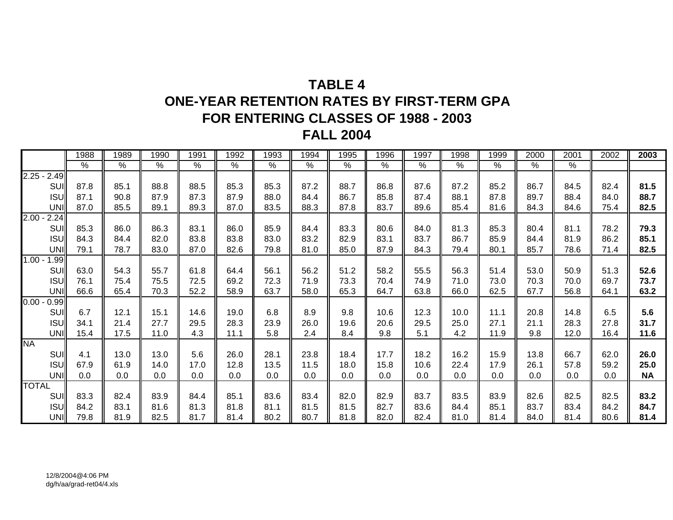# **TABLE 4ONE-YEAR RETENTION RATES BY FIRST-TERM GPA FOR ENTERING CLASSES OF 1988 - 2003 FALL 2004**

|                              | 1988          | 1989            | 1990            | 1991          | 1992          | 1993            | 1994          | 1995          | 1996          | 1997          | 1998          | 1999          | 2000          | 2001 | 2002 | 2003      |
|------------------------------|---------------|-----------------|-----------------|---------------|---------------|-----------------|---------------|---------------|---------------|---------------|---------------|---------------|---------------|------|------|-----------|
|                              | $\frac{8}{6}$ | $\overline{\%}$ | $\overline{\%}$ | $\frac{8}{6}$ | $\frac{8}{6}$ | $\overline{\%}$ | $\frac{0}{6}$ | $\frac{8}{6}$ | $\frac{8}{6}$ | $\frac{1}{6}$ | $\frac{8}{6}$ | $\frac{9}{6}$ | $\frac{9}{6}$ | %    |      |           |
| $2.25 - 2.49$                |               |                 |                 |               |               |                 |               |               |               |               |               |               |               |      |      |           |
| SUI                          | 87.8          | 85.1            | 88.8            | 88.5          | 85.3          | 85.3            | 87.2          | 88.7          | 86.8          | 87.6          | 87.2          | 85.2          | 86.7          | 84.5 | 82.4 | 81.5      |
| <b>ISU</b>                   | 87.1          | 90.8            | 87.9            | 87.3          | 87.9          | 88.0            | 84.4          | 86.7          | 85.8          | 87.4          | 88.1          | 87.8          | 89.7          | 88.4 | 84.0 | 88.7      |
| <b>UNI</b>                   | 87.0          | 85.5            | 89.1            | 89.3          | 87.0          | 83.5            | 88.3          | 87.8          | 83.7          | 89.6          | 85.4          | 81.6          | 84.3          | 84.6 | 75.4 | 82.5      |
| $2.00 -$<br>2.24             |               |                 |                 |               |               |                 |               |               |               |               |               |               |               |      |      |           |
| SUI                          | 85.3          | 86.0            | 86.3            | 83.1          | 86.0          | 85.9            | 84.4          | 83.3          | 80.6          | 84.0          | 81.3          | 85.3          | 80.4          | 81.1 | 78.2 | 79.3      |
| <b>ISU</b>                   | 84.3          | 84.4            | 82.0            | 83.8          | 83.8          | 83.0            | 83.2          | 82.9          | 83.1          | 83.7          | 86.7          | 85.9          | 84.4          | 81.9 | 86.2 | 85.1      |
| <b>UNI</b>                   | 79.1          | 78.7            | 83.0            | 87.0          | 82.6          | 79.8            | 81.0          | 85.0          | 87.9          | 84.3          | 79.4          | 80.1          | 85.7          | 78.6 | 71.4 | 82.5      |
| $1.00 -$<br>1.99 $\parallel$ |               |                 |                 |               |               |                 |               |               |               |               |               |               |               |      |      |           |
| SUI                          | 63.0          | 54.3            | 55.7            | 61.8          | 64.4          | 56.1            | 56.2          | 51.2          | 58.2          | 55.5          | 56.3          | 51.4          | 53.0          | 50.9 | 51.3 | 52.6      |
| <b>ISU</b>                   | 76.1          | 75.4            | 75.5            | 72.5          | 69.2          | 72.3            | 71.9          | 73.3          | 70.4          | 74.9          | 71.0          | 73.0          | 70.3          | 70.0 | 69.7 | 73.7      |
| <b>UNI</b>                   | 66.6          | 65.4            | 70.3            | 52.2          | 58.9          | 63.7            | 58.0          | 65.3          | 64.7          | 63.8          | 66.0          | 62.5          | 67.7          | 56.8 | 64.1 | 63.2      |
| $0.00 -$<br>0.99             |               |                 |                 |               |               |                 |               |               |               |               |               |               |               |      |      |           |
| SUI                          | 6.7           | 12.1            | 15.1            | 14.6          | 19.0          | 6.8             | 8.9           | 9.8           | 10.6          | 12.3          | 10.0          | 11.1          | 20.8          | 14.8 | 6.5  | 5.6       |
| <b>ISU</b>                   | 34.1          | 21.4            | 27.7            | 29.5          | 28.3          | 23.9            | 26.0          | 19.6          | 20.6          | 29.5          | 25.0          | 27.1          | 21.1          | 28.3 | 27.8 | 31.7      |
| UNI                          | 15.4          | 17.5            | 11.0            | 4.3           | 11.1          | 5.8             | 2.4           | 8.4           | 9.8           | 5.1           | 4.2           | 11.9          | 9.8           | 12.0 | 16.4 | 11.6      |
| <b>NA</b>                    |               |                 |                 |               |               |                 |               |               |               |               |               |               |               |      |      |           |
| SUI                          | 4.1           | 13.0            | 13.0            | 5.6           | 26.0          | 28.1            | 23.8          | 18.4          | 17.7          | 18.2          | 16.2          | 15.9          | 13.8          | 66.7 | 62.0 | 26.0      |
| <b>ISU</b>                   | 67.9          | 61.9            | 14.0            | 17.0          | 12.8          | 13.5            | 11.5          | 18.0          | 15.8          | 10.6          | 22.4          | 17.9          | 26.1          | 57.8 | 59.2 | 25.0      |
| UNI                          | 0.0           | 0.0             | 0.0             | 0.0           | 0.0           | 0.0             | 0.0           | 0.0           | 0.0           | 0.0           | 0.0           | 0.0           | 0.0           | 0.0  | 0.0  | <b>NA</b> |
| <b>TOTAL</b>                 |               |                 |                 |               |               |                 |               |               |               |               |               |               |               |      |      |           |
| SUI                          | 83.3          | 82.4            | 83.9            | 84.4          | 85.1          | 83.6            | 83.4          | 82.0          | 82.9          | 83.7          | 83.5          | 83.9          | 82.6          | 82.5 | 82.5 | 83.2      |
| <b>ISU</b>                   | 84.2          | 83.1            | 81.6            | 81.3          | 81.8          | 81.1            | 81.5          | 81.5          | 82.7          | 83.6          | 84.4          | 85.1          | 83.7          | 83.4 | 84.2 | 84.7      |
| UNI                          | 79.8          | 81.9            | 82.5            | 81.7          | 81.4          | 80.2            | 80.7          | 81.8          | 82.0          | 82.4          | 81.0          | 81.4          | 84.0          | 81.4 | 80.6 | 81.4      |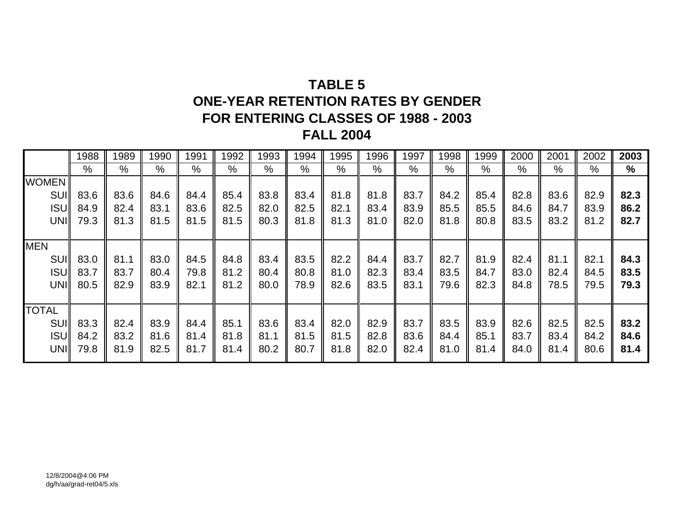# **TABLE 5ONE-YEAR RETENTION RATES BY GENDERFOR ENTERING CLASSES OF 1988 - 2003 FALL 2004**

|              | 1988 | 1989 | 990  | 1991 | 1992          | 1993 | 1994 | 1995 | 1996 | 1997 | 1998 | 1999 | 2000 | 2001 | 2002 | 2003          |
|--------------|------|------|------|------|---------------|------|------|------|------|------|------|------|------|------|------|---------------|
|              | $\%$ | %    | %    | $\%$ | $\frac{0}{0}$ | $\%$ | $\%$ | %    | %    | %    | %    | $\%$ | $\%$ | %    | %    | $\frac{1}{2}$ |
| <b>WOMEN</b> |      |      |      |      |               |      |      |      |      |      |      |      |      |      |      |               |
| <b>SUI</b>   | 83.6 | 83.6 | 84.6 | 84.4 | 85.4          | 83.8 | 83.4 | 81.8 | 81.8 | 83.7 | 84.2 | 85.4 | 82.8 | 83.6 | 82.9 | 82.3          |
| <b>ISUI</b>  | 84.9 | 82.4 | 83.1 | 83.6 | 82.5          | 82.0 | 82.5 | 82.1 | 83.4 | 83.9 | 85.5 | 85.5 | 84.6 | 84.7 | 83.9 | 86.2          |
| UNI          | 79.3 | 81.3 | 81.5 | 81.5 | 81.5          | 80.3 | 81.8 | 81.3 | 81.0 | 82.0 | 81.8 | 80.8 | 83.5 | 83.2 | 81.2 | 82.7          |
|              |      |      |      |      |               |      |      |      |      |      |      |      |      |      |      |               |
| <b>MEN</b>   |      |      |      |      |               |      |      |      |      |      |      |      |      |      |      |               |
| <b>SUI</b>   | 83.0 | 81.1 | 83.0 | 84.5 | 84.8          | 83.4 | 83.5 | 82.2 | 84.4 | 83.7 | 82.7 | 81.9 | 82.4 | 81.1 | 82.1 | 84.3          |
| <b>ISUI</b>  | 83.7 | 83.7 | 80.4 | 79.8 | 81.2          | 80.4 | 80.8 | 81.0 | 82.3 | 83.4 | 83.5 | 84.7 | 83.0 | 82.4 | 84.5 | 83.5          |
| UNI          | 80.5 | 82.9 | 83.9 | 82.1 | 81.2          | 80.0 | 78.9 | 82.6 | 83.5 | 83.1 | 79.6 | 82.3 | 84.8 | 78.5 | 79.5 | 79.3          |
|              |      |      |      |      |               |      |      |      |      |      |      |      |      |      |      |               |
| <b>TOTAL</b> |      |      |      |      |               |      |      |      |      |      |      |      |      |      |      |               |
| SUI          | 83.3 | 82.4 | 83.9 | 84.4 | 85.1          | 83.6 | 83.4 | 82.0 | 82.9 | 83.7 | 83.5 | 83.9 | 82.6 | 82.5 | 82.5 | 83.2          |
| <b>ISUI</b>  | 84.2 | 83.2 | 81.6 | 81.4 | 81.8          | 81.1 | 81.5 | 81.5 | 82.8 | 83.6 | 84.4 | 85.1 | 83.7 | 83.4 | 84.2 | 84.6          |
| <b>UNII</b>  | 79.8 | 81.9 | 82.5 | 81.7 | 81.4          | 80.2 | 80.7 | 81.8 | 82.0 | 82.4 | 81.0 | 81.4 | 84.0 | 81.4 | 80.6 | 81.4          |
|              |      |      |      |      |               |      |      |      |      |      |      |      |      |      |      |               |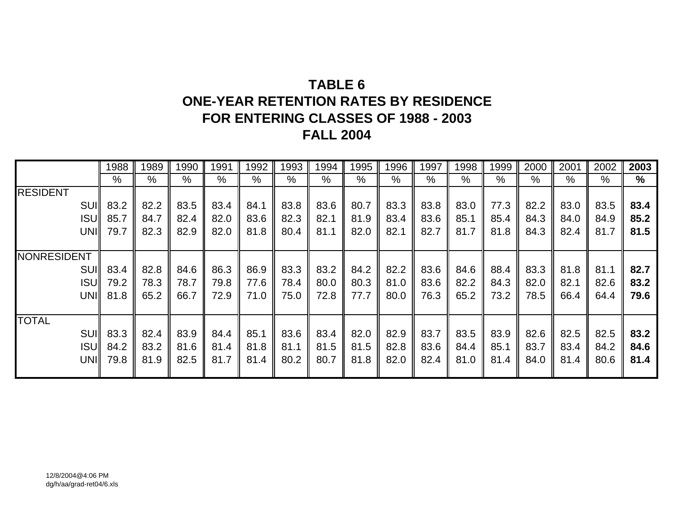# **TABLE 6ONE-YEAR RETENTION RATES BY RESIDENCE FOR ENTERING CLASSES OF 1988 - 2003 FALL 2004**

|                 | 1988          | 1989 | 1990          | 1991          | 1992 | 1993 | 1994 | 1995 | 1996 | 1997 | 1998 | 1999 | 2000 | 2001 | 2002 | 2003          |
|-----------------|---------------|------|---------------|---------------|------|------|------|------|------|------|------|------|------|------|------|---------------|
|                 | $\frac{0}{0}$ | %    | $\frac{0}{0}$ | $\frac{0}{0}$ | $\%$ | %    | %    | %    | %    | %    | %    | %    | %    | %    | $\%$ | $\frac{0}{0}$ |
| <b>RESIDENT</b> |               |      |               |               |      |      |      |      |      |      |      |      |      |      |      |               |
|                 | SUI 83.2      | 82.2 | 83.5          | 83.4          | 84.1 | 83.8 | 83.6 | 80.7 | 83.3 | 83.8 | 83.0 | 77.3 | 82.2 | 83.0 | 83.5 | 83.4          |
| <b>ISUI</b>     | 85.7          | 84.7 | 82.4          | 82.0          | 83.6 | 82.3 | 82.1 | 81.9 | 83.4 | 83.6 | 85.1 | 85.4 | 84.3 | 84.0 | 84.9 | 85.2          |
| UNII            | 79.7          | 82.3 | 82.9          | 82.0          | 81.8 | 80.4 | 81.1 | 82.0 | 82.1 | 82.7 | 81.7 | 81.8 | 84.3 | 82.4 | 81.7 | 81.5          |
|                 |               |      |               |               |      |      |      |      |      |      |      |      |      |      |      |               |
| NONRESIDENT     |               |      |               |               |      |      |      |      |      |      |      |      |      |      |      |               |
| <b>SUII</b>     | 83.4          | 82.8 | 84.6          | 86.3          | 86.9 | 83.3 | 83.2 | 84.2 | 82.2 | 83.6 | 84.6 | 88.4 | 83.3 | 81.8 | 81.1 | 82.7          |
| <b>ISUI</b>     | 79.2          | 78.3 | 78.7          | 79.8          | 77.6 | 78.4 | 80.0 | 80.3 | 81.0 | 83.6 | 82.2 | 84.3 | 82.0 | 82.1 | 82.6 | 83.2          |
| UNII            | 81.8          | 65.2 | 66.7          | 72.9          | 71.0 | 75.0 | 72.8 | 77.7 | 80.0 | 76.3 | 65.2 | 73.2 | 78.5 | 66.4 | 64.4 | 79.6          |
|                 |               |      |               |               |      |      |      |      |      |      |      |      |      |      |      |               |
| <b>TOTAL</b>    |               |      |               |               |      |      |      |      |      |      |      |      |      |      |      |               |
| <b>SUI</b>      | 83.3          | 82.4 | 83.9          | 84.4          | 85.1 | 83.6 | 83.4 | 82.0 | 82.9 | 83.7 | 83.5 | 83.9 | 82.6 | 82.5 | 82.5 | 83.2          |
| <b>ISUI</b>     | 84.2          | 83.2 | 81.6          | 81.4          | 81.8 | 81.1 | 81.5 | 81.5 | 82.8 | 83.6 | 84.4 | 85.1 | 83.7 | 83.4 | 84.2 | 84.6          |
| <b>UNII</b>     | 79.8          | 81.9 | 82.5          | 81.7          | 81.4 | 80.2 | 80.7 | 81.8 | 82.0 | 82.4 | 81.0 | 81.4 | 84.0 | 81.4 | 80.6 | 81.4          |
|                 |               |      |               |               |      |      |      |      |      |      |      |      |      |      |      |               |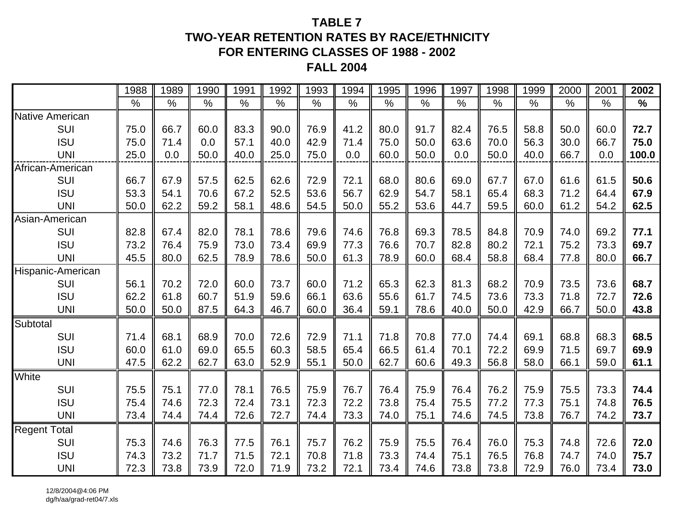#### **TABLE 7TWO-YEAR RETENTION RATES BY RACE/ETHNICITYFOR ENTERING CLASSES OF 1988 - 2002 FALL 2004**

|                        | 1988 | 1989 | 1990 | 1991          | 1992          | 1993          | 1994          | 1995          | 1996          | 1997          | 1998 | 1999 | 2000          | 2001          | 2002          |
|------------------------|------|------|------|---------------|---------------|---------------|---------------|---------------|---------------|---------------|------|------|---------------|---------------|---------------|
|                        | $\%$ | $\%$ | $\%$ | $\frac{0}{0}$ | $\frac{0}{0}$ | $\frac{0}{0}$ | $\frac{1}{2}$ | $\frac{0}{0}$ | $\frac{0}{0}$ | $\frac{0}{0}$ | $\%$ | $\%$ | $\frac{0}{0}$ | $\frac{0}{0}$ | $\frac{0}{0}$ |
| <b>Native American</b> |      |      |      |               |               |               |               |               |               |               |      |      |               |               |               |
| SUI                    | 75.0 | 66.7 | 60.0 | 83.3          | 90.0          | 76.9          | 41.2          | 80.0          | 91.7          | 82.4          | 76.5 | 58.8 | 50.0          | 60.0          | 72.7          |
| <b>ISU</b>             | 75.0 | 71.4 | 0.0  | 57.1          | 40.0          | 42.9          | 71.4          | 75.0          | 50.0          | 63.6          | 70.0 | 56.3 | 30.0          | 66.7          | 75.0          |
| <b>UNI</b>             | 25.0 | 0.0  | 50.0 | 40.0          | 25.0          | 75.0          | 0.0           | 60.0          | 50.0          | 0.0           | 50.0 | 40.0 | 66.7          | 0.0           | 100.0         |
| African-American       |      |      |      |               |               |               |               |               |               |               |      |      |               |               |               |
| SUI                    | 66.7 | 67.9 | 57.5 | 62.5          | 62.6          | 72.9          | 72.1          | 68.0          | 80.6          | 69.0          | 67.7 | 67.0 | 61.6          | 61.5          | 50.6          |
| <b>ISU</b>             | 53.3 | 54.1 | 70.6 | 67.2          | 52.5          | 53.6          | 56.7          | 62.9          | 54.7          | 58.1          | 65.4 | 68.3 | 71.2          | 64.4          | 67.9          |
| <b>UNI</b>             | 50.0 | 62.2 | 59.2 | 58.1          | 48.6          | 54.5          | 50.0          | 55.2          | 53.6          | 44.7          | 59.5 | 60.0 | 61.2          | 54.2          | 62.5          |
| Asian-American         |      |      |      |               |               |               |               |               |               |               |      |      |               |               |               |
| SUI                    | 82.8 | 67.4 | 82.0 | 78.1          | 78.6          | 79.6          | 74.6          | 76.8          | 69.3          | 78.5          | 84.8 | 70.9 | 74.0          | 69.2          | 77.1          |
| <b>ISU</b>             | 73.2 | 76.4 | 75.9 | 73.0          | 73.4          | 69.9          | 77.3          | 76.6          | 70.7          | 82.8          | 80.2 | 72.1 | 75.2          | 73.3          | 69.7          |
| <b>UNI</b>             | 45.5 | 80.0 | 62.5 | 78.9          | 78.6          | 50.0          | 61.3          | 78.9          | 60.0          | 68.4          | 58.8 | 68.4 | 77.8          | 80.0          | 66.7          |
| Hispanic-American      |      |      |      |               |               |               |               |               |               |               |      |      |               |               |               |
| SUI                    | 56.1 | 70.2 | 72.0 | 60.0          | 73.7          | 60.0          | 71.2          | 65.3          | 62.3          | 81.3          | 68.2 | 70.9 | 73.5          | 73.6          | 68.7          |
| <b>ISU</b>             | 62.2 | 61.8 | 60.7 | 51.9          | 59.6          | 66.1          | 63.6          | 55.6          | 61.7          | 74.5          | 73.6 | 73.3 | 71.8          | 72.7          | 72.6          |
| <b>UNI</b>             | 50.0 | 50.0 | 87.5 | 64.3          | 46.7          | 60.0          | 36.4          | 59.1          | 78.6          | 40.0          | 50.0 | 42.9 | 66.7          | 50.0          | 43.8          |
| Subtotal               |      |      |      |               |               |               |               |               |               |               |      |      |               |               |               |
| SUI                    | 71.4 | 68.1 | 68.9 | 70.0          | 72.6          | 72.9          | 71.1          | 71.8          | 70.8          | 77.0          | 74.4 | 69.1 | 68.8          | 68.3          | 68.5          |
| <b>ISU</b>             | 60.0 | 61.0 | 69.0 | 65.5          | 60.3          | 58.5          | 65.4          | 66.5          | 61.4          | 70.1          | 72.2 | 69.9 | 71.5          | 69.7          | 69.9          |
| <b>UNI</b>             | 47.5 | 62.2 | 62.7 | 63.0          | 52.9          | 55.1          | 50.0          | 62.7          | 60.6          | 49.3          | 56.8 | 58.0 | 66.1          | 59.0          | 61.1          |
| White                  |      |      |      |               |               |               |               |               |               |               |      |      |               |               |               |
| SUI                    | 75.5 | 75.1 | 77.0 | 78.1          | 76.5          | 75.9          | 76.7          | 76.4          | 75.9          | 76.4          | 76.2 | 75.9 | 75.5          | 73.3          | 74.4          |
| <b>ISU</b>             | 75.4 | 74.6 | 72.3 | 72.4          | 73.1          | 72.3          | 72.2          | 73.8          | 75.4          | 75.5          | 77.2 | 77.3 | 75.1          | 74.8          | 76.5          |
| <b>UNI</b>             | 73.4 | 74.4 | 74.4 | 72.6          | 72.7          | 74.4          | 73.3          | 74.0          | 75.1          | 74.6          | 74.5 | 73.8 | 76.7          | 74.2          | 73.7          |
| <b>Regent Total</b>    |      |      |      |               |               |               |               |               |               |               |      |      |               |               |               |
| SUI                    | 75.3 | 74.6 | 76.3 | 77.5          | 76.1          | 75.7          | 76.2          | 75.9          | 75.5          | 76.4          | 76.0 | 75.3 | 74.8          | 72.6          | 72.0          |
| <b>ISU</b>             | 74.3 | 73.2 | 71.7 | 71.5          | 72.1          | 70.8          | 71.8          | 73.3          | 74.4          | 75.1          | 76.5 | 76.8 | 74.7          | 74.0          | 75.7          |
| <b>UNI</b>             | 72.3 | 73.8 | 73.9 | 72.0          | 71.9          | 73.2          | 72.1          | 73.4          | 74.6          | 73.8          | 73.8 | 72.9 | 76.0          | 73.4          | 73.0          |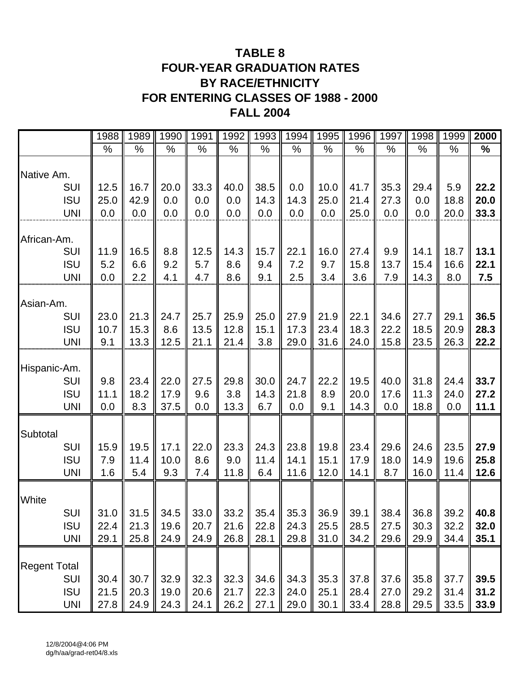### **TABLE 8 FOUR-YEAR GRADUATION RATES BY RACE/ETHNICITY FOR ENTERING CLASSES OF 1988 - 2000 FALL 2004**

|                          | 1988        | 1989         | 1990        | 1991         | 1992          | 1993        | 1994         | 1995         | 1996         | 1997         | 1998         | 1999         | 2000         |
|--------------------------|-------------|--------------|-------------|--------------|---------------|-------------|--------------|--------------|--------------|--------------|--------------|--------------|--------------|
|                          | $\%$        | %            | $\%$        | %            | $\frac{0}{0}$ | %           | $\%$         | $\%$         | $\%$         | $\%$         | %            | %            | %            |
| Native Am.               |             |              |             |              |               |             |              |              |              |              |              |              |              |
| <b>SUI</b>               | 12.5        | 16.7         | 20.0        | 33.3         | 40.0          | 38.5        | 0.0          | 10.0         | 41.7         | 35.3         | 29.4         | 5.9          | 22.2         |
| <b>ISU</b>               | 25.0        | 42.9         | 0.0         | 0.0          | 0.0           | 14.3        | 14.3         | 25.0         | 21.4         | 27.3         | 0.0          | 18.8         | 20.0         |
| <b>UNI</b>               | 0.0         | 0.0          | 0.0         | 0.0          | 0.0           | 0.0         | 0.0          | 0.0          | 25.0         | 0.0          | 0.0          | 20.0         | 33.3         |
| African-Am.              |             |              |             |              |               |             |              |              |              |              |              |              |              |
| SUI                      | 11.9        | 16.5         | 8.8         | 12.5         | 14.3          | 15.7        | 22.1         | 16.0         | 27.4         | 9.9          | 14.1         | 18.7         | 13.1         |
| <b>ISU</b>               | 5.2         | 6.6          | 9.2         | 5.7          | 8.6           | 9.4         | 7.2          | 9.7          | 15.8         | 13.7         | 15.4         | 16.6         | 22.1         |
| <b>UNI</b>               | 0.0         | 2.2          | 4.1         | 4.7          | 8.6           | 9.1         | 2.5          | 3.4          | 3.6          | 7.9          | 14.3         | 8.0          | 7.5          |
| Asian-Am.                |             |              |             |              |               |             |              |              |              |              |              |              |              |
| <b>SUI</b>               | 23.0        | 21.3         | 24.7        | 25.7         | 25.9          | 25.0        | 27.9         | 21.9         | 22.1         | 34.6         | 27.7         | 29.1<br>20.9 | 36.5         |
| <b>ISU</b><br><b>UNI</b> | 10.7<br>9.1 | 15.3<br>13.3 | 8.6<br>12.5 | 13.5<br>21.1 | 12.8<br>21.4  | 15.1<br>3.8 | 17.3<br>29.0 | 23.4<br>31.6 | 18.3<br>24.0 | 22.2<br>15.8 | 18.5<br>23.5 | 26.3         | 28.3<br>22.2 |
|                          |             |              |             |              |               |             |              |              |              |              |              |              |              |
| Hispanic-Am.             |             |              |             |              |               |             |              |              |              |              |              |              |              |
| <b>SUI</b>               | 9.8         | 23.4         | 22.0        | 27.5         | 29.8          | 30.0        | 24.7         | 22.2         | 19.5         | 40.0         | 31.8         | 24.4         | 33.7         |
| <b>ISU</b>               | 11.1        | 18.2         | 17.9        | 9.6          | 3.8           | 14.3        | 21.8         | 8.9          | 20.0         | 17.6         | 11.3         | 24.0         | 27.2         |
| <b>UNI</b>               | 0.0         | 8.3          | 37.5        | 0.0          | 13.3          | 6.7         | 0.0          | 9.1          | 14.3         | 0.0          | 18.8         | 0.0          | 11.1         |
| Subtotal                 |             |              |             |              |               |             |              |              |              |              |              |              |              |
| <b>SUI</b>               | 15.9        | 19.5         | 17.1        | 22.0         | 23.3          | 24.3        | 23.8         | 19.8         | 23.4         | 29.6         | 24.6         | 23.5         | 27.9         |
| <b>ISU</b>               | 7.9         | 11.4         | 10.0        | 8.6          | 9.0           | 11.4        | 14.1         | 15.1         | 17.9         | 18.0         | 14.9         | 19.6         | 25.8         |
| <b>UNI</b>               | 1.6         | 5.4          | 9.3         | 7.4          | 11.8          | 6.4         | 11.6         | 12.0         | 14.1         | 8.7          | 16.0         | 11.4         | 12.6         |
|                          |             |              |             |              |               |             |              |              |              |              |              |              |              |
| White                    |             |              |             |              |               |             |              |              |              |              |              |              |              |
| SUI                      | 31.0        | 31.5         | 34.5        | 33.0         | 33.2          | 35.4        | 35.3         | 36.9         | 39.1         | 38.4         | 36.8         | 39.2         | 40.8         |
| <b>ISU</b>               | 22.4        | 21.3         | 19.6        | 20.7         | 21.6          | 22.8        | 24.3         | 25.5         | 28.5         | 27.5         | 30.3         | 32.2         | 32.0         |
| <b>UNI</b>               | 29.1        | 25.8         | 24.9        | 24.9         | 26.8          | 28.1        | 29.8         | 31.0         | 34.2         | 29.6         | 29.9         | 34.4         | 35.1         |
| <b>Regent Total</b>      |             |              |             |              |               |             |              |              |              |              |              |              |              |
| <b>SUI</b>               | 30.4        | 30.7         | 32.9        | 32.3         | 32.3          | 34.6        | 34.3         | 35.3         | 37.8         | 37.6         | 35.8         | 37.7         | 39.5         |
| <b>ISU</b>               | 21.5        | 20.3         | 19.0        | 20.6         | 21.7          | 22.3        | 24.0         | 25.1         | 28.4         | 27.0         | 29.2         | 31.4         | 31.2         |
| <b>UNI</b>               | 27.8        | 24.9         | 24.3        | 24.1         | 26.2          | 27.1        | 29.0         | 30.1         | 33.4         | 28.8         | 29.5         | 33.5         | 33.9         |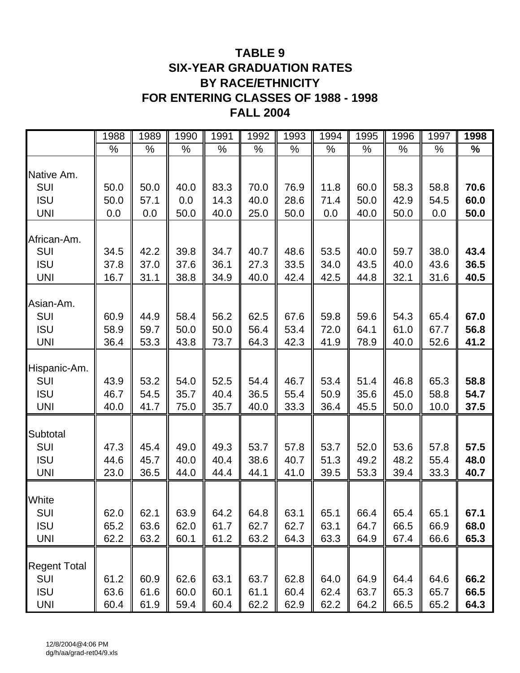### **TABLE 9 SIX-YEAR GRADUATION RATES BY RACE/ETHNICITY FOR ENTERING CLASSES OF 1988 - 1998 FALL 2004**

|                                                               | 1988                 | 1989                 | 1990                 | 1991                 | 1992                 | 1993                 | 1994                 | 1995                 | 1996                 | 1997                 | 1998                 |
|---------------------------------------------------------------|----------------------|----------------------|----------------------|----------------------|----------------------|----------------------|----------------------|----------------------|----------------------|----------------------|----------------------|
|                                                               | %                    | $\%$                 | $\%$                 | $\%$                 | %                    | %                    | $\%$                 | %                    | %                    | %                    | $\%$                 |
| Native Am.                                                    |                      |                      |                      |                      |                      |                      |                      |                      |                      |                      |                      |
| <b>SUI</b>                                                    | 50.0                 | 50.0                 | 40.0                 | 83.3                 | 70.0                 | 76.9                 | 11.8                 | 60.0                 | 58.3                 | 58.8                 | 70.6                 |
| <b>ISU</b>                                                    | 50.0                 | 57.1                 | 0.0                  | 14.3                 | 40.0                 | 28.6                 | 71.4                 | 50.0                 | 42.9                 | 54.5                 | 60.0                 |
| <b>UNI</b>                                                    | 0.0                  | 0.0                  | 50.0                 | 40.0                 | 25.0                 | 50.0                 | 0.0                  | 40.0                 | 50.0                 | 0.0                  | 50.0                 |
| African-Am.<br>SUI                                            | 34.5                 | 42.2                 | 39.8                 | 34.7                 | 40.7                 | 48.6                 | 53.5                 | 40.0                 | 59.7                 | 38.0                 | 43.4                 |
| <b>ISU</b>                                                    | 37.8                 | 37.0                 | 37.6                 | 36.1                 | 27.3                 | 33.5                 | 34.0                 | 43.5                 | 40.0                 | 43.6                 | 36.5                 |
| <b>UNI</b>                                                    | 16.7                 | 31.1                 | 38.8                 | 34.9                 | 40.0                 | 42.4                 | 42.5                 | 44.8                 | 32.1                 | 31.6                 | 40.5                 |
| Asian-Am.<br>SUI<br><b>ISU</b><br><b>UNI</b>                  | 60.9<br>58.9<br>36.4 | 44.9<br>59.7<br>53.3 | 58.4<br>50.0<br>43.8 | 56.2<br>50.0<br>73.7 | 62.5<br>56.4<br>64.3 | 67.6<br>53.4<br>42.3 | 59.8<br>72.0<br>41.9 | 59.6<br>64.1<br>78.9 | 54.3<br>61.0<br>40.0 | 65.4<br>67.7<br>52.6 | 67.0<br>56.8<br>41.2 |
| Hispanic-Am.<br>SUI<br><b>ISU</b><br><b>UNI</b>               | 43.9<br>46.7<br>40.0 | 53.2<br>54.5<br>41.7 | 54.0<br>35.7<br>75.0 | 52.5<br>40.4<br>35.7 | 54.4<br>36.5<br>40.0 | 46.7<br>55.4<br>33.3 | 53.4<br>50.9<br>36.4 | 51.4<br>35.6<br>45.5 | 46.8<br>45.0<br>50.0 | 65.3<br>58.8<br>10.0 | 58.8<br>54.7<br>37.5 |
| Subtotal<br><b>SUI</b><br><b>ISU</b><br><b>UNI</b>            | 47.3<br>44.6<br>23.0 | 45.4<br>45.7<br>36.5 | 49.0<br>40.0<br>44.0 | 49.3<br>40.4<br>44.4 | 53.7<br>38.6<br>44.1 | 57.8<br>40.7<br>41.0 | 53.7<br>51.3<br>39.5 | 52.0<br>49.2<br>53.3 | 53.6<br>48.2<br>39.4 | 57.8<br>55.4<br>33.3 | 57.5<br>48.0<br>40.7 |
| White<br>SUI<br><b>ISU</b><br><b>UNI</b>                      | 62.0<br>65.2<br>62.2 | 62.1<br>63.6<br>63.2 | 63.9<br>62.0<br>60.1 | 64.2<br>61.7<br>61.2 | 64.8<br>62.7<br>63.2 | 63.1<br>62.7<br>64.3 | 65.1<br>63.1<br>63.3 | 66.4<br>64.7<br>64.9 | 65.4<br>66.5<br>67.4 | 65.1<br>66.9<br>66.6 | 67.1<br>68.0<br>65.3 |
| <b>Regent Total</b><br><b>SUI</b><br><b>ISU</b><br><b>UNI</b> | 61.2<br>63.6<br>60.4 | 60.9<br>61.6<br>61.9 | 62.6<br>60.0<br>59.4 | 63.1<br>60.1<br>60.4 | 63.7<br>61.1<br>62.2 | 62.8<br>60.4<br>62.9 | 64.0<br>62.4<br>62.2 | 64.9<br>63.7<br>64.2 | 64.4<br>65.3<br>66.5 | 64.6<br>65.7<br>65.2 | 66.2<br>66.5<br>64.3 |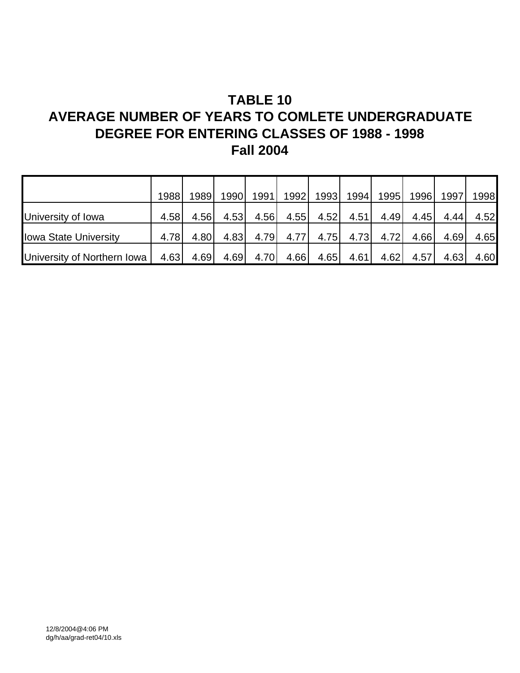# **TABLE 10 AVERAGE NUMBER OF YEARS TO COMLETE UNDERGRADUATE**

### **DEGREE FOR ENTERING CLASSES OF 1988 - 1998 Fall 2004**

|                              | 1988  | 1989 | 19901 | 1991 | 1992 | 1993 | 1994 | 1995 | 1996 | 1997 | 1998 |
|------------------------------|-------|------|-------|------|------|------|------|------|------|------|------|
|                              |       |      |       |      |      |      |      |      |      |      |      |
| University of Iowa           | 4.58l | 4.56 | 4.53  | 4.56 | 4.55 | 4.52 | 4.51 | 4.49 | 4.45 | 4.44 | 4.52 |
| <b>Iowa State University</b> | 4.78  | 4.80 | 4.83  | 4.79 | 4.77 | 4.75 | 4.73 | 4.72 | 4.66 | 4.69 | 4.65 |
| University of Northern Iowa  | 4.63  | 4.69 | 4.69  | 4.70 | 4.66 | 4.65 | 4.61 | 4.62 | 4.57 | 4.63 | 4.60 |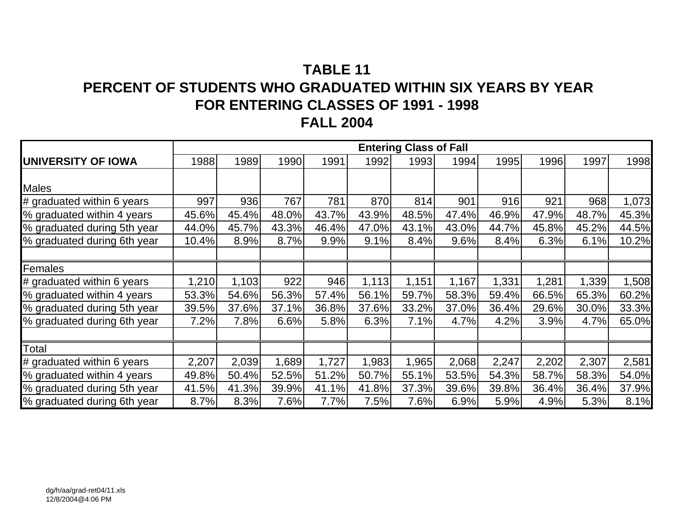# **TABLE 11PERCENT OF STUDENTS WHO GRADUATED WITHIN SIX YEARS BY YEAR FOR ENTERING CLASSES OF 1991 - 1998 FALL 2004**

|                             | <b>Entering Class of Fall</b> |       |       |       |       |       |       |       |       |       |       |  |
|-----------------------------|-------------------------------|-------|-------|-------|-------|-------|-------|-------|-------|-------|-------|--|
| <b>UNIVERSITY OF IOWA</b>   | 1988                          | 1989  | 1990  | 1991  | 1992  | 1993  | 1994  | 1995  | 1996  | 1997  | 1998  |  |
|                             |                               |       |       |       |       |       |       |       |       |       |       |  |
| <b>Males</b>                |                               |       |       |       |       |       |       |       |       |       |       |  |
| # graduated within 6 years  | 997                           | 936   | 767   | 781   | 870   | 814   | 901   | 916   | 921   | 968   | 1,073 |  |
| % graduated within 4 years  | 45.6%                         | 45.4% | 48.0% | 43.7% | 43.9% | 48.5% | 47.4% | 46.9% | 47.9% | 48.7% | 45.3% |  |
| % graduated during 5th year | 44.0%                         | 45.7% | 43.3% | 46.4% | 47.0% | 43.1% | 43.0% | 44.7% | 45.8% | 45.2% | 44.5% |  |
| % graduated during 6th year | 10.4%                         | 8.9%  | 8.7%  | 9.9%  | 9.1%  | 8.4%  | 9.6%  | 8.4%  | 6.3%  | 6.1%  | 10.2% |  |
|                             |                               |       |       |       |       |       |       |       |       |       |       |  |
| Females                     |                               |       |       |       |       |       |       |       |       |       |       |  |
| # graduated within 6 years  | 1,210                         | 1,103 | 922   | 946   | 1,113 | 1,151 | 1,167 | 1,331 | 1,281 | 1,339 | 1,508 |  |
| % graduated within 4 years  | 53.3%                         | 54.6% | 56.3% | 57.4% | 56.1% | 59.7% | 58.3% | 59.4% | 66.5% | 65.3% | 60.2% |  |
| % graduated during 5th year | 39.5%                         | 37.6% | 37.1% | 36.8% | 37.6% | 33.2% | 37.0% | 36.4% | 29.6% | 30.0% | 33.3% |  |
| % graduated during 6th year | 7.2%                          | 7.8%  | 6.6%  | 5.8%  | 6.3%  | 7.1%  | 4.7%  | 4.2%  | 3.9%  | 4.7%  | 65.0% |  |
|                             |                               |       |       |       |       |       |       |       |       |       |       |  |
| Total                       |                               |       |       |       |       |       |       |       |       |       |       |  |
| # graduated within 6 years  | 2,207                         | 2,039 | 1,689 | 1,727 | 1,983 | 1,965 | 2,068 | 2,247 | 2,202 | 2,307 | 2,581 |  |
| % graduated within 4 years  | 49.8%                         | 50.4% | 52.5% | 51.2% | 50.7% | 55.1% | 53.5% | 54.3% | 58.7% | 58.3% | 54.0% |  |
| % graduated during 5th year | 41.5%                         | 41.3% | 39.9% | 41.1% | 41.8% | 37.3% | 39.6% | 39.8% | 36.4% | 36.4% | 37.9% |  |
| % graduated during 6th year | 8.7%                          | 8.3%  | 7.6%  | 7.7%  | 7.5%  | 7.6%  | 6.9%  | 5.9%  | 4.9%  | 5.3%  | 8.1%  |  |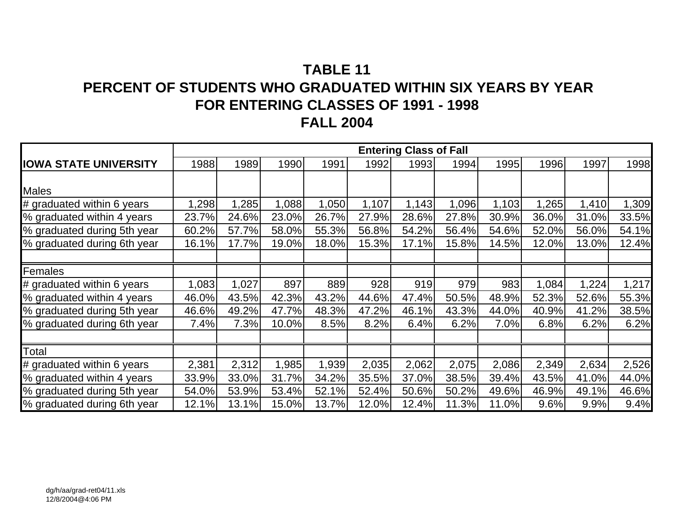# **TABLE 11PERCENT OF STUDENTS WHO GRADUATED WITHIN SIX YEARS BY YEAR FOR ENTERING CLASSES OF 1991 - 1998 FALL 2004**

|                              | <b>Entering Class of Fall</b> |       |       |       |       |       |       |       |       |       |       |  |  |
|------------------------------|-------------------------------|-------|-------|-------|-------|-------|-------|-------|-------|-------|-------|--|--|
| <b>IOWA STATE UNIVERSITY</b> | 1988                          | 1989  | 1990  | 1991  | 1992  | 1993  | 1994  | 1995  | 1996  | 1997  | 1998  |  |  |
|                              |                               |       |       |       |       |       |       |       |       |       |       |  |  |
| <b>Males</b>                 |                               |       |       |       |       |       |       |       |       |       |       |  |  |
| # graduated within 6 years   | 1,298                         | 1,285 | ,088  | 1,050 | 1,107 | 1,143 | 1,096 | 1,103 | 1,265 | 1,410 | 1,309 |  |  |
| % graduated within 4 years   | 23.7%                         | 24.6% | 23.0% | 26.7% | 27.9% | 28.6% | 27.8% | 30.9% | 36.0% | 31.0% | 33.5% |  |  |
| % graduated during 5th year  | 60.2%                         | 57.7% | 58.0% | 55.3% | 56.8% | 54.2% | 56.4% | 54.6% | 52.0% | 56.0% | 54.1% |  |  |
| % graduated during 6th year  | 16.1%                         | 17.7% | 19.0% | 18.0% | 15.3% | 17.1% | 15.8% | 14.5% | 12.0% | 13.0% | 12.4% |  |  |
|                              |                               |       |       |       |       |       |       |       |       |       |       |  |  |
| Females                      |                               |       |       |       |       |       |       |       |       |       |       |  |  |
| # graduated within 6 years   | 1,083                         | 1,027 | 897   | 889   | 928   | 919   | 979   | 983   | 1,084 | 1,224 | 1,217 |  |  |
| % graduated within 4 years   | 46.0%                         | 43.5% | 42.3% | 43.2% | 44.6% | 47.4% | 50.5% | 48.9% | 52.3% | 52.6% | 55.3% |  |  |
| % graduated during 5th year  | 46.6%                         | 49.2% | 47.7% | 48.3% | 47.2% | 46.1% | 43.3% | 44.0% | 40.9% | 41.2% | 38.5% |  |  |
| % graduated during 6th year  | 7.4%                          | 7.3%  | 10.0% | 8.5%  | 8.2%  | 6.4%  | 6.2%  | 7.0%  | 6.8%  | 6.2%  | 6.2%  |  |  |
|                              |                               |       |       |       |       |       |       |       |       |       |       |  |  |
| Total                        |                               |       |       |       |       |       |       |       |       |       |       |  |  |
| # graduated within 6 years   | 2,381                         | 2,312 | ,985  | 1,939 | 2,035 | 2,062 | 2,075 | 2,086 | 2,349 | 2,634 | 2,526 |  |  |
| % graduated within 4 years   | 33.9%                         | 33.0% | 31.7% | 34.2% | 35.5% | 37.0% | 38.5% | 39.4% | 43.5% | 41.0% | 44.0% |  |  |
| % graduated during 5th year  | 54.0%                         | 53.9% | 53.4% | 52.1% | 52.4% | 50.6% | 50.2% | 49.6% | 46.9% | 49.1% | 46.6% |  |  |
| % graduated during 6th year  | 12.1%                         | 13.1% | 15.0% | 13.7% | 12.0% | 12.4% | 11.3% | 11.0% | 9.6%  | 9.9%  | 9.4%  |  |  |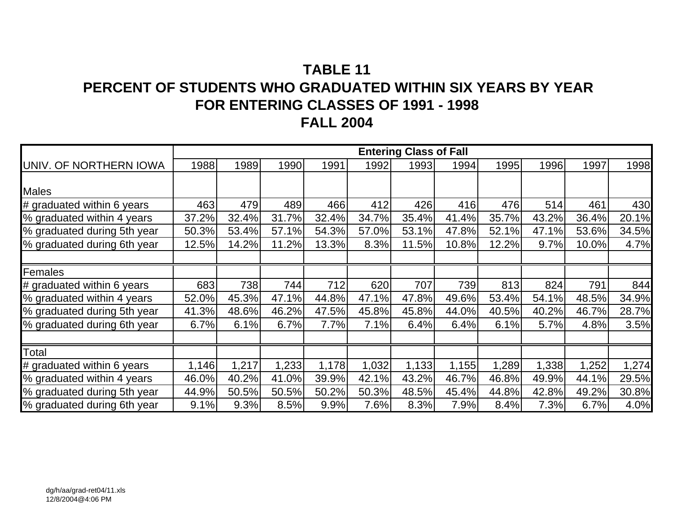# **TABLE 11PERCENT OF STUDENTS WHO GRADUATED WITHIN SIX YEARS BY YEAR FOR ENTERING CLASSES OF 1991 - 1998 FALL 2004**

|                              | <b>Entering Class of Fall</b> |       |       |       |       |       |       |       |       |       |       |  |  |
|------------------------------|-------------------------------|-------|-------|-------|-------|-------|-------|-------|-------|-------|-------|--|--|
| UNIV. OF NORTHERN IOWA       | 1988                          | 1989  | 1990  | 1991  | 1992  | 1993  | 1994  | 1995  | 1996  | 1997  | 1998  |  |  |
|                              |                               |       |       |       |       |       |       |       |       |       |       |  |  |
| <b>Males</b>                 |                               |       |       |       |       |       |       |       |       |       |       |  |  |
| # graduated within 6 years   | 463                           | 479   | 489   | 466   | 412   | 426   | 416   | 476   | 514   | 461   | 430   |  |  |
| % graduated within 4 years   | 37.2%                         | 32.4% | 31.7% | 32.4% | 34.7% | 35.4% | 41.4% | 35.7% | 43.2% | 36.4% | 20.1% |  |  |
| % graduated during 5th year  | 50.3%                         | 53.4% | 57.1% | 54.3% | 57.0% | 53.1% | 47.8% | 52.1% | 47.1% | 53.6% | 34.5% |  |  |
| % graduated during 6th year  | 12.5%                         | 14.2% | 11.2% | 13.3% | 8.3%  | 11.5% | 10.8% | 12.2% | 9.7%  | 10.0% | 4.7%  |  |  |
|                              |                               |       |       |       |       |       |       |       |       |       |       |  |  |
| Females                      |                               |       |       |       |       |       |       |       |       |       |       |  |  |
| $#$ graduated within 6 years | 683                           | 738   | 744   | 712   | 620   | 707   | 739   | 813   | 824   | 791   | 844   |  |  |
| % graduated within 4 years   | 52.0%                         | 45.3% | 47.1% | 44.8% | 47.1% | 47.8% | 49.6% | 53.4% | 54.1% | 48.5% | 34.9% |  |  |
| % graduated during 5th year  | 41.3%                         | 48.6% | 46.2% | 47.5% | 45.8% | 45.8% | 44.0% | 40.5% | 40.2% | 46.7% | 28.7% |  |  |
| % graduated during 6th year  | 6.7%                          | 6.1%  | 6.7%  | 7.7%  | 7.1%  | 6.4%  | 6.4%  | 6.1%  | 5.7%  | 4.8%  | 3.5%  |  |  |
|                              |                               |       |       |       |       |       |       |       |       |       |       |  |  |
| Total                        |                               |       |       |       |       |       |       |       |       |       |       |  |  |
| # graduated within 6 years   | 1,146                         | 1,217 | 1,233 | 1,178 | 1,032 | 1,133 | 1,155 | .289  | 1,338 | 1,252 | 1,274 |  |  |
| % graduated within 4 years   | 46.0%                         | 40.2% | 41.0% | 39.9% | 42.1% | 43.2% | 46.7% | 46.8% | 49.9% | 44.1% | 29.5% |  |  |
| % graduated during 5th year  | 44.9%                         | 50.5% | 50.5% | 50.2% | 50.3% | 48.5% | 45.4% | 44.8% | 42.8% | 49.2% | 30.8% |  |  |
| % graduated during 6th year  | 9.1%                          | 9.3%  | 8.5%  | 9.9%  | 7.6%  | 8.3%  | 7.9%  | 8.4%  | 7.3%  | 6.7%  | 4.0%  |  |  |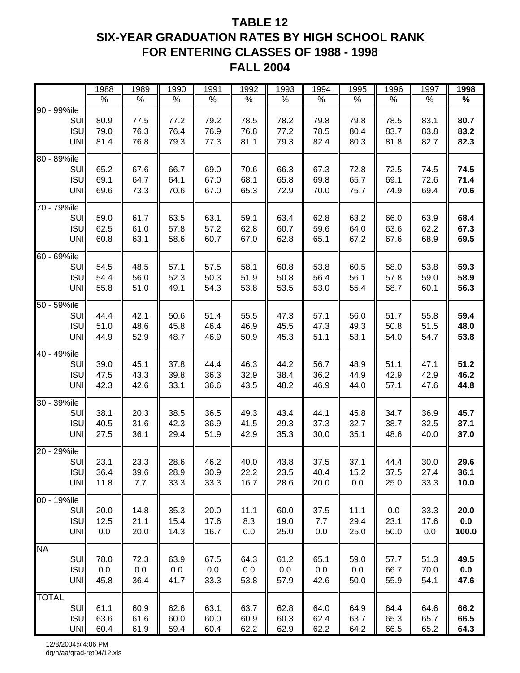### **TABLE 12 SIX-YEAR GRADUATION RATES BY HIGH SCHOOL RANK FOR ENTERING CLASSES OF 1988 - 1998 FALL 2004**

|                                                    | 1988                 | 1989                 | 1990                 | 1991                 | 1992                 | 1993                 | 1994                 | 1995                 | 1996                 | 1997                 | 1998                 |
|----------------------------------------------------|----------------------|----------------------|----------------------|----------------------|----------------------|----------------------|----------------------|----------------------|----------------------|----------------------|----------------------|
|                                                    | $\%$                 | $\%$                 | $\%$                 | $\%$                 | $\%$                 | $\%$                 | $\%$                 | $\%$                 | $\%$                 | $\%$                 | $\%$                 |
| 90 - 99%ile<br>SUI<br><b>ISU</b><br>UNI            | 80.9<br>79.0<br>81.4 | 77.5<br>76.3<br>76.8 | 77.2<br>76.4<br>79.3 | 79.2<br>76.9<br>77.3 | 78.5<br>76.8<br>81.1 | 78.2<br>77.2<br>79.3 | 79.8<br>78.5<br>82.4 | 79.8<br>80.4<br>80.3 | 78.5<br>83.7<br>81.8 | 83.1<br>83.8<br>82.7 | 80.7<br>83.2<br>82.3 |
| 80 - 89%ile<br>SUI<br><b>ISU</b><br>UNI            | 65.2<br>69.1<br>69.6 | 67.6<br>64.7<br>73.3 | 66.7<br>64.1<br>70.6 | 69.0<br>67.0<br>67.0 | 70.6<br>68.1<br>65.3 | 66.3<br>65.8<br>72.9 | 67.3<br>69.8<br>70.0 | 72.8<br>65.7<br>75.7 | 72.5<br>69.1<br>74.9 | 74.5<br>72.6<br>69.4 | 74.5<br>71.4<br>70.6 |
| 70 - 79%ile<br>SUI<br><b>ISU</b><br>UNI            | 59.0<br>62.5<br>60.8 | 61.7<br>61.0<br>63.1 | 63.5<br>57.8<br>58.6 | 63.1<br>57.2<br>60.7 | 59.1<br>62.8<br>67.0 | 63.4<br>60.7<br>62.8 | 62.8<br>59.6<br>65.1 | 63.2<br>64.0<br>67.2 | 66.0<br>63.6<br>67.6 | 63.9<br>62.2<br>68.9 | 68.4<br>67.3<br>69.5 |
| $60 - 69\%$ ile<br>SUI<br><b>ISU</b><br><b>UNI</b> | 54.5<br>54.4<br>55.8 | 48.5<br>56.0<br>51.0 | 57.1<br>52.3<br>49.1 | 57.5<br>50.3<br>54.3 | 58.1<br>51.9<br>53.8 | 60.8<br>50.8<br>53.5 | 53.8<br>56.4<br>53.0 | 60.5<br>56.1<br>55.4 | 58.0<br>57.8<br>58.7 | 53.8<br>59.0<br>60.1 | 59.3<br>58.9<br>56.3 |
| 50 - 59%ile<br>SUI<br><b>ISU</b><br>UNI            | 44.4<br>51.0<br>44.9 | 42.1<br>48.6<br>52.9 | 50.6<br>45.8<br>48.7 | 51.4<br>46.4<br>46.9 | 55.5<br>46.9<br>50.9 | 47.3<br>45.5<br>45.3 | 57.1<br>47.3<br>51.1 | 56.0<br>49.3<br>53.1 | 51.7<br>50.8<br>54.0 | 55.8<br>51.5<br>54.7 | 59.4<br>48.0<br>53.8 |
| 40 - 49%ile<br>SUI<br><b>ISU</b><br>UNI            | 39.0<br>47.5<br>42.3 | 45.1<br>43.3<br>42.6 | 37.8<br>39.8<br>33.1 | 44.4<br>36.3<br>36.6 | 46.3<br>32.9<br>43.5 | 44.2<br>38.4<br>48.2 | 56.7<br>36.2<br>46.9 | 48.9<br>44.9<br>44.0 | 51.1<br>42.9<br>57.1 | 47.1<br>42.9<br>47.6 | 51.2<br>46.2<br>44.8 |
| 30 - 39%ile<br>SUI<br><b>ISU</b><br>UNI            | 38.1<br>40.5<br>27.5 | 20.3<br>31.6<br>36.1 | 38.5<br>42.3<br>29.4 | 36.5<br>36.9<br>51.9 | 49.3<br>41.5<br>42.9 | 43.4<br>29.3<br>35.3 | 44.1<br>37.3<br>30.0 | 45.8<br>32.7<br>35.1 | 34.7<br>38.7<br>48.6 | 36.9<br>32.5<br>40.0 | 45.7<br>37.1<br>37.0 |
| 20 - 29%ile<br>SUII<br><b>ISU</b><br>UNI           | 23.1<br>36.4<br>11.8 | 23.3<br>39.6<br>7.7  | 28.6<br>28.9<br>33.3 | 46.2<br>30.9<br>33.3 | 40.0<br>22.2<br>16.7 | 43.8<br>23.5<br>28.6 | 37.5<br>40.4<br>20.0 | 37.1<br>15.2<br>0.0  | 44.4<br>37.5<br>25.0 | 30.0<br>27.4<br>33.3 | 29.6<br>36.1<br>10.0 |
| 00 - 19%ile<br><b>SUI</b><br>ISU<br>UNI            | 20.0<br>12.5<br>0.0  | 14.8<br>21.1<br>20.0 | 35.3<br>15.4<br>14.3 | 20.0<br>17.6<br>16.7 | 11.1<br>8.3<br>0.0   | 60.0<br>19.0<br>25.0 | 37.5<br>7.7<br>0.0   | 11.1<br>29.4<br>25.0 | 0.0<br>23.1<br>50.0  | 33.3<br>17.6<br>0.0  | 20.0<br>0.0<br>100.0 |
| <b>NA</b><br><b>SUI</b><br>ISU<br>UNI              | 78.0<br>0.0<br>45.8  | 72.3<br>0.0<br>36.4  | 63.9<br>0.0<br>41.7  | 67.5<br>0.0<br>33.3  | 64.3<br>0.0<br>53.8  | 61.2<br>0.0<br>57.9  | 65.1<br>0.0<br>42.6  | 59.0<br>0.0<br>50.0  | 57.7<br>66.7<br>55.9 | 51.3<br>70.0<br>54.1 | 49.5<br>0.0<br>47.6  |
| <b>TOTAL</b><br><b>SUI</b><br>ISU<br>UNI           | 61.1<br>63.6<br>60.4 | 60.9<br>61.6<br>61.9 | 62.6<br>60.0<br>59.4 | 63.1<br>60.0<br>60.4 | 63.7<br>60.9<br>62.2 | 62.8<br>60.3<br>62.9 | 64.0<br>62.4<br>62.2 | 64.9<br>63.7<br>64.2 | 64.4<br>65.3<br>66.5 | 64.6<br>65.7<br>65.2 | 66.2<br>66.5<br>64.3 |

12/8/2004@4:06 PM dg/h/aa/grad-ret04/12.xls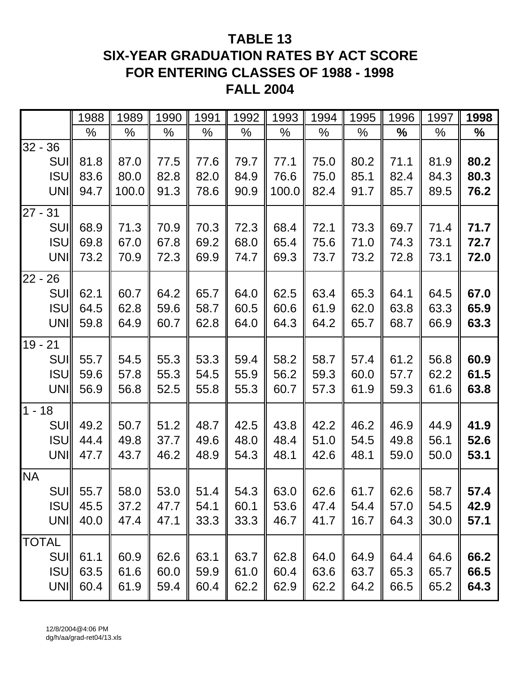# **TABLE 13 SIX-YEAR GRADUATION RATES BY ACT SCORE FOR ENTERING CLASSES OF 1988 - 1998 FALL 2004**

|              |             | 1988        | 1989  | 1990 | 1991 | 1992 | 1993                                                                     | 1994 | 1995 | 1996 | 1997 | 1998 |
|--------------|-------------|-------------|-------|------|------|------|--------------------------------------------------------------------------|------|------|------|------|------|
|              |             | $\%$        | $\%$  | %    | %    | %    | %                                                                        | $\%$ | %    | %    | %    | $\%$ |
| $32 - 36$    |             |             |       |      |      |      |                                                                          |      |      |      |      |      |
|              | <b>SUII</b> | 81.8        | 87.0  | 77.5 | 77.6 | 79.7 | 77.1                                                                     | 75.0 | 80.2 | 71.1 | 81.9 | 80.2 |
|              | <b>ISUI</b> | 83.6        | 80.0  | 82.8 | 82.0 | 84.9 | 76.6                                                                     | 75.0 | 85.1 | 82.4 | 84.3 | 80.3 |
|              | UNI         | 94.7        | 100.0 | 91.3 | 78.6 | 90.9 | 100.0                                                                    | 82.4 | 91.7 | 85.7 | 89.5 | 76.2 |
| $27 - 31$    |             |             |       |      |      |      |                                                                          |      |      |      |      |      |
|              | <b>SUII</b> | 68.9        | 71.3  | 70.9 | 70.3 | 72.3 | 68.4                                                                     | 72.1 | 73.3 | 69.7 | 71.4 | 71.7 |
|              | <b>ISUI</b> | 69.8        | 67.0  | 67.8 | 69.2 | 68.0 | 65.4                                                                     | 75.6 | 71.0 | 74.3 | 73.1 | 72.7 |
|              | UNI         | 73.2        | 70.9  | 72.3 | 69.9 | 74.7 | 69.3                                                                     | 73.7 | 73.2 | 72.8 | 73.1 | 72.0 |
| $22 - 26$    |             |             |       |      |      |      |                                                                          |      |      |      |      |      |
|              | <b>SUII</b> | 62.1        | 60.7  | 64.2 | 65.7 | 64.0 | 62.5                                                                     | 63.4 | 65.3 | 64.1 | 64.5 | 67.0 |
|              | <b>ISU</b>  | 64.5        | 62.8  | 59.6 | 58.7 | 60.5 | 60.6                                                                     | 61.9 | 62.0 | 63.8 | 63.3 | 65.9 |
|              | UNI         | 59.8        | 64.9  | 60.7 | 62.8 | 64.0 | 64.3                                                                     | 64.2 | 65.7 | 68.7 | 66.9 | 63.3 |
| $19 - 21$    |             |             |       |      |      |      |                                                                          |      |      |      |      |      |
|              | <b>SUII</b> | 55.7        | 54.5  | 55.3 | 53.3 | 59.4 | 58.2                                                                     | 58.7 | 57.4 | 61.2 | 56.8 | 60.9 |
|              | <b>ISU</b>  | 59.6        | 57.8  | 55.3 | 54.5 | 55.9 | 56.2                                                                     | 59.3 | 60.0 | 57.7 | 62.2 | 61.5 |
|              | UNI         | 56.9        | 56.8  | 52.5 | 55.8 | 55.3 | 60.7                                                                     | 57.3 | 61.9 | 59.3 | 61.6 | 63.8 |
| $1 - 18$     |             |             |       |      |      |      |                                                                          |      |      |      |      |      |
|              | <b>SUII</b> | 49.2        | 50.7  | 51.2 | 48.7 | 42.5 | 43.8                                                                     | 42.2 | 46.2 | 46.9 | 44.9 | 41.9 |
|              | <b>ISU</b>  | 44.4        | 49.8  | 37.7 | 49.6 | 48.0 | 48.4                                                                     | 51.0 | 54.5 | 49.8 | 56.1 | 52.6 |
|              | UNI         | 47.7        | 43.7  | 46.2 | 48.9 | 54.3 | 48.1                                                                     | 42.6 | 48.1 | 59.0 | 50.0 | 53.1 |
| <b>NA</b>    |             |             |       |      |      |      |                                                                          |      |      |      |      |      |
|              |             | $SUII$ 55.7 | 58.0  |      |      |      | 53.0 $\parallel$ 51.4 $\parallel$ 54.3 $\parallel$ 63.0 $\parallel$ 62.6 |      | 61.7 | 62.6 | 58.7 | 57.4 |
|              | <b>ISU</b>  | 45.5        | 37.2  | 47.7 | 54.1 | 60.1 | 53.6                                                                     | 47.4 | 54.4 | 57.0 | 54.5 | 42.9 |
|              | UNI         | 40.0        | 47.4  | 47.1 | 33.3 | 33.3 | 46.7                                                                     | 41.7 | 16.7 | 64.3 | 30.0 | 57.1 |
| <b>TOTAL</b> |             |             |       |      |      |      |                                                                          |      |      |      |      |      |
|              |             | SUI 61.1    | 60.9  | 62.6 | 63.1 | 63.7 | 62.8                                                                     | 64.0 | 64.9 | 64.4 | 64.6 | 66.2 |
|              | <b>ISUI</b> | 63.5        | 61.6  | 60.0 | 59.9 | 61.0 | 60.4                                                                     | 63.6 | 63.7 | 65.3 | 65.7 | 66.5 |
|              | UNI         | 60.4        | 61.9  | 59.4 | 60.4 | 62.2 | 62.9                                                                     | 62.2 | 64.2 | 66.5 | 65.2 | 64.3 |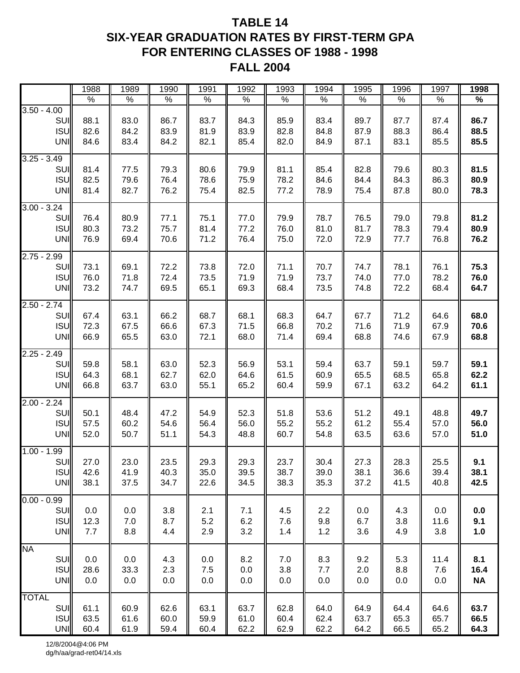### **TABLE 14 SIX-YEAR GRADUATION RATES BY FIRST-TERM GPA FOR ENTERING CLASSES OF 1988 - 1998 FALL 2004**

|                                                     | 1988                 | 1989                 | 1990                 | 1991                 | 1992                 | 1993                 | 1994                 | 1995                 | 1996                 | 1997                 | 1998                     |
|-----------------------------------------------------|----------------------|----------------------|----------------------|----------------------|----------------------|----------------------|----------------------|----------------------|----------------------|----------------------|--------------------------|
|                                                     | $\%$                 | $\%$                 | $\%$                 | $\%$                 | $\%$                 | $\%$                 | $\%$                 | $\%$                 | $\%$                 | $\%$                 | %                        |
| $3.50 - 4.00$<br>SUI<br><b>ISU</b><br><b>UNI</b>    | 88.1<br>82.6<br>84.6 | 83.0<br>84.2<br>83.4 | 86.7<br>83.9<br>84.2 | 83.7<br>81.9<br>82.1 | 84.3<br>83.9<br>85.4 | 85.9<br>82.8<br>82.0 | 83.4<br>84.8<br>84.9 | 89.7<br>87.9<br>87.1 | 87.7<br>88.3<br>83.1 | 87.4<br>86.4<br>85.5 | 86.7<br>88.5<br>85.5     |
| $3.25 - 3.49$<br>SUI<br>ISU<br><b>UNI</b>           | 81.4<br>82.5<br>81.4 | 77.5<br>79.6<br>82.7 | 79.3<br>76.4<br>76.2 | 80.6<br>78.6<br>75.4 | 79.9<br>75.9<br>82.5 | 81.1<br>78.2<br>77.2 | 85.4<br>84.6<br>78.9 | 82.8<br>84.4<br>75.4 | 79.6<br>84.3<br>87.8 | 80.3<br>86.3<br>80.0 | 81.5<br>80.9<br>78.3     |
| $3.00 - 3.24$<br>SUI<br>ISU<br><b>UNI</b>           | 76.4<br>80.3<br>76.9 | 80.9<br>73.2<br>69.4 | 77.1<br>75.7<br>70.6 | 75.1<br>81.4<br>71.2 | 77.0<br>77.2<br>76.4 | 79.9<br>76.0<br>75.0 | 78.7<br>81.0<br>72.0 | 76.5<br>81.7<br>72.9 | 79.0<br>78.3<br>77.7 | 79.8<br>79.4<br>76.8 | 81.2<br>80.9<br>76.2     |
| $2.75 - 2.99$<br>SUI<br><b>ISU</b><br>UNI           | 73.1<br>76.0<br>73.2 | 69.1<br>71.8<br>74.7 | 72.2<br>72.4<br>69.5 | 73.8<br>73.5<br>65.1 | 72.0<br>71.9<br>69.3 | 71.1<br>71.9<br>68.4 | 70.7<br>73.7<br>73.5 | 74.7<br>74.0<br>74.8 | 78.1<br>77.0<br>72.2 | 76.1<br>78.2<br>68.4 | 75.3<br>76.0<br>64.7     |
| $2.50 - 2.74$<br><b>SUI</b><br>ISU<br><b>UNI</b>    | 67.4<br>72.3<br>66.9 | 63.1<br>67.5<br>65.5 | 66.2<br>66.6<br>63.0 | 68.7<br>67.3<br>72.1 | 68.1<br>71.5<br>68.0 | 68.3<br>66.8<br>71.4 | 64.7<br>70.2<br>69.4 | 67.7<br>71.6<br>68.8 | 71.2<br>71.9<br>74.6 | 64.6<br>67.9<br>67.9 | 68.0<br>70.6<br>68.8     |
| $2.25 - 2.49$<br>SUI<br><b>ISU</b><br>UNI           | 59.8<br>64.3<br>66.8 | 58.1<br>68.1<br>63.7 | 63.0<br>62.7<br>63.0 | 52.3<br>62.0<br>55.1 | 56.9<br>64.6<br>65.2 | 53.1<br>61.5<br>60.4 | 59.4<br>60.9<br>59.9 | 63.7<br>65.5<br>67.1 | 59.1<br>68.5<br>63.2 | 59.7<br>65.8<br>64.2 | 59.1<br>62.2<br>61.1     |
| $2.00 - 2.24$<br><b>SUI</b><br>ISU<br><b>UNI</b>    | 50.1<br>57.5<br>52.0 | 48.4<br>60.2<br>50.7 | 47.2<br>54.6<br>51.1 | 54.9<br>56.4<br>54.3 | 52.3<br>56.0<br>48.8 | 51.8<br>55.2<br>60.7 | 53.6<br>55.2<br>54.8 | 51.2<br>61.2<br>63.5 | 49.1<br>55.4<br>63.6 | 48.8<br>57.0<br>57.0 | 49.7<br>56.0<br>51.0     |
| $1.00 - 1.99$<br>SUI<br><b>ISU</b><br><b>UNI</b>    | 27.0<br>42.6<br>38.1 | 23.0<br>41.9<br>37.5 | 23.5<br>40.3<br>34.7 | 29.3<br>35.0<br>22.6 | 29.3<br>39.5<br>34.5 | 23.7<br>38.7<br>38.3 | 30.4<br>39.0<br>35.3 | 27.3<br>38.1<br>37.2 | 28.3<br>36.6<br>41.5 | 25.5<br>39.4<br>40.8 | 9.1<br>38.1<br>42.5      |
| $0.00 - 0.99$<br><b>SUI</b><br>ISU<br>UNI           | 0.0<br>12.3<br>7.7   | 0.0<br>7.0<br>8.8    | 3.8<br>8.7<br>4.4    | 2.1<br>5.2<br>2.9    | 7.1<br>6.2<br>3.2    | 4.5<br>7.6<br>1.4    | 2.2<br>9.8<br>1.2    | 0.0<br>6.7<br>3.6    | 4.3<br>3.8<br>4.9    | 0.0<br>11.6<br>3.8   | 0.0<br>9.1<br>1.0        |
| <b>NA</b><br><b>SUI</b><br><b>ISU</b><br><b>UNI</b> | 0.0<br>28.6<br>0.0   | 0.0<br>33.3<br>0.0   | 4.3<br>2.3<br>0.0    | 0.0<br>7.5<br>0.0    | 8.2<br>0.0<br>0.0    | 7.0<br>3.8<br>0.0    | 8.3<br>7.7<br>0.0    | 9.2<br>2.0<br>0.0    | 5.3<br>8.8<br>0.0    | 11.4<br>7.6<br>0.0   | 8.1<br>16.4<br><b>NA</b> |
| <b>TOTAL</b><br><b>SUI</b><br>ISU<br>UNI            | 61.1<br>63.5<br>60.4 | 60.9<br>61.6<br>61.9 | 62.6<br>60.0<br>59.4 | 63.1<br>59.9<br>60.4 | 63.7<br>61.0<br>62.2 | 62.8<br>60.4<br>62.9 | 64.0<br>62.4<br>62.2 | 64.9<br>63.7<br>64.2 | 64.4<br>65.3<br>66.5 | 64.6<br>65.7<br>65.2 | 63.7<br>66.5<br>64.3     |

12/8/2004@4:06 PM dg/h/aa/grad-ret04/14.xls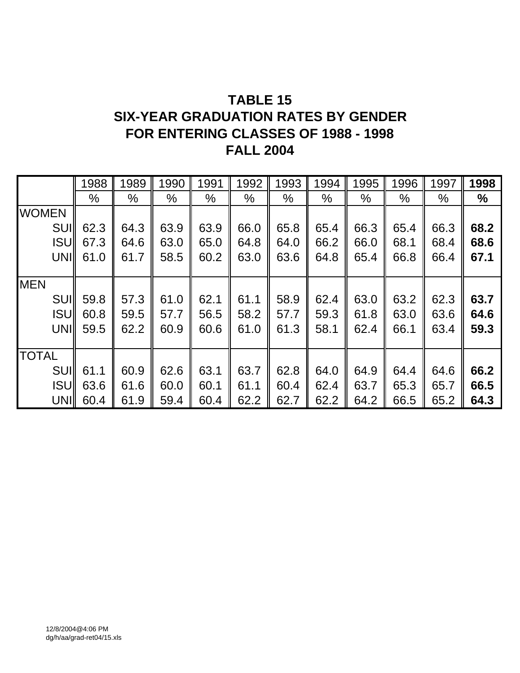# **TABLE 15 SIX-YEAR GRADUATION RATES BY GENDER FOR ENTERING CLASSES OF 1988 - 1998 FALL 2004**

|              | 1988 | 1989          | 1990          | 1991          | 1992          | 1993          | 1994          | 1995 | 1996          | 1997 | 1998 |
|--------------|------|---------------|---------------|---------------|---------------|---------------|---------------|------|---------------|------|------|
|              | %    | $\frac{0}{0}$ | $\frac{0}{0}$ | $\frac{0}{0}$ | $\frac{0}{0}$ | $\frac{0}{0}$ | $\frac{0}{0}$ | $\%$ | $\frac{0}{0}$ | $\%$ | $\%$ |
| <b>WOMEN</b> |      |               |               |               |               |               |               |      |               |      |      |
| <b>SUII</b>  | 62.3 | 64.3          | 63.9          | 63.9          | 66.0          | 65.8          | 65.4          | 66.3 | 65.4          | 66.3 | 68.2 |
| <b>ISUI</b>  | 67.3 | 64.6          | 63.0          | 65.0          | 64.8          | 64.0          | 66.2          | 66.0 | 68.1          | 68.4 | 68.6 |
| UNII         | 61.0 | 61.7          | 58.5          | 60.2          | 63.0          | 63.6          | 64.8          | 65.4 | 66.8          | 66.4 | 67.1 |
|              |      |               |               |               |               |               |               |      |               |      |      |
| <b>MEN</b>   |      |               |               |               |               |               |               |      |               |      |      |
| <b>SUI</b>   | 59.8 | 57.3          | 61.0          | 62.1          | 61.1          | 58.9          | 62.4          | 63.0 | 63.2          | 62.3 | 63.7 |
| <b>ISUI</b>  | 60.8 | 59.5          | 57.7          | 56.5          | 58.2          | 57.7          | 59.3          | 61.8 | 63.0          | 63.6 | 64.6 |
| UNII         | 59.5 | 62.2          | 60.9          | 60.6          | 61.0          | 61.3          | 58.1          | 62.4 | 66.1          | 63.4 | 59.3 |
|              |      |               |               |               |               |               |               |      |               |      |      |
| <b>TOTAL</b> |      |               |               |               |               |               |               |      |               |      |      |
| <b>SUII</b>  | 61.1 | 60.9          | 62.6          | 63.1          | 63.7          | 62.8          | 64.0          | 64.9 | 64.4          | 64.6 | 66.2 |
| <b>ISUI</b>  | 63.6 | 61.6          | 60.0          | 60.1          | 61.1          | 60.4          | 62.4          | 63.7 | 65.3          | 65.7 | 66.5 |
| <b>UNII</b>  | 60.4 | 61.9          | 59.4          | 60.4          | 62.2          | 62.7          | 62.2          | 64.2 | 66.5          | 65.2 | 64.3 |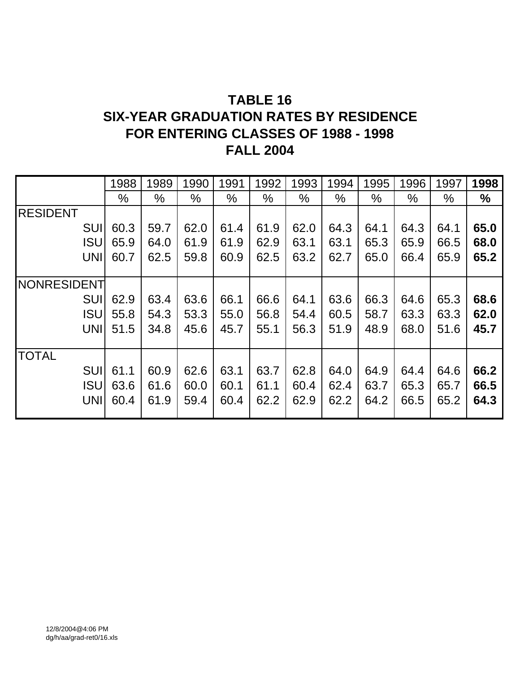# **TABLE 16**

## **SIX-YEAR GRADUATION RATES BY RESIDENCE FOR ENTERING CLASSES OF 1988 - 1998 FALL 2004**

|                    | 1988 | 1989 | 1990          | 1991 | 1992          | 1993 | 1994 | 1995 | 1996 | 1997 | 1998 |
|--------------------|------|------|---------------|------|---------------|------|------|------|------|------|------|
|                    | $\%$ | $\%$ | $\frac{0}{0}$ | $\%$ | $\frac{0}{0}$ | $\%$ | $\%$ | $\%$ | $\%$ | $\%$ | $\%$ |
| <b>RESIDENT</b>    |      |      |               |      |               |      |      |      |      |      |      |
| <b>SUI</b>         | 60.3 | 59.7 | 62.0          | 61.4 | 61.9          | 62.0 | 64.3 | 64.1 | 64.3 | 64.1 | 65.0 |
| <b>ISU</b>         | 65.9 | 64.0 | 61.9          | 61.9 | 62.9          | 63.1 | 63.1 | 65.3 | 65.9 | 66.5 | 68.0 |
| <b>UNI</b>         | 60.7 | 62.5 | 59.8          | 60.9 | 62.5          | 63.2 | 62.7 | 65.0 | 66.4 | 65.9 | 65.2 |
|                    |      |      |               |      |               |      |      |      |      |      |      |
| <b>NONRESIDENT</b> |      |      |               |      |               |      |      |      |      |      |      |
| <b>SUI</b>         | 62.9 | 63.4 | 63.6          | 66.1 | 66.6          | 64.1 | 63.6 | 66.3 | 64.6 | 65.3 | 68.6 |
| <b>ISU</b>         | 55.8 | 54.3 | 53.3          | 55.0 | 56.8          | 54.4 | 60.5 | 58.7 | 63.3 | 63.3 | 62.0 |
| <b>UNI</b>         | 51.5 | 34.8 | 45.6          | 45.7 | 55.1          | 56.3 | 51.9 | 48.9 | 68.0 | 51.6 | 45.7 |
|                    |      |      |               |      |               |      |      |      |      |      |      |
| <b>TOTAL</b>       |      |      |               |      |               |      |      |      |      |      |      |
| SUI                | 61.1 | 60.9 | 62.6          | 63.1 | 63.7          | 62.8 | 64.0 | 64.9 | 64.4 | 64.6 | 66.2 |
| <b>ISU</b>         | 63.6 | 61.6 | 60.0          | 60.1 | 61.1          | 60.4 | 62.4 | 63.7 | 65.3 | 65.7 | 66.5 |
| <b>UNI</b>         | 60.4 | 61.9 | 59.4          | 60.4 | 62.2          | 62.9 | 62.2 | 64.2 | 66.5 | 65.2 | 64.3 |
|                    |      |      |               |      |               |      |      |      |      |      |      |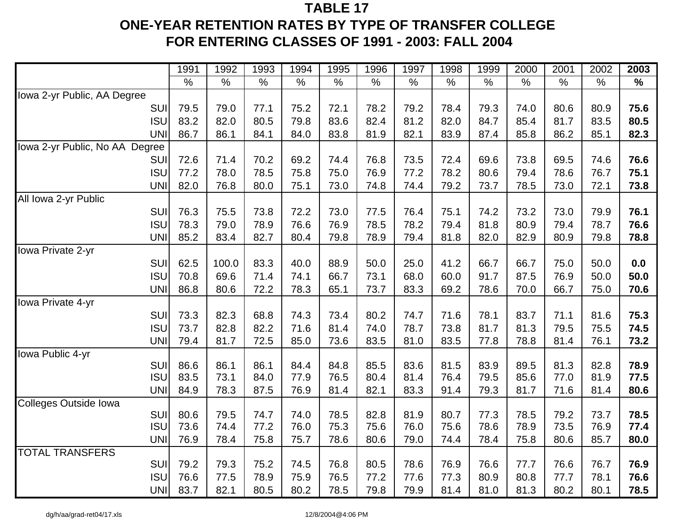# **TABLE 17ONE-YEAR RETENTION RATES BY TYPE OF TRANSFER COLLEGE FOR ENTERING CLASSES OF 1991 - 2003: FALL 2004**

|                                | 1991 | 1992  | 1993          | 1994          | 1995 | 1996 | 1997 | 1998 | 1999          | 2000 | 2001 | 2002          | 2003          |
|--------------------------------|------|-------|---------------|---------------|------|------|------|------|---------------|------|------|---------------|---------------|
|                                | $\%$ | $\%$  | $\frac{0}{0}$ | $\frac{1}{2}$ | $\%$ | $\%$ | $\%$ | $\%$ | $\frac{0}{0}$ | %    | $\%$ | $\frac{0}{0}$ | $\frac{0}{0}$ |
| Iowa 2-yr Public, AA Degree    |      |       |               |               |      |      |      |      |               |      |      |               |               |
| SUI                            | 79.5 | 79.0  | 77.1          | 75.2          | 72.1 | 78.2 | 79.2 | 78.4 | 79.3          | 74.0 | 80.6 | 80.9          | 75.6          |
| <b>ISU</b>                     | 83.2 | 82.0  | 80.5          | 79.8          | 83.6 | 82.4 | 81.2 | 82.0 | 84.7          | 85.4 | 81.7 | 83.5          | 80.5          |
| <b>UNI</b>                     | 86.7 | 86.1  | 84.1          | 84.0          | 83.8 | 81.9 | 82.1 | 83.9 | 87.4          | 85.8 | 86.2 | 85.1          | 82.3          |
| lowa 2-yr Public, No AA Degree |      |       |               |               |      |      |      |      |               |      |      |               |               |
| SUI                            | 72.6 | 71.4  | 70.2          | 69.2          | 74.4 | 76.8 | 73.5 | 72.4 | 69.6          | 73.8 | 69.5 | 74.6          | 76.6          |
| <b>ISU</b>                     | 77.2 | 78.0  | 78.5          | 75.8          | 75.0 | 76.9 | 77.2 | 78.2 | 80.6          | 79.4 | 78.6 | 76.7          | 75.1          |
| <b>UNI</b>                     | 82.0 | 76.8  | 80.0          | 75.1          | 73.0 | 74.8 | 74.4 | 79.2 | 73.7          | 78.5 | 73.0 | 72.1          | 73.8          |
| All Iowa 2-yr Public           |      |       |               |               |      |      |      |      |               |      |      |               |               |
| SUI                            | 76.3 | 75.5  | 73.8          | 72.2          | 73.0 | 77.5 | 76.4 | 75.1 | 74.2          | 73.2 | 73.0 | 79.9          | 76.1          |
| <b>ISU</b>                     | 78.3 | 79.0  | 78.9          | 76.6          | 76.9 | 78.5 | 78.2 | 79.4 | 81.8          | 80.9 | 79.4 | 78.7          | 76.6          |
| <b>UNI</b>                     | 85.2 | 83.4  | 82.7          | 80.4          | 79.8 | 78.9 | 79.4 | 81.8 | 82.0          | 82.9 | 80.9 | 79.8          | 78.8          |
| Iowa Private 2-yr              |      |       |               |               |      |      |      |      |               |      |      |               |               |
| SUI                            | 62.5 | 100.0 | 83.3          | 40.0          | 88.9 | 50.0 | 25.0 | 41.2 | 66.7          | 66.7 | 75.0 | 50.0          | 0.0           |
| <b>ISU</b>                     | 70.8 | 69.6  | 71.4          | 74.1          | 66.7 | 73.1 | 68.0 | 60.0 | 91.7          | 87.5 | 76.9 | 50.0          | 50.0          |
| <b>UNI</b>                     | 86.8 | 80.6  | 72.2          | 78.3          | 65.1 | 73.7 | 83.3 | 69.2 | 78.6          | 70.0 | 66.7 | 75.0          | 70.6          |
| Iowa Private 4-yr              |      |       |               |               |      |      |      |      |               |      |      |               |               |
| SUI                            | 73.3 | 82.3  | 68.8          | 74.3          | 73.4 | 80.2 | 74.7 | 71.6 | 78.1          | 83.7 | 71.1 | 81.6          | 75.3          |
| <b>ISU</b>                     | 73.7 | 82.8  | 82.2          | 71.6          | 81.4 | 74.0 | 78.7 | 73.8 | 81.7          | 81.3 | 79.5 | 75.5          | 74.5          |
| <b>UNI</b>                     | 79.4 | 81.7  | 72.5          | 85.0          | 73.6 | 83.5 | 81.0 | 83.5 | 77.8          | 78.8 | 81.4 | 76.1          | 73.2          |
| Iowa Public 4-yr               |      |       |               |               |      |      |      |      |               |      |      |               |               |
| SUI                            | 86.6 | 86.1  | 86.1          | 84.4          | 84.8 | 85.5 | 83.6 | 81.5 | 83.9          | 89.5 | 81.3 | 82.8          | 78.9          |
| <b>ISU</b>                     | 83.5 | 73.1  | 84.0          | 77.9          | 76.5 | 80.4 | 81.4 | 76.4 | 79.5          | 85.6 | 77.0 | 81.9          | 77.5          |
| <b>UNI</b>                     | 84.9 | 78.3  | 87.5          | 76.9          | 81.4 | 82.1 | 83.3 | 91.4 | 79.3          | 81.7 | 71.6 | 81.4          | 80.6          |
| Colleges Outside Iowa<br>SUI   | 80.6 | 79.5  | 74.7          | 74.0          | 78.5 | 82.8 | 81.9 | 80.7 | 77.3          | 78.5 | 79.2 | 73.7          | 78.5          |
| <b>ISU</b>                     | 73.6 | 74.4  | 77.2          | 76.0          | 75.3 | 75.6 | 76.0 | 75.6 | 78.6          | 78.9 | 73.5 | 76.9          | 77.4          |
| <b>UNI</b>                     | 76.9 | 78.4  | 75.8          | 75.7          | 78.6 | 80.6 | 79.0 | 74.4 | 78.4          | 75.8 | 80.6 | 85.7          | 80.0          |
| <b>TOTAL TRANSFERS</b>         |      |       |               |               |      |      |      |      |               |      |      |               |               |
| SUI                            | 79.2 | 79.3  | 75.2          | 74.5          | 76.8 | 80.5 | 78.6 | 76.9 | 76.6          | 77.7 | 76.6 | 76.7          | 76.9          |
| <b>ISU</b>                     | 76.6 | 77.5  | 78.9          | 75.9          | 76.5 | 77.2 | 77.6 | 77.3 | 80.9          | 80.8 | 77.7 | 78.1          | 76.6          |
| <b>UNI</b>                     | 83.7 | 82.1  | 80.5          | 80.2          | 78.5 | 79.8 | 79.9 | 81.4 | 81.0          | 81.3 | 80.2 | 80.1          | 78.5          |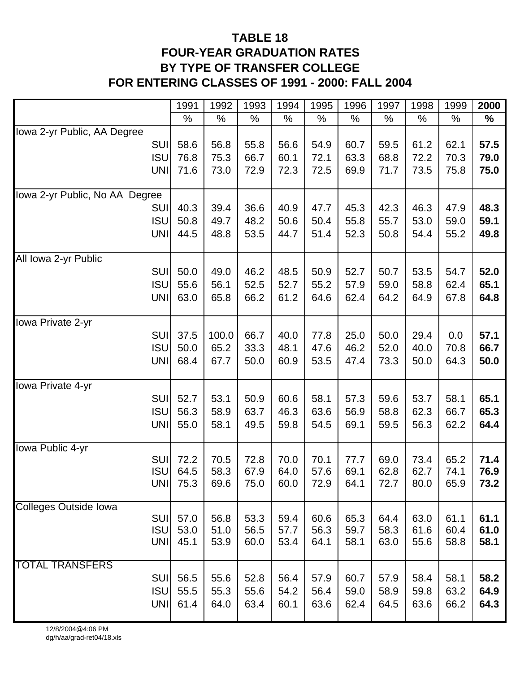### **TABLE 18 FOUR-YEAR GRADUATION RATES BY TYPE OF TRANSFER COLLEGE FOR ENTERING CLASSES OF 1991 - 2000: FALL 2004**

|                                | 1991 | 1992  | 1993 | 1994 | 1995 | 1996 | 1997 | 1998 | 1999 | 2000 |
|--------------------------------|------|-------|------|------|------|------|------|------|------|------|
|                                | %    | $\%$  | $\%$ | $\%$ | $\%$ | $\%$ | %    | $\%$ | $\%$ | %    |
| Iowa 2-yr Public, AA Degree    |      |       |      |      |      |      |      |      |      |      |
| <b>SUI</b>                     | 58.6 | 56.8  | 55.8 | 56.6 | 54.9 | 60.7 | 59.5 | 61.2 | 62.1 | 57.5 |
| <b>ISU</b>                     | 76.8 | 75.3  | 66.7 | 60.1 | 72.1 | 63.3 | 68.8 | 72.2 | 70.3 | 79.0 |
| <b>UNI</b>                     | 71.6 | 73.0  | 72.9 | 72.3 | 72.5 | 69.9 | 71.7 | 73.5 | 75.8 | 75.0 |
|                                |      |       |      |      |      |      |      |      |      |      |
| lowa 2-yr Public, No AA Degree |      |       |      |      |      |      |      |      |      |      |
| <b>SUI</b>                     | 40.3 | 39.4  | 36.6 | 40.9 | 47.7 | 45.3 | 42.3 | 46.3 | 47.9 | 48.3 |
| <b>ISU</b>                     | 50.8 | 49.7  | 48.2 | 50.6 | 50.4 | 55.8 | 55.7 | 53.0 | 59.0 | 59.1 |
| <b>UNI</b>                     | 44.5 | 48.8  | 53.5 | 44.7 | 51.4 | 52.3 | 50.8 | 54.4 | 55.2 | 49.8 |
|                                |      |       |      |      |      |      |      |      |      |      |
| All Iowa 2-yr Public           |      |       |      |      |      |      |      |      |      |      |
| SUI                            | 50.0 | 49.0  | 46.2 | 48.5 | 50.9 | 52.7 | 50.7 | 53.5 | 54.7 | 52.0 |
| <b>ISU</b>                     | 55.6 | 56.1  | 52.5 | 52.7 | 55.2 | 57.9 | 59.0 | 58.8 | 62.4 | 65.1 |
| <b>UNI</b>                     | 63.0 | 65.8  | 66.2 | 61.2 | 64.6 | 62.4 | 64.2 | 64.9 | 67.8 | 64.8 |
| Iowa Private 2-yr              |      |       |      |      |      |      |      |      |      |      |
| <b>SUI</b>                     | 37.5 | 100.0 | 66.7 | 40.0 | 77.8 | 25.0 | 50.0 | 29.4 | 0.0  | 57.1 |
| <b>ISU</b>                     | 50.0 | 65.2  | 33.3 | 48.1 | 47.6 | 46.2 | 52.0 | 40.0 | 70.8 | 66.7 |
| <b>UNI</b>                     | 68.4 | 67.7  | 50.0 | 60.9 | 53.5 | 47.4 | 73.3 | 50.0 | 64.3 | 50.0 |
|                                |      |       |      |      |      |      |      |      |      |      |
| Iowa Private 4-yr              |      |       |      |      |      |      |      |      |      |      |
| <b>SUI</b>                     | 52.7 | 53.1  | 50.9 | 60.6 | 58.1 | 57.3 | 59.6 | 53.7 | 58.1 | 65.1 |
| <b>ISU</b>                     | 56.3 | 58.9  | 63.7 | 46.3 | 63.6 | 56.9 | 58.8 | 62.3 | 66.7 | 65.3 |
| <b>UNI</b>                     | 55.0 | 58.1  | 49.5 | 59.8 | 54.5 | 69.1 | 59.5 | 56.3 | 62.2 | 64.4 |
|                                |      |       |      |      |      |      |      |      |      |      |
| Iowa Public 4-yr               |      |       |      |      |      |      |      |      |      |      |
| <b>SUI</b>                     | 72.2 | 70.5  | 72.8 | 70.0 | 70.1 | 77.7 | 69.0 | 73.4 | 65.2 | 71.4 |
| <b>ISU</b>                     | 64.5 | 58.3  | 67.9 | 64.0 | 57.6 | 69.1 | 62.8 | 62.7 | 74.1 | 76.9 |
| <b>UNII</b>                    | 75.3 | 69.6  | 75.0 | 60.0 | 72.9 | 64.1 | 72.7 | 80.0 | 65.9 | 73.2 |
| <b>Colleges Outside Iowa</b>   |      |       |      |      |      |      |      |      |      |      |
| <b>SUI</b>                     | 57.0 | 56.8  | 53.3 | 59.4 | 60.6 | 65.3 | 64.4 | 63.0 | 61.1 | 61.1 |
| <b>ISU</b>                     | 53.0 | 51.0  | 56.5 | 57.7 | 56.3 | 59.7 | 58.3 | 61.6 | 60.4 | 61.0 |
| <b>UNI</b>                     | 45.1 | 53.9  | 60.0 | 53.4 | 64.1 | 58.1 | 63.0 | 55.6 | 58.8 | 58.1 |
|                                |      |       |      |      |      |      |      |      |      |      |
| <b>TOTAL TRANSFERS</b>         |      |       |      |      |      |      |      |      |      |      |
| <b>SUI</b>                     | 56.5 | 55.6  | 52.8 | 56.4 | 57.9 | 60.7 | 57.9 | 58.4 | 58.1 | 58.2 |
| <b>ISU</b>                     | 55.5 | 55.3  | 55.6 | 54.2 | 56.4 | 59.0 | 58.9 | 59.8 | 63.2 | 64.9 |
| <b>UNI</b>                     | 61.4 | 64.0  | 63.4 | 60.1 | 63.6 | 62.4 | 64.5 | 63.6 | 66.2 | 64.3 |
|                                |      |       |      |      |      |      |      |      |      |      |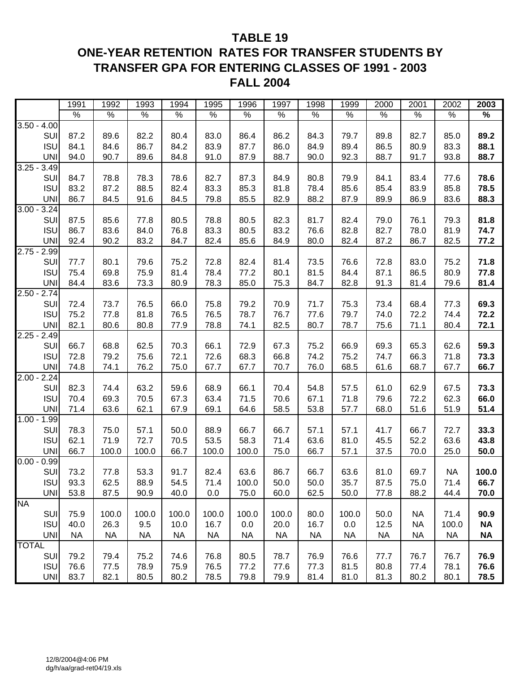#### **TABLE 19**

### **ONE-YEAR RETENTION RATES FOR TRANSFER STUDENTS BY TRANSFER GPA FOR ENTERING CLASSES OF 1991 - 2003 FALL 2004**

|               |            | 1991          | 1992      | 1993      | 1994      | 1995      | 1996      | 1997      | 1998      | 1999      | 2000      | 2001      | 2002      | 2003      |
|---------------|------------|---------------|-----------|-----------|-----------|-----------|-----------|-----------|-----------|-----------|-----------|-----------|-----------|-----------|
|               |            | $\frac{9}{6}$ | $\%$      | $\%$      | $\%$      | $\%$      | $\%$      | $\%$      | $\%$      | $\%$      | $\%$      | $\%$      | $\%$      | $\%$      |
| $3.50 - 4.00$ |            |               |           |           |           |           |           |           |           |           |           |           |           |           |
|               | SUI        | 87.2          | 89.6      | 82.2      | 80.4      | 83.0      | 86.4      | 86.2      | 84.3      | 79.7      | 89.8      | 82.7      | 85.0      | 89.2      |
|               | <b>ISU</b> | 84.1          | 84.6      | 86.7      | 84.2      | 83.9      | 87.7      | 86.0      | 84.9      | 89.4      | 86.5      | 80.9      | 83.3      | 88.1      |
|               | <b>UNI</b> | 94.0          | 90.7      | 89.6      | 84.8      | 91.0      | 87.9      | 88.7      | 90.0      | 92.3      | 88.7      | 91.7      | 93.8      | 88.7      |
| $3.25 -$      | 3.49       |               |           |           |           |           |           |           |           |           |           |           |           |           |
|               | SUI        | 84.7          | 78.8      | 78.3      | 78.6      | 82.7      | 87.3      | 84.9      | 80.8      | 79.9      | 84.1      | 83.4      | 77.6      | 78.6      |
|               | <b>ISU</b> | 83.2          | 87.2      | 88.5      | 82.4      | 83.3      | 85.3      | 81.8      | 78.4      | 85.6      | 85.4      | 83.9      | 85.8      | 78.5      |
|               | <b>UNI</b> | 86.7          | 84.5      | 91.6      | 84.5      | 79.8      | 85.5      | 82.9      | 88.2      | 87.9      | 89.9      | 86.9      | 83.6      | 88.3      |
| $3.00 - 3.24$ |            |               |           |           |           |           |           |           |           |           |           |           |           |           |
|               | SUI        | 87.5          | 85.6      | 77.8      | 80.5      | 78.8      | 80.5      | 82.3      | 81.7      | 82.4      | 79.0      | 76.1      | 79.3      | 81.8      |
|               | <b>ISU</b> | 86.7          | 83.6      | 84.0      | 76.8      | 83.3      | 80.5      | 83.2      | 76.6      | 82.8      | 82.7      | 78.0      | 81.9      | 74.7      |
|               | <b>UNI</b> | 92.4          | 90.2      | 83.2      | 84.7      | 82.4      | 85.6      | 84.9      | 80.0      | 82.4      | 87.2      | 86.7      | 82.5      | 77.2      |
| $2.75 -$      | 2.99       |               |           |           |           |           |           |           |           |           |           |           |           |           |
|               | SUI        | 77.7          | 80.1      | 79.6      | 75.2      | 72.8      | 82.4      | 81.4      | 73.5      | 76.6      | 72.8      | 83.0      | 75.2      | 71.8      |
|               | <b>ISU</b> | 75.4          | 69.8      | 75.9      | 81.4      | 78.4      | 77.2      | 80.1      | 81.5      | 84.4      | 87.1      | 86.5      | 80.9      | 77.8      |
|               | <b>UNI</b> | 84.4          | 83.6      | 73.3      | 80.9      | 78.3      | 85.0      | 75.3      | 84.7      | 82.8      | 91.3      | 81.4      | 79.6      | 81.4      |
| $2.50 - 2.74$ |            |               |           |           |           |           |           |           |           |           |           |           |           |           |
|               | SUI        | 72.4          | 73.7      | 76.5      | 66.0      | 75.8      | 79.2      | 70.9      | 71.7      | 75.3      | 73.4      | 68.4      | 77.3      | 69.3      |
|               | <b>ISU</b> | 75.2          | 77.8      | 81.8      | 76.5      | 76.5      | 78.7      | 76.7      | 77.6      | 79.7      | 74.0      | 72.2      | 74.4      | 72.2      |
|               | <b>UNI</b> | 82.1          | 80.6      | 80.8      | 77.9      | 78.8      | 74.1      | 82.5      | 80.7      | 78.7      | 75.6      | 71.1      | 80.4      | 72.1      |
| $2.25 -$      | 2.49       |               |           |           |           |           |           |           |           |           |           |           |           |           |
|               | SUI        | 66.7          | 68.8      | 62.5      | 70.3      | 66.1      | 72.9      | 67.3      | 75.2      | 66.9      | 69.3      | 65.3      | 62.6      | 59.3      |
|               | <b>ISU</b> | 72.8          | 79.2      | 75.6      | 72.1      | 72.6      | 68.3      | 66.8      | 74.2      | 75.2      | 74.7      | 66.3      | 71.8      | 73.3      |
|               | <b>UNI</b> | 74.8          | 74.1      | 76.2      | 75.0      | 67.7      | 67.7      | 70.7      | 76.0      | 68.5      | 61.6      | 68.7      | 67.7      | 66.7      |
| $2.00 - 2.24$ |            |               |           |           |           |           |           |           |           |           |           |           |           |           |
|               | SUI        | 82.3          | 74.4      | 63.2      | 59.6      | 68.9      | 66.1      | 70.4      | 54.8      | 57.5      | 61.0      | 62.9      | 67.5      | 73.3      |
|               | <b>ISU</b> | 70.4          | 69.3      | 70.5      | 67.3      | 63.4      | 71.5      | 70.6      | 67.1      | 71.8      | 79.6      | 72.2      | 62.3      | 66.0      |
|               | <b>UNI</b> | 71.4          | 63.6      | 62.1      | 67.9      | 69.1      | 64.6      | 58.5      | 53.8      | 57.7      | 68.0      | 51.6      | 51.9      | 51.4      |
| $1.00 - 1.99$ |            |               |           |           |           |           |           |           |           |           |           |           |           |           |
|               | SUI        | 78.3          | 75.0      | 57.1      | 50.0      | 88.9      | 66.7      | 66.7      | 57.1      | 57.1      | 41.7      | 66.7      | 72.7      | 33.3      |
|               | <b>ISU</b> | 62.1          | 71.9      | 72.7      | 70.5      | 53.5      | 58.3      | 71.4      | 63.6      | 81.0      | 45.5      | 52.2      | 63.6      | 43.8      |
|               | <b>UNI</b> | 66.7          | 100.0     | 100.0     | 66.7      | 100.0     | 100.0     | 75.0      | 66.7      | 57.1      | 37.5      | 70.0      | 25.0      | 50.0      |
| $0.00 - 0.99$ |            |               |           |           |           |           |           |           |           |           |           |           |           |           |
|               | SUI        | 73.2          | 77.8      | 53.3      | 91.7      | 82.4      | 63.6      | 86.7      | 66.7      | 63.6      | 81.0      | 69.7      | <b>NA</b> | 100.0     |
|               | <b>ISU</b> | 93.3          | 62.5      | 88.9      | 54.5      | 71.4      | 100.0     | 50.0      | 50.0      | 35.7      | 87.5      | 75.0      | 71.4      | 66.7      |
|               | <b>UNI</b> | 53.8          | 87.5      | 90.9      | 40.0      | 0.0       | 75.0      | 60.0      | 62.5      | 50.0      | 77.8      | 88.2      | 44.4      | 70.0      |
| <b>NA</b>     |            |               |           |           |           |           |           |           |           |           |           |           |           |           |
|               | SUI        | 75.9          | 100.0     | 100.0     | 100.0     | 100.0     | 100.0     | 100.0     | 80.0      | 100.0     | 50.0      | <b>NA</b> | 71.4      | 90.9      |
|               | <b>ISU</b> | 40.0          | 26.3      | 9.5       | 10.0      | 16.7      | 0.0       | 20.0      | 16.7      | 0.0       | 12.5      | <b>NA</b> | 100.0     | <b>NA</b> |
|               | UNI        | <b>NA</b>     | <b>NA</b> | <b>NA</b> | <b>NA</b> | <b>NA</b> | <b>NA</b> | <b>NA</b> | <b>NA</b> | <b>NA</b> | <b>NA</b> | <b>NA</b> | <b>NA</b> | <b>NA</b> |
| <b>TOTAL</b>  |            |               |           |           |           |           |           |           |           |           |           |           |           |           |
|               | SUI        | 79.2          | 79.4      | 75.2      | 74.6      | 76.8      | 80.5      | 78.7      | 76.9      | 76.6      | 77.7      | 76.7      | 76.7      | 76.9      |
|               | <b>ISU</b> | 76.6          | 77.5      | 78.9      | 75.9      | 76.5      | 77.2      | 77.6      | 77.3      | 81.5      | 80.8      | 77.4      | 78.1      | 76.6      |
|               | UNI        | 83.7          | 82.1      | 80.5      | 80.2      | 78.5      | 79.8      | 79.9      | 81.4      | 81.0      | 81.3      | 80.2      | 80.1      | 78.5      |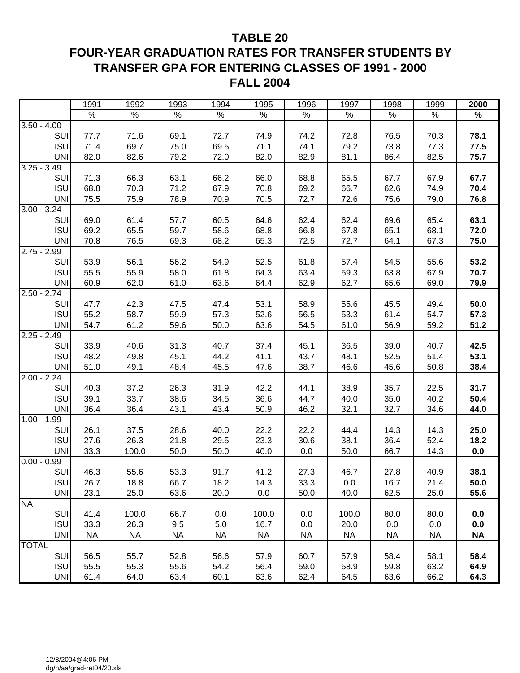#### **TABLE 20**

### **FOUR-YEAR GRADUATION RATES FOR TRANSFER STUDENTS BY TRANSFER GPA FOR ENTERING CLASSES OF 1991 - 2000 FALL 2004**

|                                                                                                                                                                                                                                                                                                   | 1991                                                                                                                                              | 1992                                                                                                                                        | 1993                                                                                                                                             | 1994                                                                                                                                            | 1995                                                                                                                                              | 1996                                                                                                                                           | 1997                                                                                                                                      | 1998                                                                                                                                             | 1999                                                                                                                                       | 2000                                                                                                                           |
|---------------------------------------------------------------------------------------------------------------------------------------------------------------------------------------------------------------------------------------------------------------------------------------------------|---------------------------------------------------------------------------------------------------------------------------------------------------|---------------------------------------------------------------------------------------------------------------------------------------------|--------------------------------------------------------------------------------------------------------------------------------------------------|-------------------------------------------------------------------------------------------------------------------------------------------------|---------------------------------------------------------------------------------------------------------------------------------------------------|------------------------------------------------------------------------------------------------------------------------------------------------|-------------------------------------------------------------------------------------------------------------------------------------------|--------------------------------------------------------------------------------------------------------------------------------------------------|--------------------------------------------------------------------------------------------------------------------------------------------|--------------------------------------------------------------------------------------------------------------------------------|
|                                                                                                                                                                                                                                                                                                   | $\%$                                                                                                                                              | $\%$                                                                                                                                        | $\%$                                                                                                                                             | $\%$                                                                                                                                            | $\%$                                                                                                                                              | $\%$                                                                                                                                           | $\%$                                                                                                                                      | %                                                                                                                                                | $\%$                                                                                                                                       | $\%$                                                                                                                           |
| $3.50 - 4.00$                                                                                                                                                                                                                                                                                     |                                                                                                                                                   |                                                                                                                                             |                                                                                                                                                  |                                                                                                                                                 |                                                                                                                                                   |                                                                                                                                                |                                                                                                                                           |                                                                                                                                                  |                                                                                                                                            |                                                                                                                                |
| SUI                                                                                                                                                                                                                                                                                               | 77.7                                                                                                                                              | 71.6                                                                                                                                        | 69.1                                                                                                                                             | 72.7                                                                                                                                            | 74.9                                                                                                                                              | 74.2                                                                                                                                           | 72.8                                                                                                                                      | 76.5                                                                                                                                             | 70.3                                                                                                                                       | 78.1                                                                                                                           |
| <b>ISU</b>                                                                                                                                                                                                                                                                                        | 71.4                                                                                                                                              | 69.7                                                                                                                                        | 75.0                                                                                                                                             | 69.5                                                                                                                                            | 71.1                                                                                                                                              | 74.1                                                                                                                                           | 79.2                                                                                                                                      | 73.8                                                                                                                                             | 77.3                                                                                                                                       | 77.5                                                                                                                           |
| <b>UNI</b>                                                                                                                                                                                                                                                                                        | 82.0                                                                                                                                              | 82.6                                                                                                                                        | 79.2                                                                                                                                             | 72.0                                                                                                                                            | 82.0                                                                                                                                              | 82.9                                                                                                                                           | 81.1                                                                                                                                      | 86.4                                                                                                                                             | 82.5                                                                                                                                       | 75.7                                                                                                                           |
| $3.25 - 3.49$                                                                                                                                                                                                                                                                                     |                                                                                                                                                   |                                                                                                                                             |                                                                                                                                                  |                                                                                                                                                 |                                                                                                                                                   |                                                                                                                                                |                                                                                                                                           |                                                                                                                                                  |                                                                                                                                            |                                                                                                                                |
| SUI                                                                                                                                                                                                                                                                                               | 71.3                                                                                                                                              | 66.3                                                                                                                                        | 63.1                                                                                                                                             | 66.2                                                                                                                                            | 66.0                                                                                                                                              | 68.8                                                                                                                                           | 65.5                                                                                                                                      | 67.7                                                                                                                                             | 67.9                                                                                                                                       | 67.7                                                                                                                           |
| <b>ISU</b>                                                                                                                                                                                                                                                                                        | 68.8                                                                                                                                              | 70.3                                                                                                                                        | 71.2                                                                                                                                             | 67.9                                                                                                                                            | 70.8                                                                                                                                              | 69.2                                                                                                                                           | 66.7                                                                                                                                      | 62.6                                                                                                                                             | 74.9                                                                                                                                       | 70.4                                                                                                                           |
| <b>UNI</b>                                                                                                                                                                                                                                                                                        | 75.5                                                                                                                                              | 75.9                                                                                                                                        | 78.9                                                                                                                                             | 70.9                                                                                                                                            | 70.5                                                                                                                                              | 72.7                                                                                                                                           | 72.6                                                                                                                                      | 75.6                                                                                                                                             | 79.0                                                                                                                                       | 76.8                                                                                                                           |
| $3.00 - 3.24$                                                                                                                                                                                                                                                                                     |                                                                                                                                                   |                                                                                                                                             |                                                                                                                                                  |                                                                                                                                                 |                                                                                                                                                   |                                                                                                                                                |                                                                                                                                           |                                                                                                                                                  |                                                                                                                                            |                                                                                                                                |
| SUI                                                                                                                                                                                                                                                                                               | 69.0                                                                                                                                              | 61.4                                                                                                                                        | 57.7                                                                                                                                             | 60.5                                                                                                                                            | 64.6                                                                                                                                              | 62.4                                                                                                                                           | 62.4                                                                                                                                      | 69.6                                                                                                                                             | 65.4                                                                                                                                       | 63.1                                                                                                                           |
| <b>ISU</b>                                                                                                                                                                                                                                                                                        | 69.2                                                                                                                                              | 65.5                                                                                                                                        | 59.7                                                                                                                                             | 58.6                                                                                                                                            | 68.8                                                                                                                                              | 66.8                                                                                                                                           | 67.8                                                                                                                                      | 65.1                                                                                                                                             | 68.1                                                                                                                                       | 72.0                                                                                                                           |
| <b>UNI</b>                                                                                                                                                                                                                                                                                        | 70.8                                                                                                                                              | 76.5                                                                                                                                        | 69.3                                                                                                                                             | 68.2                                                                                                                                            | 65.3                                                                                                                                              | 72.5                                                                                                                                           | 72.7                                                                                                                                      | 64.1                                                                                                                                             | 67.3                                                                                                                                       | 75.0                                                                                                                           |
| $2.75 - 2.99$                                                                                                                                                                                                                                                                                     |                                                                                                                                                   |                                                                                                                                             |                                                                                                                                                  |                                                                                                                                                 |                                                                                                                                                   |                                                                                                                                                |                                                                                                                                           |                                                                                                                                                  |                                                                                                                                            |                                                                                                                                |
| SUI                                                                                                                                                                                                                                                                                               | 53.9                                                                                                                                              | 56.1                                                                                                                                        | 56.2                                                                                                                                             | 54.9                                                                                                                                            | 52.5                                                                                                                                              | 61.8                                                                                                                                           | 57.4                                                                                                                                      | 54.5                                                                                                                                             | 55.6                                                                                                                                       | 53.2                                                                                                                           |
| <b>ISU</b>                                                                                                                                                                                                                                                                                        | 55.5                                                                                                                                              | 55.9                                                                                                                                        | 58.0                                                                                                                                             | 61.8                                                                                                                                            | 64.3                                                                                                                                              | 63.4                                                                                                                                           | 59.3                                                                                                                                      | 63.8                                                                                                                                             | 67.9                                                                                                                                       | 70.7                                                                                                                           |
| <b>UNI</b>                                                                                                                                                                                                                                                                                        | 60.9                                                                                                                                              | 62.0                                                                                                                                        | 61.0                                                                                                                                             | 63.6                                                                                                                                            | 64.4                                                                                                                                              | 62.9                                                                                                                                           | 62.7                                                                                                                                      | 65.6                                                                                                                                             | 69.0                                                                                                                                       | 79.9                                                                                                                           |
| $2.50 - 2.74$                                                                                                                                                                                                                                                                                     |                                                                                                                                                   |                                                                                                                                             |                                                                                                                                                  |                                                                                                                                                 |                                                                                                                                                   |                                                                                                                                                |                                                                                                                                           |                                                                                                                                                  |                                                                                                                                            |                                                                                                                                |
| SUI                                                                                                                                                                                                                                                                                               | 47.7                                                                                                                                              | 42.3                                                                                                                                        | 47.5                                                                                                                                             | 47.4                                                                                                                                            | 53.1                                                                                                                                              | 58.9                                                                                                                                           | 55.6                                                                                                                                      | 45.5                                                                                                                                             | 49.4                                                                                                                                       | 50.0                                                                                                                           |
| <b>ISU</b>                                                                                                                                                                                                                                                                                        | 55.2                                                                                                                                              | 58.7                                                                                                                                        | 59.9                                                                                                                                             | 57.3                                                                                                                                            | 52.6                                                                                                                                              | 56.5                                                                                                                                           | 53.3                                                                                                                                      | 61.4                                                                                                                                             | 54.7                                                                                                                                       | 57.3                                                                                                                           |
| <b>UNI</b>                                                                                                                                                                                                                                                                                        | 54.7                                                                                                                                              | 61.2                                                                                                                                        | 59.6                                                                                                                                             | 50.0                                                                                                                                            | 63.6                                                                                                                                              | 54.5                                                                                                                                           | 61.0                                                                                                                                      | 56.9                                                                                                                                             | 59.2                                                                                                                                       | 51.2                                                                                                                           |
|                                                                                                                                                                                                                                                                                                   |                                                                                                                                                   |                                                                                                                                             |                                                                                                                                                  |                                                                                                                                                 |                                                                                                                                                   |                                                                                                                                                |                                                                                                                                           |                                                                                                                                                  |                                                                                                                                            |                                                                                                                                |
|                                                                                                                                                                                                                                                                                                   |                                                                                                                                                   |                                                                                                                                             |                                                                                                                                                  |                                                                                                                                                 |                                                                                                                                                   |                                                                                                                                                |                                                                                                                                           |                                                                                                                                                  |                                                                                                                                            |                                                                                                                                |
|                                                                                                                                                                                                                                                                                                   |                                                                                                                                                   |                                                                                                                                             |                                                                                                                                                  |                                                                                                                                                 |                                                                                                                                                   |                                                                                                                                                |                                                                                                                                           |                                                                                                                                                  |                                                                                                                                            |                                                                                                                                |
|                                                                                                                                                                                                                                                                                                   |                                                                                                                                                   |                                                                                                                                             |                                                                                                                                                  |                                                                                                                                                 |                                                                                                                                                   |                                                                                                                                                |                                                                                                                                           |                                                                                                                                                  |                                                                                                                                            |                                                                                                                                |
|                                                                                                                                                                                                                                                                                                   |                                                                                                                                                   |                                                                                                                                             |                                                                                                                                                  |                                                                                                                                                 |                                                                                                                                                   |                                                                                                                                                |                                                                                                                                           |                                                                                                                                                  |                                                                                                                                            |                                                                                                                                |
|                                                                                                                                                                                                                                                                                                   |                                                                                                                                                   |                                                                                                                                             |                                                                                                                                                  |                                                                                                                                                 |                                                                                                                                                   |                                                                                                                                                |                                                                                                                                           |                                                                                                                                                  |                                                                                                                                            |                                                                                                                                |
|                                                                                                                                                                                                                                                                                                   |                                                                                                                                                   |                                                                                                                                             |                                                                                                                                                  |                                                                                                                                                 |                                                                                                                                                   |                                                                                                                                                |                                                                                                                                           |                                                                                                                                                  |                                                                                                                                            |                                                                                                                                |
|                                                                                                                                                                                                                                                                                                   |                                                                                                                                                   |                                                                                                                                             |                                                                                                                                                  |                                                                                                                                                 |                                                                                                                                                   |                                                                                                                                                |                                                                                                                                           |                                                                                                                                                  |                                                                                                                                            |                                                                                                                                |
|                                                                                                                                                                                                                                                                                                   |                                                                                                                                                   |                                                                                                                                             |                                                                                                                                                  |                                                                                                                                                 |                                                                                                                                                   |                                                                                                                                                |                                                                                                                                           |                                                                                                                                                  |                                                                                                                                            |                                                                                                                                |
|                                                                                                                                                                                                                                                                                                   |                                                                                                                                                   |                                                                                                                                             |                                                                                                                                                  |                                                                                                                                                 |                                                                                                                                                   |                                                                                                                                                |                                                                                                                                           |                                                                                                                                                  |                                                                                                                                            |                                                                                                                                |
|                                                                                                                                                                                                                                                                                                   |                                                                                                                                                   |                                                                                                                                             |                                                                                                                                                  |                                                                                                                                                 |                                                                                                                                                   |                                                                                                                                                |                                                                                                                                           |                                                                                                                                                  |                                                                                                                                            |                                                                                                                                |
|                                                                                                                                                                                                                                                                                                   |                                                                                                                                                   |                                                                                                                                             |                                                                                                                                                  |                                                                                                                                                 |                                                                                                                                                   |                                                                                                                                                |                                                                                                                                           |                                                                                                                                                  |                                                                                                                                            |                                                                                                                                |
|                                                                                                                                                                                                                                                                                                   |                                                                                                                                                   |                                                                                                                                             |                                                                                                                                                  |                                                                                                                                                 |                                                                                                                                                   |                                                                                                                                                |                                                                                                                                           |                                                                                                                                                  |                                                                                                                                            |                                                                                                                                |
|                                                                                                                                                                                                                                                                                                   |                                                                                                                                                   |                                                                                                                                             |                                                                                                                                                  |                                                                                                                                                 |                                                                                                                                                   |                                                                                                                                                |                                                                                                                                           |                                                                                                                                                  |                                                                                                                                            |                                                                                                                                |
|                                                                                                                                                                                                                                                                                                   |                                                                                                                                                   |                                                                                                                                             |                                                                                                                                                  |                                                                                                                                                 |                                                                                                                                                   |                                                                                                                                                |                                                                                                                                           |                                                                                                                                                  |                                                                                                                                            |                                                                                                                                |
|                                                                                                                                                                                                                                                                                                   |                                                                                                                                                   |                                                                                                                                             |                                                                                                                                                  |                                                                                                                                                 |                                                                                                                                                   |                                                                                                                                                |                                                                                                                                           |                                                                                                                                                  |                                                                                                                                            |                                                                                                                                |
|                                                                                                                                                                                                                                                                                                   |                                                                                                                                                   |                                                                                                                                             |                                                                                                                                                  |                                                                                                                                                 |                                                                                                                                                   |                                                                                                                                                |                                                                                                                                           |                                                                                                                                                  |                                                                                                                                            |                                                                                                                                |
|                                                                                                                                                                                                                                                                                                   |                                                                                                                                                   |                                                                                                                                             |                                                                                                                                                  |                                                                                                                                                 |                                                                                                                                                   |                                                                                                                                                |                                                                                                                                           |                                                                                                                                                  |                                                                                                                                            |                                                                                                                                |
|                                                                                                                                                                                                                                                                                                   |                                                                                                                                                   |                                                                                                                                             |                                                                                                                                                  |                                                                                                                                                 |                                                                                                                                                   |                                                                                                                                                |                                                                                                                                           |                                                                                                                                                  |                                                                                                                                            |                                                                                                                                |
|                                                                                                                                                                                                                                                                                                   |                                                                                                                                                   |                                                                                                                                             |                                                                                                                                                  |                                                                                                                                                 |                                                                                                                                                   |                                                                                                                                                |                                                                                                                                           |                                                                                                                                                  |                                                                                                                                            |                                                                                                                                |
|                                                                                                                                                                                                                                                                                                   |                                                                                                                                                   |                                                                                                                                             |                                                                                                                                                  |                                                                                                                                                 |                                                                                                                                                   |                                                                                                                                                |                                                                                                                                           |                                                                                                                                                  |                                                                                                                                            |                                                                                                                                |
|                                                                                                                                                                                                                                                                                                   |                                                                                                                                                   |                                                                                                                                             |                                                                                                                                                  |                                                                                                                                                 |                                                                                                                                                   |                                                                                                                                                |                                                                                                                                           |                                                                                                                                                  |                                                                                                                                            | 58.4                                                                                                                           |
|                                                                                                                                                                                                                                                                                                   |                                                                                                                                                   |                                                                                                                                             |                                                                                                                                                  |                                                                                                                                                 |                                                                                                                                                   |                                                                                                                                                |                                                                                                                                           |                                                                                                                                                  |                                                                                                                                            |                                                                                                                                |
| <b>UNI</b>                                                                                                                                                                                                                                                                                        |                                                                                                                                                   | 64.0                                                                                                                                        |                                                                                                                                                  |                                                                                                                                                 |                                                                                                                                                   |                                                                                                                                                | 64.5                                                                                                                                      |                                                                                                                                                  |                                                                                                                                            | 64.3                                                                                                                           |
| $2.25 - 2.49$<br>SUI<br><b>ISU</b><br><b>UNI</b><br>$2.00 - 2.24$<br>SUI<br><b>ISU</b><br><b>UNI</b><br>$1.00 - 1.99$<br>SUI<br><b>ISU</b><br><b>UNI</b><br>$0.00 - 0.99$<br>SUI<br><b>ISU</b><br><b>UNI</b><br><b>NA</b><br>SUI<br><b>ISU</b><br><b>UNI</b><br><b>TOTAL</b><br>SUI<br><b>ISU</b> | 33.9<br>48.2<br>51.0<br>40.3<br>39.1<br>36.4<br>26.1<br>27.6<br>33.3<br>46.3<br>26.7<br>23.1<br>41.4<br>33.3<br><b>NA</b><br>56.5<br>55.5<br>61.4 | 40.6<br>49.8<br>49.1<br>37.2<br>33.7<br>36.4<br>37.5<br>26.3<br>100.0<br>55.6<br>18.8<br>25.0<br>100.0<br>26.3<br><b>NA</b><br>55.7<br>55.3 | 31.3<br>45.1<br>48.4<br>26.3<br>38.6<br>43.1<br>28.6<br>21.8<br>50.0<br>53.3<br>66.7<br>63.6<br>66.7<br>9.5<br><b>NA</b><br>52.8<br>55.6<br>63.4 | 40.7<br>44.2<br>45.5<br>31.9<br>34.5<br>43.4<br>40.0<br>29.5<br>50.0<br>91.7<br>18.2<br>20.0<br>0.0<br>5.0<br><b>NA</b><br>56.6<br>54.2<br>60.1 | 37.4<br>41.1<br>47.6<br>42.2<br>36.6<br>50.9<br>22.2<br>23.3<br>40.0<br>41.2<br>14.3<br>0.0<br>100.0<br>16.7<br><b>NA</b><br>57.9<br>56.4<br>63.6 | 45.1<br>43.7<br>38.7<br>44.1<br>44.7<br>46.2<br>22.2<br>30.6<br>0.0<br>27.3<br>33.3<br>50.0<br>0.0<br>0.0<br><b>NA</b><br>60.7<br>59.0<br>62.4 | 36.5<br>48.1<br>46.6<br>38.9<br>40.0<br>32.1<br>44.4<br>38.1<br>50.0<br>46.7<br>0.0<br>40.0<br>100.0<br>20.0<br><b>NA</b><br>57.9<br>58.9 | 39.0<br>52.5<br>45.6<br>35.7<br>35.0<br>32.7<br>14.3<br>36.4<br>66.7<br>27.8<br>16.7<br>62.5<br>80.0<br>0.0<br><b>NA</b><br>58.4<br>59.8<br>63.6 | 40.7<br>51.4<br>50.8<br>22.5<br>40.2<br>34.6<br>14.3<br>52.4<br>14.3<br>40.9<br>21.4<br>25.0<br>80.0<br>0.0<br>NA.<br>58.1<br>63.2<br>66.2 | 42.5<br>53.1<br>38.4<br>31.7<br>50.4<br>44.0<br>25.0<br>18.2<br>0.0<br>38.1<br>50.0<br>55.6<br>0.0<br>0.0<br><b>NA</b><br>64.9 |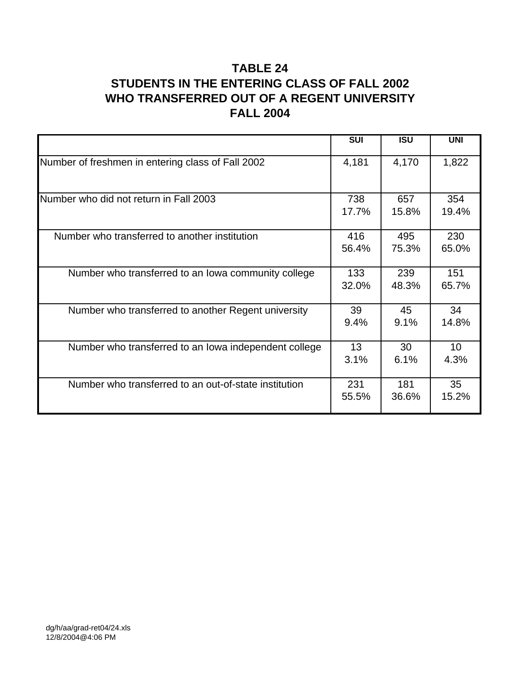### **TABLE 24 STUDENTS IN THE ENTERING CLASS OF FALL 2002 WHO TRANSFERRED OUT OF A REGENT UNIVERSITY FALL 2004**

|                                                       | <b>SUI</b> | $\overline{ISU}$ | <b>UNI</b>      |
|-------------------------------------------------------|------------|------------------|-----------------|
| Number of freshmen in entering class of Fall 2002     | 4,181      | 4,170            | 1,822           |
| Number who did not return in Fall 2003                | 738        | 657              | 354             |
|                                                       | 17.7%      | 15.8%            | 19.4%           |
| Number who transferred to another institution         | 416        | 495              | 230             |
|                                                       | 56.4%      | 75.3%            | 65.0%           |
| Number who transferred to an lowa community college   | 133        | 239              | 151             |
|                                                       | 32.0%      | 48.3%            | 65.7%           |
| Number who transferred to another Regent university   | 39         | 45               | 34              |
|                                                       | 9.4%       | 9.1%             | 14.8%           |
| Number who transferred to an lowa independent college | 13         | 30               | 10 <sup>1</sup> |
|                                                       | 3.1%       | 6.1%             | 4.3%            |
| Number who transferred to an out-of-state institution | 231        | 181              | 35              |
|                                                       | 55.5%      | 36.6%            | 15.2%           |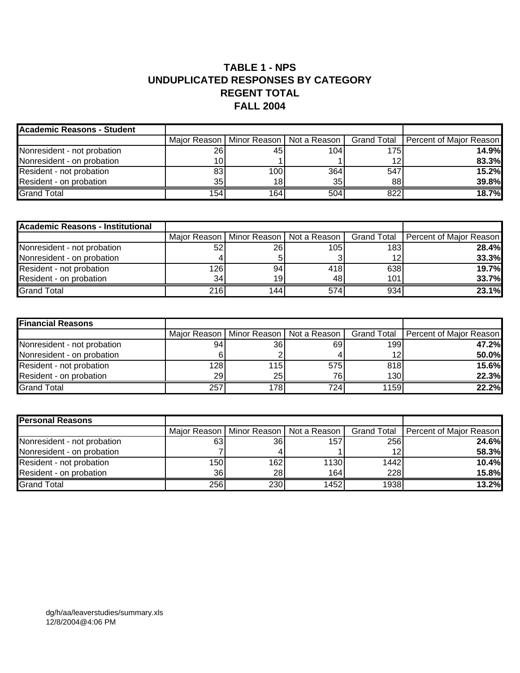#### **TABLE 1 - NPS UNDUPLICATED RESPONSES BY CATEGORY REGENT TOTAL FALL 2004**

| <b>Academic Reasons - Student</b> |            |                  |                 |      |                                                                                    |
|-----------------------------------|------------|------------------|-----------------|------|------------------------------------------------------------------------------------|
|                                   |            |                  |                 |      | Major Reason   Minor Reason   Not a Reason   Grand Total   Percent of Major Reason |
| Nonresident - not probation       | <b>261</b> | 45               | 104             | 175I | 14.9%l                                                                             |
| Nonresident - on probation        | 10         |                  |                 | 12   | 83.3%                                                                              |
| Resident - not probation          | 83         | 100              | 364             | 547  | 15.2%                                                                              |
| Resident - on probation           | 35 l       | 18               | 35 <sub>l</sub> | 88   | <b>39.8%</b>                                                                       |
| <b>Grand Total</b>                | 154        | 164 <sub>1</sub> | 504             | 822  | 18.7%                                                                              |

| <b>Academic Reasons - Institutional</b> |                 |      |      |     |                                                                                    |
|-----------------------------------------|-----------------|------|------|-----|------------------------------------------------------------------------------------|
|                                         |                 |      |      |     | Major Reason   Minor Reason   Not a Reason   Grand Total   Percent of Major Reason |
| Nonresident - not probation             | 52              | 26I  | 105I | 183 | 28.4%                                                                              |
| Nonresident - on probation              |                 |      |      | 12  | 33.3%                                                                              |
| Resident - not probation                | 126             | 94   | 418  | 638 | 19.7%                                                                              |
| Resident - on probation                 | 34 <sub>1</sub> | 19   | 48   | 101 | 33.7%                                                                              |
| <b>Grand Total</b>                      | 216             | 1441 | 574  | 934 | 23.1%                                                                              |

| <b>Financial Reasons</b>    |     |                                            |     |      |                                       |
|-----------------------------|-----|--------------------------------------------|-----|------|---------------------------------------|
|                             |     | Major Reason   Minor Reason   Not a Reason |     |      | Grand Total   Percent of Major Reason |
| Nonresident - not probation | 941 | 36I                                        | 69  | 199  | 47.2%                                 |
| Nonresident - on probation  |     |                                            |     | 12   | 50.0%                                 |
| Resident - not probation    | 128 | 115                                        | 575 | 818  | 15.6%                                 |
| Resident - on probation     | 29  | 25                                         | 76  | 130  | 22.3%                                 |
| <b>Grand Total</b>          | 257 | 178                                        | 724 | 1159 | 22.2%                                 |

| <b>Personal Reasons</b>     |     |                                            |      |                    |                         |
|-----------------------------|-----|--------------------------------------------|------|--------------------|-------------------------|
|                             |     | Maior Reason   Minor Reason   Not a Reason |      | <b>Grand Total</b> | Percent of Major Reason |
| Nonresident - not probation | 631 | <b>36</b>                                  | 157  | 256                | 24.6%                   |
| Nonresident - on probation  |     |                                            |      | 12                 | 58.3%                   |
| Resident - not probation    | 150 | 1621                                       | 1130 | 1442               | 10.4%                   |
| Resident - on probation     | 36I | 28 <sub>l</sub>                            | 164  | 228                | 15.8%                   |
| <b>Grand Total</b>          | 256 | 230                                        | 1452 | 1938               | 13.2%                   |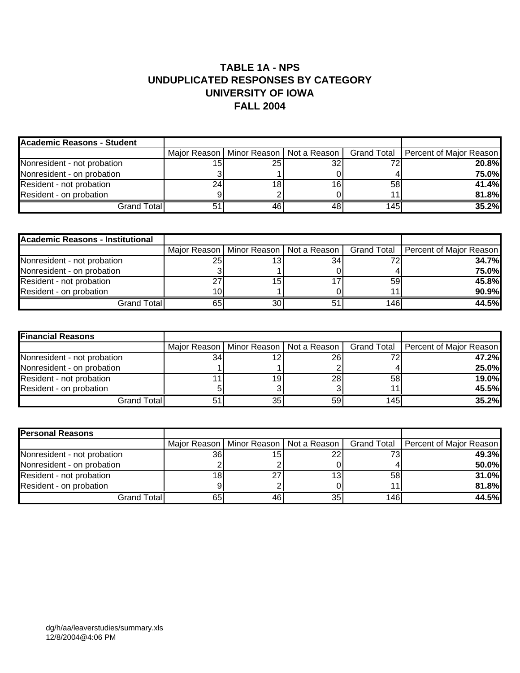#### **TABLE 1A - NPS UNDUPLICATED RESPONSES BY CATEGORY UNIVERSITY OF IOWA FALL 2004**

| Academic Reasons - Student  |    |      |                                            |                 |                                       |
|-----------------------------|----|------|--------------------------------------------|-----------------|---------------------------------------|
|                             |    |      | Major Reason   Minor Reason   Not a Reason |                 | Grand Total   Percent of Major Reason |
| Nonresident - not probation | 15 | 25 I | 32                                         | 72              | 20.8%                                 |
| Nonresident - on probation  |    |      |                                            |                 | 75.0%                                 |
| Resident - not probation    | 24 | 18   | 16                                         | 58 <sub>1</sub> | 41.4%                                 |
| Resident - on probation     |    |      |                                            | 44              | 81.8%                                 |
| Grand Total                 |    | 46   | 48                                         | 145             | 35.2%                                 |

| <b>Academic Reasons - Institutional</b> |    |                                            |    |     |                                       |
|-----------------------------------------|----|--------------------------------------------|----|-----|---------------------------------------|
|                                         |    | Major Reason   Minor Reason   Not a Reason |    |     | Grand Total   Percent of Major Reason |
| Nonresident - not probation             | 25 | 3ا                                         | 34 |     | 34.7%                                 |
| Nonresident - on probation              |    |                                            |    |     | 75.0%                                 |
| Resident - not probation                |    | 15                                         |    | 59  | 45.8%                                 |
| Resident - on probation                 |    |                                            |    |     | 90.9%                                 |
| Grand Totall                            | 65 | 30                                         |    | 146 | 44.5%                                 |

| <b>Financial Reasons</b>    |    |     |                                            |     |                                       |
|-----------------------------|----|-----|--------------------------------------------|-----|---------------------------------------|
|                             |    |     | Major Reason   Minor Reason   Not a Reason |     | Grand Total   Percent of Major Reason |
| Nonresident - not probation | 34 | 12  | 26I                                        | 72  | 47.2%                                 |
| Nonresident - on probation  |    |     |                                            |     | 25.0%                                 |
| Resident - not probation    |    | 19I | <b>28</b>                                  | 58  | 19.0%                                 |
| Resident - on probation     |    |     |                                            |     | 45.5%                                 |
| <b>Grand Total</b>          | 51 | 35  | 59                                         | 145 | 35.2%                                 |

| <b>Personal Reasons</b>     |    |     |                                            |     |                                       |
|-----------------------------|----|-----|--------------------------------------------|-----|---------------------------------------|
|                             |    |     | Major Reason   Minor Reason   Not a Reason |     | Grand Total   Percent of Major Reason |
| Nonresident - not probation | 36 | 151 | 22                                         | 73  | 49.3%                                 |
| Nonresident - on probation  |    |     |                                            |     | 50.0%                                 |
| Resident - not probation    | 18 | 27  | 13                                         | 58  | 31.0%                                 |
| Resident - on probation     |    |     |                                            | 11  | 81.8%                                 |
| Grand Total                 | 65 | 461 | 35                                         | 146 | 44.5%l                                |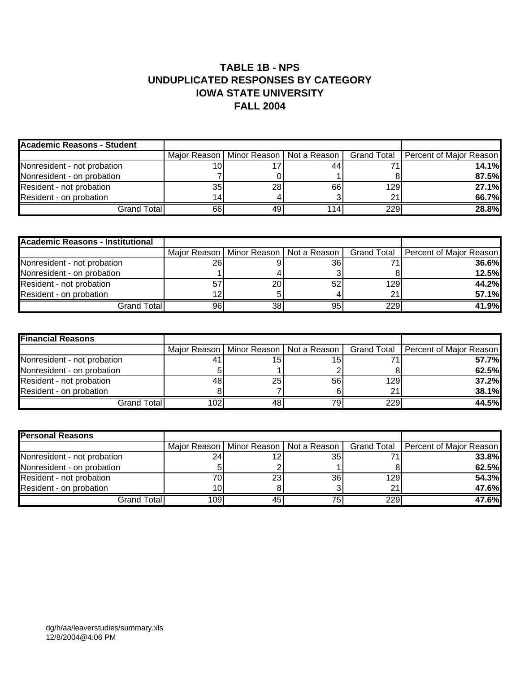#### **TABLE 1B - NPS UNDUPLICATED RESPONSES BY CATEGORY IOWA STATE UNIVERSITY FALL 2004**

| <b>Academic Reasons - Student</b> |    |     |                                            |     |                                       |
|-----------------------------------|----|-----|--------------------------------------------|-----|---------------------------------------|
|                                   |    |     | Major Reason   Minor Reason   Not a Reason |     | Grand Total   Percent of Major Reason |
| Nonresident - not probation       |    |     | 44                                         |     | 14.1%                                 |
| Nonresident - on probation        |    |     |                                            |     | 87.5%                                 |
| Resident - not probation          | 35 | 28  | 66                                         | 129 | 27.1%                                 |
| Resident - on probation           | 14 |     |                                            | 21  | 66.7%                                 |
| Grand Total                       | 66 | 491 | 114                                        | 229 | <b>28.8%</b>                          |

| <b>Academic Reasons - Institutional</b> |    |                 |                                            |     |                                       |
|-----------------------------------------|----|-----------------|--------------------------------------------|-----|---------------------------------------|
|                                         |    |                 | Major Reason   Minor Reason   Not a Reason |     | Grand Total   Percent of Major Reason |
| Nonresident - not probation             | 26 |                 | 36I                                        |     | 36.6%                                 |
| Nonresident - on probation              |    |                 |                                            |     | 12.5%                                 |
| Resident - not probation                | 57 | <b>20</b>       | 52                                         | 129 | 44.2%                                 |
| Resident - on probation                 |    |                 |                                            | 21  | 57.1%                                 |
| Grand Total                             | 96 | 38 <sup>1</sup> | 95                                         | 229 | 41.9%                                 |

| <b>Financial Reasons</b>    |     |     |                                            |                  |                                       |
|-----------------------------|-----|-----|--------------------------------------------|------------------|---------------------------------------|
|                             |     |     | Major Reason   Minor Reason   Not a Reason |                  | Grand Total   Percent of Major Reason |
| Nonresident - not probation |     | 15۱ | 15                                         |                  | 57.7%                                 |
| Nonresident - on probation  |     |     |                                            |                  | 62.5%                                 |
| Resident - not probation    | 48  | 25  | <b>56</b>                                  | 129 <sub>1</sub> | 37.2%                                 |
| Resident - on probation     |     |     |                                            | 21               | 38.1%                                 |
| Grand Total                 | 102 | 481 | 79ı                                        | 229              | 44.5%                                 |

| <b>Personal Reasons</b>     |     |                 |                                            |     |                                       |
|-----------------------------|-----|-----------------|--------------------------------------------|-----|---------------------------------------|
|                             |     |                 | Major Reason   Minor Reason   Not a Reason |     | Grand Total   Percent of Major Reason |
| Nonresident - not probation | 24  |                 | 35                                         |     | 33.8%                                 |
| Nonresident - on probation  |     |                 |                                            |     | 62.5%                                 |
| Resident - not probation    |     | 23 <sub>l</sub> | 36                                         | 129 | 54.3%                                 |
| Resident - on probation     |     |                 |                                            | 21  | 47.6%                                 |
| Grand Total                 | 109 | 451             | 75.                                        | 229 | 47.6%                                 |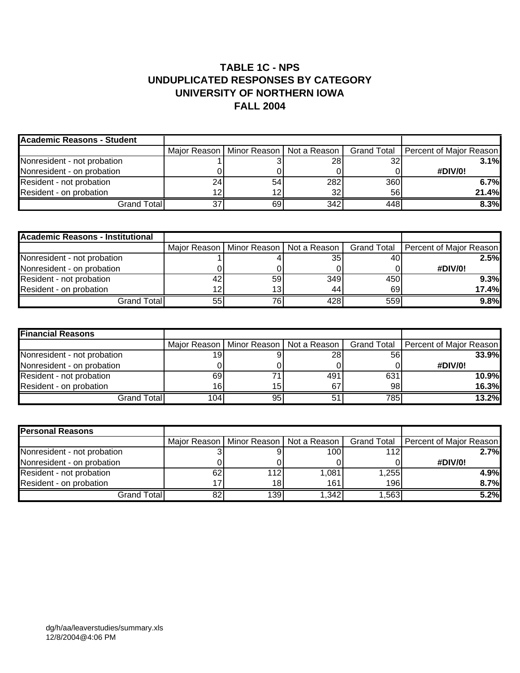#### **TABLE 1C - NPS UNDUPLICATED RESPONSES BY CATEGORY UNIVERSITY OF NORTHERN IOWA FALL 2004**

| <b>Academic Reasons - Student</b> |    |    |                                            |     |                                       |
|-----------------------------------|----|----|--------------------------------------------|-----|---------------------------------------|
|                                   |    |    | Major Reason   Minor Reason   Not a Reason |     | Grand Total   Percent of Major Reason |
| Nonresident - not probation       |    |    | 28                                         | 32  | 3.1%                                  |
| Nonresident - on probation        |    |    |                                            |     | #DIV/0!                               |
| Resident - not probation          |    | 54 | 282                                        | 360 | 6.7%                                  |
| Resident - on probation           |    | 12 | 32                                         | 56  | 21.4%                                 |
| Grand Total                       | 37 | 69 | 342                                        | 448 | 8.3%                                  |

| <b>Academic Reasons - Institutional</b> |    |                 |                                            |     |                                       |
|-----------------------------------------|----|-----------------|--------------------------------------------|-----|---------------------------------------|
|                                         |    |                 | Major Reason   Minor Reason   Not a Reason |     | Grand Total   Percent of Major Reason |
| Nonresident - not probation             |    |                 | 35                                         | 40  | 2.5%                                  |
| Nonresident - on probation              |    |                 |                                            |     | #DIV/0!                               |
| Resident - not probation                | 42 | 59 <sub>l</sub> | 349                                        | 450 | 9.3%                                  |
| Resident - on probation                 |    | 13              | 44                                         | 69  | 17.4%                                 |
| Grand Total                             | 55 | 76ı             | 428                                        | 559 | 9.8%                                  |

| <b>Financial Reasons</b>    |                  |    |                                            |     |                                       |
|-----------------------------|------------------|----|--------------------------------------------|-----|---------------------------------------|
|                             |                  |    | Major Reason   Minor Reason   Not a Reason |     | Grand Total   Percent of Major Reason |
| Nonresident - not probation | 19.              |    | <b>28</b>                                  | 56  | 33.9%                                 |
| Nonresident - on probation  |                  |    |                                            |     | #DIV/0!                               |
| Resident - not probation    | 69               |    | 491                                        | 631 | <b>10.9%</b>                          |
| Resident - on probation     | 16.              | 15 | 67                                         | 98  | 16.3%                                 |
| Grand Total <b>l</b>        | 104 <sub>1</sub> | 95 |                                            | 785 | 13.2%                                 |

| <b>Personal Reasons</b>     |    |                                            |       |      |                                       |
|-----------------------------|----|--------------------------------------------|-------|------|---------------------------------------|
|                             |    | Major Reason   Minor Reason   Not a Reason |       |      | Grand Total   Percent of Major Reason |
| Nonresident - not probation |    |                                            | 100   | 112  | 2.7%                                  |
| Nonresident - on probation  |    |                                            |       |      | #DIV/0!                               |
| Resident - not probation    | 62 | 1121                                       | 1,081 | ,255 | 4.9%                                  |
| Resident - on probation     |    | 18 <sub>l</sub>                            | 161   | 196  | 8.7%                                  |
| Grand Total                 | 82 | 1391                                       | 1,342 | .563 | 5.2%                                  |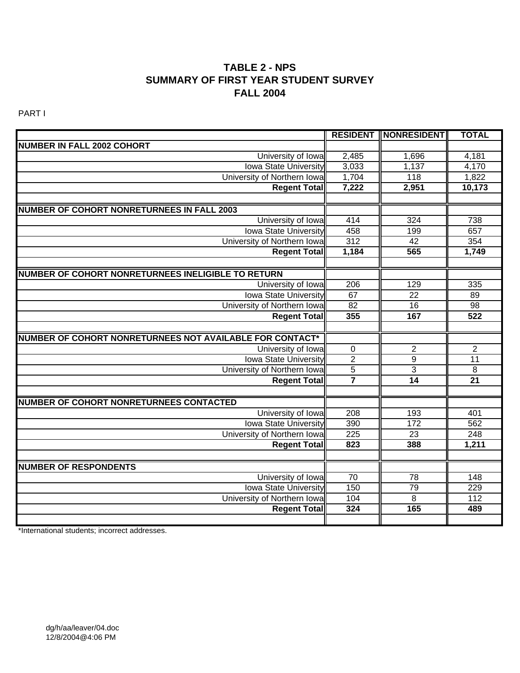#### **TABLE 2 - NPS SUMMARY OF FIRST YEAR STUDENT SURVEY FALL 2004**

PART I

|                                                          |                  | <b>RESIDENT   NONRESIDENT </b> | <b>TOTAL</b>     |
|----------------------------------------------------------|------------------|--------------------------------|------------------|
| <b>NUMBER IN FALL 2002 COHORT</b>                        |                  |                                |                  |
| University of Iowa                                       | 2,485            | 1,696                          | 4,181            |
| <b>Iowa State University</b>                             | 3,033            | 1,137                          | 4,170            |
| University of Northern Iowa                              | 1,704            | 118                            | 1,822            |
| <b>Regent Total</b>                                      | 7,222            | 2,951                          | 10,173           |
|                                                          |                  |                                |                  |
| <b>NUMBER OF COHORT NONRETURNEES IN FALL 2003</b>        |                  |                                |                  |
| University of Iowa                                       | 414              | 324                            | 738              |
| <b>Iowa State University</b>                             | 458              | 199                            | 657              |
| University of Northern Iowa                              | 312              | 42                             | 354              |
| <b>Regent Total</b>                                      | 1,184            | 565                            | 1,749            |
|                                                          |                  |                                |                  |
| NUMBER OF COHORT NONRETURNEES INELIGIBLE TO RETURN       |                  |                                |                  |
| University of Iowa                                       | $\overline{206}$ | 129                            | $\frac{1}{335}$  |
| <b>Iowa State University</b>                             | 67               | $\overline{22}$                | 89               |
| University of Northern Iowa                              | 82               | 16                             | $\overline{98}$  |
| <b>Regent Total</b>                                      | 355              | 167                            | 522              |
|                                                          |                  |                                |                  |
| NUMBER OF COHORT NONRETURNEES NOT AVAILABLE FOR CONTACT* |                  |                                |                  |
| University of Iowa                                       | $\pmb{0}$        | $\overline{2}$                 | $\overline{2}$   |
| <b>Iowa State University</b>                             | $\overline{2}$   | $\overline{9}$                 | 11               |
| University of Northern Iowa                              | $\overline{5}$   | $\overline{3}$                 | $\, 8$           |
| <b>Regent Total</b>                                      | $\overline{7}$   | 14                             | $\overline{21}$  |
|                                                          |                  |                                |                  |
| NUMBER OF COHORT NONRETURNEES CONTACTED                  |                  |                                |                  |
| University of Iowa                                       | 208              | 193                            | 401              |
| <b>Iowa State University</b>                             | 390              | 172                            | 562              |
| University of Northern Iowa                              | 225              | $\overline{23}$                | 248              |
| <b>Regent Total</b>                                      | 823              | 388                            | 1,211            |
|                                                          |                  |                                |                  |
| <b>NUMBER OF RESPONDENTS</b>                             |                  |                                |                  |
| University of Iowa                                       | $\overline{70}$  | $\overline{78}$                | $\overline{148}$ |
| <b>Iowa State University</b>                             | 150              | 79                             | 229              |
| University of Northern Iowa                              | 104              | $\overline{8}$                 | 112              |
| <b>Regent Total</b>                                      | 324              | 165                            | 489              |
|                                                          |                  |                                |                  |

\*International students; incorrect addresses.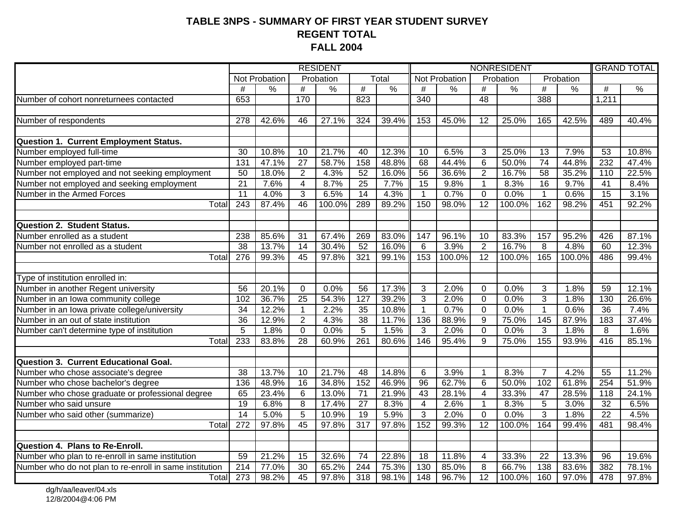#### **TABLE 3NPS - SUMMARY OF FIRST YEAR STUDENT SURVEYREGENT TOTAL FALL 2004**

|                                                                            |                  |                          |                         | <b>RESIDENT</b> |                 |               |                 |               |                 | NONRESIDENT   |                 |               | <b>GRAND TOTAL</b> |               |
|----------------------------------------------------------------------------|------------------|--------------------------|-------------------------|-----------------|-----------------|---------------|-----------------|---------------|-----------------|---------------|-----------------|---------------|--------------------|---------------|
|                                                                            |                  | <b>Not Probation</b>     |                         | Probation       |                 | Total         |                 | Not Probation |                 | Probation     |                 | Probation     |                    |               |
|                                                                            | #                | $\overline{\frac{9}{6}}$ | $\overline{\#}$         | $\frac{0}{0}$   | #               | $\frac{0}{6}$ | $\overline{\#}$ | $\frac{0}{0}$ | #               | $\frac{0}{6}$ | $\overline{\#}$ | $\frac{0}{0}$ | $\overline{\#}$    | $\frac{0}{0}$ |
| Number of cohort nonreturnees contacted                                    | 653              |                          | 170                     |                 | 823             |               | 340             |               | 48              |               | 388             |               | 1,211              |               |
|                                                                            |                  |                          |                         |                 |                 |               |                 |               |                 |               |                 |               |                    |               |
| Number of respondents                                                      | 278              | 42.6%                    | 46                      | 27.1%           | 324             | 39.4%         | 153             | 45.0%         | 12              | 25.0%         | 165             | 42.5%         | 489                | 40.4%         |
|                                                                            |                  |                          |                         |                 |                 |               |                 |               |                 |               |                 |               |                    |               |
| Question 1. Current Employment Status.                                     |                  |                          |                         |                 |                 |               |                 |               |                 |               |                 |               |                    |               |
| Number employed full-time                                                  | 30               | 10.8%                    | 10                      | 21.7%           | 40              | 12.3%         | 10              | 6.5%          | 3               | 25.0%         | 13              | 7.9%          | 53                 | 10.8%         |
| Number employed part-time                                                  | 131              | 47.1%                    | $\overline{27}$         | 58.7%           | 158             | 48.8%         | 68              | 44.4%         | $6\phantom{1}6$ | 50.0%         | $\overline{74}$ | 44.8%         | 232                | 47.4%         |
| Number not employed and not seeking employment                             | 50               | 18.0%                    | $\overline{2}$          | 4.3%            | $\overline{52}$ | 16.0%         | $\overline{56}$ | 36.6%         | $\overline{2}$  | 16.7%         | $\overline{58}$ | 35.2%         | 110                | 22.5%         |
| Number not employed and seeking employment                                 | $\overline{21}$  | 7.6%                     | $\overline{\mathbf{4}}$ | 8.7%            | $\overline{25}$ | 7.7%          | $\overline{15}$ | 9.8%          | $\mathbf{1}$    | 8.3%          | $\overline{16}$ | 9.7%          | 41                 | 8.4%          |
| Number in the Armed Forces                                                 | $\overline{11}$  | 4.0%                     | 3                       | 6.5%            | $\overline{14}$ | 4.3%          | $\mathbf{1}$    | 0.7%          | $\overline{0}$  | 0.0%          | $\mathbf{1}$    | 0.6%          | $\overline{15}$    | 3.1%          |
| Total                                                                      | $\overline{243}$ | 87.4%                    | $\overline{46}$         | 100.0%          | 289             | 89.2%         | 150             | 98.0%         | $\overline{12}$ | 100.0%        | 162             | 98.2%         | 451                | 92.2%         |
|                                                                            |                  |                          |                         |                 |                 |               |                 |               |                 |               |                 |               |                    |               |
| <b>Question 2. Student Status.</b>                                         |                  |                          |                         |                 |                 |               |                 |               |                 |               |                 |               |                    |               |
| Number enrolled as a student                                               | 238              | 85.6%                    | 31                      | 67.4%           | 269             | 83.0%         | 147             | 96.1%         | 10              | 83.3%         | 157             | 95.2%         | 426                | 87.1%         |
| Number not enrolled as a student                                           | 38               | 13.7%                    | $\overline{14}$         | 30.4%           | 52              | 16.0%         | 6               | 3.9%          | $\overline{2}$  | 16.7%         | 8               | 4.8%          | 60                 | 12.3%         |
| Total                                                                      | $\overline{276}$ | 99.3%                    | 45                      | 97.8%           | 321             | 99.1%         | 153             | 100.0%        | $\overline{12}$ | 100.0%        | 165             | 100.0%        | 486                | 99.4%         |
|                                                                            |                  |                          |                         |                 |                 |               |                 |               |                 |               |                 |               |                    |               |
| Type of institution enrolled in:                                           |                  |                          |                         |                 |                 |               |                 |               |                 |               |                 |               |                    |               |
| Number in another Regent university<br>Number in an Iowa community college | 56               | 20.1%                    | $\Omega$                | 0.0%            | 56              | 17.3%         | 3               | 2.0%          | $\overline{0}$  | 0.0%          | 3               | 1.8%          | 59                 | 12.1%         |
|                                                                            | 102              | 36.7%                    | $\overline{25}$         | 54.3%           | 127             | 39.2%         | $\overline{3}$  | 2.0%          | $\overline{0}$  | 0.0%          | $\overline{3}$  | 1.8%          | 130                | 26.6%         |
| Number in an Iowa private college/university                               | $\overline{34}$  | 12.2%                    | $\mathbf{1}$            | 2.2%            | $\overline{35}$ | 10.8%         | $\mathbf 1$     | 0.7%          | $\overline{0}$  | 0.0%          | $\mathbf{1}$    | 0.6%          | $\overline{36}$    | 7.4%          |
| Number in an out of state institution                                      | $\overline{36}$  | 12.9%                    | $\overline{2}$          | 4.3%            | $\overline{38}$ | 11.7%         | 136             | 88.9%         | $\overline{9}$  | 75.0%         | 145             | 87.9%         | 183                | 37.4%         |
| Number can't determine type of institution                                 | $\overline{5}$   | 1.8%                     | $\Omega$                | 0.0%            | $\overline{5}$  | 1.5%          | $\overline{3}$  | 2.0%          | $\Omega$        | 0.0%          | $\overline{3}$  | 1.8%          | 8                  | 1.6%          |
| Total                                                                      | 233              | 83.8%                    | $\overline{28}$         | 60.9%           | 261             | 80.6%         | 146             | 95.4%         | $\overline{9}$  | 75.0%         | 155             | 93.9%         | 416                | 85.1%         |
|                                                                            |                  |                          |                         |                 |                 |               |                 |               |                 |               |                 |               |                    |               |
| <b>Question 3. Current Educational Goal.</b>                               |                  |                          |                         |                 |                 |               |                 |               |                 |               |                 |               |                    |               |
| Number who chose associate's degree                                        | 38               | 13.7%                    | 10                      | 21.7%           | 48              | 14.8%         | 6               | 3.9%          | $\mathbf 1$     | 8.3%          | $\overline{7}$  | 4.2%          | 55                 | 11.2%         |
| Number who chose bachelor's degree                                         | 136              | 48.9%                    | 16                      | 34.8%           | 152             | 46.9%         | 96              | 62.7%         | $\overline{6}$  | 50.0%         | 102             | 61.8%         | 254                | 51.9%         |
| Number who chose graduate or professional degree                           | 65               | 23.4%                    | 6                       | 13.0%           | $\overline{71}$ | 21.9%         | $\overline{43}$ | 28.1%         | 4               | 33.3%         | $\overline{47}$ | 28.5%         | 118                | 24.1%         |
| Number who said unsure                                                     | $\overline{19}$  | 6.8%                     | 8                       | 17.4%           | 27              | 8.3%          | $\overline{4}$  | 2.6%          | $\mathbf{1}$    | 8.3%          | 5               | 3.0%          | $\overline{32}$    | 6.5%          |
| Number who said other (summarize)                                          | $\overline{14}$  | 5.0%                     | 5                       | 10.9%           | 19              | 5.9%          | 3               | 2.0%          | $\overline{0}$  | 0.0%          | 3               | 1.8%          | $\overline{22}$    | 4.5%          |
| Total                                                                      | 272              | 97.8%                    | 45                      | 97.8%           | 317             | 97.8%         | 152             | 99.3%         | 12              | 100.0%        | 164             | 99.4%         | 481                | 98.4%         |
|                                                                            |                  |                          |                         |                 |                 |               |                 |               |                 |               |                 |               |                    |               |
| Question 4. Plans to Re-Enroll.                                            |                  |                          |                         |                 |                 |               |                 |               |                 |               |                 |               |                    |               |
| Number who plan to re-enroll in same institution                           | 59               | 21.2%                    | 15                      | 32.6%           | 74              | 22.8%         | 18              | 11.8%         | 4               | 33.3%         | 22              | 13.3%         | 96                 | 19.6%         |
| Number who do not plan to re-enroll in same institution                    | 214              | 77.0%                    | $\overline{30}$         | 65.2%           | 244             | 75.3%         | 130             | 85.0%         | 8               | 66.7%         | 138             | 83.6%         | 382                | 78.1%         |
| Total                                                                      | 273              | 98.2%                    | 45                      | 97.8%           | 318             | 98.1%         | 148             | 96.7%         | $\overline{12}$ | 100.0%        | 160             | 97.0%         | 478                | 97.8%         |

dg/h/aa/leaver/04.xls 12/8/2004@4:06 PM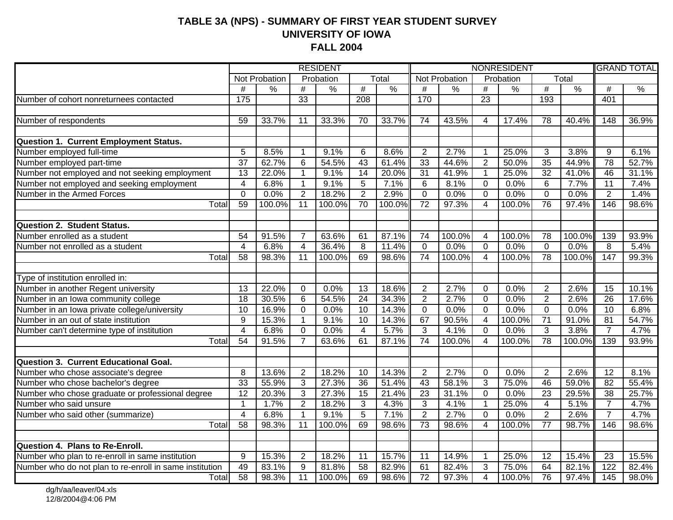#### **TABLE 3A (NPS) - SUMMARY OF FIRST YEAR STUDENT SURVEY UNIVERSITY OF IOWA FALL 2004**

|                                                         |                         |                |                   | <b>RESIDENT</b> |                       |               |                 |               |                         | NONRESIDENT   |                      |               | <b>GRAND TOTAL</b> |               |  |
|---------------------------------------------------------|-------------------------|----------------|-------------------|-----------------|-----------------------|---------------|-----------------|---------------|-------------------------|---------------|----------------------|---------------|--------------------|---------------|--|
|                                                         |                         | Not Probation  |                   | Probation       |                       | Total         |                 | Not Probation |                         | Probation     |                      | Total         |                    |               |  |
|                                                         | #                       | $\%$           | #                 | %               | $\overline{\#}$       | $\frac{0}{2}$ | #               | $\frac{9}{6}$ | $\#$                    | $\frac{9}{6}$ | $\overline{\#}$      | $\frac{9}{6}$ | #                  | $\frac{0}{6}$ |  |
| Number of cohort nonreturnees contacted                 | $\frac{175}{175}$       |                | 33                |                 | $\overline{208}$      |               | 170             |               | $\overline{23}$         |               | 193                  |               | 401                |               |  |
|                                                         |                         |                |                   |                 |                       |               |                 |               |                         |               |                      |               |                    |               |  |
| Number of respondents                                   | 59                      | 33.7%          | 11                | 33.3%           | 70                    | 33.7%         | 74              | 43.5%         | 4                       | 17.4%         | 78                   | 40.4%         | 148                | 36.9%         |  |
|                                                         |                         |                |                   |                 |                       |               |                 |               |                         |               |                      |               |                    |               |  |
| <b>Question 1. Current Employment Status.</b>           |                         |                |                   |                 |                       |               |                 |               |                         |               |                      |               |                    |               |  |
| Number employed full-time                               | 5                       | 8.5%           | $\mathbf{1}$      | 9.1%            | 6                     | 8.6%          | $\overline{2}$  | 2.7%          | -1                      | 25.0%         | 3                    | 3.8%          | 9                  | 6.1%          |  |
| Number employed part-time                               | $\overline{37}$         | 62.7%          | $6\phantom{1}6$   | 54.5%           | 43                    | 61.4%         | 33              | 44.6%         | $\overline{2}$          | 50.0%         | 35                   | 44.9%         | $\overline{78}$    | 52.7%         |  |
| Number not employed and not seeking employment          | 13                      | 22.0%          | $\mathbf{1}$      | 9.1%            | 14                    | 20.0%         | 31              | 41.9%         | $\overline{1}$          | 25.0%         | $\overline{32}$      | 41.0%         | 46                 | 31.1%         |  |
| Number not employed and seeking employment              | $\overline{4}$          | 6.8%           | $\mathbf{1}$      | 9.1%            | 5                     | 7.1%          | 6               | 8.1%          | $\overline{0}$          | 0.0%          | 6                    | 7.7%          | 11                 | 7.4%          |  |
| Number in the Armed Forces                              | $\mathbf 0$             | 0.0%           | $\overline{2}$    | 18.2%           | $\overline{2}$        | 2.9%          | $\pmb{0}$       | 0.0%          | $\Omega$                | 0.0%          | $\mathbf 0$          | 0.0%          | $\overline{2}$     | 1.4%          |  |
| Total                                                   | 59                      | 100.0%         | 11                | 100.0%          | 70                    | 100.0%        | $\overline{72}$ | 97.3%         | 4                       | 100.0%        | $\overline{76}$      | 97.4%         | 146                | 98.6%         |  |
| <b>Question 2. Student Status.</b>                      |                         |                |                   |                 |                       |               |                 |               |                         |               |                      |               |                    |               |  |
| Number enrolled as a student                            | 54                      | 91.5%          | $\overline{7}$    | 63.6%           | 61                    | 87.1%         | 74              | 100.0%        | 4                       | 100.0%        | 78                   | 100.0%        | 139                | 93.9%         |  |
| Number not enrolled as a student                        | $\overline{4}$          | 6.8%           | $\overline{4}$    | 36.4%           | 8                     | 11.4%         | $\mathbf 0$     | 0.0%          | $\Omega$                | 0.0%          | $\mathbf 0$          | 0.0%          | 8                  | 5.4%          |  |
| Total                                                   | $\overline{58}$         | 98.3%          | 11                | 100.0%          | 69                    | 98.6%         | $\overline{74}$ | 100.0%        | $\overline{4}$          | 100.0%        | $\overline{78}$      | 100.0%        | 147                | 99.3%         |  |
|                                                         |                         |                |                   |                 |                       |               |                 |               |                         |               |                      |               |                    |               |  |
| Type of institution enrolled in:                        |                         |                |                   |                 |                       |               |                 |               |                         |               |                      |               |                    |               |  |
| Number in another Regent university                     | 13                      | 22.0%          | $\mathbf 0$       | 0.0%            | 13                    | 18.6%         | $\overline{2}$  | 2.7%          | $\Omega$                | 0.0%          | $\overline{2}$       | 2.6%          | 15                 | 10.1%         |  |
| Number in an lowa community college                     | 18                      | 30.5%          | $\overline{6}$    | 54.5%           | 24                    | 34.3%         | $\overline{2}$  | 2.7%          | 0                       | 0.0%          | $\overline{2}$       | 2.6%          | 26                 | 17.6%         |  |
| Number in an Iowa private college/university            | $\overline{10}$         | 16.9%          | $\mathbf 0$       | 0.0%            | 10                    | 14.3%         | $\overline{0}$  | 0.0%          | $\mathbf 0$             | 0.0%          | $\overline{0}$       | 0.0%          | 10                 | 6.8%          |  |
| Number in an out of state institution                   | $\overline{9}$          | 15.3%          | $\mathbf{1}$      | 9.1%            | 10                    | 14.3%         | 67              | 90.5%         | $\overline{4}$          | 100.0%        | $\overline{71}$      | 91.0%         | $\overline{81}$    | 54.7%         |  |
| Number can't determine type of institution              | $\overline{4}$          | 6.8%           | $\Omega$          | 0.0%            | $\overline{4}$        | 5.7%          | $\overline{3}$  | 4.1%          | $\Omega$                | 0.0%          | $\overline{3}$       | 3.8%          | $\overline{7}$     | 4.7%          |  |
| Total                                                   | $\overline{54}$         | 91.5%          | $\overline{7}$    | 63.6%           | 61                    | 87.1%         | $\overline{74}$ | 100.0%        | 4                       | 100.0%        | $\overline{78}$      | 100.0%        | 139                | 93.9%         |  |
|                                                         |                         |                |                   |                 |                       |               |                 |               |                         |               |                      |               |                    |               |  |
| <b>Question 3. Current Educational Goal.</b>            |                         |                |                   |                 |                       | 14.3%         |                 |               |                         |               |                      | 2.6%          | 12                 |               |  |
| Number who chose associate's degree                     | 8<br>$\overline{33}$    | 13.6%<br>55.9% | $\overline{2}$    | 18.2%<br>27.3%  | 10<br>$\overline{36}$ | 51.4%         | $\mathbf{2}$    | 2.7%<br>58.1% | $\mathbf 0$<br>3        | 0.0%<br>75.0% | $\overline{2}$<br>46 | 59.0%         | 82                 | 8.1%          |  |
| Number who chose bachelor's degree                      | 12                      |                | $\mathbf{3}$<br>3 |                 | 15                    |               | 43              |               | $\mathbf 0$             | 0.0%          |                      |               | $\overline{38}$    | 55.4%         |  |
| Number who chose graduate or professional degree        |                         | 20.3%          |                   | 27.3%           |                       | 21.4%         | 23              | 31.1%         | $\overline{\mathbf{1}}$ |               | 23                   | 29.5%         | $\overline{7}$     | 25.7%         |  |
| Number who said unsure                                  | $\mathbf{1}$            | 1.7%           | $\overline{2}$    | 18.2%           | $\overline{3}$        | 4.3%          | 3               | 4.1%          |                         | 25.0%         | $\overline{4}$       | 5.1%          |                    | 4.7%          |  |
| Number who said other (summarize)                       | $\overline{\mathbf{4}}$ | 6.8%           | $\mathbf{1}$      | 9.1%            | $\overline{5}$        | 7.1%          | $\overline{2}$  | 2.7%          | $\Omega$                | 0.0%          | $\overline{2}$       | 2.6%          | $\overline{7}$     | 4.7%          |  |
| Total                                                   | $\overline{58}$         | 98.3%          | 11                | 100.0%          | 69                    | 98.6%         | 73              | 98.6%         | 4                       | 100.0%        | $\overline{77}$      | 98.7%         | 146                | 98.6%         |  |
| Question 4. Plans to Re-Enroll.                         |                         |                |                   |                 |                       |               |                 |               |                         |               |                      |               |                    |               |  |
| Number who plan to re-enroll in same institution        | 9                       | 15.3%          | $\overline{2}$    | 18.2%           | 11                    | 15.7%         | 11              | 14.9%         | $\overline{1}$          | 25.0%         | 12                   | 15.4%         | 23                 | 15.5%         |  |
| Number who do not plan to re-enroll in same institution | 49                      | 83.1%          | $\overline{9}$    | 81.8%           | 58                    | 82.9%         | 61              | 82.4%         | $\overline{3}$          | 75.0%         | 64                   | 82.1%         | 122                | 82.4%         |  |
| Total                                                   | 58                      | 98.3%          | 11                | 100.0%          | 69                    | 98.6%         | $\overline{72}$ | 97.3%         | $\overline{\mathbf{4}}$ | 100.0%        | 76                   | 97.4%         | 145                | 98.0%         |  |

dg/h/aa/leaver/04.xls 12/8/2004@4:06 PM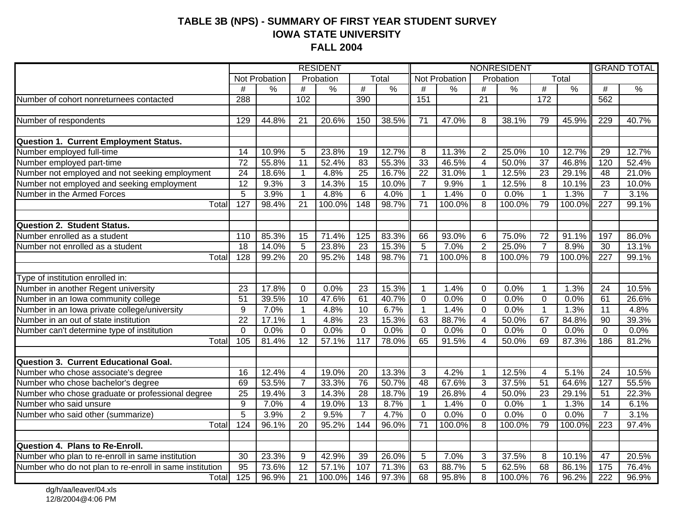#### **TABLE 3B (NPS) - SUMMARY OF FIRST YEAR STUDENT SURVEY IOWA STATE UNIVERSITY FALL 2004**

| $\overline{T}$ <sub>O</sub> tal<br>Total<br>Not Probation<br>Not Probation<br>Probation<br>Probation<br>#<br>$\frac{0}{0}$<br>#<br>$\overline{\#}$<br>$\overline{\#}$<br>$\frac{0}{6}$<br>$\overline{\#}$<br>$\frac{0}{6}$<br>$\frac{0}{6}$<br>$\frac{0}{2}$<br>%<br>$\#$<br>$\frac{9}{6}$<br>$\#$<br>Number of cohort nonreturnees contacted<br>562<br>288<br>102<br>$\overline{21}$<br>172<br>390<br>151<br>Number of respondents<br>44.8%<br>20.6%<br>150<br>38.5%<br>47.0%<br>38.1%<br>229<br>129<br>21<br>71<br>8<br>79<br>45.9%<br><b>Question 1. Current Employment Status.</b><br>Number employed full-time<br>14<br>10.9%<br>23.8%<br>12.7%<br>11.3%<br>$\overline{2}$<br>25.0%<br>12.7%<br>29<br>5<br>19<br>8<br>10<br>Number employed part-time<br>46.5%<br>$\overline{72}$<br>55.8%<br>52.4%<br>83<br>55.3%<br>33<br>$\overline{37}$<br>46.8%<br>11<br>$\overline{4}$<br>50.0%<br>120<br>Number not employed and not seeking employment<br>$\overline{25}$<br>31.0%<br>$\overline{24}$<br>18.6%<br>4.8%<br>16.7%<br>$\overline{22}$<br>12.5%<br>$\overline{23}$<br>29.1%<br>48<br>$\mathbf{1}$<br>$\mathbf 1$<br>Number not employed and seeking employment<br>$\overline{12}$<br>3<br>15<br>$\overline{7}$<br>8<br>$\overline{23}$<br>9.3%<br>14.3%<br>9.9%<br>$\mathbf{1}$<br>12.5%<br>10.1%<br>10.0% |                            |                |      |                | <b>RESIDENT</b> |                |      |              |      |                | NONRESIDENT |              |      | <b>GRAND TOTAL</b> |       |
|---------------------------------------------------------------------------------------------------------------------------------------------------------------------------------------------------------------------------------------------------------------------------------------------------------------------------------------------------------------------------------------------------------------------------------------------------------------------------------------------------------------------------------------------------------------------------------------------------------------------------------------------------------------------------------------------------------------------------------------------------------------------------------------------------------------------------------------------------------------------------------------------------------------------------------------------------------------------------------------------------------------------------------------------------------------------------------------------------------------------------------------------------------------------------------------------------------------------------------------------------------------------------------------------------------------------|----------------------------|----------------|------|----------------|-----------------|----------------|------|--------------|------|----------------|-------------|--------------|------|--------------------|-------|
|                                                                                                                                                                                                                                                                                                                                                                                                                                                                                                                                                                                                                                                                                                                                                                                                                                                                                                                                                                                                                                                                                                                                                                                                                                                                                                                     |                            |                |      |                |                 |                |      |              |      |                |             |              |      |                    |       |
|                                                                                                                                                                                                                                                                                                                                                                                                                                                                                                                                                                                                                                                                                                                                                                                                                                                                                                                                                                                                                                                                                                                                                                                                                                                                                                                     |                            |                |      |                |                 |                |      |              |      |                |             |              |      |                    |       |
|                                                                                                                                                                                                                                                                                                                                                                                                                                                                                                                                                                                                                                                                                                                                                                                                                                                                                                                                                                                                                                                                                                                                                                                                                                                                                                                     |                            |                |      |                |                 |                |      |              |      |                |             |              |      |                    |       |
|                                                                                                                                                                                                                                                                                                                                                                                                                                                                                                                                                                                                                                                                                                                                                                                                                                                                                                                                                                                                                                                                                                                                                                                                                                                                                                                     |                            |                |      |                |                 |                |      |              |      |                |             |              |      |                    |       |
|                                                                                                                                                                                                                                                                                                                                                                                                                                                                                                                                                                                                                                                                                                                                                                                                                                                                                                                                                                                                                                                                                                                                                                                                                                                                                                                     |                            |                |      |                |                 |                |      |              |      |                |             |              |      |                    | 40.7% |
|                                                                                                                                                                                                                                                                                                                                                                                                                                                                                                                                                                                                                                                                                                                                                                                                                                                                                                                                                                                                                                                                                                                                                                                                                                                                                                                     |                            |                |      |                |                 |                |      |              |      |                |             |              |      |                    |       |
|                                                                                                                                                                                                                                                                                                                                                                                                                                                                                                                                                                                                                                                                                                                                                                                                                                                                                                                                                                                                                                                                                                                                                                                                                                                                                                                     |                            |                |      |                |                 |                |      |              |      |                |             |              |      |                    |       |
|                                                                                                                                                                                                                                                                                                                                                                                                                                                                                                                                                                                                                                                                                                                                                                                                                                                                                                                                                                                                                                                                                                                                                                                                                                                                                                                     |                            |                |      |                |                 |                |      |              |      |                |             |              |      |                    | 12.7% |
|                                                                                                                                                                                                                                                                                                                                                                                                                                                                                                                                                                                                                                                                                                                                                                                                                                                                                                                                                                                                                                                                                                                                                                                                                                                                                                                     |                            |                |      |                |                 |                |      |              |      |                |             |              |      |                    | 52.4% |
|                                                                                                                                                                                                                                                                                                                                                                                                                                                                                                                                                                                                                                                                                                                                                                                                                                                                                                                                                                                                                                                                                                                                                                                                                                                                                                                     |                            |                |      |                |                 |                |      |              |      |                |             |              |      |                    | 21.0% |
|                                                                                                                                                                                                                                                                                                                                                                                                                                                                                                                                                                                                                                                                                                                                                                                                                                                                                                                                                                                                                                                                                                                                                                                                                                                                                                                     |                            |                |      |                |                 |                |      |              |      |                |             |              |      |                    | 10.0% |
|                                                                                                                                                                                                                                                                                                                                                                                                                                                                                                                                                                                                                                                                                                                                                                                                                                                                                                                                                                                                                                                                                                                                                                                                                                                                                                                     | Number in the Armed Forces | $\overline{5}$ | 3.9% | $\overline{1}$ | 4.8%            | $\overline{6}$ | 4.0% | $\mathbf{1}$ | 1.4% | $\overline{0}$ | 0.0%        | $\mathbf{1}$ | 1.3% | $\overline{7}$     | 3.1%  |
| 127<br>148<br>Total<br>21<br>100.0%<br>98.7%<br>71<br>100.0%<br>8<br>100.0%<br>79<br>$\overline{227}$<br>98.4%<br>100.0%                                                                                                                                                                                                                                                                                                                                                                                                                                                                                                                                                                                                                                                                                                                                                                                                                                                                                                                                                                                                                                                                                                                                                                                            |                            |                |      |                |                 |                |      |              |      |                |             |              |      |                    | 99.1% |
|                                                                                                                                                                                                                                                                                                                                                                                                                                                                                                                                                                                                                                                                                                                                                                                                                                                                                                                                                                                                                                                                                                                                                                                                                                                                                                                     |                            |                |      |                |                 |                |      |              |      |                |             |              |      |                    |       |
| <b>Question 2. Student Status.</b>                                                                                                                                                                                                                                                                                                                                                                                                                                                                                                                                                                                                                                                                                                                                                                                                                                                                                                                                                                                                                                                                                                                                                                                                                                                                                  |                            |                |      |                |                 |                |      |              |      |                |             |              |      |                    |       |
| Number enrolled as a student<br>83.3%<br>85.3%<br>71.4%<br>125<br>93.0%<br>$6\phantom{1}6$<br>75.0%<br>72<br>91.1%<br>197<br>110<br>15<br>66                                                                                                                                                                                                                                                                                                                                                                                                                                                                                                                                                                                                                                                                                                                                                                                                                                                                                                                                                                                                                                                                                                                                                                        |                            |                |      |                |                 |                |      |              |      |                |             |              |      |                    | 86.0% |
| Number not enrolled as a student<br>18<br>23.8%<br>$\overline{23}$<br>15.3%<br>$\overline{5}$<br>7.0%<br>$\overline{2}$<br>$\overline{7}$<br>8.9%<br>14.0%<br>5<br>25.0%<br>$\overline{30}$                                                                                                                                                                                                                                                                                                                                                                                                                                                                                                                                                                                                                                                                                                                                                                                                                                                                                                                                                                                                                                                                                                                         |                            |                |      |                |                 |                |      |              |      |                |             |              |      |                    | 13.1% |
| $\overline{71}$<br>128<br>99.2%<br>$\overline{20}$<br>95.2%<br>$\overline{148}$<br>98.7%<br>100.0%<br>8<br>79<br>100.0%<br>$\overline{227}$<br>Total<br>100.0%                                                                                                                                                                                                                                                                                                                                                                                                                                                                                                                                                                                                                                                                                                                                                                                                                                                                                                                                                                                                                                                                                                                                                      |                            |                |      |                |                 |                |      |              |      |                |             |              |      |                    | 99.1% |
|                                                                                                                                                                                                                                                                                                                                                                                                                                                                                                                                                                                                                                                                                                                                                                                                                                                                                                                                                                                                                                                                                                                                                                                                                                                                                                                     |                            |                |      |                |                 |                |      |              |      |                |             |              |      |                    |       |
| Type of institution enrolled in:                                                                                                                                                                                                                                                                                                                                                                                                                                                                                                                                                                                                                                                                                                                                                                                                                                                                                                                                                                                                                                                                                                                                                                                                                                                                                    |                            |                |      |                |                 |                |      |              |      |                |             |              |      |                    |       |
| 23<br>15.3%<br>1.4%<br>24<br>23<br>17.8%<br>$\Omega$<br>0.0%<br>$\mathbf 1$<br>$\Omega$<br>0.0%<br>$\mathbf 1$<br>1.3%                                                                                                                                                                                                                                                                                                                                                                                                                                                                                                                                                                                                                                                                                                                                                                                                                                                                                                                                                                                                                                                                                                                                                                                              |                            |                |      |                |                 |                |      |              |      |                |             |              |      |                    | 10.5% |
| Number in another Regent university<br>Number in an Iowa community college<br>51<br>61<br>0.0%<br>61<br>39.5%<br>10<br>47.6%<br>40.7%<br>$\overline{0}$<br>0.0%<br>$\overline{0}$<br>0.0%<br>$\overline{0}$                                                                                                                                                                                                                                                                                                                                                                                                                                                                                                                                                                                                                                                                                                                                                                                                                                                                                                                                                                                                                                                                                                         |                            |                |      |                |                 |                |      |              |      |                |             |              |      |                    | 26.6% |
| Number in an Iowa private college/university<br>6.7%<br>$\overline{9}$<br>7.0%<br>4.8%<br>10<br>1.4%<br>$\overline{0}$<br>0.0%<br>1.3%<br>$\mathbf{1}$<br>$\mathbf{1}$<br>$\overline{1}$<br>$\overline{11}$                                                                                                                                                                                                                                                                                                                                                                                                                                                                                                                                                                                                                                                                                                                                                                                                                                                                                                                                                                                                                                                                                                         |                            |                |      |                |                 |                |      |              |      |                |             |              |      |                    | 4.8%  |
| Number in an out of state institution<br>$\overline{22}$<br>23<br>$\mathbf{1}$<br>15.3%<br>63<br>88.7%<br>$\overline{4}$<br>67<br>84.8%<br>$\overline{90}$<br>17.1%<br>4.8%<br>50.0%                                                                                                                                                                                                                                                                                                                                                                                                                                                                                                                                                                                                                                                                                                                                                                                                                                                                                                                                                                                                                                                                                                                                |                            |                |      |                |                 |                |      |              |      |                |             |              |      |                    | 39.3% |
| Number can't determine type of institution<br>$\mathbf 0$<br>0.0%<br>$\overline{0}$<br>0.0%<br>$\mathbf 0$<br>0.0%<br>$\mathbf 0$<br>0.0%<br>$\overline{0}$<br>0.0%<br>$\mathbf 0$<br>0.0%<br>$\mathbf 0$                                                                                                                                                                                                                                                                                                                                                                                                                                                                                                                                                                                                                                                                                                                                                                                                                                                                                                                                                                                                                                                                                                           |                            |                |      |                |                 |                |      |              |      |                |             |              |      |                    | 0.0%  |
| 117<br>105<br>81.4%<br>12<br>57.1%<br>78.0%<br>65<br>91.5%<br>50.0%<br>69<br>87.3%<br>186<br>4<br>Total                                                                                                                                                                                                                                                                                                                                                                                                                                                                                                                                                                                                                                                                                                                                                                                                                                                                                                                                                                                                                                                                                                                                                                                                             |                            |                |      |                |                 |                |      |              |      |                |             |              |      |                    | 81.2% |
|                                                                                                                                                                                                                                                                                                                                                                                                                                                                                                                                                                                                                                                                                                                                                                                                                                                                                                                                                                                                                                                                                                                                                                                                                                                                                                                     |                            |                |      |                |                 |                |      |              |      |                |             |              |      |                    |       |
| Question 3. Current Educational Goal.                                                                                                                                                                                                                                                                                                                                                                                                                                                                                                                                                                                                                                                                                                                                                                                                                                                                                                                                                                                                                                                                                                                                                                                                                                                                               |                            |                |      |                |                 |                |      |              |      |                |             |              |      |                    |       |
| Number who chose associate's degree<br>13.3%<br>$\overline{16}$<br>12.4%<br>19.0%<br>$\overline{20}$<br>$\sqrt{3}$<br>4.2%<br>12.5%<br>5.1%<br>$\overline{24}$<br>$\mathbf{1}$<br>4<br>4                                                                                                                                                                                                                                                                                                                                                                                                                                                                                                                                                                                                                                                                                                                                                                                                                                                                                                                                                                                                                                                                                                                            |                            |                |      |                |                 |                |      |              |      |                |             |              |      |                    | 10.5% |
| Number who chose bachelor's degree<br>$\overline{7}$<br>76<br>50.7%<br>48<br>3<br>69<br>53.5%<br>33.3%<br>67.6%<br>37.5%<br>$\overline{51}$<br>64.6%<br>127                                                                                                                                                                                                                                                                                                                                                                                                                                                                                                                                                                                                                                                                                                                                                                                                                                                                                                                                                                                                                                                                                                                                                         |                            |                |      |                |                 |                |      |              |      |                |             |              |      |                    | 55.5% |
| Number who chose graduate or professional degree<br>$\overline{25}$<br>19.4%<br>3<br>14.3%<br>$\overline{28}$<br>18.7%<br>$\overline{19}$<br>$\overline{4}$<br>$\overline{23}$<br>$\overline{51}$<br>26.8%<br>50.0%<br>29.1%                                                                                                                                                                                                                                                                                                                                                                                                                                                                                                                                                                                                                                                                                                                                                                                                                                                                                                                                                                                                                                                                                        |                            |                |      |                |                 |                |      |              |      |                |             |              |      |                    | 22.3% |
| Number who said unsure<br>9<br>7.0%<br>19.0%<br>13<br>8.7%<br>1.4%<br>$\overline{0}$<br>0.0%<br>1.3%<br>14<br>4<br>$\mathbf{1}$<br>$\mathbf{1}$                                                                                                                                                                                                                                                                                                                                                                                                                                                                                                                                                                                                                                                                                                                                                                                                                                                                                                                                                                                                                                                                                                                                                                     |                            |                |      |                |                 |                |      |              |      |                |             |              |      |                    | 6.1%  |
| $\overline{5}$<br>3.9%<br>$\overline{2}$<br>9.5%<br>$\overline{7}$<br>4.7%<br>0.0%<br>$\overline{0}$<br>0.0%<br>0.0%<br>$\Omega$<br>$\Omega$<br>$\overline{7}$<br>Number who said other (summarize)                                                                                                                                                                                                                                                                                                                                                                                                                                                                                                                                                                                                                                                                                                                                                                                                                                                                                                                                                                                                                                                                                                                 |                            |                |      |                |                 |                |      |              |      |                |             |              |      |                    | 3.1%  |
| Total<br>124<br>$\overline{20}$<br>95.2%<br>144<br>8<br>79<br>$\overline{223}$<br>96.1%<br>96.0%<br>71<br>100.0%<br>100.0%<br>100.0%                                                                                                                                                                                                                                                                                                                                                                                                                                                                                                                                                                                                                                                                                                                                                                                                                                                                                                                                                                                                                                                                                                                                                                                |                            |                |      |                |                 |                |      |              |      |                |             |              |      |                    | 97.4% |
|                                                                                                                                                                                                                                                                                                                                                                                                                                                                                                                                                                                                                                                                                                                                                                                                                                                                                                                                                                                                                                                                                                                                                                                                                                                                                                                     |                            |                |      |                |                 |                |      |              |      |                |             |              |      |                    |       |
| Question 4. Plans to Re-Enroll.                                                                                                                                                                                                                                                                                                                                                                                                                                                                                                                                                                                                                                                                                                                                                                                                                                                                                                                                                                                                                                                                                                                                                                                                                                                                                     |                            |                |      |                |                 |                |      |              |      |                |             |              |      |                    |       |
| Number who plan to re-enroll in same institution<br>30<br>23.3%<br>42.9%<br>39<br>26.0%<br>7.0%<br>$\mathbf{3}$<br>37.5%<br>10.1%<br>47<br>9<br>$\overline{5}$<br>8                                                                                                                                                                                                                                                                                                                                                                                                                                                                                                                                                                                                                                                                                                                                                                                                                                                                                                                                                                                                                                                                                                                                                 |                            |                |      |                |                 |                |      |              |      |                |             |              |      |                    | 20.5% |
| Number who do not plan to re-enroll in same institution<br>$\overline{5}$<br>$\overline{95}$<br>$\overline{12}$<br>107<br>71.3%<br>63<br>68<br>$\frac{175}{175}$<br>73.6%<br>57.1%<br>88.7%<br>62.5%<br>86.1%                                                                                                                                                                                                                                                                                                                                                                                                                                                                                                                                                                                                                                                                                                                                                                                                                                                                                                                                                                                                                                                                                                       |                            |                |      |                |                 |                |      |              |      |                |             |              |      |                    | 76.4% |
| 125<br>100.0%<br>68<br>95.8%<br>$\overline{8}$<br>96.2%<br>96.9%<br>$\overline{21}$<br>146<br>97.3%<br>100.0%<br>76<br>$\overline{222}$<br>Total                                                                                                                                                                                                                                                                                                                                                                                                                                                                                                                                                                                                                                                                                                                                                                                                                                                                                                                                                                                                                                                                                                                                                                    |                            |                |      |                |                 |                |      |              |      |                |             |              |      |                    | 96.9% |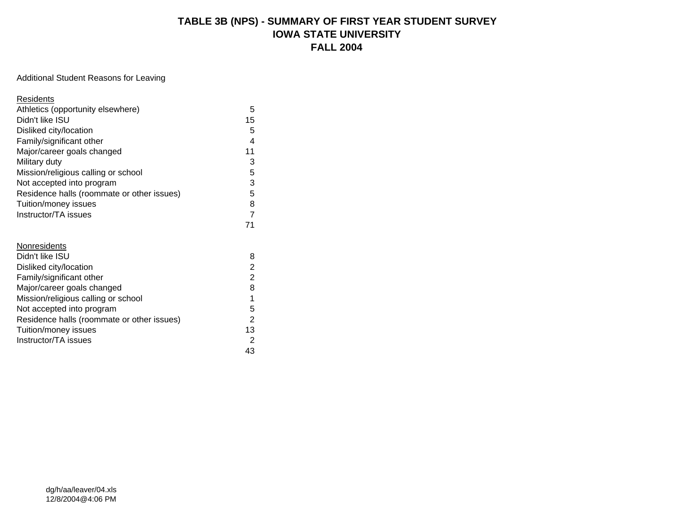#### **TABLE 3B (NPS) - SUMMARY OF FIRST YEAR STUDENT SURVEY IOWA STATE UNIVERSITY FALL 2004**

#### Additional Student Reasons for Leaving

| Residents                                  |                |
|--------------------------------------------|----------------|
| Athletics (opportunity elsewhere)          | 5              |
| Didn't like ISU                            | 15             |
| Disliked city/location                     | 5              |
| Family/significant other                   | 4              |
| Major/career goals changed                 | 11             |
| Military duty                              | 3              |
| Mission/religious calling or school        | 5              |
| Not accepted into program                  | 3              |
| Residence halls (roommate or other issues) | 5              |
| Tuition/money issues                       | 8              |
| Instructor/TA issues                       | $\overline{7}$ |
|                                            | 71             |
|                                            |                |
| Nonresidents                               |                |
| Didn't like ISU                            | 8              |
| Disliked city/location                     | $\overline{2}$ |
| Family/significant other                   | $\overline{2}$ |
| Major/career goals changed                 | 8              |
| Mission/religious calling or school        | $\mathbf 1$    |
| Not accepted into program                  | 5              |
| Residence halls (roommate or other issues) | $\overline{2}$ |
| Tuition/money issues                       | 13             |
| Instructor/TA issues                       | 2              |
|                                            | 43             |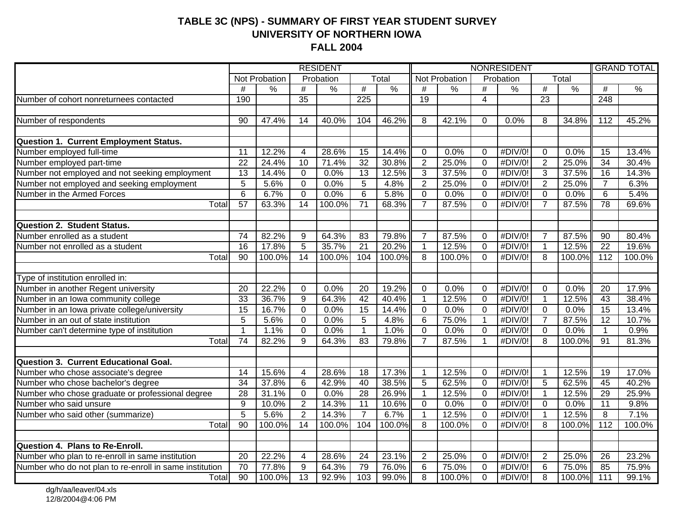#### **TABLE 3C (NPS) - SUMMARY OF FIRST YEAR STUDENT SURVEY UNIVERSITY OF NORTHERN IOWA FALL 2004**

|                                                                            |                 |               | <b>RESIDENT</b> |               |                 | NONRESIDENT   |                 |                      |                 |               |                 |               | <b>GRAND TOTAL</b> |               |
|----------------------------------------------------------------------------|-----------------|---------------|-----------------|---------------|-----------------|---------------|-----------------|----------------------|-----------------|---------------|-----------------|---------------|--------------------|---------------|
|                                                                            |                 | Not Probation |                 | Probation     |                 | Total         |                 | <b>Not Probation</b> |                 | Probation     |                 | Total         |                    |               |
|                                                                            | $\overline{t}$  | $\frac{8}{6}$ | $\overline{\#}$ | $\frac{0}{0}$ | #               | $\frac{0}{0}$ | $\overline{\#}$ | $\frac{0}{0}$        | $\overline{\#}$ | $\frac{0}{6}$ | #               | $\frac{0}{0}$ | #                  | $\frac{0}{6}$ |
| Number of cohort nonreturnees contacted                                    | 190             |               | $\overline{35}$ |               | 225             |               | $\overline{19}$ |                      | $\overline{4}$  |               | $\overline{23}$ |               | 248                |               |
|                                                                            |                 |               |                 |               |                 |               |                 |                      |                 |               |                 |               |                    |               |
| Number of respondents                                                      | 90              | 47.4%         | 14              | 40.0%         | 104             | 46.2%         | 8               | 42.1%                | $\overline{0}$  | 0.0%          | 8               | 34.8%         | 112                | 45.2%         |
|                                                                            |                 |               |                 |               |                 |               |                 |                      |                 |               |                 |               |                    |               |
| Question 1. Current Employment Status.                                     |                 |               |                 |               |                 |               |                 |                      |                 |               |                 |               |                    |               |
| Number employed full-time                                                  | 11              | 12.2%         | $\overline{4}$  | 28.6%         | 15              | 14.4%         | $\mathbf 0$     | 0.0%                 | $\Omega$        | #DIV/0!       | 0               | 0.0%          | 15                 | 13.4%         |
| Number employed part-time                                                  | $\overline{22}$ | 24.4%         | $\overline{10}$ | 71.4%         | 32              | 30.8%         | $\overline{2}$  | 25.0%                | $\mathbf 0$     | #DIV/0!       | $\overline{2}$  | 25.0%         | $\overline{34}$    | 30.4%         |
| Number not employed and not seeking employment                             | $\overline{13}$ | 14.4%         | $\mathbf 0$     | 0.0%          | 13              | 12.5%         | $\overline{3}$  | 37.5%                | $\mathbf 0$     | #DIV/0!       | $\overline{3}$  | 37.5%         | 16                 | 14.3%         |
| Number not employed and seeking employment                                 | 5               | 5.6%          | $\overline{0}$  | 0.0%          | 5               | 4.8%          | $\overline{2}$  | 25.0%                | $\overline{0}$  | #DIV/0!       | $\overline{2}$  | 25.0%         | $\overline{7}$     | 6.3%          |
| Number in the Armed Forces                                                 | $\overline{6}$  | 6.7%          | $\mathbf 0$     | 0.0%          | $\overline{6}$  | 5.8%          | $\mathbf 0$     | 0.0%                 | $\mathbf 0$     | #DIV/0!       | 0               | 0.0%          | 6                  | 5.4%          |
| Total                                                                      | $\overline{57}$ | 63.3%         | 14              | 100.0%        | $\overline{71}$ | 68.3%         | $\overline{7}$  | 87.5%                | $\Omega$        | #DIV/0!       | $\overline{7}$  | 87.5%         | $\overline{78}$    | 69.6%         |
| <b>Question 2. Student Status.</b>                                         |                 |               |                 |               |                 |               |                 |                      |                 |               |                 |               |                    |               |
| Number enrolled as a student                                               | 74              | 82.2%         | $9\,$           | 64.3%         | 83              | 79.8%         | $\overline{7}$  | 87.5%                | $\mathbf 0$     | #DIV/0!       | $\overline{7}$  | 87.5%         | 90                 | 80.4%         |
| Number not enrolled as a student                                           | $\overline{16}$ | 17.8%         | $\overline{5}$  | 35.7%         | $\overline{21}$ | 20.2%         | $\mathbf{1}$    | 12.5%                | $\overline{0}$  | #DIV/0!       | $\mathbf{1}$    | 12.5%         | $\overline{22}$    | 19.6%         |
| Total                                                                      | $\overline{90}$ | 100.0%        | $\overline{14}$ | 100.0%        | 104             | $100.0\%$     | 8               | 100.0%               | $\Omega$        | #DIV/0!       | 8               | 100.0%        | $\overline{112}$   | 100.0%        |
|                                                                            |                 |               |                 |               |                 |               |                 |                      |                 |               |                 |               |                    |               |
| Type of institution enrolled in:                                           |                 |               |                 |               |                 |               |                 |                      |                 |               |                 |               |                    |               |
| Number in another Regent university<br>Number in an Iowa community college | 20              | 22.2%         | $\mathbf{0}$    | 0.0%          | $\overline{20}$ | 19.2%         | $\mathbf 0$     | 0.0%                 | $\mathbf 0$     | #DIV/0!       | $\mathbf 0$     | 0.0%          | $\overline{20}$    | 17.9%         |
|                                                                            | 33              | 36.7%         | $\overline{9}$  | 64.3%         | 42              | 40.4%         | 1               | 12.5%                | $\overline{0}$  | #DIV/0!       | $\overline{1}$  | 12.5%         | 43                 | 38.4%         |
| Number in an Iowa private college/university                               | $\overline{15}$ | 16.7%         | $\mathbf 0$     | 0.0%          | 15              | 14.4%         | $\mathbf 0$     | 0.0%                 | $\overline{0}$  | #DIV/0!       | $\mathbf 0$     | 0.0%          | 15                 | 13.4%         |
| Number in an out of state institution                                      | $\overline{5}$  | 5.6%          | $\mathbf 0$     | 0.0%          | $\overline{5}$  | 4.8%          | $\overline{6}$  | 75.0%                | $\mathbf{1}$    | #DIV/0!       | $\overline{7}$  | 87.5%         | $\overline{12}$    | 10.7%         |
| Number can't determine type of institution                                 | 1               | 1.1%          | $\mathbf 0$     | 0.0%          | $\mathbf{1}$    | 1.0%          | 0               | 0.0%                 | $\Omega$        | #DIV/0!       | 0               | 0.0%          | $\mathbf 1$        | 0.9%          |
| Total                                                                      | $\overline{74}$ | 82.2%         | 9               | 64.3%         | 83              | 79.8%         | $\overline{7}$  | 87.5%                |                 | #DIV/0!       | 8               | 100.0%        | $\overline{91}$    | 81.3%         |
|                                                                            |                 |               |                 |               |                 |               |                 |                      |                 |               |                 |               |                    |               |
| Question 3. Current Educational Goal.                                      |                 |               |                 |               |                 |               |                 |                      |                 |               |                 |               |                    |               |
| Number who chose associate's degree                                        | 14              | 15.6%         | 4               | 28.6%         | $\overline{18}$ | 17.3%         | $\mathbf 1$     | 12.5%                | $\mathbf 0$     | #DIV/0!       | $\mathbf 1$     | 12.5%         | 19                 | 17.0%         |
| Number who chose bachelor's degree                                         | $\overline{34}$ | 37.8%         | 6               | 42.9%         | 40              | 38.5%         | $\overline{5}$  | 62.5%                | $\mathbf 0$     | #DIV/0!       | $\overline{5}$  | 62.5%         | 45                 | 40.2%         |
| Number who chose graduate or professional degree                           | $\overline{28}$ | 31.1%         | $\mathbf 0$     | 0.0%          | $\overline{28}$ | 26.9%         | $\mathbf{1}$    | 12.5%                | $\mathbf 0$     | #DIV/0!       | $\mathbf{1}$    | 12.5%         | 29                 | 25.9%         |
| Number who said unsure                                                     | $\overline{9}$  | 10.0%         | $\overline{2}$  | 14.3%         | $\overline{11}$ | 10.6%         | $\overline{0}$  | 0.0%                 | $\mathbf 0$     | #DIV/0!       | $\mathbf 0$     | 0.0%          | $\overline{11}$    | 9.8%          |
| Number who said other (summarize)                                          | $\overline{5}$  | 5.6%          | $\overline{2}$  | 14.3%         | $\overline{7}$  | 6.7%          | 1               | 12.5%                | $\Omega$        | #DIV/0!       | $\overline{1}$  | 12.5%         | 8                  | 7.1%          |
| Total                                                                      | 90              | 100.0%        | 14              | 100.0%        | 104             | 100.0%        | 8               | 100.0%               | $\Omega$        | #DIV/0!       | 8               | 100.0%        | $\overline{112}$   | 100.0%        |
| Question 4. Plans to Re-Enroll.                                            |                 |               |                 |               |                 |               |                 |                      |                 |               |                 |               |                    |               |
| Number who plan to re-enroll in same institution                           | 20              | 22.2%         | $\overline{4}$  | 28.6%         | 24              | 23.1%         | $\overline{2}$  | 25.0%                | $\mathbf 0$     | #DIV/0!       | $\overline{2}$  | 25.0%         | 26                 | 23.2%         |
| Number who do not plan to re-enroll in same institution                    | $\overline{70}$ | 77.8%         | 9               | 64.3%         | 79              | 76.0%         | 6               | 75.0%                | $\mathbf 0$     | #DIV/0!       | $6\phantom{1}6$ | 75.0%         | 85                 | 75.9%         |
| Total                                                                      | 90              | 100.0%        | $\overline{13}$ | 92.9%         | 103             | 99.0%         | $\overline{8}$  | 100.0%               | $\Omega$        | #DIV/0!       | $\overline{8}$  | 100.0%        | 111                | 99.1%         |

dg/h/aa/leaver/04.xls 12/8/2004@4:06 PM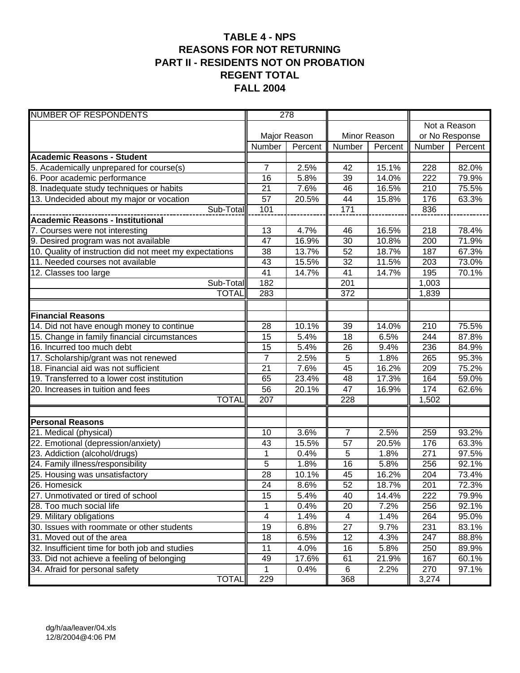#### **TABLE 4 - NPS REASONS FOR NOT RETURNING PART II - RESIDENTS NOT ON PROBATION REGENT TOTAL FALL 2004**

| <b>NUMBER OF RESPONDENTS</b>                            | 278             |              |                 |              |                |              |
|---------------------------------------------------------|-----------------|--------------|-----------------|--------------|----------------|--------------|
|                                                         |                 |              |                 |              |                | Not a Reason |
|                                                         |                 | Major Reason |                 | Minor Reason | or No Response |              |
|                                                         | Number          | Percent      | Number          | Percent      | Number         | Percent      |
| <b>Academic Reasons - Student</b>                       |                 |              |                 |              |                |              |
| 5. Academically unprepared for course(s)                | $\overline{7}$  | 2.5%         | 42              | 15.1%        | 228            | 82.0%        |
| 6. Poor academic performance                            | 16              | 5.8%         | $\overline{39}$ | 14.0%        | 222            | 79.9%        |
| 8. Inadequate study techniques or habits                | 21              | 7.6%         | 46              | 16.5%        | 210            | 75.5%        |
| 13. Undecided about my major or vocation                | 57              | 20.5%        | 44              | 15.8%        | 176            | 63.3%        |
| Sub-Total                                               | 101             |              | 171             |              | 836            |              |
| <b>Academic Reasons - Institutional</b>                 |                 |              |                 |              |                |              |
| 7. Courses were not interesting                         | 13              | 4.7%         | 46              | 16.5%        | 218            | 78.4%        |
| 9. Desired program was not available                    | 47              | 16.9%        | $\overline{30}$ | 10.8%        | 200            | 71.9%        |
| 10. Quality of instruction did not meet my expectations | 38              | 13.7%        | 52              | 18.7%        | 187            | 67.3%        |
| 11. Needed courses not available                        | 43              | 15.5%        | $\overline{32}$ | 11.5%        | 203            | 73.0%        |
| $\overline{12}$ . Classes too large                     | 41              | 14.7%        | 41              | 14.7%        | 195            | 70.1%        |
| Sub-Total                                               | 182             |              | 201             |              | 1,003          |              |
| <b>TOTAL</b>                                            | 283             |              | 372             |              | 1,839          |              |
|                                                         |                 |              |                 |              |                |              |
| <b>Financial Reasons</b>                                |                 |              |                 |              |                |              |
| 14. Did not have enough money to continue               | 28              | 10.1%        | 39              | 14.0%        | 210            | 75.5%        |
| 15. Change in family financial circumstances            | 15              | 5.4%         | 18              | 6.5%         | 244            | 87.8%        |
| 16. Incurred too much debt                              | 15              | 5.4%         | 26              | 9.4%         | 236            | 84.9%        |
| 17. Scholarship/grant was not renewed                   | $\overline{7}$  | 2.5%         | $\overline{5}$  | 1.8%         | 265            | 95.3%        |
| 18. Financial aid was not sufficient                    | 21              | 7.6%         | 45              | 16.2%        | 209            | 75.2%        |
| 19. Transferred to a lower cost institution             | 65              | 23.4%        | 48              | 17.3%        | 164            | 59.0%        |
| 20. Increases in tuition and fees                       | 56              | 20.1%        | 47              | 16.9%        | 174            | 62.6%        |
| <b>TOTAL</b>                                            | 207             |              | 228             |              | 1,502          |              |
| <b>Personal Reasons</b>                                 |                 |              |                 |              |                |              |
| 21. Medical (physical)                                  | 10              | 3.6%         | $\overline{7}$  | 2.5%         | 259            | 93.2%        |
| 22. Emotional (depression/anxiety)                      | 43              | 15.5%        | 57              | 20.5%        | 176            | 63.3%        |
| 23. Addiction (alcohol/drugs)                           | 1               | 0.4%         | 5               | 1.8%         | 271            | 97.5%        |
| 24. Family illness/responsibility                       | 5               | 1.8%         | 16              | 5.8%         | 256            | 92.1%        |
| 25. Housing was unsatisfactory                          | 28              | 10.1%        | 45              | 16.2%        | 204            | 73.4%        |
| 26. Homesick                                            | $\overline{24}$ | 8.6%         | 52              | 18.7%        | 201            | 72.3%        |
| 27. Unmotivated or tired of school                      | 15              | 5.4%         | 40              | 14.4%        | 222            | 79.9%        |
| 28. Too much social life                                | 1               | 0.4%         | 20              | 7.2%         | 256            | 92.1%        |
| 29. Military obligations                                | 4               | 1.4%         | 4               | 1.4%         | 264            | 95.0%        |
| 30. Issues with roommate or other students              | 19              | 6.8%         | 27              | 9.7%         | 231            | 83.1%        |
| 31. Moved out of the area                               | 18              | 6.5%         | 12              | 4.3%         | 247            | 88.8%        |
| 32. Insufficient time for both job and studies          | 11              | 4.0%         | 16              | 5.8%         | 250            | 89.9%        |
| 33. Did not achieve a feeling of belonging              | 49              | 17.6%        | 61              | 21.9%        | 167            | 60.1%        |
| 34. Afraid for personal safety                          | 1               | 0.4%         | 6               | 2.2%         | 270            | 97.1%        |
| <b>TOTAL</b>                                            | 229             |              | 368             |              | 3,274          |              |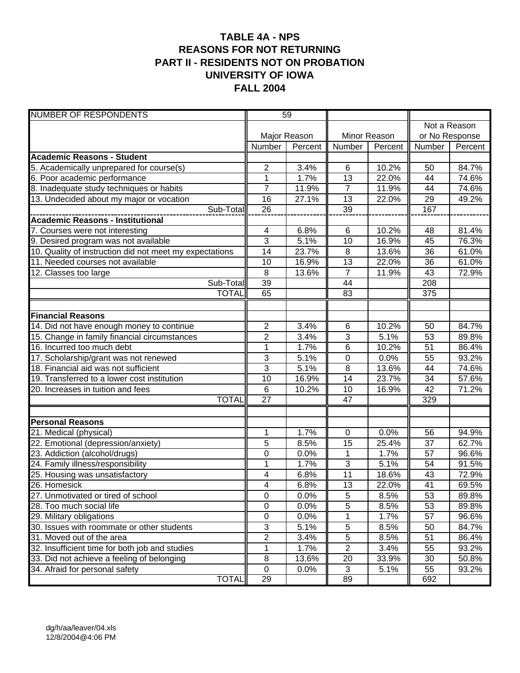## **TABLE 4A - NPS REASONS FOR NOT RETURNING PART II - RESIDENTS NOT ON PROBATION UNIVERSITY OF IOWA FALL 2004**

| <b>NUMBER OF RESPONDENTS</b>                            | 59              |              |                 |         |                 |         |  |
|---------------------------------------------------------|-----------------|--------------|-----------------|---------|-----------------|---------|--|
|                                                         |                 |              |                 |         | Not a Reason    |         |  |
|                                                         |                 | Major Reason | Minor Reason    |         | or No Response  |         |  |
|                                                         | Number          | Percent      | Number          | Percent | Number          | Percent |  |
| <b>Academic Reasons - Student</b>                       |                 |              |                 |         |                 |         |  |
| 5. Academically unprepared for course(s)                | $\overline{2}$  | 3.4%         | 6               | 10.2%   | 50              | 84.7%   |  |
| 6. Poor academic performance                            | 1               | 1.7%         | 13              | 22.0%   | 44              | 74.6%   |  |
| 8. Inadequate study techniques or habits                | 7               | 11.9%        | $\overline{7}$  | 11.9%   | 44              | 74.6%   |  |
| 13. Undecided about my major or vocation                | 16              | 27.1%        | $\overline{13}$ | 22.0%   | 29              | 49.2%   |  |
| Sub-Total                                               | 26              |              | 39              |         | 167             |         |  |
| Academic Reasons - Institutional                        |                 |              |                 |         |                 |         |  |
| 7. Courses were not interesting                         | 4               | 6.8%         | 6               | 10.2%   | 48              | 81.4%   |  |
| 9. Desired program was not available                    | 3               | 5.1%         | 10              | 16.9%   | 45              | 76.3%   |  |
| 10. Quality of instruction did not meet my expectations | 14              | 23.7%        | 8               | 13.6%   | 36              | 61.0%   |  |
| 11. Needed courses not available                        | 10              | 16.9%        | 13              | 22.0%   | 36              | 61.0%   |  |
| 12. Classes too large                                   | 8               | 13.6%        | $\overline{7}$  | 11.9%   | 43              | 72.9%   |  |
| Sub-Total                                               | 39              |              | 44              |         | 208             |         |  |
| <b>TOTAL</b>                                            | 65              |              | 83              |         | 375             |         |  |
|                                                         |                 |              |                 |         |                 |         |  |
| <b>Financial Reasons</b>                                |                 |              |                 |         |                 |         |  |
| 14. Did not have enough money to continue               | $\overline{c}$  | 3.4%         | 6               | 10.2%   | 50              | 84.7%   |  |
| 15. Change in family financial circumstances            | $\overline{2}$  | 3.4%         | $\overline{3}$  | 5.1%    | 53              | 89.8%   |  |
| 16. Incurred too much debt                              | $\mathbf 1$     | 1.7%         | 6               | 10.2%   | 51              | 86.4%   |  |
| 17. Scholarship/grant was not renewed                   | 3               | 5.1%         | $\mathbf 0$     | 0.0%    | 55              | 93.2%   |  |
| 18. Financial aid was not sufficient                    | 3               | 5.1%         | 8               | 13.6%   | 44              | 74.6%   |  |
| 19. Transferred to a lower cost institution             | $\overline{10}$ | 16.9%        | $\overline{14}$ | 23.7%   | 34              | 57.6%   |  |
| 20. Increases in tuition and fees                       | $6\phantom{1}6$ | 10.2%        | 10              | 16.9%   | 42              | 71.2%   |  |
| <b>TOTAL</b>                                            | $\overline{27}$ |              | $\overline{47}$ |         | 329             |         |  |
|                                                         |                 |              |                 |         |                 |         |  |
| <b>Personal Reasons</b>                                 |                 |              |                 |         |                 |         |  |
| 21. Medical (physical)                                  | 1               | 1.7%         | $\pmb{0}$       | 0.0%    | 56              | 94.9%   |  |
| 22. Emotional (depression/anxiety)                      | 5               | 8.5%         | 15              | 25.4%   | 37              | 62.7%   |  |
| 23. Addiction (alcohol/drugs)                           | 0               | 0.0%         | 1               | 1.7%    | 57              | 96.6%   |  |
| 24. Family illness/responsibility                       | 1               | 1.7%         | $\overline{3}$  | 5.1%    | 54              | 91.5%   |  |
| 25. Housing was unsatisfactory                          | 4               | 6.8%         | 11              | 18.6%   | 43              | 72.9%   |  |
| 26. Homesick                                            | 4               | 6.8%         | 13              | 22.0%   | $\overline{41}$ | 69.5%   |  |
| 27. Unmotivated or tired of school                      | $\pmb{0}$       | 0.0%         | $\,$ 5 $\,$     | 8.5%    | 53              | 89.8%   |  |
| 28. Too much social life                                | $\overline{0}$  | 0.0%         | 5               | 8.5%    | 53              | 89.8%   |  |
| 29. Military obligations                                | $\pmb{0}$       | 0.0%         | 1               | 1.7%    | 57              | 96.6%   |  |
| 30. Issues with roommate or other students              | 3               | 5.1%         | $\,$ 5 $\,$     | 8.5%    | 50              | 84.7%   |  |
| 31. Moved out of the area                               | $\overline{2}$  | 3.4%         | $\,$ 5 $\,$     | 8.5%    | 51              | 86.4%   |  |
| 32. Insufficient time for both job and studies          | 1               | 1.7%         | $\sqrt{2}$      | 3.4%    | 55              | 93.2%   |  |
| 33. Did not achieve a feeling of belonging              | 8               | 13.6%        | 20              | 33.9%   | 30              | 50.8%   |  |
| 34. Afraid for personal safety                          | $\mathsf 0$     | 0.0%         | 3               | 5.1%    | 55              | 93.2%   |  |
| <b>TOTAL</b>                                            | 29              |              | 89              |         | 692             |         |  |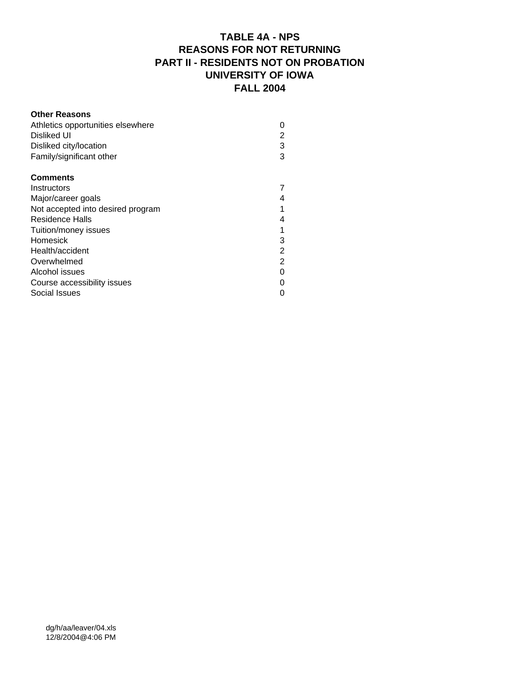# **TABLE 4A - NPS REASONS FOR NOT RETURNING PART II - RESIDENTS NOT ON PROBATION UNIVERSITY OF IOWA FALL 2004**

| <b>Other Reasons</b>              |                |
|-----------------------------------|----------------|
| Athletics opportunities elsewhere | 0              |
| Disliked UI                       | 2              |
| Disliked city/location            | 3              |
| Family/significant other          | 3              |
| <b>Comments</b>                   |                |
| Instructors                       |                |
| Major/career goals                | 4              |
| Not accepted into desired program |                |
| Residence Halls                   | 4              |
| Tuition/money issues              | 1              |
| Homesick                          | 3              |
| Health/accident                   | 2              |
| Overwhelmed                       | $\overline{2}$ |
| Alcohol issues                    | ი              |
| Course accessibility issues       |                |
| Social Issues                     |                |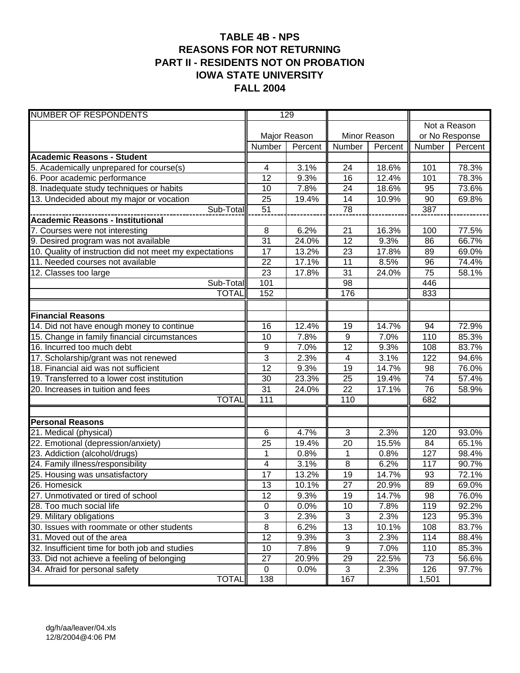#### **TABLE 4B - NPS REASONS FOR NOT RETURNING PART II - RESIDENTS NOT ON PROBATION IOWA STATE UNIVERSITY FALL 2004**

| <b>NUMBER OF RESPONDENTS</b>                            | 129                 |              |                  |              |                |         |  |
|---------------------------------------------------------|---------------------|--------------|------------------|--------------|----------------|---------|--|
|                                                         |                     |              |                  |              | Not a Reason   |         |  |
|                                                         |                     | Major Reason |                  | Minor Reason | or No Response |         |  |
|                                                         | Number              | Percent      | Number           | Percent      | Number         | Percent |  |
| <b>Academic Reasons - Student</b>                       |                     |              |                  |              |                |         |  |
| 5. Academically unprepared for course(s)                | 4                   | 3.1%         | 24               | 18.6%        | 101            | 78.3%   |  |
| 6. Poor academic performance                            | 12                  | 9.3%         | 16               | 12.4%        | 101            | 78.3%   |  |
| 8. Inadequate study techniques or habits                | 10                  | 7.8%         | 24               | 18.6%        | 95             | 73.6%   |  |
| 13. Undecided about my major or vocation                | 25                  | 19.4%        | 14               | 10.9%        | 90             | 69.8%   |  |
| Sub-Total                                               | 51                  |              | $\overline{78}$  |              | 387            |         |  |
| <b>Academic Reasons - Institutional</b>                 |                     |              |                  |              |                |         |  |
| 7. Courses were not interesting                         | 8                   | 6.2%         | 21               | 16.3%        | 100            | 77.5%   |  |
| 9. Desired program was not available                    | $\overline{31}$     | 24.0%        | $\overline{12}$  | 9.3%         | 86             | 66.7%   |  |
| 10. Quality of instruction did not meet my expectations | 17                  | 13.2%        | 23               | 17.8%        | 89             | 69.0%   |  |
| 11. Needed courses not available                        | 22                  | 17.1%        | 11               | 8.5%         | 96             | 74.4%   |  |
| 12. Classes too large                                   | 23                  | 17.8%        | $\overline{31}$  | 24.0%        | 75             | 58.1%   |  |
| Sub-Total                                               | 101                 |              | 98               |              | 446            |         |  |
| <b>TOTAL</b>                                            | 152                 |              | 176              |              | 833            |         |  |
|                                                         |                     |              |                  |              |                |         |  |
| <b>Financial Reasons</b>                                |                     |              |                  |              |                |         |  |
| 14. Did not have enough money to continue               | 16                  | 12.4%        | 19               | 14.7%        | 94             | 72.9%   |  |
| 15. Change in family financial circumstances            | 10                  | 7.8%         | $\boldsymbol{9}$ | 7.0%         | 110            | 85.3%   |  |
| 16. Incurred too much debt                              | 9                   | 7.0%         | 12               | 9.3%         | 108            | 83.7%   |  |
| 17. Scholarship/grant was not renewed                   | 3                   | 2.3%         | 4                | 3.1%         | 122            | 94.6%   |  |
| 18. Financial aid was not sufficient                    | $\overline{12}$     | 9.3%         | $\overline{19}$  | 14.7%        | 98             | 76.0%   |  |
| 19. Transferred to a lower cost institution             | 30                  | 23.3%        | 25               | 19.4%        | 74             | 57.4%   |  |
| 20. Increases in tuition and fees                       | 31                  | 24.0%        | $\overline{22}$  | 17.1%        | 76             | 58.9%   |  |
| <b>TOTAL</b>                                            | 111                 |              | 110              |              | 682            |         |  |
|                                                         |                     |              |                  |              |                |         |  |
| <b>Personal Reasons</b><br>21. Medical (physical)       | 6                   | 4.7%         | 3                | 2.3%         | 120            | 93.0%   |  |
| 22. Emotional (depression/anxiety)                      | 25                  | 19.4%        | 20               | 15.5%        | 84             | 65.1%   |  |
| 23. Addiction (alcohol/drugs)                           | 1                   | 0.8%         | 1                | 0.8%         | 127            | 98.4%   |  |
| 24. Family illness/responsibility                       | 4                   | 3.1%         | 8                | 6.2%         | 117            | 90.7%   |  |
| 25. Housing was unsatisfactory                          | 17                  | 13.2%        | 19               | 14.7%        | 93             | 72.1%   |  |
| 26. Homesick                                            | 13                  | 10.1%        | 27               | 20.9%        | 89             | 69.0%   |  |
| 27. Unmotivated or tired of school                      | 12                  | 9.3%         | 19               | 14.7%        | 98             | 76.0%   |  |
| 28. Too much social life                                | $\mathbf 0$         | 0.0%         | 10               | 7.8%         | 119            | 92.2%   |  |
| 29. Military obligations                                | $\overline{3}$      | 2.3%         | 3                | 2.3%         | 123            | 95.3%   |  |
| 30. Issues with roommate or other students              | $\overline{\infty}$ | 6.2%         | 13               | 10.1%        | 108            | 83.7%   |  |
| 31. Moved out of the area                               | $\overline{12}$     | 9.3%         | $\sqrt{3}$       | 2.3%         | 114            | 88.4%   |  |
| 32. Insufficient time for both job and studies          | 10                  | 7.8%         | $\boldsymbol{9}$ | 7.0%         | 110            | 85.3%   |  |
| 33. Did not achieve a feeling of belonging              | 27                  | 20.9%        | 29               | 22.5%        | 73             | 56.6%   |  |
| 34. Afraid for personal safety                          | $\mathbf 0$         | 0.0%         | $\mathbf{3}$     | 2.3%         | 126            | 97.7%   |  |
| <b>TOTAL</b>                                            | 138                 |              | 167              |              | 1,501          |         |  |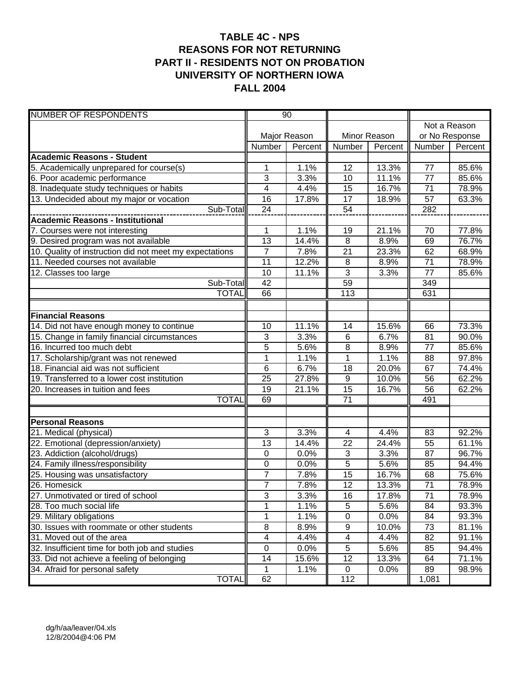# **TABLE 4C - NPS REASONS FOR NOT RETURNING PART II - RESIDENTS NOT ON PROBATION UNIVERSITY OF NORTHERN IOWA FALL 2004**

| <b>NUMBER OF RESPONDENTS</b>                            |                | $\overline{90}$ |                 |              |                 |                |  |
|---------------------------------------------------------|----------------|-----------------|-----------------|--------------|-----------------|----------------|--|
|                                                         |                |                 |                 |              | Not a Reason    |                |  |
|                                                         |                | Major Reason    |                 | Minor Reason |                 | or No Response |  |
|                                                         | Number         | Percent         | Number          | Percent      | Number          | Percent        |  |
| <b>Academic Reasons - Student</b>                       |                |                 |                 |              |                 |                |  |
| 5. Academically unprepared for course(s)                | 1              | 1.1%            | 12              | 13.3%        | 77              | 85.6%          |  |
| 6. Poor academic performance                            | 3              | 3.3%            | 10              | 11.1%        | $\overline{77}$ | 85.6%          |  |
| 8. Inadequate study techniques or habits                | 4              | 4.4%            | 15              | 16.7%        | 71              | 78.9%          |  |
| 13. Undecided about my major or vocation                | 16             | 17.8%           | 17              | 18.9%        | 57              | 63.3%          |  |
| Sub-Total                                               | 24             |                 | $\overline{54}$ |              | 282             |                |  |
| <b>Academic Reasons - Institutional</b>                 |                |                 |                 |              |                 |                |  |
| 7. Courses were not interesting                         | 1              | 1.1%            | 19              | 21.1%        | 70              | 77.8%          |  |
| 9. Desired program was not available                    | 13             | 14.4%           | 8               | 8.9%         | 69              | 76.7%          |  |
| 10. Quality of instruction did not meet my expectations | $\overline{7}$ | 7.8%            | 21              | 23.3%        | 62              | 68.9%          |  |
| 11. Needed courses not available                        | 11             | 12.2%           | 8               | 8.9%         | 71              | 78.9%          |  |
| $\overline{12}$ . Classes too large                     | 10             | 11.1%           | $\overline{3}$  | 3.3%         | 77              | 85.6%          |  |
| Sub-Total                                               | 42             |                 | $\overline{59}$ |              | 349             |                |  |
| <b>TOTAL</b>                                            | 66             |                 | 113             |              | 631             |                |  |
|                                                         |                |                 |                 |              |                 |                |  |
| <b>Financial Reasons</b>                                |                |                 |                 |              |                 |                |  |
| 14. Did not have enough money to continue               | 10             | 11.1%           | 14              | 15.6%        | 66              | 73.3%          |  |
| 15. Change in family financial circumstances            | 3              | 3.3%            | 6               | 6.7%         | 81              | 90.0%          |  |
| 16. Incurred too much debt                              | 5              | 5.6%            | 8               | 8.9%         | 77              | 85.6%          |  |
| 17. Scholarship/grant was not renewed                   | $\overline{1}$ | 1.1%            | $\overline{1}$  | 1.1%         | 88              | 97.8%          |  |
| 18. Financial aid was not sufficient                    | 6              | 6.7%            | 18              | 20.0%        | 67              | 74.4%          |  |
| 19. Transferred to a lower cost institution             | 25             | 27.8%           | 9               | 10.0%        | 56              | 62.2%          |  |
| 20. Increases in tuition and fees                       | 19             | 21.1%           | 15              | 16.7%        | 56              | 62.2%          |  |
| <b>TOTAL</b>                                            | 69             |                 | $\overline{71}$ |              | 491             |                |  |
|                                                         |                |                 |                 |              |                 |                |  |
| <b>Personal Reasons</b><br>21. Medical (physical)       | 3              | 3.3%            | 4               | 4.4%         | 83              | 92.2%          |  |
| 22. Emotional (depression/anxiety)                      | 13             | 14.4%           | 22              | 24.4%        | 55              | 61.1%          |  |
| 23. Addiction (alcohol/drugs)                           | 0              | 0.0%            | 3               | 3.3%         | 87              | 96.7%          |  |
| 24. Family illness/responsibility                       | 0              | 0.0%            | 5               | 5.6%         | 85              | 94.4%          |  |
| 25. Housing was unsatisfactory                          | 7              | 7.8%            | 15              | 16.7%        | 68              | 75.6%          |  |
| 26. Homesick                                            | $\overline{7}$ | 7.8%            | $\overline{12}$ | 13.3%        | $\overline{71}$ | 78.9%          |  |
| 27. Unmotivated or tired of school                      | 3              | 3.3%            | 16              | 17.8%        | 71              | 78.9%          |  |
| 28. Too much social life                                | 1              | 1.1%            | $\overline{5}$  | 5.6%         | 84              | 93.3%          |  |
| 29. Military obligations                                | 1              | 1.1%            | $\pmb{0}$       | 0.0%         | 84              | 93.3%          |  |
| 30. Issues with roommate or other students              | 8              | 8.9%            | 9               | 10.0%        | 73              | 81.1%          |  |
| 31. Moved out of the area                               | 4              | 4.4%            | 4               | 4.4%         | 82              | 91.1%          |  |
| 32. Insufficient time for both job and studies          | $\pmb{0}$      | 0.0%            | 5               | 5.6%         | 85              | 94.4%          |  |
| 33. Did not achieve a feeling of belonging              | 14             | 15.6%           | 12              | 13.3%        | 64              | 71.1%          |  |
| 34. Afraid for personal safety                          | 1              | 1.1%            | $\mathbf 0$     | 0.0%         | 89              | 98.9%          |  |
| <b>TOTAL</b>                                            | 62             |                 | 112             |              | 1,081           |                |  |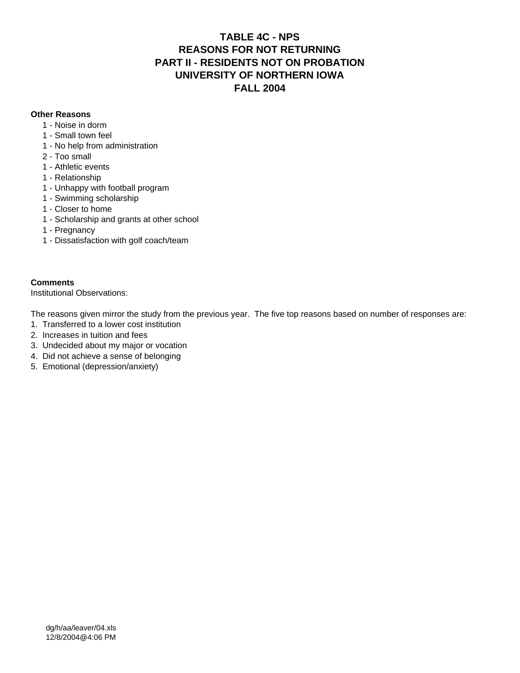#### **TABLE 4C - NPS REASONS FOR NOT RETURNING PART II - RESIDENTS NOT ON PROBATION UNIVERSITY OF NORTHERN IOWA FALL 2004**

#### **Other Reasons**

- 1 Noise in dorm
- 1 Small town feel
- 1 No help from administration
- 2 Too small
- 1 Athletic events
- 1 Relationship
- 1 Unhappy with football program
- 1 Swimming scholarship
- 1 Closer to home
- 1 Scholarship and grants at other school
- 1 Pregnancy
- 1 Dissatisfaction with golf coach/team

#### **Comments**

Institutional Observations:

The reasons given mirror the study from the previous year. The five top reasons based on number of responses are:

- 1. Transferred to a lower cost institution
- 2. Increases in tuition and fees
- 3. Undecided about my major or vocation
- 4. Did not achieve a sense of belonging
- 5. Emotional (depression/anxiety)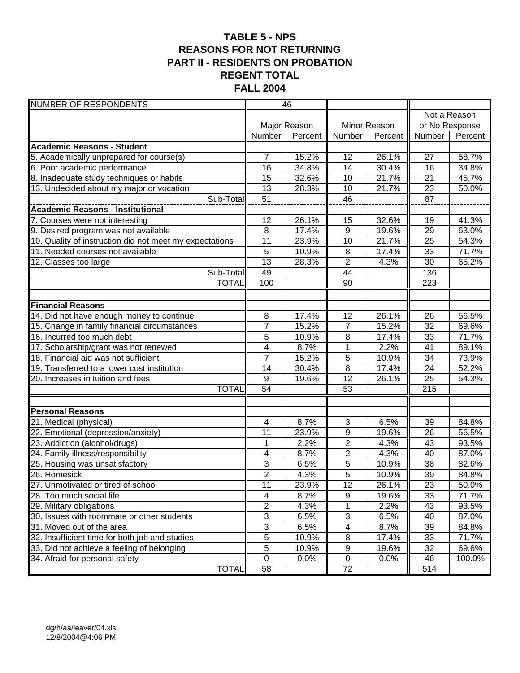# **TABLE 5 - NPS REASONS FOR NOT RETURNING PART II - RESIDENTS ON PROBATION REGENT TOTAL FALL 2004**

| <b>NUMBER OF RESPONDENTS</b>                            | 46              |              |                  |              |                |              |
|---------------------------------------------------------|-----------------|--------------|------------------|--------------|----------------|--------------|
|                                                         |                 |              |                  |              |                | Not a Reason |
|                                                         |                 | Major Reason |                  | Minor Reason | or No Response |              |
|                                                         | Number          | Percent      | Number           | Percent      | Number         | Percent      |
| <b>Academic Reasons - Student</b>                       |                 |              |                  |              |                |              |
| 5. Academically unprepared for course(s)                | $\overline{7}$  | 15.2%        | 12               | 26.1%        | 27             | 58.7%        |
| 6. Poor academic performance                            | 16              | 34.8%        | 14               | 30.4%        | 16             | 34.8%        |
| 8. Inadequate study techniques or habits                | 15              | 32.6%        | 10               | 21.7%        | 21             | 45.7%        |
| 13. Undecided about my major or vocation                | 13              | 28.3%        | 10               | 21.7%        | 23             | 50.0%        |
| Sub-Total                                               | 51              |              | 46               |              | 87             |              |
| <b>Academic Reasons - Institutional</b>                 |                 |              |                  |              |                |              |
| 7. Courses were not interesting                         | 12              | 26.1%        | 15               | 32.6%        | 19             | 41.3%        |
| 9. Desired program was not available                    | 8               | 17.4%        | $\overline{9}$   | 19.6%        | 29             | 63.0%        |
| 10. Quality of instruction did not meet my expectations | 11              | 23.9%        | 10               | 21.7%        | 25             | 54.3%        |
| 11. Needed courses not available                        | 5               | 10.9%        | 8                | 17.4%        | 33             | 71.7%        |
| 12. Classes too large                                   | 13              | 28.3%        | $\overline{2}$   | 4.3%         | 30             | 65.2%        |
| Sub-Total                                               | 49              |              | 44               |              | 136            |              |
| <b>TOTAL</b>                                            | 100             |              | $\overline{90}$  |              | 223            |              |
|                                                         |                 |              |                  |              |                |              |
| <b>Financial Reasons</b>                                |                 |              |                  |              |                |              |
| 14. Did not have enough money to continue               | 8               | 17.4%        | $\overline{12}$  | 26.1%        | 26             | 56.5%        |
| 15. Change in family financial circumstances            | $\overline{7}$  | 15.2%        | $\overline{7}$   | 15.2%        | 32             | 69.6%        |
| 16. Incurred too much debt                              | 5               | 10.9%        | 8                | 17.4%        | 33             | 71.7%        |
| 17. Scholarship/grant was not renewed                   | 4               | 8.7%         | 1                | 2.2%         | 41             | 89.1%        |
| 18. Financial aid was not sufficient                    | $\overline{7}$  | 15.2%        | $\overline{5}$   | 10.9%        | 34             | 73.9%        |
| 19. Transferred to a lower cost institution             | 14              | 30.4%        | $\overline{8}$   | 17.4%        | 24             | 52.2%        |
| 20. Increases in tuition and fees                       | $9\,$           | 19.6%        | 12               | 26.1%        | 25             | 54.3%        |
| <b>TOTAL</b>                                            | $\overline{54}$ |              | 53               |              | 215            |              |
|                                                         |                 |              |                  |              |                |              |
| <b>Personal Reasons</b><br>21. Medical (physical)       | 4               | 8.7%         | 3                | 6.5%         | 39             | 84.8%        |
| 22. Emotional (depression/anxiety)                      | 11              | 23.9%        | 9                | 19.6%        | 26             | 56.5%        |
| 23. Addiction (alcohol/drugs)                           | 1               | 2.2%         | $\overline{2}$   | 4.3%         | 43             | 93.5%        |
| 24. Family illness/responsibility                       | 4               | 8.7%         | $\overline{2}$   | 4.3%         | 40             | 87.0%        |
| 25. Housing was unsatisfactory                          | 3               | 6.5%         | 5                | 10.9%        | 38             | 82.6%        |
| 26. Homesick                                            | $\overline{2}$  | 4.3%         | $\overline{5}$   | 10.9%        | 39             | 84.8%        |
| 27. Unmotivated or tired of school                      | 11              | 23.9%        | 12               | 26.1%        | 23             | 50.0%        |
| 28. Too much social life                                | 4               | 8.7%         | $\boldsymbol{9}$ | 19.6%        | 33             | 71.7%        |
| 29. Military obligations                                | $\overline{2}$  | 4.3%         | $\mathbf 1$      | 2.2%         | 43             | 93.5%        |
| 30. Issues with roommate or other students              | $\overline{3}$  | 6.5%         | 3                | 6.5%         | 40             | 87.0%        |
| 31. Moved out of the area                               | $\overline{3}$  | 6.5%         | 4                | 8.7%         | 39             | 84.8%        |
| 32. Insufficient time for both job and studies          | $\overline{5}$  | 10.9%        | 8                | 17.4%        | 33             | 71.7%        |
| 33. Did not achieve a feeling of belonging              | 5               | 10.9%        | $\boldsymbol{9}$ | 19.6%        | 32             | 69.6%        |
| 34. Afraid for personal safety                          | $\mathbf 0$     | 0.0%         | $\pmb{0}$        | 0.0%         | 46             | 100.0%       |
| <b>TOTAL</b>                                            | 58              |              | 72               |              | 514            |              |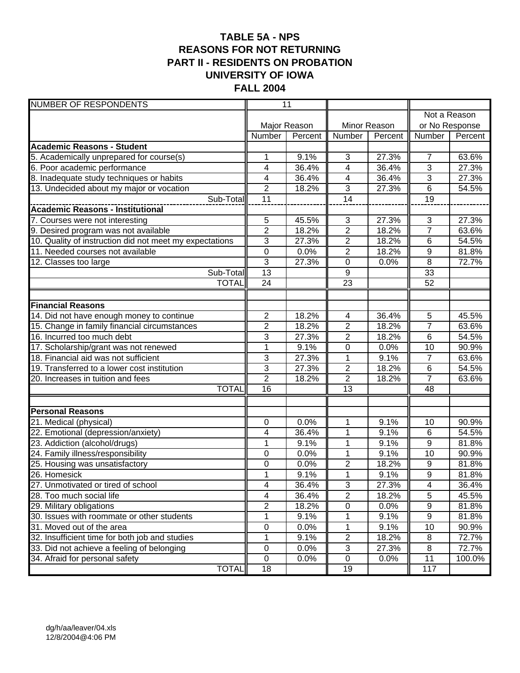## **TABLE 5A - NPS REASONS FOR NOT RETURNING PART II - RESIDENTS ON PROBATION UNIVERSITY OF IOWA FALL 2004**

| <b>NUMBER OF RESPONDENTS</b>                                        |                     | $\overline{11}$ |                          |              |                          |                |  |
|---------------------------------------------------------------------|---------------------|-----------------|--------------------------|--------------|--------------------------|----------------|--|
|                                                                     |                     |                 |                          |              |                          | Not a Reason   |  |
|                                                                     |                     | Major Reason    |                          | Minor Reason |                          | or No Response |  |
|                                                                     | Number              | Percent         | Number                   | Percent      | Number                   | Percent        |  |
| <b>Academic Reasons - Student</b>                                   |                     |                 |                          |              |                          |                |  |
| 5. Academically unprepared for course(s)                            | 1                   | 9.1%            | 3                        | 27.3%        | $\overline{7}$           | 63.6%          |  |
| 6. Poor academic performance                                        | 4                   | 36.4%           | 4                        | 36.4%        | 3                        | 27.3%          |  |
| 8. Inadequate study techniques or habits                            | 4                   | 36.4%           | $\overline{4}$           | 36.4%        | 3                        | 27.3%          |  |
| 13. Undecided about my major or vocation                            | $\overline{2}$      | 18.2%           | $\overline{3}$           | 27.3%        | 6                        | 54.5%          |  |
| Sub-Total                                                           | 11                  |                 | $\overline{14}$          |              | $\overline{19}$          |                |  |
| <b>Academic Reasons - Institutional</b>                             |                     |                 |                          |              |                          |                |  |
| 7. Courses were not interesting                                     | 5                   | 45.5%           | $\sqrt{3}$               | 27.3%        | $\sqrt{3}$               | 27.3%          |  |
| 9. Desired program was not available                                | $\overline{2}$      | 18.2%           | $\overline{2}$           | 18.2%        | $\overline{7}$           | 63.6%          |  |
| 10. Quality of instruction did not meet my expectations             | 3                   | 27.3%           | $\mathbf{2}$             | 18.2%        | 6                        | 54.5%          |  |
| 11. Needed courses not available                                    | $\overline{0}$      | 0.0%            | $\overline{2}$           | 18.2%        | $9\,$                    | 81.8%          |  |
| $\overline{12}$ . Classes too large                                 | $\overline{3}$      | 27.3%           | $\pmb{0}$                | 0.0%         | $\, 8$                   | 72.7%          |  |
| Sub-Total                                                           | $\overline{13}$     |                 | 9                        |              | 33                       |                |  |
| <b>TOTAL</b>                                                        | 24                  |                 | $\overline{23}$          |              | 52                       |                |  |
|                                                                     |                     |                 |                          |              |                          |                |  |
| <b>Financial Reasons</b>                                            |                     |                 |                          |              |                          |                |  |
| 14. Did not have enough money to continue                           | $\overline{2}$      | 18.2%           | $\overline{\mathcal{A}}$ | 36.4%        | $\overline{5}$           | 45.5%          |  |
| 15. Change in family financial circumstances                        | 2                   | 18.2%           | $\overline{2}$           | 18.2%        | $\overline{7}$           | 63.6%          |  |
| 16. Incurred too much debt                                          | 3                   | 27.3%           | $\overline{2}$           | 18.2%        | 6                        | 54.5%          |  |
| 17. Scholarship/grant was not renewed                               | $\overline{1}$      | 9.1%            | $\overline{0}$           | 0.0%         | $\overline{10}$          | 90.9%          |  |
| 18. Financial aid was not sufficient                                | 3                   | 27.3%           | 1                        | 9.1%         | $\overline{7}$           | 63.6%          |  |
| 19. Transferred to a lower cost institution                         | $\overline{3}$      | 27.3%           | $\overline{2}$           | 18.2%        | 6                        | 54.5%          |  |
| 20. Increases in tuition and fees                                   | $\overline{2}$      | 18.2%           | $\overline{2}$           | 18.2%        | $\overline{7}$           | 63.6%          |  |
| <b>TOTAL</b>                                                        | $\overline{16}$     |                 | $\overline{13}$          |              | 48                       |                |  |
|                                                                     |                     |                 |                          |              |                          |                |  |
| <b>Personal Reasons</b>                                             |                     |                 |                          |              |                          | 90.9%          |  |
| 21. Medical (physical)                                              | 0<br>4              | 0.0%<br>36.4%   | 1<br>$\mathbf 1$         | 9.1%         | 10<br>6                  | 54.5%          |  |
| 22. Emotional (depression/anxiety)<br>23. Addiction (alcohol/drugs) | 1                   | 9.1%            | 1                        | 9.1%<br>9.1% | 9                        | 81.8%          |  |
| 24. Family illness/responsibility                                   | 0                   | 0.0%            | 1                        | 9.1%         | 10                       | 90.9%          |  |
| 25. Housing was unsatisfactory                                      | 0                   | 0.0%            | 2                        | 18.2%        | 9                        | 81.8%          |  |
| 26. Homesick                                                        | $\overline{1}$      | 9.1%            | $\overline{1}$           | 9.1%         | $\overline{9}$           | 81.8%          |  |
| 27. Unmotivated or tired of school                                  | 4                   | 36.4%           | $\sqrt{3}$               | 27.3%        | $\overline{\mathcal{A}}$ |                |  |
| 28. Too much social life                                            |                     | 36.4%           | $\overline{2}$           | 18.2%        | 5                        | 36.4%<br>45.5% |  |
| 29. Military obligations                                            | 4<br>$\overline{2}$ | 18.2%           | $\pmb{0}$                | 0.0%         | 9                        |                |  |
| 30. Issues with roommate or other students                          | 1                   | 9.1%            | 1                        | 9.1%         | 9                        | 81.8%<br>81.8% |  |
| 31. Moved out of the area                                           | 0                   | 0.0%            | 1                        | 9.1%         | 10                       | 90.9%          |  |
| 32. Insufficient time for both job and studies                      | 1                   | 9.1%            | $\overline{2}$           | 18.2%        | 8                        | 72.7%          |  |
| 33. Did not achieve a feeling of belonging                          | $\mathbf 0$         | 0.0%            | $\sqrt{3}$               | 27.3%        | 8                        | 72.7%          |  |
| 34. Afraid for personal safety                                      | $\mathbf 0$         | 0.0%            | $\pmb{0}$                | 0.0%         | 11                       | 100.0%         |  |
| <b>TOTAL</b>                                                        | 18                  |                 | 19                       |              | 117                      |                |  |
|                                                                     |                     |                 |                          |              |                          |                |  |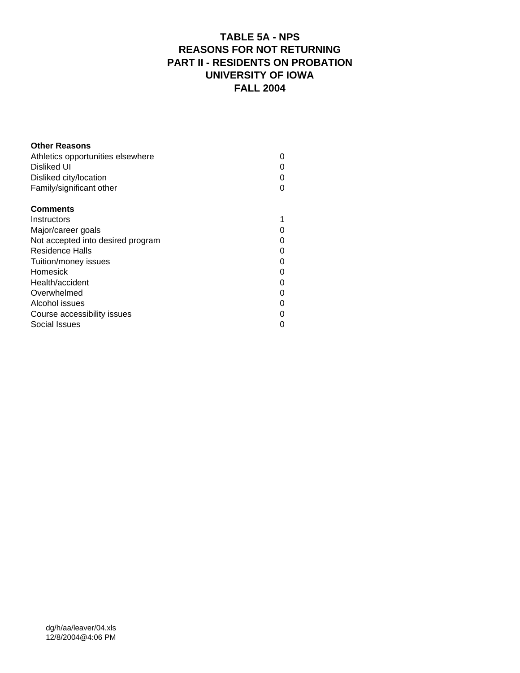# **TABLE 5A - NPS REASONS FOR NOT RETURNING PART II - RESIDENTS ON PROBATION UNIVERSITY OF IOWA FALL 2004**

| <b>Other Reasons</b>              |   |
|-----------------------------------|---|
| Athletics opportunities elsewhere |   |
| Disliked UI                       |   |
| Disliked city/location            |   |
| Family/significant other          |   |
| <b>Comments</b>                   |   |
| Instructors                       |   |
| Major/career goals                |   |
| Not accepted into desired program |   |
| Residence Halls                   | 0 |
| Tuition/money issues              | ი |
| Homesick                          |   |
| Health/accident                   |   |
| Overwhelmed                       |   |
| Alcohol issues                    |   |
| Course accessibility issues       |   |
| Social Issues                     |   |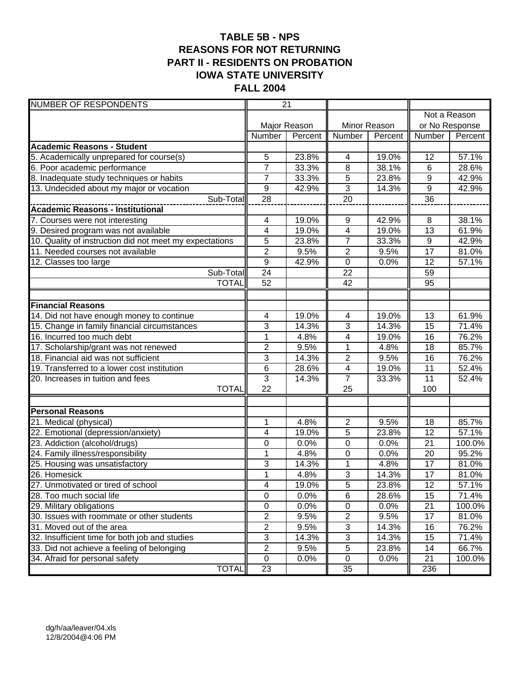# **TABLE 5B - NPS REASONS FOR NOT RETURNING PART II - RESIDENTS ON PROBATION IOWA STATE UNIVERSITY FALL 2004**

| <b>NUMBER OF RESPONDENTS</b>                            |                  | $\overline{21}$    |                 |              |                  |         |  |
|---------------------------------------------------------|------------------|--------------------|-----------------|--------------|------------------|---------|--|
|                                                         |                  |                    |                 |              | Not a Reason     |         |  |
|                                                         |                  | Major Reason       |                 | Minor Reason | or No Response   |         |  |
|                                                         | Number           | Percent            | Number          | Percent      | Number           | Percent |  |
| <b>Academic Reasons - Student</b>                       |                  |                    |                 |              |                  |         |  |
| 5. Academically unprepared for course(s)                | 5                | 23.8%              | 4               | 19.0%        | 12               | 57.1%   |  |
| 6. Poor academic performance                            | $\overline{7}$   | 33.3%              | 8               | 38.1%        | $6\phantom{1}6$  | 28.6%   |  |
| 8. Inadequate study techniques or habits                | $\overline{7}$   | 33.3%              | 5               | 23.8%        | $\boldsymbol{9}$ | 42.9%   |  |
| 13. Undecided about my major or vocation                | $\boldsymbol{9}$ | 42.9%              | $\overline{3}$  | 14.3%        | 9                | 42.9%   |  |
| Sub-Total                                               | 28               |                    | $\overline{20}$ |              | $\overline{36}$  |         |  |
| <b>Academic Reasons - Institutional</b>                 |                  |                    |                 |              |                  |         |  |
| 7. Courses were not interesting                         | 4                | 19.0%              | 9               | 42.9%        | 8                | 38.1%   |  |
| 9. Desired program was not available                    | 4                | 19.0%              | $\overline{4}$  | 19.0%        | 13               | 61.9%   |  |
| 10. Quality of instruction did not meet my expectations | 5                | 23.8%              | $\overline{7}$  | 33.3%        | 9                | 42.9%   |  |
| 11. Needed courses not available                        | $\overline{2}$   | 9.5%               | $\overline{2}$  | 9.5%         | 17               | 81.0%   |  |
| $\overline{12}$ . Classes too large                     | $\overline{9}$   | 42.9%              | $\pmb{0}$       | 0.0%         | 12               | 57.1%   |  |
| Sub-Total                                               | 24               |                    | 22              |              | 59               |         |  |
| <b>TOTAL</b>                                            | 52               |                    | 42              |              | 95               |         |  |
|                                                         |                  |                    |                 |              |                  |         |  |
| <b>Financial Reasons</b>                                |                  |                    |                 |              |                  |         |  |
| 14. Did not have enough money to continue               | 4                | 19.0%              | 4               | 19.0%        | $\overline{13}$  | 61.9%   |  |
| 15. Change in family financial circumstances            | 3                | 14.3%              | 3               | 14.3%        | $\overline{15}$  | 71.4%   |  |
| 16. Incurred too much debt                              | $\mathbf{1}$     | 4.8%               | 4               | 19.0%        | $\overline{16}$  | 76.2%   |  |
| 17. Scholarship/grant was not renewed                   | $\overline{2}$   | 9.5%               | $\overline{1}$  | 4.8%         | $\overline{18}$  | 85.7%   |  |
| 18. Financial aid was not sufficient                    | 3                | 14.3%              | $\overline{c}$  | 9.5%         | 16               | 76.2%   |  |
| 19. Transferred to a lower cost institution             | 6                | 28.6%              | $\overline{4}$  | 19.0%        | 11               | 52.4%   |  |
| 20. Increases in tuition and fees                       | $\overline{3}$   | 14.3%              | $\overline{7}$  | 33.3%        | 11               | 52.4%   |  |
| <b>TOTAL</b>                                            | 22               |                    | 25              |              | 100              |         |  |
| <b>Personal Reasons</b>                                 |                  |                    |                 |              |                  |         |  |
| 21. Medical (physical)                                  | 1                | $\overline{4.8\%}$ | 2               | 9.5%         | 18               | 85.7%   |  |
| 22. Emotional (depression/anxiety)                      | 4                | 19.0%              | 5               | 23.8%        | 12               | 57.1%   |  |
| 23. Addiction (alcohol/drugs)                           | 0                | 0.0%               | 0               | 0.0%         | 21               | 100.0%  |  |
| 24. Family illness/responsibility                       | $\mathbf{1}$     | 4.8%               | 0               | 0.0%         | 20               | 95.2%   |  |
| 25. Housing was unsatisfactory                          | 3                | 14.3%              | 1               | 4.8%         | 17               | 81.0%   |  |
| 26. Homesick                                            | $\overline{1}$   | 4.8%               | $\overline{3}$  | 14.3%        | $\overline{17}$  | 81.0%   |  |
| 27. Unmotivated or tired of school                      | 4                | 19.0%              | 5               | 23.8%        | 12               | 57.1%   |  |
| 28. Too much social life                                | $\pmb{0}$        | 0.0%               | 6               | 28.6%        | 15               | 71.4%   |  |
| 29. Military obligations                                | $\pmb{0}$        | 0.0%               | $\pmb{0}$       | 0.0%         | 21               | 100.0%  |  |
| 30. Issues with roommate or other students              | $\overline{2}$   | 9.5%               | $\overline{2}$  | 9.5%         | 17               | 81.0%   |  |
| 31. Moved out of the area                               | $\overline{2}$   | 9.5%               | $\overline{3}$  | 14.3%        | 16               | 76.2%   |  |
| 32. Insufficient time for both job and studies          | $\overline{3}$   | 14.3%              | $\overline{3}$  | 14.3%        | 15               | 71.4%   |  |
| 33. Did not achieve a feeling of belonging              | $\overline{2}$   | 9.5%               | 5               | 23.8%        | 14               | 66.7%   |  |
| 34. Afraid for personal safety                          | $\mathbf 0$      | 0.0%               | $\mathbf 0$     | 0.0%         | 21               | 100.0%  |  |
| <b>TOTAL</b>                                            | 23               |                    | 35              |              | 236              |         |  |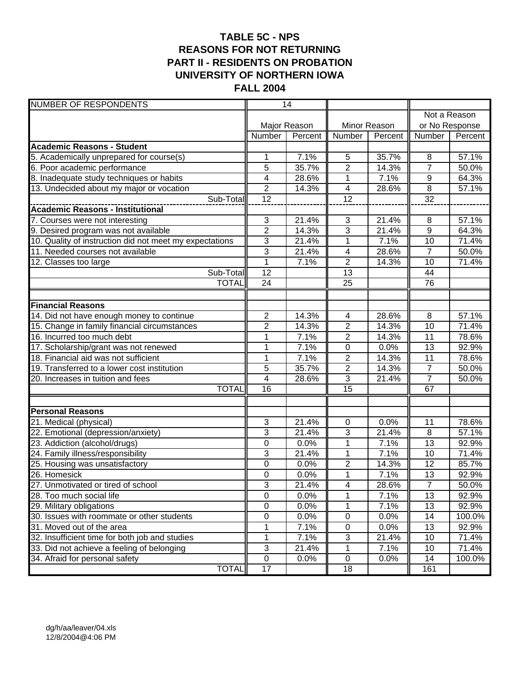# **TABLE 5C - NPS REASONS FOR NOT RETURNING PART II - RESIDENTS ON PROBATION UNIVERSITY OF NORTHERN IOWA FALL 2004**

| <b>NUMBER OF RESPONDENTS</b>                            |                 | 14           |                          |              |                 |              |  |
|---------------------------------------------------------|-----------------|--------------|--------------------------|--------------|-----------------|--------------|--|
|                                                         |                 |              |                          |              |                 | Not a Reason |  |
|                                                         |                 | Major Reason |                          | Minor Reason | or No Response  |              |  |
|                                                         | Number          | Percent      | Number                   | Percent      | Number          | Percent      |  |
| <b>Academic Reasons - Student</b>                       |                 |              |                          |              |                 |              |  |
| 5. Academically unprepared for course(s)                | 1               | 7.1%         | 5                        | 35.7%        | 8               | 57.1%        |  |
| 6. Poor academic performance                            | 5               | 35.7%        | $\overline{2}$           | 14.3%        | $\overline{7}$  | 50.0%        |  |
| 8. Inadequate study techniques or habits                | 4               | 28.6%        | 1                        | 7.1%         | 9               | 64.3%        |  |
| 13. Undecided about my major or vocation                | $\overline{2}$  | 14.3%        | $\overline{\mathcal{A}}$ | 28.6%        | 8               | 57.1%        |  |
| Sub-Total                                               | 12              |              | $\overline{12}$          |              | 32              |              |  |
| <b>Academic Reasons - Institutional</b>                 |                 |              |                          |              |                 |              |  |
| 7. Courses were not interesting                         | 3               | 21.4%        | $\sqrt{3}$               | 21.4%        | 8               | 57.1%        |  |
| 9. Desired program was not available                    | $\overline{2}$  | 14.3%        | 3                        | 21.4%        | $\overline{9}$  | 64.3%        |  |
| 10. Quality of instruction did not meet my expectations | 3               | 21.4%        | 1                        | 7.1%         | 10              | 71.4%        |  |
| 11. Needed courses not available                        | $\overline{3}$  | 21.4%        | $\overline{\mathcal{A}}$ | 28.6%        | $\overline{7}$  | 50.0%        |  |
| $\overline{12}$ . Classes too large                     | $\mathbf 1$     | 7.1%         | $\overline{2}$           | 14.3%        | 10              | 71.4%        |  |
| Sub-Total                                               | 12              |              | 13                       |              | 44              |              |  |
| <b>TOTAL</b>                                            | 24              |              | $\overline{25}$          |              | 76              |              |  |
|                                                         |                 |              |                          |              |                 |              |  |
| <b>Financial Reasons</b>                                |                 |              |                          |              |                 |              |  |
| 14. Did not have enough money to continue               | $\overline{2}$  | 14.3%        | $\overline{\mathcal{A}}$ | 28.6%        | $\overline{8}$  | 57.1%        |  |
| 15. Change in family financial circumstances            | $\overline{2}$  | 14.3%        | $\overline{2}$           | 14.3%        | 10              | 71.4%        |  |
| 16. Incurred too much debt                              | 1               | 7.1%         | $\overline{2}$           | 14.3%        | 11              | 78.6%        |  |
| 17. Scholarship/grant was not renewed                   | $\overline{1}$  | 7.1%         | $\overline{0}$           | 0.0%         | $\overline{13}$ | 92.9%        |  |
| 18. Financial aid was not sufficient                    | 1               | 7.1%         | $\overline{2}$           | 14.3%        | 11              | 78.6%        |  |
| 19. Transferred to a lower cost institution             | 5               | 35.7%        | $\overline{2}$           | 14.3%        | $\overline{7}$  | 50.0%        |  |
| 20. Increases in tuition and fees                       | 4               | 28.6%        | $\overline{3}$           | 21.4%        | $\overline{7}$  | 50.0%        |  |
| <b>TOTAL</b>                                            | $\overline{16}$ |              | 15                       |              | 67              |              |  |
| <b>Personal Reasons</b>                                 |                 |              |                          |              |                 |              |  |
| 21. Medical (physical)                                  | 3               | 21.4%        | 0                        | 0.0%         | 11              | 78.6%        |  |
| 22. Emotional (depression/anxiety)                      | 3               | 21.4%        | 3                        | 21.4%        | 8               | 57.1%        |  |
| 23. Addiction (alcohol/drugs)                           | 0               | 0.0%         | 1                        | 7.1%         | 13              | 92.9%        |  |
| 24. Family illness/responsibility                       | 3               | 21.4%        | 1                        | 7.1%         | 10              | 71.4%        |  |
| 25. Housing was unsatisfactory                          | 0               | 0.0%         | 2                        | 14.3%        | 12              | 85.7%        |  |
| 26. Homesick                                            | $\overline{0}$  | 0.0%         | $\overline{1}$           | 7.1%         | $\overline{13}$ | 92.9%        |  |
| 27. Unmotivated or tired of school                      | $\sqrt{3}$      | 21.4%        | $\overline{\mathcal{A}}$ | 28.6%        | $\overline{7}$  | 50.0%        |  |
| 28. Too much social life                                | $\pmb{0}$       | 0.0%         | 1                        | 7.1%         | 13              | 92.9%        |  |
| 29. Military obligations                                | $\pmb{0}$       | 0.0%         | 1                        | 7.1%         | 13              | 92.9%        |  |
| 30. Issues with roommate or other students              | 0               | 0.0%         | $\pmb{0}$                | 0.0%         | 14              | 100.0%       |  |
| 31. Moved out of the area                               | 1               | 7.1%         | $\pmb{0}$                | 0.0%         | 13              | 92.9%        |  |
| 32. Insufficient time for both job and studies          | 1               | 7.1%         | $\overline{3}$           | 21.4%        | 10              | 71.4%        |  |
| 33. Did not achieve a feeling of belonging              | $\sqrt{3}$      | 21.4%        | 1                        | 7.1%         | 10              | 71.4%        |  |
| 34. Afraid for personal safety                          | $\pmb{0}$       | 0.0%         | $\mathbf 0$              | 0.0%         | 14              | 100.0%       |  |
| <b>TOTAL</b>                                            | 17              |              | 18                       |              | 161             |              |  |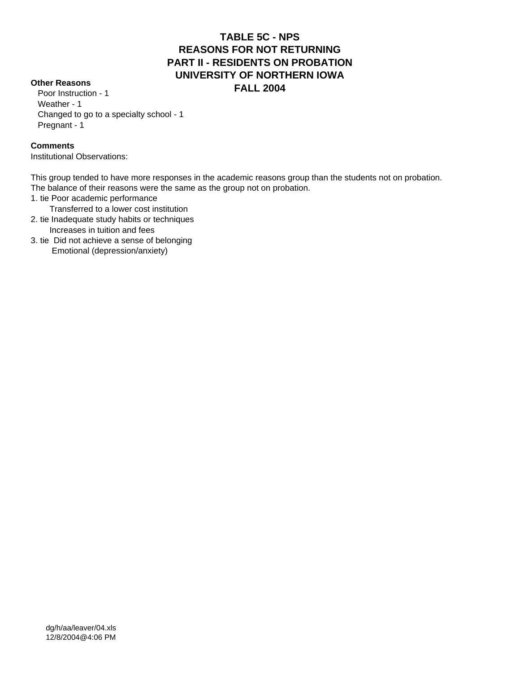#### **TABLE 5C - NPS REASONS FOR NOT RETURNING PART II - RESIDENTS ON PROBATION UNIVERSITY OF NORTHERN IOWA FALL 2004 Other Reasons**

 Poor Instruction - 1 Weather - 1 Changed to go to a specialty school - 1 Pregnant - 1

#### **Comments**

Institutional Observations:

This group tended to have more responses in the academic reasons group than the students not on probation. The balance of their reasons were the same as the group not on probation.

- 1. tie Poor academic performance
- Transferred to a lower cost institution
- 2. tie Inadequate study habits or techniques Increases in tuition and fees
- 3. tie Did not achieve a sense of belonging Emotional (depression/anxiety)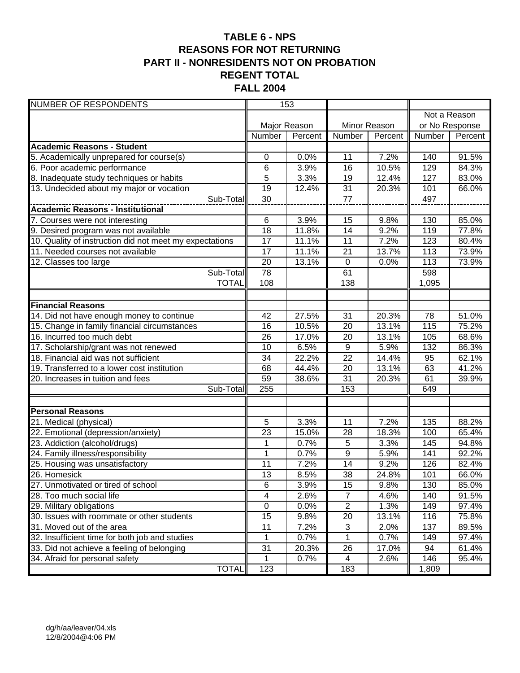# **TABLE 6 - NPS REASONS FOR NOT RETURNING PART II - NONRESIDENTS NOT ON PROBATION REGENT TOTAL FALL 2004**

| <b>NUMBER OF RESPONDENTS</b>                            |                | 153          |                  |              |              |                    |
|---------------------------------------------------------|----------------|--------------|------------------|--------------|--------------|--------------------|
|                                                         |                |              |                  |              | Not a Reason |                    |
|                                                         |                | Major Reason |                  | Minor Reason |              | or No Response     |
|                                                         | Number         | Percent      | Number           | Percent      | Number       | Percent            |
| <b>Academic Reasons - Student</b>                       |                |              |                  |              |              |                    |
| 5. Academically unprepared for course(s)                | 0              | 0.0%         | 11               | 7.2%         | 140          | 91.5%              |
| 6. Poor academic performance                            | 6              | 3.9%         | 16               | 10.5%        | 129          | 84.3%              |
| 8. Inadequate study techniques or habits                | 5              | 3.3%         | 19               | 12.4%        | 127          | 83.0%              |
| 13. Undecided about my major or vocation                | 19             | 12.4%        | 31               | 20.3%        | 101          | 66.0%              |
| Sub-Total                                               | 30             |              | 77               |              | 497          |                    |
|                                                         |                |              |                  |              |              |                    |
| 7. Courses were not interesting                         | 6              | 3.9%         | 15               | 9.8%         | 130          | 85.0%              |
| 9. Desired program was not available                    | 18             | 11.8%        | 14               | 9.2%         | 119          | 77.8%              |
| 10. Quality of instruction did not meet my expectations | 17             | 11.1%        | 11               | 7.2%         | 123          | 80.4%              |
| 11. Needed courses not available                        | 17             | 11.1%        | 21               | 13.7%        | 113          | 73.9%              |
| 12. Classes too large                                   | 20             | 13.1%        | $\boldsymbol{0}$ | 0.0%         | 113          | 73.9%              |
| Sub-Total                                               | 78             |              | 61               |              | 598          |                    |
| <b>TOTAL</b>                                            | 108            |              | 138              |              | 1,095        |                    |
|                                                         |                |              |                  |              |              |                    |
| <b>Financial Reasons</b>                                |                |              |                  |              |              |                    |
| 14. Did not have enough money to continue               | 42             | 27.5%        | $\overline{31}$  | 20.3%        | 78           | $\frac{1}{51.0\%}$ |
| 15. Change in family financial circumstances            | 16             | 10.5%        | $\overline{20}$  | 13.1%        | 115          | 75.2%              |
| 16. Incurred too much debt                              | 26             | 17.0%        | 20               | 13.1%        | 105          | 68.6%              |
| 17. Scholarship/grant was not renewed                   | 10             | 6.5%         | $\overline{9}$   | 5.9%         | 132          | 86.3%              |
| 18. Financial aid was not sufficient                    | 34             | 22.2%        | 22               | 14.4%        | 95           | 62.1%              |
| 19. Transferred to a lower cost institution             | 68             | 44.4%        | 20               | 13.1%        | 63           | 41.2%              |
| 20. Increases in tuition and fees                       | 59             | 38.6%        | $\overline{31}$  | 20.3%        | 61           | 39.9%              |
| Sub-Total                                               | 255            |              | 153              |              | 649          |                    |
|                                                         |                |              |                  |              |              |                    |
| <b>Personal Reasons</b>                                 |                |              |                  |              |              |                    |
| 21. Medical (physical)                                  | 5              | 3.3%         | 11               | 7.2%         | 135          | 88.2%              |
| 22. Emotional (depression/anxiety)                      | 23             | 15.0%        | 28               | 18.3%        | 100          | 65.4%              |
| 23. Addiction (alcohol/drugs)                           | 1              | 0.7%         | 5                | 3.3%         | 145          | 94.8%              |
| 24. Family illness/responsibility                       | 1              | 0.7%         | 9                | 5.9%         | 141          | 92.2%              |
| 25. Housing was unsatisfactory                          | 11             | 7.2%         | 14               | 9.2%         | 126          | 82.4%              |
| 26. Homesick                                            | 13             | 8.5%         | $\overline{38}$  | 24.8%        | 101          | 66.0%              |
| 27. Unmotivated or tired of school                      | 6              | 3.9%         | 15               | 9.8%         | 130          | 85.0%              |
| 28. Too much social life                                | 4              | 2.6%         | $\overline{7}$   | 4.6%         | 140          | 91.5%              |
| 29. Military obligations                                | $\overline{0}$ | 0.0%         | $\overline{2}$   | 1.3%         | 149          | 97.4%              |
| 30. Issues with roommate or other students              | 15             | 9.8%         | $\overline{20}$  | 13.1%        | 116          | 75.8%              |
| 31. Moved out of the area                               | 11             | 7.2%         | 3                | 2.0%         | 137          | 89.5%              |
| 32. Insufficient time for both job and studies          | 1              | 0.7%         | $\mathbf{1}$     | 0.7%         | 149          | 97.4%              |
| 33. Did not achieve a feeling of belonging              | 31             | 20.3%        | 26               | 17.0%        | 94           | 61.4%              |
| 34. Afraid for personal safety                          | 1              | 0.7%         | 4                | 2.6%         | 146          | 95.4%              |
| <b>TOTAL</b>                                            | 123            |              | 183              |              | 1,809        |                    |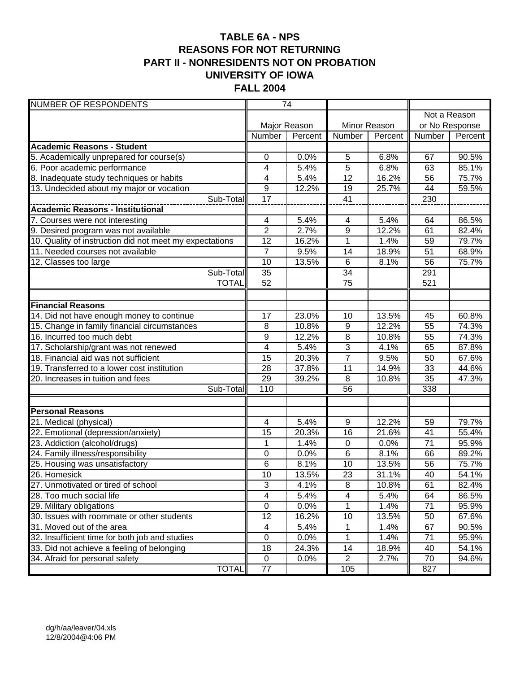#### **TABLE 6A - NPS REASONS FOR NOT RETURNING PART II - NONRESIDENTS NOT ON PROBATION UNIVERSITY OF IOWA FALL 2004**

| <b>NUMBER OF RESPONDENTS</b>                            |                | $\overline{74}$ |                         |              |                 |         |
|---------------------------------------------------------|----------------|-----------------|-------------------------|--------------|-----------------|---------|
|                                                         |                |                 |                         |              | Not a Reason    |         |
|                                                         |                | Major Reason    |                         | Minor Reason | or No Response  |         |
|                                                         | Number         | Percent         | Number                  | Percent      | Number          | Percent |
| <b>Academic Reasons - Student</b>                       |                |                 |                         |              |                 |         |
| 5. Academically unprepared for course(s)                | 0              | 0.0%            | 5                       | 6.8%         | 67              | 90.5%   |
| 6. Poor academic performance                            | 4              | 5.4%            | 5                       | 6.8%         | 63              | 85.1%   |
| 8. Inadequate study techniques or habits                | 4              | 5.4%            | 12                      | 16.2%        | 56              | 75.7%   |
| 13. Undecided about my major or vocation                | 9              | 12.2%           | 19                      | 25.7%        | 44              | 59.5%   |
| Sub-Total                                               | 17             |                 | 41                      |              | 230             |         |
| <b>Academic Reasons - Institutional</b>                 |                |                 |                         |              |                 |         |
| 7. Courses were not interesting                         | 4              | 5.4%            | 4                       | 5.4%         | 64              | 86.5%   |
| 9. Desired program was not available                    | $\overline{c}$ | 2.7%            | 9                       | 12.2%        | 61              | 82.4%   |
| 10. Quality of instruction did not meet my expectations | 12             | 16.2%           | 1                       | 1.4%         | 59              | 79.7%   |
| 11. Needed courses not available                        | $\overline{7}$ | 9.5%            | 14                      | 18.9%        | 51              | 68.9%   |
| 12. Classes too large                                   | 10             | 13.5%           | $\overline{6}$          | 8.1%         | 56              | 75.7%   |
| Sub-Total                                               | 35             |                 | 34                      |              | 291             |         |
| <b>TOTAL</b>                                            | 52             |                 | $\overline{75}$         |              | 521             |         |
|                                                         |                |                 |                         |              |                 |         |
| <b>Financial Reasons</b>                                |                |                 |                         |              |                 |         |
| 14. Did not have enough money to continue               | 17             | 23.0%           | 10                      | 13.5%        | 45              | 60.8%   |
| 15. Change in family financial circumstances            | 8              | 10.8%           | $\boldsymbol{9}$        | 12.2%        | $\overline{55}$ | 74.3%   |
| 16. Incurred too much debt                              | 9              | 12.2%           | 8                       | 10.8%        | 55              | 74.3%   |
| 17. Scholarship/grant was not renewed                   | 4              | 5.4%            | 3                       | 4.1%         | 65              | 87.8%   |
| 18. Financial aid was not sufficient                    | 15             | 20.3%           | $\overline{7}$          | 9.5%         | 50              | 67.6%   |
| 19. Transferred to a lower cost institution             | 28             | 37.8%           | 11                      | 14.9%        | 33              | 44.6%   |
| 20. Increases in tuition and fees                       | 29             | 39.2%           | 8                       | 10.8%        | 35              | 47.3%   |
| Sub-Total                                               | 110            |                 | $\overline{56}$         |              | 338             |         |
|                                                         |                |                 |                         |              |                 |         |
| <b>Personal Reasons</b>                                 |                |                 |                         |              |                 |         |
| 21. Medical (physical)                                  | 4              | 5.4%            | 9                       | 12.2%        | 59              | 79.7%   |
| 22. Emotional (depression/anxiety)                      | 15             | 20.3%           | 16                      | 21.6%        | 41              | 55.4%   |
| 23. Addiction (alcohol/drugs)                           | 1              | 1.4%            | $\pmb{0}$               | 0.0%         | 71              | 95.9%   |
| 24. Family illness/responsibility                       | 0              | 0.0%            | 6                       | 8.1%         | 66              | 89.2%   |
| 25. Housing was unsatisfactory                          | 6              | 8.1%            | 10                      | 13.5%        | 56              | 75.7%   |
| 26. Homesick                                            | 10             | 13.5%           | 23                      | 31.1%        | 40              | 54.1%   |
| 27. Unmotivated or tired of school                      | $\sqrt{3}$     | 4.1%            | 8                       | 10.8%        | 61              | 82.4%   |
| 28. Too much social life                                | 4              | 5.4%            | $\overline{\mathbf{4}}$ | 5.4%         | 64              | 86.5%   |
| 29. Military obligations                                | $\mathsf 0$    | 0.0%            | 1                       | 1.4%         | $\overline{71}$ | 95.9%   |
| 30. Issues with roommate or other students              | 12             | 16.2%           | 10                      | 13.5%        | 50              | 67.6%   |
| 31. Moved out of the area                               | 4              | 5.4%            | 1                       | 1.4%         | 67              | 90.5%   |
| 32. Insufficient time for both job and studies          | $\pmb{0}$      | 0.0%            | $\mathbf 1$             | 1.4%         | 71              | 95.9%   |
| 33. Did not achieve a feeling of belonging              | 18             | 24.3%           | 14                      | 18.9%        | 40              | 54.1%   |
| 34. Afraid for personal safety                          | $\mathbf 0$    | 0.0%            | $\overline{2}$          | 2.7%         | 70              | 94.6%   |
| <b>TOTAL</b>                                            | 77             |                 | 105                     |              | 827             |         |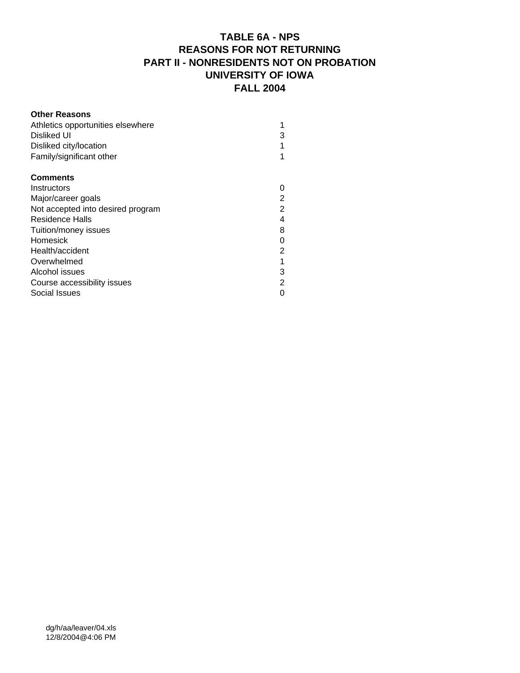# **TABLE 6A - NPS REASONS FOR NOT RETURNING PART II - NONRESIDENTS NOT ON PROBATION UNIVERSITY OF IOWA FALL 2004**

| <b>Other Reasons</b>              |                |
|-----------------------------------|----------------|
| Athletics opportunities elsewhere |                |
| Disliked UI                       | 3              |
| Disliked city/location            |                |
| Family/significant other          |                |
| <b>Comments</b>                   |                |
| Instructors                       |                |
| Major/career goals                | 2              |
| Not accepted into desired program | $\overline{2}$ |
| Residence Halls                   | 4              |
| Tuition/money issues              | 8              |
| Homesick                          | 0              |
| Health/accident                   | 2              |
| Overwhelmed                       |                |
| Alcohol issues                    | 3              |
| Course accessibility issues       | 2              |
| Social Issues                     |                |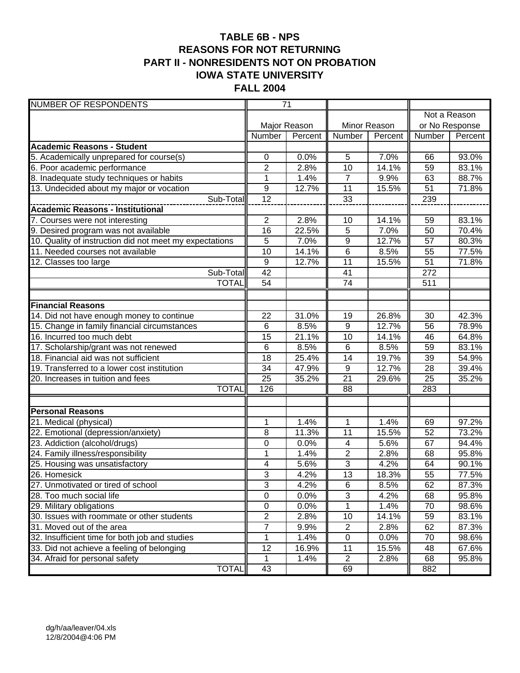# **TABLE 6B - NPS REASONS FOR NOT RETURNING PART II - NONRESIDENTS NOT ON PROBATION IOWA STATE UNIVERSITY FALL 2004**

| <b>NUMBER OF RESPONDENTS</b>                            | $\overline{71}$           |              |                  |              |                 |         |  |
|---------------------------------------------------------|---------------------------|--------------|------------------|--------------|-----------------|---------|--|
|                                                         |                           |              |                  |              | Not a Reason    |         |  |
|                                                         |                           | Major Reason |                  | Minor Reason | or No Response  |         |  |
|                                                         | Number                    | Percent      | Number           | Percent      | Number          | Percent |  |
| <b>Academic Reasons - Student</b>                       |                           |              |                  |              |                 |         |  |
| 5. Academically unprepared for course(s)                | 0                         | 0.0%         | 5                | 7.0%         | 66              | 93.0%   |  |
| 6. Poor academic performance                            | $\overline{c}$            | 2.8%         | 10               | 14.1%        | 59              | 83.1%   |  |
| 8. Inadequate study techniques or habits                | $\mathbf{1}$              | 1.4%         | $\overline{7}$   | 9.9%         | 63              | 88.7%   |  |
| 13. Undecided about my major or vocation                | 9                         | 12.7%        | 11               | 15.5%        | 51              | 71.8%   |  |
| Sub-Total                                               | 12                        |              | $\overline{33}$  |              | 239             |         |  |
| <b>Academic Reasons - Institutional</b>                 |                           |              |                  |              |                 |         |  |
| 7. Courses were not interesting                         | $\overline{2}$            | 2.8%         | 10               | 14.1%        | 59              | 83.1%   |  |
| 9. Desired program was not available                    | 16                        | 22.5%        | 5                | 7.0%         | 50              | 70.4%   |  |
| 10. Quality of instruction did not meet my expectations | 5                         | 7.0%         | 9                | 12.7%        | 57              | 80.3%   |  |
| 11. Needed courses not available                        | 10                        | 14.1%        | 6                | 8.5%         | 55              | 77.5%   |  |
| 12. Classes too large                                   | $\boldsymbol{9}$          | 12.7%        | $\overline{11}$  | 15.5%        | $\overline{51}$ | 71.8%   |  |
| Sub-Total                                               | 42                        |              | 41               |              | 272             |         |  |
| <b>TOTAL</b>                                            | $\overline{54}$           |              | $\overline{74}$  |              | 511             |         |  |
|                                                         |                           |              |                  |              |                 |         |  |
| <b>Financial Reasons</b>                                |                           |              |                  |              |                 |         |  |
| 14. Did not have enough money to continue               | 22                        | 31.0%        | 19               | 26.8%        | 30              | 42.3%   |  |
| 15. Change in family financial circumstances            | 6                         | 8.5%         | $\overline{9}$   | 12.7%        | 56              | 78.9%   |  |
| 16. Incurred too much debt                              | 15                        | 21.1%        | 10               | 14.1%        | 46              | 64.8%   |  |
| 17. Scholarship/grant was not renewed                   | 6                         | 8.5%         | $6\phantom{1}$   | 8.5%         | 59              | 83.1%   |  |
| 18. Financial aid was not sufficient                    | 18                        | 25.4%        | $\overline{14}$  | 19.7%        | 39              | 54.9%   |  |
| 19. Transferred to a lower cost institution             | 34                        | 47.9%        | $\boldsymbol{9}$ | 12.7%        | 28              | 39.4%   |  |
| 20. Increases in tuition and fees                       | 25                        | 35.2%        | $\overline{21}$  | 29.6%        | 25              | 35.2%   |  |
| <b>TOTAL</b>                                            | 126                       |              | 88               |              | 283             |         |  |
|                                                         |                           |              |                  |              |                 |         |  |
| <b>Personal Reasons</b>                                 |                           |              |                  |              |                 |         |  |
| 21. Medical (physical)                                  | 1                         | 1.4%         | 1                | 1.4%         | 69              | 97.2%   |  |
| 22. Emotional (depression/anxiety)                      | 8                         | 11.3%        | 11               | 15.5%        | 52              | 73.2%   |  |
| 23. Addiction (alcohol/drugs)                           | 0                         | 0.0%         | 4                | 5.6%         | 67              | 94.4%   |  |
| 24. Family illness/responsibility                       | $\mathbf{1}$              | 1.4%         | $\overline{2}$   | 2.8%         | 68              | 95.8%   |  |
| 25. Housing was unsatisfactory                          | 4                         | 5.6%         | 3                | 4.2%         | 64              | 90.1%   |  |
| 26. Homesick                                            | 3                         | 4.2%         | $\overline{13}$  | 18.3%        | 55              | 77.5%   |  |
| 27. Unmotivated or tired of school                      | $\ensuremath{\mathsf{3}}$ | 4.2%         | $\,6$            | 8.5%         | 62              | 87.3%   |  |
| 28. Too much social life                                | $\overline{0}$            | 0.0%         | $\overline{3}$   | 4.2%         | 68              | 95.8%   |  |
| 29. Military obligations                                | $\mathsf 0$               | 0.0%         | $\mathbf{1}$     | 1.4%         | $\overline{70}$ | 98.6%   |  |
| 30. Issues with roommate or other students              | $\overline{2}$            | 2.8%         | 10               | 14.1%        | 59              | 83.1%   |  |
| 31. Moved out of the area                               | 7                         | 9.9%         | $\overline{2}$   | 2.8%         | 62              | 87.3%   |  |
| 32. Insufficient time for both job and studies          | 1                         | 1.4%         | $\pmb{0}$        | 0.0%         | 70              | 98.6%   |  |
| 33. Did not achieve a feeling of belonging              | 12                        | 16.9%        | 11               | 15.5%        | 48              | 67.6%   |  |
| 34. Afraid for personal safety                          | 1                         | 1.4%         | $\overline{c}$   | 2.8%         | 68              | 95.8%   |  |
| <b>TOTAL</b>                                            | 43                        |              | 69               |              | 882             |         |  |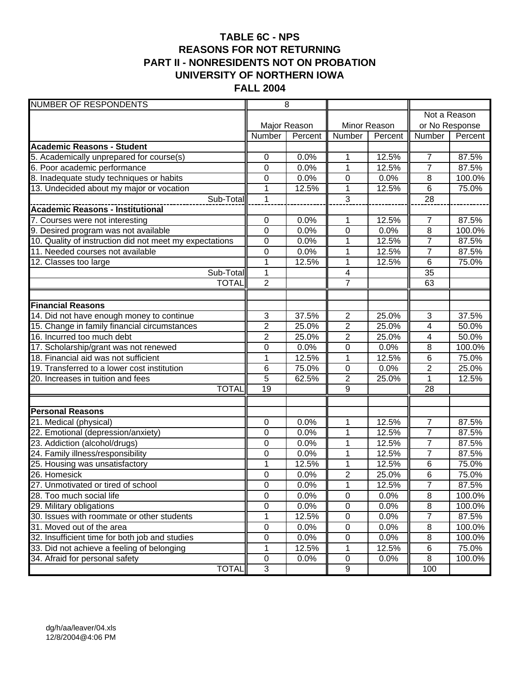# **TABLE 6C - NPS REASONS FOR NOT RETURNING PART II - NONRESIDENTS NOT ON PROBATION UNIVERSITY OF NORTHERN IOWA FALL 2004**

| <b>NUMBER OF RESPONDENTS</b>                            |                 | $\overline{8}$ |                  |              |                 |         |
|---------------------------------------------------------|-----------------|----------------|------------------|--------------|-----------------|---------|
|                                                         |                 |                |                  |              | Not a Reason    |         |
|                                                         |                 | Major Reason   |                  | Minor Reason | or No Response  |         |
|                                                         | Number          | Percent        | Number           | Percent      | Number          | Percent |
| <b>Academic Reasons - Student</b>                       |                 |                |                  |              |                 |         |
| 5. Academically unprepared for course(s)                | 0               | 0.0%           | 1                | 12.5%        | $\overline{7}$  | 87.5%   |
| 6. Poor academic performance                            | 0               | 0.0%           | 1                | 12.5%        | $\overline{7}$  | 87.5%   |
| 8. Inadequate study techniques or habits                | 0               | 0.0%           | 0                | 0.0%         | 8               | 100.0%  |
| 13. Undecided about my major or vocation                | 1               | 12.5%          | 1                | 12.5%        | 6               | 75.0%   |
| Sub-Total                                               | $\mathbf 1$     |                | 3                |              | 28              |         |
|                                                         |                 |                |                  |              |                 |         |
| 7. Courses were not interesting                         | $\mathbf 0$     | 0.0%           | 1                | 12.5%        | 7               | 87.5%   |
| 9. Desired program was not available                    | $\mathbf 0$     | 0.0%           | $\mathbf 0$      | 0.0%         | $\overline{8}$  | 100.0%  |
| 10. Quality of instruction did not meet my expectations | 0               | 0.0%           | 1                | 12.5%        | $\overline{7}$  | 87.5%   |
| 11. Needed courses not available                        | 0               | 0.0%           | 1                | 12.5%        | $\overline{7}$  | 87.5%   |
| 12. Classes too large                                   | $\mathbf 1$     | 12.5%          | 1                | 12.5%        | $6\phantom{1}6$ | 75.0%   |
| Sub-Total                                               | 1               |                | $\overline{4}$   |              | $\overline{35}$ |         |
| <b>TOTAL</b>                                            | $\overline{2}$  |                | $\overline{7}$   |              | 63              |         |
|                                                         |                 |                |                  |              |                 |         |
| <b>Financial Reasons</b>                                |                 |                |                  |              |                 |         |
| 14. Did not have enough money to continue               | 3               | 37.5%          | $\overline{2}$   | 25.0%        | 3               | 37.5%   |
| 15. Change in family financial circumstances            | $\overline{2}$  | 25.0%          | $\overline{2}$   | 25.0%        | 4               | 50.0%   |
| 16. Incurred too much debt                              | $\overline{2}$  | 25.0%          | $\overline{2}$   | 25.0%        | 4               | 50.0%   |
| 17. Scholarship/grant was not renewed                   | 0               | 0.0%           | 0                | 0.0%         | 8               | 100.0%  |
| 18. Financial aid was not sufficient                    | $\overline{1}$  | 12.5%          | $\overline{1}$   | 12.5%        | 6               | 75.0%   |
| 19. Transferred to a lower cost institution             | 6               | 75.0%          | $\pmb{0}$        | 0.0%         | $\overline{2}$  | 25.0%   |
| 20. Increases in tuition and fees                       | $\overline{5}$  | 62.5%          | $\overline{2}$   | 25.0%        | 1               | 12.5%   |
| <b>TOTAL</b>                                            | $\overline{19}$ |                | $\overline{9}$   |              | 28              |         |
|                                                         |                 |                |                  |              |                 |         |
| <b>Personal Reasons</b><br>21. Medical (physical)       | 0               | 0.0%           | 1                | 12.5%        | $\overline{7}$  | 87.5%   |
| 22. Emotional (depression/anxiety)                      | 0               | 0.0%           | 1                | 12.5%        | $\overline{7}$  | 87.5%   |
| 23. Addiction (alcohol/drugs)                           | 0               | 0.0%           | 1                | 12.5%        | $\overline{7}$  | 87.5%   |
| 24. Family illness/responsibility                       | 0               | 0.0%           | 1                | 12.5%        | $\overline{7}$  | 87.5%   |
| 25. Housing was unsatisfactory                          | 1               | 12.5%          | $\mathbf{1}$     | 12.5%        | 6               | 75.0%   |
| 26. Homesick                                            | 0               | 0.0%           | $\overline{2}$   | 25.0%        | 6               | 75.0%   |
| 27. Unmotivated or tired of school                      | $\mathbf 0$     | 0.0%           | $\mathbf 1$      | 12.5%        | $\overline{7}$  | 87.5%   |
| 28. Too much social life                                | $\pmb{0}$       | 0.0%           | $\pmb{0}$        | 0.0%         | $\, 8$          | 100.0%  |
| 29. Military obligations                                | $\overline{0}$  | 0.0%           | $\pmb{0}$        | 0.0%         | $\overline{8}$  | 100.0%  |
| 30. Issues with roommate or other students              | 1               | 12.5%          | $\pmb{0}$        | 0.0%         | 7               | 87.5%   |
| 31. Moved out of the area                               | $\overline{0}$  | 0.0%           | $\pmb{0}$        | 0.0%         | 8               | 100.0%  |
| 32. Insufficient time for both job and studies          | 0               | 0.0%           | 0                | 0.0%         | 8               | 100.0%  |
| 33. Did not achieve a feeling of belonging              | 1               | 12.5%          | 1                | 12.5%        | 6               | 75.0%   |
| 34. Afraid for personal safety                          | $\pmb{0}$       | 0.0%           | $\pmb{0}$        | 0.0%         | 8               | 100.0%  |
| <b>TOTAL</b>                                            | 3               |                | $\boldsymbol{9}$ |              | 100             |         |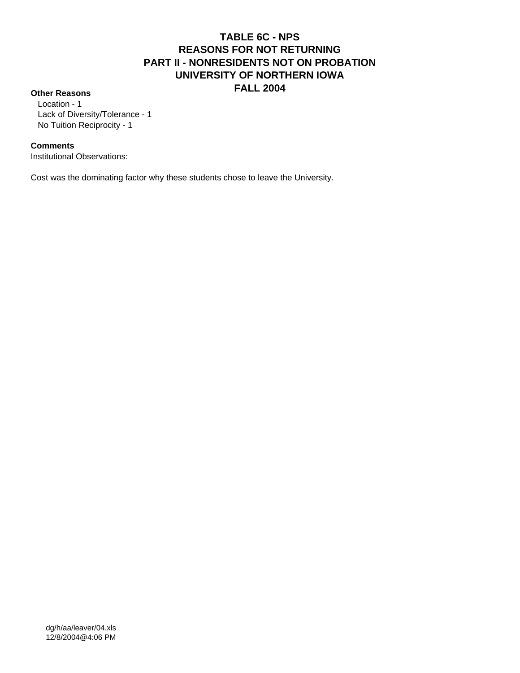# **TABLE 6C - NPS REASONS FOR NOT RETURNING PART II - NONRESIDENTS NOT ON PROBATION UNIVERSITY OF NORTHERN IOWA FALL 2004 Other Reasons**

 Location - 1 Lack of Diversity/Tolerance - 1 No Tuition Reciprocity - 1

#### **Comments**

Institutional Observations:

Cost was the dominating factor why these students chose to leave the University.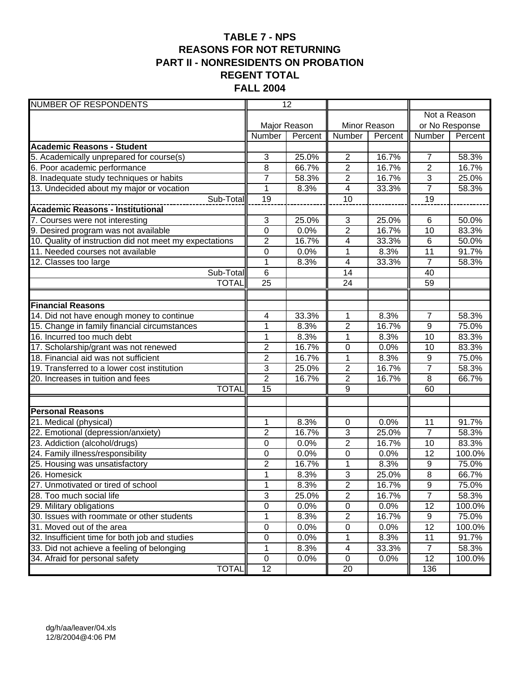# **TABLE 7 - NPS REASONS FOR NOT RETURNING PART II - NONRESIDENTS ON PROBATION REGENT TOTAL FALL 2004**

| <b>NUMBER OF RESPONDENTS</b>                            |                  | $\overline{12}$ |                         |              |                 |              |
|---------------------------------------------------------|------------------|-----------------|-------------------------|--------------|-----------------|--------------|
|                                                         |                  |                 |                         |              |                 | Not a Reason |
|                                                         |                  | Major Reason    |                         | Minor Reason | or No Response  |              |
|                                                         | Number           | Percent         | Number                  | Percent      | Number          | Percent      |
| <b>Academic Reasons - Student</b>                       |                  |                 |                         |              |                 |              |
| 5. Academically unprepared for course(s)                | 3                | 25.0%           | $\overline{2}$          | 16.7%        | $\overline{7}$  | 58.3%        |
| 6. Poor academic performance                            | 8                | 66.7%           | $\overline{2}$          | 16.7%        | $\overline{2}$  | 16.7%        |
| 8. Inadequate study techniques or habits                | $\overline{7}$   | 58.3%           | $\overline{2}$          | 16.7%        | $\overline{3}$  | 25.0%        |
| 13. Undecided about my major or vocation                | 1                | 8.3%            | $\overline{\mathbf{4}}$ | 33.3%        | $\overline{7}$  | 58.3%        |
| Sub-Total                                               | 19               |                 | 10                      |              | $\overline{19}$ |              |
| Academic Reasons - Institutional                        |                  |                 |                         |              |                 |              |
| 7. Courses were not interesting                         | 3                | 25.0%           | 3                       | 25.0%        | 6               | 50.0%        |
| 9. Desired program was not available                    | $\mathbf 0$      | 0.0%            | $\overline{2}$          | 16.7%        | 10              | 83.3%        |
| 10. Quality of instruction did not meet my expectations | $\overline{c}$   | 16.7%           | 4                       | 33.3%        | $\,6$           | 50.0%        |
| 11. Needed courses not available                        | $\boldsymbol{0}$ | 0.0%            | 1                       | 8.3%         | 11              | 91.7%        |
| $\overline{12}$ . Classes too large                     | $\mathbf 1$      | 8.3%            | 4                       | 33.3%        | $\overline{7}$  | 58.3%        |
| Sub-Total                                               | 6                |                 | 14                      |              | 40              |              |
| <b>TOTAL</b>                                            | $\overline{25}$  |                 | $\overline{24}$         |              | 59              |              |
|                                                         |                  |                 |                         |              |                 |              |
| <b>Financial Reasons</b>                                |                  |                 |                         |              |                 |              |
| 14. Did not have enough money to continue               | 4                | 33.3%           | $\mathbf{1}$            | 8.3%         | $\overline{7}$  | 58.3%        |
| 15. Change in family financial circumstances            | 1                | 8.3%            | $\overline{2}$          | 16.7%        | $\overline{9}$  | 75.0%        |
| 16. Incurred too much debt                              | 1                | 8.3%            | 1                       | 8.3%         | 10              | 83.3%        |
| 17. Scholarship/grant was not renewed                   | $\overline{2}$   | 16.7%           | $\mathbf 0$             | 0.0%         | 10              | 83.3%        |
| 18. Financial aid was not sufficient                    | $\overline{2}$   | 16.7%           | $\mathbf{1}$            | 8.3%         | 9               | 75.0%        |
| 19. Transferred to a lower cost institution             | 3                | 25.0%           | $\overline{2}$          | 16.7%        | $\overline{7}$  | 58.3%        |
| 20. Increases in tuition and fees                       | $\overline{2}$   | 16.7%           | $\overline{2}$          | 16.7%        | 8               | 66.7%        |
| <b>TOTAL</b>                                            | $\overline{15}$  |                 | $\overline{9}$          |              | 60              |              |
| <b>Personal Reasons</b>                                 |                  |                 |                         |              |                 |              |
| 21. Medical (physical)                                  | 1                | 8.3%            | 0                       | 0.0%         | 11              | 91.7%        |
| 22. Emotional (depression/anxiety)                      | $\overline{2}$   | 16.7%           | 3                       | 25.0%        | $\overline{7}$  | 58.3%        |
| 23. Addiction (alcohol/drugs)                           | 0                | 0.0%            | $\overline{2}$          | 16.7%        | 10              | 83.3%        |
| 24. Family illness/responsibility                       | 0                | 0.0%            | 0                       | 0.0%         | 12              | 100.0%       |
| 25. Housing was unsatisfactory                          | 2                | 16.7%           | 1                       | 8.3%         | 9               | 75.0%        |
| 26. Homesick                                            | $\overline{1}$   | 8.3%            | $\overline{3}$          | 25.0%        | $\overline{8}$  | 66.7%        |
| 27. Unmotivated or tired of school                      | $\mathbf{1}$     | 8.3%            | $\overline{\mathbf{c}}$ | 16.7%        | 9               | 75.0%        |
| 28. Too much social life                                | 3                | 25.0%           | $\overline{2}$          | 16.7%        | $\overline{7}$  | 58.3%        |
| 29. Military obligations                                | $\overline{0}$   | 0.0%            | $\pmb{0}$               | 0.0%         | 12              | 100.0%       |
| 30. Issues with roommate or other students              | 1                | 8.3%            | $\overline{2}$          | 16.7%        | 9               | 75.0%        |
| 31. Moved out of the area                               | 0                | 0.0%            | $\pmb{0}$               | 0.0%         | $\overline{12}$ | 100.0%       |
| 32. Insufficient time for both job and studies          | $\pmb{0}$        | 0.0%            | 1                       | 8.3%         | 11              | 91.7%        |
| 33. Did not achieve a feeling of belonging              | 1                | 8.3%            | 4                       | 33.3%        | $\overline{7}$  | 58.3%        |
| 34. Afraid for personal safety                          | $\mathbf 0$      | 0.0%            | $\mathbf 0$             | 0.0%         | 12              | 100.0%       |
| <b>TOTAL</b>                                            | 12               |                 | 20                      |              | 136             |              |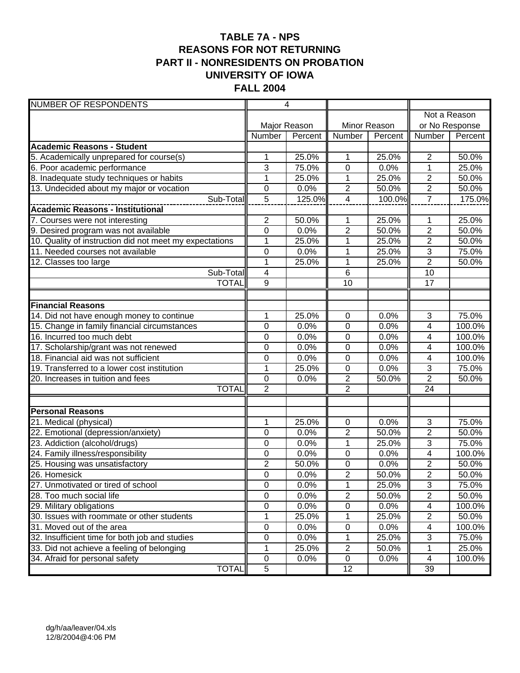# **TABLE 7A - NPS REASONS FOR NOT RETURNING PART II - NONRESIDENTS ON PROBATION UNIVERSITY OF IOWA FALL 2004**

| <b>NUMBER OF RESPONDENTS</b>                            |                  | $\overline{4}$ |                  |              |                         |              |
|---------------------------------------------------------|------------------|----------------|------------------|--------------|-------------------------|--------------|
|                                                         |                  |                |                  |              |                         | Not a Reason |
|                                                         |                  | Major Reason   |                  | Minor Reason | or No Response          |              |
|                                                         | Number           | Percent        | Number           | Percent      | Number                  | Percent      |
| <b>Academic Reasons - Student</b>                       |                  |                |                  |              |                         |              |
| 5. Academically unprepared for course(s)                | 1                | 25.0%          | 1                | 25.0%        | $\overline{2}$          | 50.0%        |
| 6. Poor academic performance                            | 3                | 75.0%          | 0                | 0.0%         | 1                       | 25.0%        |
| 8. Inadequate study techniques or habits                | $\mathbf{1}$     | 25.0%          | $\mathbf{1}$     | 25.0%        | $\overline{2}$          | 50.0%        |
| 13. Undecided about my major or vocation                | 0                | 0.0%           | $\overline{c}$   | 50.0%        | $\overline{2}$          | 50.0%        |
| Sub-Total                                               | $\overline{5}$   | 125.0%         | $\overline{4}$   | 100.0%       | $\overline{7}$          | 175.0%       |
|                                                         |                  |                |                  |              |                         |              |
| 7. Courses were not interesting                         | $\overline{2}$   | 50.0%          | 1                | 25.0%        | 1                       | 25.0%        |
| 9. Desired program was not available                    | $\mathbf 0$      | 0.0%           | $\overline{2}$   | 50.0%        | $\overline{\mathbf{c}}$ | 50.0%        |
| 10. Quality of instruction did not meet my expectations | $\mathbf{1}$     | 25.0%          | 1                | 25.0%        | $\overline{c}$          | 50.0%        |
| 11. Needed courses not available                        | 0                | 0.0%           | 1                | 25.0%        | 3                       | 75.0%        |
| 12. Classes too large                                   | $\mathbf{1}$     | 25.0%          | 1                | 25.0%        | $\overline{2}$          | 50.0%        |
| Sub-Total                                               | 4                |                | 6                |              | 10                      |              |
| <b>TOTAL</b>                                            | $\overline{9}$   |                | 10               |              | 17                      |              |
|                                                         |                  |                |                  |              |                         |              |
| <b>Financial Reasons</b>                                |                  |                |                  |              |                         |              |
| 14. Did not have enough money to continue               | 1                | 25.0%          | 0                | 0.0%         | $\overline{3}$          | 75.0%        |
| 15. Change in family financial circumstances            | $\mathbf 0$      | 0.0%           | $\mathbf 0$      | 0.0%         | 4                       | 100.0%       |
| 16. Incurred too much debt                              | $\mathbf 0$      | 0.0%           | $\mathbf 0$      | 0.0%         | 4                       | 100.0%       |
| 17. Scholarship/grant was not renewed                   | 0                | 0.0%           | 0                | 0.0%         | 4                       | 100.0%       |
| 18. Financial aid was not sufficient                    | $\mathbf 0$      | 0.0%           | $\mathbf 0$      | 0.0%         | $\overline{4}$          | 100.0%       |
| 19. Transferred to a lower cost institution             | $\mathbf{1}$     | 25.0%          | $\pmb{0}$        | 0.0%         | 3                       | 75.0%        |
| 20. Increases in tuition and fees                       | $\mathbf 0$      | 0.0%           | $\mathbf{2}$     | 50.0%        | $\overline{2}$          | 50.0%        |
| <b>TOTAL</b>                                            | $\overline{2}$   |                | $\overline{2}$   |              | $\overline{24}$         |              |
| <b>Personal Reasons</b>                                 |                  |                |                  |              |                         |              |
| 21. Medical (physical)                                  | 1                | 25.0%          | 0                | 0.0%         | 3                       | 75.0%        |
| 22. Emotional (depression/anxiety)                      | 0                | 0.0%           | $\overline{2}$   | 50.0%        | $\overline{2}$          | 50.0%        |
| 23. Addiction (alcohol/drugs)                           | 0                | 0.0%           | 1                | 25.0%        | 3                       | 75.0%        |
| 24. Family illness/responsibility                       | 0                | 0.0%           | $\boldsymbol{0}$ | 0.0%         | 4                       | 100.0%       |
| 25. Housing was unsatisfactory                          | $\overline{2}$   | 50.0%          | 0                | 0.0%         | $\overline{2}$          | 50.0%        |
| 26. Homesick                                            | $\mathbf 0$      | 0.0%           | $\overline{2}$   | 50.0%        | $\overline{2}$          | 50.0%        |
| 27. Unmotivated or tired of school                      | $\boldsymbol{0}$ | 0.0%           | $\mathbf 1$      | 25.0%        | 3                       | 75.0%        |
| 28. Too much social life                                | $\pmb{0}$        | 0.0%           | $\overline{2}$   | 50.0%        | $\overline{2}$          | 50.0%        |
| 29. Military obligations                                | $\mathsf 0$      | 0.0%           | $\overline{0}$   | 0.0%         | 4                       | 100.0%       |
| 30. Issues with roommate or other students              | 1                | 25.0%          | 1                | 25.0%        | $\mathbf{2}$            | 50.0%        |
| 31. Moved out of the area                               | $\overline{0}$   | 0.0%           | $\pmb{0}$        | 0.0%         | 4                       | 100.0%       |
| 32. Insufficient time for both job and studies          | 0                | 0.0%           | 1                | 25.0%        | 3                       | 75.0%        |
| 33. Did not achieve a feeling of belonging              | 1                | 25.0%          | $\boldsymbol{2}$ | 50.0%        | 1                       | 25.0%        |
| 34. Afraid for personal safety                          | $\pmb{0}$        | 0.0%           | $\pmb{0}$        | 0.0%         | 4                       | 100.0%       |
| <b>TOTAL</b>                                            | $\overline{5}$   |                | 12               |              | 39                      |              |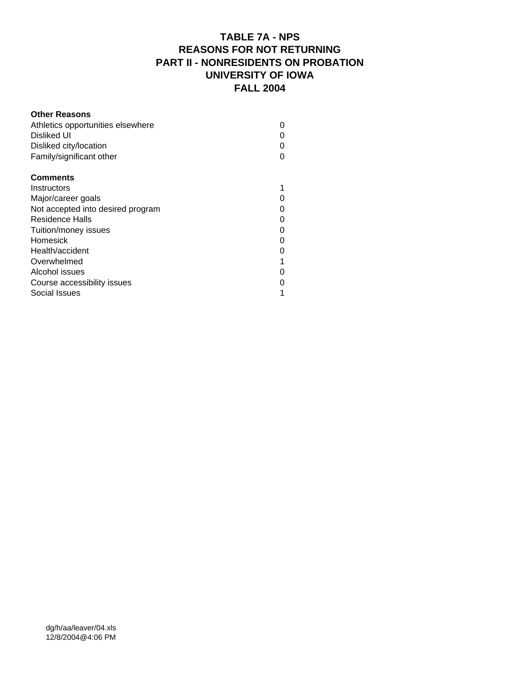# **TABLE 7A - NPS REASONS FOR NOT RETURNING PART II - NONRESIDENTS ON PROBATION UNIVERSITY OF IOWA FALL 2004**

| <b>Other Reasons</b>              |  |
|-----------------------------------|--|
| Athletics opportunities elsewhere |  |
| Disliked UI                       |  |
| Disliked city/location            |  |
| Family/significant other          |  |
| <b>Comments</b>                   |  |
| Instructors                       |  |
| Major/career goals                |  |
| Not accepted into desired program |  |
| Residence Halls                   |  |
| Tuition/money issues              |  |
| Homesick                          |  |
| Health/accident                   |  |
| Overwhelmed                       |  |
| Alcohol issues                    |  |
| Course accessibility issues       |  |
| Social Issues                     |  |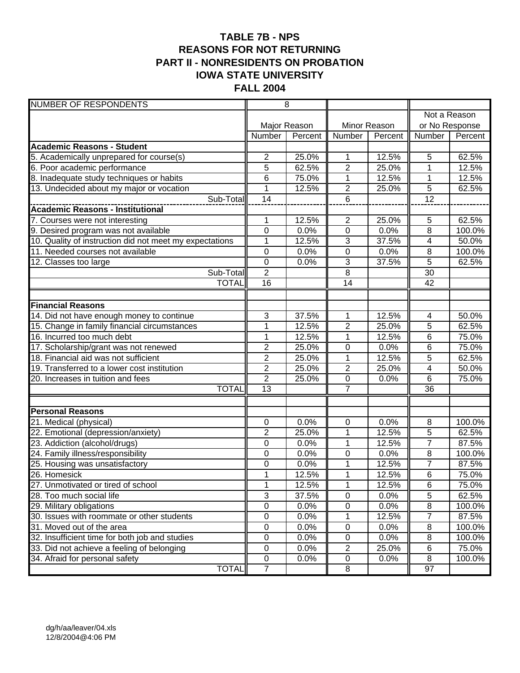# **TABLE 7B - NPS REASONS FOR NOT RETURNING PART II - NONRESIDENTS ON PROBATION IOWA STATE UNIVERSITY FALL 2004**

| <b>NUMBER OF RESPONDENTS</b>                            |                  | $\overline{8}$ |                |              |                 |         |
|---------------------------------------------------------|------------------|----------------|----------------|--------------|-----------------|---------|
|                                                         |                  |                |                |              | Not a Reason    |         |
|                                                         |                  | Major Reason   |                | Minor Reason | or No Response  |         |
|                                                         | Number           | Percent        | Number         | Percent      | Number          | Percent |
| <b>Academic Reasons - Student</b>                       |                  |                |                |              |                 |         |
| 5. Academically unprepared for course(s)                | $\overline{c}$   | 25.0%          | 1              | 12.5%        | 5               | 62.5%   |
| 6. Poor academic performance                            | 5                | 62.5%          | $\overline{2}$ | 25.0%        | 1               | 12.5%   |
| 8. Inadequate study techniques or habits                | 6                | 75.0%          | 1              | 12.5%        | 1               | 12.5%   |
| 13. Undecided about my major or vocation                | 1                | 12.5%          | $\overline{c}$ | 25.0%        | $\overline{5}$  | 62.5%   |
| Sub-Total                                               | 14               |                | 6              |              | $\overline{12}$ |         |
| <b>Academic Reasons - Institutional</b>                 |                  |                |                |              |                 |         |
| 7. Courses were not interesting                         | 1                | 12.5%          | $\overline{2}$ | 25.0%        | 5               | 62.5%   |
| 9. Desired program was not available                    | $\overline{0}$   | 0.0%           | $\overline{0}$ | 0.0%         | $\overline{8}$  | 100.0%  |
| 10. Quality of instruction did not meet my expectations | $\mathbf{1}$     | 12.5%          | 3              | 37.5%        | 4               | 50.0%   |
| 11. Needed courses not available                        | $\mathbf 0$      | 0.0%           | $\overline{0}$ | 0.0%         | 8               | 100.0%  |
| 12. Classes too large                                   | $\boldsymbol{0}$ | 0.0%           | 3              | 37.5%        | $\overline{5}$  | 62.5%   |
| Sub-Total                                               | $\overline{2}$   |                | $\overline{8}$ |              | 30              |         |
| <b>TOTAL</b>                                            | $\overline{16}$  |                | 14             |              | 42              |         |
|                                                         |                  |                |                |              |                 |         |
| <b>Financial Reasons</b>                                |                  |                |                |              |                 |         |
| 14. Did not have enough money to continue               | 3                | 37.5%          | 1              | 12.5%        | $\overline{4}$  | 50.0%   |
| 15. Change in family financial circumstances            | $\mathbf{1}$     | 12.5%          | $\overline{2}$ | 25.0%        | 5               | 62.5%   |
| 16. Incurred too much debt                              | $\mathbf{1}$     | 12.5%          | 1              | 12.5%        | 6               | 75.0%   |
| 17. Scholarship/grant was not renewed                   | $\overline{2}$   | 25.0%          | 0              | 0.0%         | 6               | 75.0%   |
| 18. Financial aid was not sufficient                    | $\overline{c}$   | 25.0%          | 1              | 12.5%        | 5               | 62.5%   |
| 19. Transferred to a lower cost institution             | $\overline{2}$   | 25.0%          | $\overline{2}$ | 25.0%        | $\overline{4}$  | 50.0%   |
| 20. Increases in tuition and fees                       | $\overline{2}$   | 25.0%          | $\pmb{0}$      | 0.0%         | $\,6$           | 75.0%   |
| <b>TOTAL</b>                                            | 13               |                | $\overline{7}$ |              | $\overline{36}$ |         |
|                                                         |                  |                |                |              |                 |         |
| <b>Personal Reasons</b>                                 |                  |                |                |              |                 |         |
| 21. Medical (physical)                                  | $\mathbf 0$      | 0.0%           | $\pmb{0}$      | 0.0%         | 8               | 100.0%  |
| 22. Emotional (depression/anxiety)                      | $\overline{2}$   | 25.0%          | 1              | 12.5%        | 5               | 62.5%   |
| 23. Addiction (alcohol/drugs)                           | 0                | 0.0%           | $\mathbf 1$    | 12.5%        | $\overline{7}$  | 87.5%   |
| 24. Family illness/responsibility                       | 0                | 0.0%           | $\mathbf 0$    | 0.0%         | 8               | 100.0%  |
| 25. Housing was unsatisfactory                          | 0                | 0.0%           | 1              | 12.5%        | $\overline{7}$  | 87.5%   |
| 26. Homesick                                            | $\mathbf{1}$     | 12.5%          | $\mathbf 1$    | 12.5%        | $6\phantom{1}6$ | 75.0%   |
| 27. Unmotivated or tired of school                      | 1                | 12.5%          | 1              | 12.5%        | $\,6$           | 75.0%   |
| 28. Too much social life                                | 3                | 37.5%          | $\overline{0}$ | 0.0%         | 5               | 62.5%   |
| 29. Military obligations                                | $\overline{0}$   | 0.0%           | $\overline{0}$ | 0.0%         | $\overline{8}$  | 100.0%  |
| 30. Issues with roommate or other students              | $\mathsf 0$      | 0.0%           | 1              | 12.5%        | $\overline{7}$  | 87.5%   |
| 31. Moved out of the area                               | $\pmb{0}$        | 0.0%           | $\pmb{0}$      | 0.0%         | 8               | 100.0%  |
| 32. Insufficient time for both job and studies          | $\pmb{0}$        | 0.0%           | $\pmb{0}$      | 0.0%         | 8               | 100.0%  |
| 33. Did not achieve a feeling of belonging              | $\pmb{0}$        | 0.0%           | $\overline{c}$ | 25.0%        | $\,6$           | 75.0%   |
| 34. Afraid for personal safety                          | $\pmb{0}$        | 0.0%           | $\pmb{0}$      | 0.0%         | 8               | 100.0%  |
| <b>TOTAL</b>                                            | $\overline{7}$   |                | 8              |              | 97              |         |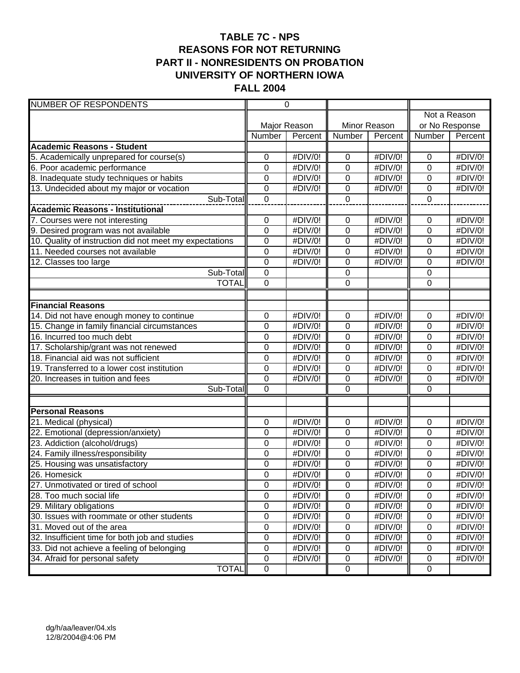# **TABLE 7C - NPS REASONS FOR NOT RETURNING PART II - NONRESIDENTS ON PROBATION UNIVERSITY OF NORTHERN IOWA FALL 2004**

| <b>NUMBER OF RESPONDENTS</b>                            |                               | $\overline{0}$     |                        |                    |                            |                    |  |  |
|---------------------------------------------------------|-------------------------------|--------------------|------------------------|--------------------|----------------------------|--------------------|--|--|
|                                                         |                               |                    |                        |                    |                            | Not a Reason       |  |  |
|                                                         |                               | Major Reason       |                        | Minor Reason       | or No Response             |                    |  |  |
|                                                         | Number                        | Percent            | <b>Number</b>          | Percent            | Number                     | Percent            |  |  |
| <b>Academic Reasons - Student</b>                       |                               |                    |                        |                    |                            |                    |  |  |
| 5. Academically unprepared for course(s)                | 0                             | #DIV/0!            | 0                      | #DIV/0!            | $\mathbf 0$                | #DIV/0!            |  |  |
| 6. Poor academic performance                            | 0                             | #DIV/0!            | $\mathbf 0$            | #DIV/0!            | 0                          | #DIV/0!            |  |  |
| 8. Inadequate study techniques or habits                | 0                             | #DIV/0!            | 0                      | #DIV/0!            | 0                          | #DIV/0!            |  |  |
| 13. Undecided about my major or vocation                | 0                             | #DIV/0!            | 0                      | #DIV/0!            | 0                          | #DIV/0!            |  |  |
| Sub-Total                                               | $\mathbf 0$                   |                    | $\overline{0}$         |                    | $\mathbf 0$                |                    |  |  |
|                                                         |                               |                    |                        |                    |                            |                    |  |  |
| 7. Courses were not interesting                         | $\boldsymbol{0}$              | #DIV/0!            | 0                      | #DIV/0!            | $\mathbf 0$                | #DIV/0!            |  |  |
| 9. Desired program was not available                    | $\mathbf 0$                   | #DIV/0!            | $\mathbf 0$            | #DIV/0!            | $\mathbf 0$                | #DIV/0!            |  |  |
| 10. Quality of instruction did not meet my expectations | 0                             | #DIV/0!            | 0                      | #DIV/0!            | $\mathbf 0$                | #DIV/0!            |  |  |
| 11. Needed courses not available                        | $\mathbf 0$                   | #DIV/0!            | 0                      | #DIV/0!            | 0                          | #DIV/0!            |  |  |
| 12. Classes too large                                   | $\mathbf 0$                   | #DIV/0!            | 0                      | #DIV/0!            | $\mathbf 0$                | #DIV/0!            |  |  |
| Sub-Total                                               | $\mathbf 0$                   |                    | 0                      |                    | 0                          |                    |  |  |
| <b>TOTAL</b>                                            | $\overline{0}$                |                    | $\overline{0}$         |                    | 0                          |                    |  |  |
|                                                         |                               |                    |                        |                    |                            |                    |  |  |
| <b>Financial Reasons</b>                                |                               |                    |                        |                    |                            |                    |  |  |
| 14. Did not have enough money to continue               | 0                             | #DIV/0!            | 0                      | #DIV/0!            | 0                          | #DIV/0!            |  |  |
| 15. Change in family financial circumstances            | 0                             | #DIV/0!            | $\overline{0}$         | #DIV/0!            | $\mathbf 0$                | #DIV/0!            |  |  |
| 16. Incurred too much debt                              | 0                             | #DIV/0!            | $\overline{0}$         | #DIV/0!            | 0                          | #DIV/0!            |  |  |
| 17. Scholarship/grant was not renewed                   | 0                             | #DIV/0!            | 0                      | #DIV/0!            | 0                          | #DIV/0!            |  |  |
| 18. Financial aid was not sufficient                    | $\overline{0}$                | #DIV/0!            | $\mathbf 0$            | #DIV/0!            | $\mathbf 0$                | #DIV/0!            |  |  |
| 19. Transferred to a lower cost institution             | $\overline{0}$                | #DIV/0!            | 0                      | #DIV/0!            | $\mathbf 0$                | #DIV/0!            |  |  |
| 20. Increases in tuition and fees                       | $\mathbf 0$                   | #DIV/0!            | 0                      | #DIV/0!            | $\pmb{0}$                  | #DIV/0!            |  |  |
| Sub-Total                                               | $\overline{0}$                |                    | 0                      |                    | $\mathbf 0$                |                    |  |  |
|                                                         |                               |                    |                        |                    |                            |                    |  |  |
| <b>Personal Reasons</b>                                 |                               |                    |                        |                    |                            |                    |  |  |
| 21. Medical (physical)                                  | 0                             | #DIV/0!            | 0                      | #DIV/0!            | $\mathbf 0$                | #DIV/0!<br>#DIV/0! |  |  |
| 22. Emotional (depression/anxiety)                      | 0                             | #DIV/0!            | 0                      | #DIV/0!            | 0                          |                    |  |  |
| 23. Addiction (alcohol/drugs)                           | 0                             | #DIV/0!<br>#DIV/0! | $\mathbf 0$<br>0       | #DIV/0!<br>#DIV/0! | 0<br>0                     | #DIV/0!<br>#DIV/0! |  |  |
| 24. Family illness/responsibility                       | 0                             | #DIV/0!            |                        | #DIV/0!            |                            | #DIV/0!            |  |  |
| 25. Housing was unsatisfactory<br>26. Homesick          | 0<br>0                        |                    | 0<br>$\overline{0}$    | #DIV/0!            | 0                          |                    |  |  |
|                                                         | $\mathbf 0$                   | #DIV/0!            |                        |                    | 0<br>$\mathbf 0$           | #DIV/0!            |  |  |
| 27. Unmotivated or tired of school                      |                               | #DIV/0!            | $\pmb{0}$              | #DIV/0!            |                            | #DIV/0!            |  |  |
| 28. Too much social life<br>29. Military obligations    | $\mathbf 0$<br>$\overline{0}$ | #DIV/0!<br>#DIV/0! | $\pmb{0}$<br>$\pmb{0}$ | #DIV/0!<br>#DIV/0! | $\mathbf 0$<br>$\mathbf 0$ | #DIV/0!<br>#DIV/0! |  |  |
| 30. Issues with roommate or other students              | $\pmb{0}$                     | #DIV/0!            | $\pmb{0}$              | #DIV/0!            | $\mathbf 0$                | #DIV/0!            |  |  |
| 31. Moved out of the area                               | $\pmb{0}$                     | #DIV/0!            | $\pmb{0}$              | #DIV/0!            | $\mathbf 0$                | #DIV/0!            |  |  |
| 32. Insufficient time for both job and studies          | $\pmb{0}$                     | #DIV/0!            | 0                      | #DIV/0!            | $\mathbf 0$                | #DIV/0!            |  |  |
| 33. Did not achieve a feeling of belonging              | $\pmb{0}$                     | #DIV/0!            | 0                      | #DIV/0!            | 0                          | #DIV/0!            |  |  |
| 34. Afraid for personal safety                          | $\pmb{0}$                     | #DIV/0!            | $\pmb{0}$              | #DIV/0!            | 0                          | #DIV/0!            |  |  |
| <b>TOTAL</b>                                            | $\mathbf 0$                   |                    | $\pmb{0}$              |                    | $\mathbf 0$                |                    |  |  |
|                                                         |                               |                    |                        |                    |                            |                    |  |  |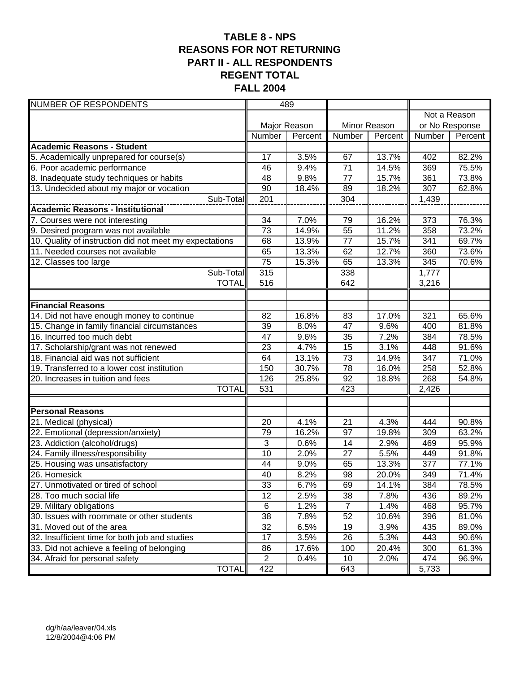# **TABLE 8 - NPS REASONS FOR NOT RETURNING PART II - ALL RESPONDENTS REGENT TOTAL FALL 2004**

| <b>NUMBER OF RESPONDENTS</b>                            | 489             |              |                 |                    |              |                |
|---------------------------------------------------------|-----------------|--------------|-----------------|--------------------|--------------|----------------|
|                                                         |                 |              |                 |                    | Not a Reason |                |
|                                                         |                 | Major Reason |                 | Minor Reason       |              | or No Response |
|                                                         | <b>Number</b>   | Percent      | Number          | Percent            | Number       | Percent        |
| <b>Academic Reasons - Student</b>                       |                 |              |                 |                    |              |                |
| 5. Academically unprepared for course(s)                | 17              | 3.5%         | 67              | 13.7%              | 402          | 82.2%          |
| 6. Poor academic performance                            | 46              | 9.4%         | 71              | 14.5%              | 369          | 75.5%          |
| 8. Inadequate study techniques or habits                | 48              | 9.8%         | $\overline{77}$ | 15.7%              | 361          | 73.8%          |
| 13. Undecided about my major or vocation                | 90              | 18.4%        | 89              | 18.2%              | 307          | 62.8%          |
| Sub-Total                                               | 201             |              | 304             |                    | 1,439        |                |
| <b>Academic Reasons - Institutional</b>                 |                 |              |                 |                    |              |                |
| 7. Courses were not interesting                         | 34              | 7.0%         | 79              | 16.2%              | 373          | 76.3%          |
| 9. Desired program was not available                    | 73              | 14.9%        | $\overline{55}$ | 11.2%              | 358          | 73.2%          |
| 10. Quality of instruction did not meet my expectations | 68              | 13.9%        | 77              | 15.7%              | 341          | 69.7%          |
| 11. Needed courses not available                        | 65              | 13.3%        | 62              | 12.7%              | 360          | 73.6%          |
| 12. Classes too large                                   | 75              | 15.3%        | 65              | 13.3%              | 345          | 70.6%          |
| Sub-Total                                               | 315             |              | 338             |                    | 1,777        |                |
| <b>TOTAL</b>                                            | 516             |              | 642             |                    | 3,216        |                |
|                                                         |                 |              |                 |                    |              |                |
| <b>Financial Reasons</b>                                |                 |              |                 |                    |              |                |
| 14. Did not have enough money to continue               | 82              | 16.8%        | 83              | 17.0%              | 321          | 65.6%          |
| 15. Change in family financial circumstances            | 39              | 8.0%         | 47              | 9.6%               | 400          | 81.8%          |
| 16. Incurred too much debt                              | 47              | 9.6%         | 35              | $\overline{7.2\%}$ | 384          | 78.5%          |
| 17. Scholarship/grant was not renewed                   | 23              | 4.7%         | 15              | 3.1%               | 448          | 91.6%          |
| 18. Financial aid was not sufficient                    | 64              | 13.1%        | $\overline{73}$ | 14.9%              | 347          | 71.0%          |
| 19. Transferred to a lower cost institution             | 150             | 30.7%        | 78              | 16.0%              | 258          | 52.8%          |
| 20. Increases in tuition and fees                       | 126             | 25.8%        | 92              | 18.8%              | 268          | 54.8%          |
| <b>TOTAL</b>                                            | 531             |              | 423             |                    | 2,426        |                |
|                                                         |                 |              |                 |                    |              |                |
| <b>Personal Reasons</b>                                 |                 |              |                 |                    |              |                |
| 21. Medical (physical)                                  | 20              | 4.1%         | 21              | 4.3%               | 444          | 90.8%          |
| 22. Emotional (depression/anxiety)                      | 79              | 16.2%        | 97              | 19.8%              | 309          | 63.2%          |
| 23. Addiction (alcohol/drugs)                           | 3               | 0.6%         | 14              | 2.9%               | 469          | 95.9%          |
| 24. Family illness/responsibility                       | 10              | 2.0%         | 27              | 5.5%               | 449          | 91.8%          |
| 25. Housing was unsatisfactory                          | 44              | 9.0%         | 65              | 13.3%              | 377          | 77.1%          |
| 26. Homesick                                            | 40              | 8.2%         | 98              | 20.0%              | 349          | 71.4%          |
| 27. Unmotivated or tired of school                      | 33              | 6.7%         | 69              | 14.1%              | 384          | 78.5%          |
| 28. Too much social life                                | 12              | 2.5%         | 38              | 7.8%               | 436          | 89.2%          |
| 29. Military obligations                                | 6               | 1.2%         | $\overline{7}$  | 1.4%               | 468          | 95.7%          |
| 30. Issues with roommate or other students              | $\overline{38}$ | 7.8%         | 52              | 10.6%              | 396          | 81.0%          |
| 31. Moved out of the area                               | $\overline{32}$ | 6.5%         | 19              | 3.9%               | 435          | 89.0%          |
| 32. Insufficient time for both job and studies          | 17              | 3.5%         | 26              | 5.3%               | 443          | 90.6%          |
| 33. Did not achieve a feeling of belonging              | 86              | 17.6%        | 100             | 20.4%              | 300          | 61.3%          |
| 34. Afraid for personal safety                          | $\overline{2}$  | 0.4%         | 10              | 2.0%               | 474          | 96.9%          |
| <b>TOTAL</b>                                            | 422             |              | 643             |                    | 5,733        |                |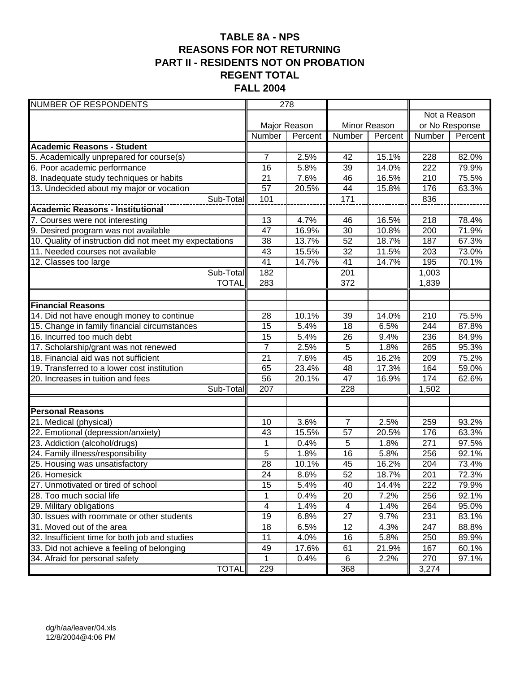# **TABLE 8A - NPS REASONS FOR NOT RETURNING PART II - RESIDENTS NOT ON PROBATION REGENT TOTAL FALL 2004**

| <b>NUMBER OF RESPONDENTS</b>                                        |                 | 278          |                 |              |                  |                |
|---------------------------------------------------------------------|-----------------|--------------|-----------------|--------------|------------------|----------------|
|                                                                     |                 |              |                 |              | Not a Reason     |                |
|                                                                     |                 | Major Reason |                 | Minor Reason |                  | or No Response |
|                                                                     | Number          | Percent      | Number          | Percent      | Number           | Percent        |
| <b>Academic Reasons - Student</b>                                   |                 |              |                 |              |                  |                |
| 5. Academically unprepared for course(s)                            | $\overline{7}$  | 2.5%         | 42              | 15.1%        | 228              | 82.0%          |
| 6. Poor academic performance                                        | 16              | 5.8%         | 39              | 14.0%        | 222              | 79.9%          |
| 8. Inadequate study techniques or habits                            | 21              | 7.6%         | 46              | 16.5%        | 210              | 75.5%          |
| 13. Undecided about my major or vocation                            | 57              | 20.5%        | 44              | 15.8%        | 176              | 63.3%          |
| Sub-Total                                                           | 101             |              | 171             |              | 836              |                |
| <b>Academic Reasons - Institutional</b>                             |                 |              |                 |              |                  |                |
| 7. Courses were not interesting                                     | 13              | 4.7%         | 46              | 16.5%        | 218              | 78.4%          |
| 9. Desired program was not available                                | 47              | 16.9%        | $\overline{30}$ | 10.8%        | 200              | 71.9%          |
| 10. Quality of instruction did not meet my expectations             | 38              | 13.7%        | 52              | 18.7%        | 187              | 67.3%          |
| 11. Needed courses not available                                    | 43              | 15.5%        | 32              | 11.5%        | 203              | 73.0%          |
| 12. Classes too large                                               | 41              | 14.7%        | 41              | 14.7%        | 195              | 70.1%          |
| Sub-Total                                                           | 182             |              | 201             |              | 1,003            |                |
| <b>TOTAL</b>                                                        | 283             |              | 372             |              | 1,839            |                |
|                                                                     |                 |              |                 |              |                  |                |
| <b>Financial Reasons</b>                                            |                 |              |                 |              |                  |                |
| 14. Did not have enough money to continue                           | 28              | 10.1%        | $\overline{39}$ | 14.0%        | $\overline{210}$ | 75.5%          |
| 15. Change in family financial circumstances                        | 15              | 5.4%         | 18              | 6.5%         | 244              | 87.8%          |
| 16. Incurred too much debt                                          | 15              | 5.4%         | 26              | 9.4%         | 236              | 84.9%          |
| 17. Scholarship/grant was not renewed                               | $\overline{7}$  | 2.5%         | $\overline{5}$  | 1.8%         | 265              | 95.3%          |
| 18. Financial aid was not sufficient                                | 21              | 7.6%         | 45              | 16.2%        | 209              | 75.2%          |
| 19. Transferred to a lower cost institution                         | 65              | 23.4%        | 48              | 17.3%        | 164              | 59.0%          |
| 20. Increases in tuition and fees                                   | 56              | 20.1%        | 47              | 16.9%        | 174              | 62.6%          |
| Sub-Total                                                           | 207             |              | 228             |              | 1,502            |                |
|                                                                     |                 |              |                 |              |                  |                |
| <b>Personal Reasons</b>                                             | 10              | 3.6%         | $\overline{7}$  | 2.5%         | 259              | 93.2%          |
| 21. Medical (physical)                                              | 43              | 15.5%        | 57              | 20.5%        | 176              | 63.3%          |
| 22. Emotional (depression/anxiety)<br>23. Addiction (alcohol/drugs) | 1               | 0.4%         | 5               | 1.8%         | 271              | 97.5%          |
| 24. Family illness/responsibility                                   | 5               | 1.8%         | 16              | 5.8%         | 256              | 92.1%          |
| 25. Housing was unsatisfactory                                      | 28              | 10.1%        | 45              | 16.2%        | 204              | 73.4%          |
| 26. Homesick                                                        | $\overline{24}$ | 8.6%         | 52              | 18.7%        | 201              | 72.3%          |
| 27. Unmotivated or tired of school                                  | 15              | 5.4%         | 40              | 14.4%        | 222              | 79.9%          |
| 28. Too much social life                                            | 1               | 0.4%         | 20              | 7.2%         | 256              | 92.1%          |
| 29. Military obligations                                            | 4               | 1.4%         | 4               | 1.4%         | 264              | 95.0%          |
| 30. Issues with roommate or other students                          | 19              | 6.8%         | $\overline{27}$ | 9.7%         | 231              | 83.1%          |
| 31. Moved out of the area                                           | 18              | 6.5%         | 12              | 4.3%         | 247              | 88.8%          |
| 32. Insufficient time for both job and studies                      | 11              | 4.0%         | 16              | 5.8%         | 250              | 89.9%          |
| 33. Did not achieve a feeling of belonging                          | 49              | 17.6%        | 61              | 21.9%        | 167              | 60.1%          |
| 34. Afraid for personal safety                                      | 1               | 0.4%         | 6               | 2.2%         | 270              | 97.1%          |
| <b>TOTAL</b>                                                        | 229             |              | 368             |              | 3,274            |                |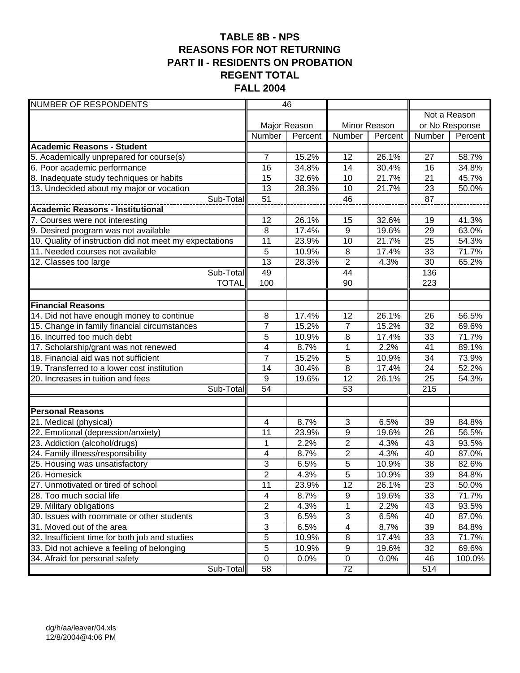## **TABLE 8B - NPS REASONS FOR NOT RETURNING PART II - RESIDENTS ON PROBATION REGENT TOTAL FALL 2004**

| <b>NUMBER OF RESPONDENTS</b>                            | 46                           |         |                 |         |                |              |
|---------------------------------------------------------|------------------------------|---------|-----------------|---------|----------------|--------------|
|                                                         |                              |         |                 |         |                | Not a Reason |
|                                                         | Major Reason<br>Minor Reason |         |                 |         | or No Response |              |
|                                                         | Number                       | Percent | Number          | Percent | Number         | Percent      |
| <b>Academic Reasons - Student</b>                       |                              |         |                 |         |                |              |
| 5. Academically unprepared for course(s)                | $\overline{7}$               | 15.2%   | 12              | 26.1%   | 27             | 58.7%        |
| 6. Poor academic performance                            | 16                           | 34.8%   | 14              | 30.4%   | 16             | 34.8%        |
| 8. Inadequate study techniques or habits                | 15                           | 32.6%   | 10              | 21.7%   | 21             | 45.7%        |
| 13. Undecided about my major or vocation                | 13                           | 28.3%   | 10              | 21.7%   | 23             | 50.0%        |
| Sub-Total                                               | 51                           |         | 46              |         | 87             |              |
| <b>Academic Reasons - Institutional</b>                 |                              |         |                 |         |                |              |
| 7. Courses were not interesting                         | 12                           | 26.1%   | 15              | 32.6%   | 19             | 41.3%        |
| 9. Desired program was not available                    | 8                            | 17.4%   | $\overline{9}$  | 19.6%   | 29             | 63.0%        |
| 10. Quality of instruction did not meet my expectations | 11                           | 23.9%   | 10              | 21.7%   | 25             | 54.3%        |
| 11. Needed courses not available                        | 5                            | 10.9%   | 8               | 17.4%   | 33             | 71.7%        |
| 12. Classes too large                                   | $\overline{13}$              | 28.3%   | $\overline{2}$  | 4.3%    | 30             | 65.2%        |
| Sub-Total                                               | 49                           |         | 44              |         | 136            |              |
| <b>TOTAL</b>                                            | 100                          |         | 90              |         | 223            |              |
|                                                         |                              |         |                 |         |                |              |
| <b>Financial Reasons</b>                                |                              |         |                 |         |                |              |
| 14. Did not have enough money to continue               | 8                            | 17.4%   | $\overline{12}$ | 26.1%   | 26             | 56.5%        |
| 15. Change in family financial circumstances            | $\overline{7}$               | 15.2%   | $\overline{7}$  | 15.2%   | 32             | 69.6%        |
| 16. Incurred too much debt                              | 5                            | 10.9%   | 8               | 17.4%   | 33             | 71.7%        |
| 17. Scholarship/grant was not renewed                   | 4                            | 8.7%    | 1               | 2.2%    | 41             | 89.1%        |
| 18. Financial aid was not sufficient                    | $\overline{7}$               | 15.2%   | $\overline{5}$  | 10.9%   | 34             | 73.9%        |
| 19. Transferred to a lower cost institution             | 14                           | 30.4%   | $\overline{8}$  | 17.4%   | 24             | 52.2%        |
| 20. Increases in tuition and fees                       | 9                            | 19.6%   | 12              | 26.1%   | 25             | 54.3%        |
| Sub-Total                                               | $\overline{54}$              |         | 53              |         | 215            |              |
| <b>Personal Reasons</b>                                 |                              |         |                 |         |                |              |
| 21. Medical (physical)                                  | 4                            | 8.7%    | 3               | 6.5%    | 39             | 84.8%        |
| 22. Emotional (depression/anxiety)                      | 11                           | 23.9%   | 9               | 19.6%   | 26             | 56.5%        |
| 23. Addiction (alcohol/drugs)                           | 1                            | 2.2%    | $\overline{2}$  | 4.3%    | 43             | 93.5%        |
| 24. Family illness/responsibility                       | 4                            | 8.7%    | $\overline{c}$  | 4.3%    | 40             | 87.0%        |
| 25. Housing was unsatisfactory                          | 3                            | 6.5%    | 5               | 10.9%   | 38             | 82.6%        |
| 26. Homesick                                            | $\overline{2}$               | 4.3%    | $\overline{5}$  | 10.9%   | 39             | 84.8%        |
| 27. Unmotivated or tired of school                      | 11                           | 23.9%   | 12              | 26.1%   | 23             | 50.0%        |
| 28. Too much social life                                | 4                            | 8.7%    | 9               | 19.6%   | 33             | 71.7%        |
| 29. Military obligations                                | $\overline{2}$               | 4.3%    | $\mathbf 1$     | 2.2%    | 43             | 93.5%        |
| 30. Issues with roommate or other students              | $\overline{3}$               | 6.5%    | 3               | 6.5%    | 40             | 87.0%        |
| 31. Moved out of the area                               | $\overline{3}$               | 6.5%    | 4               | 8.7%    | 39             | 84.8%        |
| 32. Insufficient time for both job and studies          | $\overline{5}$               | 10.9%   | 8               | 17.4%   | 33             | 71.7%        |
| 33. Did not achieve a feeling of belonging              | 5                            | 10.9%   | 9               | 19.6%   | 32             | 69.6%        |
| 34. Afraid for personal safety                          | $\mathbf 0$                  | 0.0%    | $\pmb{0}$       | 0.0%    | 46             | 100.0%       |
| Sub-Total                                               | 58                           |         | 72              |         | 514            |              |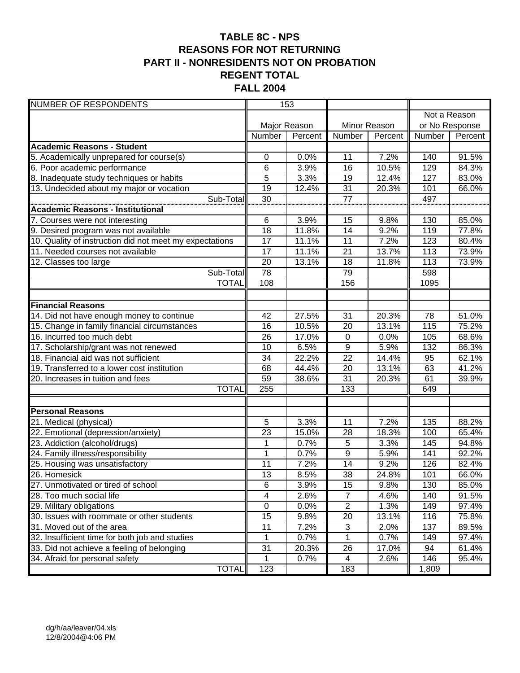# **TABLE 8C - NPS REASONS FOR NOT RETURNING PART II - NONRESIDENTS NOT ON PROBATION REGENT TOTAL FALL 2004**

| <b>NUMBER OF RESPONDENTS</b>                            | 153             |              |                 |         |                |              |
|---------------------------------------------------------|-----------------|--------------|-----------------|---------|----------------|--------------|
|                                                         |                 |              |                 |         |                | Not a Reason |
|                                                         |                 | Major Reason | Minor Reason    |         | or No Response |              |
|                                                         | Number          | Percent      | Number          | Percent | Number         | Percent      |
| <b>Academic Reasons - Student</b>                       |                 |              |                 |         |                |              |
| 5. Academically unprepared for course(s)                | 0               | 0.0%         | 11              | 7.2%    | 140            | 91.5%        |
| 6. Poor academic performance                            | 6               | 3.9%         | 16              | 10.5%   | 129            | 84.3%        |
| 8. Inadequate study techniques or habits                | 5               | 3.3%         | 19              | 12.4%   | 127            | 83.0%        |
| 13. Undecided about my major or vocation                | 19              | 12.4%        | 31              | 20.3%   | 101            | 66.0%        |
| Sub-Total                                               | 30              |              | $\overline{77}$ |         | 497            |              |
| Academic Reasons - Institutional                        |                 |              |                 |         |                |              |
| 7. Courses were not interesting                         | 6               | 3.9%         | 15              | 9.8%    | 130            | 85.0%        |
| 9. Desired program was not available                    | 18              | 11.8%        | 14              | 9.2%    | 119            | 77.8%        |
| 10. Quality of instruction did not meet my expectations | 17              | 11.1%        | 11              | 7.2%    | 123            | 80.4%        |
| 11. Needed courses not available                        | 17              | 11.1%        | $\overline{21}$ | 13.7%   | 113            | 73.9%        |
| 12. Classes too large                                   | 20              | 13.1%        | 18              | 11.8%   | 113            | 73.9%        |
| Sub-Total                                               | 78              |              | 79              |         | 598            |              |
| <b>TOTAL</b>                                            | 108             |              | 156             |         | 1095           |              |
|                                                         |                 |              |                 |         |                |              |
| <b>Financial Reasons</b>                                |                 |              |                 |         |                |              |
| 14. Did not have enough money to continue               | 42              | 27.5%        | $\overline{31}$ | 20.3%   | 78             | 51.0%        |
| 15. Change in family financial circumstances            | 16              | 10.5%        | 20              | 13.1%   | 115            | 75.2%        |
| 16. Incurred too much debt                              | 26              | 17.0%        | $\pmb{0}$       | 0.0%    | 105            | 68.6%        |
| 17. Scholarship/grant was not renewed                   | 10              | 6.5%         | $\overline{9}$  | 5.9%    | 132            | 86.3%        |
| 18. Financial aid was not sufficient                    | 34              | 22.2%        | $\overline{22}$ | 14.4%   | 95             | 62.1%        |
| 19. Transferred to a lower cost institution             | 68              | 44.4%        | 20              | 13.1%   | 63             | 41.2%        |
| 20. Increases in tuition and fees                       | 59              | 38.6%        | 31              | 20.3%   | 61             | 39.9%        |
| <b>TOTAL</b>                                            | 255             |              | 133             |         | 649            |              |
|                                                         |                 |              |                 |         |                |              |
| <b>Personal Reasons</b>                                 |                 |              |                 |         |                |              |
| 21. Medical (physical)                                  | 5               | 3.3%         | 11              | 7.2%    | 135            | 88.2%        |
| 22. Emotional (depression/anxiety)                      | 23              | 15.0%        | 28              | 18.3%   | 100            | 65.4%        |
| 23. Addiction (alcohol/drugs)                           | $\mathbf 1$     | 0.7%         | 5               | 3.3%    | 145            | 94.8%        |
| 24. Family illness/responsibility                       | 1               | 0.7%         | 9               | 5.9%    | 141            | 92.2%        |
| 25. Housing was unsatisfactory                          | 11              | 7.2%         | 14              | 9.2%    | 126            | 82.4%        |
| 26. Homesick                                            | 13              | 8.5%         | 38              | 24.8%   | 101            | 66.0%        |
| 27. Unmotivated or tired of school                      | 6               | 3.9%         | 15              | 9.8%    | 130            | 85.0%        |
| 28. Too much social life                                | 4               | 2.6%         | $\overline{7}$  | 4.6%    | 140            | 91.5%        |
| 29. Military obligations                                | $\mathbf 0$     | 0.0%         | $\overline{2}$  | 1.3%    | 149            | 97.4%        |
| 30. Issues with roommate or other students              | $\overline{15}$ | 9.8%         | $\overline{20}$ | 13.1%   | 116            | 75.8%        |
| 31. Moved out of the area                               | 11              | 7.2%         | 3               | 2.0%    | 137            | 89.5%        |
| 32. Insufficient time for both job and studies          | 1               | 0.7%         | $\mathbf 1$     | 0.7%    | 149            | 97.4%        |
| 33. Did not achieve a feeling of belonging              | 31              | 20.3%        | 26              | 17.0%   | 94             | 61.4%        |
| 34. Afraid for personal safety                          | $\mathbf 1$     | 0.7%         | 4               | 2.6%    | 146            | 95.4%        |
| <b>TOTAL</b>                                            | 123             |              | 183             |         | 1,809          |              |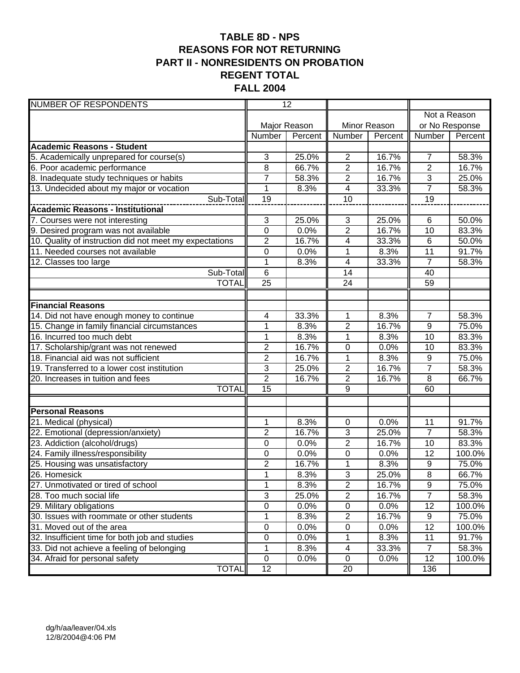# **TABLE 8D - NPS REASONS FOR NOT RETURNING PART II - NONRESIDENTS ON PROBATION REGENT TOTAL FALL 2004**

| <b>NUMBER OF RESPONDENTS</b>                                 |                  | 12           |                         |         |                  |              |
|--------------------------------------------------------------|------------------|--------------|-------------------------|---------|------------------|--------------|
|                                                              |                  |              |                         |         |                  | Not a Reason |
|                                                              |                  | Major Reason | Minor Reason            |         | or No Response   |              |
|                                                              | Number           | Percent      | Number                  | Percent | Number           | Percent      |
| <b>Academic Reasons - Student</b>                            |                  |              |                         |         |                  |              |
| 5. Academically unprepared for course(s)                     | 3                | 25.0%        | $\overline{2}$          | 16.7%   | $\overline{7}$   | 58.3%        |
| 6. Poor academic performance                                 | 8                | 66.7%        | $\overline{2}$          | 16.7%   | $\overline{c}$   | 16.7%        |
| 8. Inadequate study techniques or habits                     | $\overline{7}$   | 58.3%        | $\overline{2}$          | 16.7%   | $\overline{3}$   | 25.0%        |
| 13. Undecided about my major or vocation                     | $\mathbf{1}$     | 8.3%         | $\overline{\mathbf{4}}$ | 33.3%   | $\overline{7}$   | 58.3%        |
| Sub-Total                                                    | 19               |              | 10                      |         | 19               |              |
| <b>Academic Reasons - Institutional</b>                      |                  |              |                         |         |                  |              |
| 7. Courses were not interesting                              | 3                | 25.0%        | 3                       | 25.0%   | $6\phantom{1}6$  | 50.0%        |
| 9. Desired program was not available                         | $\mathbf 0$      | 0.0%         | $\overline{2}$          | 16.7%   | 10               | 83.3%        |
| 10. Quality of instruction did not meet my expectations      | $\overline{c}$   | 16.7%        | 4                       | 33.3%   | $\,6$            | 50.0%        |
| 11. Needed courses not available                             | $\boldsymbol{0}$ | 0.0%         | 1                       | 8.3%    | 11               | 91.7%        |
| 12. Classes too large                                        | $\mathbf{1}$     | 8.3%         | 4                       | 33.3%   | 7                | 58.3%        |
| Sub-Total                                                    | 6                |              | 14                      |         | 40               |              |
| <b>TOTAL</b>                                                 | $\overline{25}$  |              | $\overline{24}$         |         | 59               |              |
|                                                              |                  |              |                         |         |                  |              |
| <b>Financial Reasons</b>                                     |                  |              |                         |         |                  |              |
| 14. Did not have enough money to continue                    | 4                | 33.3%        | 1                       | 8.3%    | $\overline{7}$   | 58.3%        |
| 15. Change in family financial circumstances                 | $\mathbf{1}$     | 8.3%         | $\overline{2}$          | 16.7%   | $\overline{9}$   | 75.0%        |
| 16. Incurred too much debt                                   | $\mathbf{1}$     | 8.3%         | 1                       | 8.3%    | 10               | 83.3%        |
| 17. Scholarship/grant was not renewed                        | $\overline{2}$   | 16.7%        | 0                       | 0.0%    | 10               | 83.3%        |
| 18. Financial aid was not sufficient                         | $\overline{2}$   | 16.7%        | $\overline{1}$          | 8.3%    | $\overline{9}$   | 75.0%        |
| 19. Transferred to a lower cost institution                  | 3                | 25.0%        | $\mathbf{2}$            | 16.7%   | $\overline{7}$   | 58.3%        |
| 20. Increases in tuition and fees                            | $\overline{2}$   | 16.7%        | $\overline{2}$          | 16.7%   | 8                | 66.7%        |
| <b>TOTAL</b>                                                 | $\overline{15}$  |              | $\overline{9}$          |         | 60               |              |
|                                                              |                  |              |                         |         |                  |              |
| <b>Personal Reasons</b>                                      | 1                | 8.3%         | 0                       | 0.0%    | 11               | 91.7%        |
| 21. Medical (physical)<br>22. Emotional (depression/anxiety) | $\overline{2}$   | 16.7%        | 3                       | 25.0%   | $\overline{7}$   | 58.3%        |
| 23. Addiction (alcohol/drugs)                                | 0                | 0.0%         | $\overline{2}$          | 16.7%   | 10               | 83.3%        |
| 24. Family illness/responsibility                            | 0                | 0.0%         | 0                       | 0.0%    | 12               | 100.0%       |
| 25. Housing was unsatisfactory                               | $\overline{2}$   | 16.7%        | 1                       | 8.3%    | 9                | 75.0%        |
| 26. Homesick                                                 | 1                | 8.3%         | $\overline{3}$          | 25.0%   | $\overline{8}$   | 66.7%        |
| 27. Unmotivated or tired of school                           | $\mathbf{1}$     | 8.3%         | $\overline{c}$          | 16.7%   | $\boldsymbol{9}$ | 75.0%        |
| 28. Too much social life                                     | 3                | 25.0%        | $\overline{2}$          | 16.7%   | $\overline{7}$   | 58.3%        |
| 29. Military obligations                                     | $\overline{0}$   | 0.0%         | $\overline{0}$          | 0.0%    | $\overline{12}$  | 100.0%       |
| 30. Issues with roommate or other students                   | 1                | 8.3%         | $\overline{c}$          | 16.7%   | 9                | 75.0%        |
| 31. Moved out of the area                                    | $\overline{0}$   | 0.0%         | $\pmb{0}$               | 0.0%    | $\overline{12}$  | 100.0%       |
| 32. Insufficient time for both job and studies               | 0                | 0.0%         | 1                       | 8.3%    | 11               | 91.7%        |
| 33. Did not achieve a feeling of belonging                   | 1                | 8.3%         | 4                       | 33.3%   | $\overline{7}$   | 58.3%        |
| 34. Afraid for personal safety                               | $\mathbf 0$      | 0.0%         | $\mathbf 0$             | 0.0%    | 12               | 100.0%       |
| <b>TOTAL</b>                                                 | 12               |              | 20                      |         | 136              |              |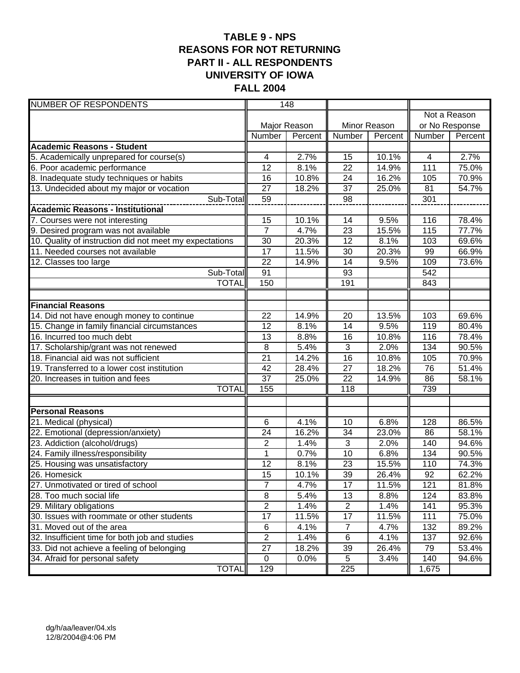## **TABLE 9 - NPS REASONS FOR NOT RETURNING PART II - ALL RESPONDENTS UNIVERSITY OF IOWA FALL 2004**

| <b>NUMBER OF RESPONDENTS</b>                            | 148             |                              |                  |         |        |                |
|---------------------------------------------------------|-----------------|------------------------------|------------------|---------|--------|----------------|
|                                                         |                 |                              |                  |         |        | Not a Reason   |
|                                                         |                 | Major Reason<br>Minor Reason |                  |         |        | or No Response |
|                                                         | Number          | Percent                      | Number           | Percent | Number | Percent        |
| <b>Academic Reasons - Student</b>                       |                 |                              |                  |         |        |                |
| 5. Academically unprepared for course(s)                | 4               | 2.7%                         | 15               | 10.1%   | 4      | 2.7%           |
| 6. Poor academic performance                            | 12              | 8.1%                         | $\overline{22}$  | 14.9%   | 111    | 75.0%          |
| 8. Inadequate study techniques or habits                | 16              | 10.8%                        | 24               | 16.2%   | 105    | 70.9%          |
| 13. Undecided about my major or vocation                | 27              | 18.2%                        | $\overline{37}$  | 25.0%   | 81     | 54.7%          |
| Sub-Total                                               | 59              |                              | 98               |         | 301    |                |
| Academic Reasons - Institutional                        |                 |                              |                  |         |        |                |
| 7. Courses were not interesting                         | 15              | 10.1%                        | 14               | 9.5%    | 116    | 78.4%          |
| 9. Desired program was not available                    | $\overline{7}$  | 4.7%                         | $\overline{23}$  | 15.5%   | 115    | 77.7%          |
| 10. Quality of instruction did not meet my expectations | 30              | 20.3%                        | $\overline{12}$  | 8.1%    | 103    | 69.6%          |
| 11. Needed courses not available                        | 17              | 11.5%                        | 30               | 20.3%   | 99     | 66.9%          |
| 12. Classes too large                                   | 22              | 14.9%                        | 14               | 9.5%    | 109    | 73.6%          |
| Sub-Total                                               | 91              |                              | 93               |         | 542    |                |
| <b>TOTAL</b>                                            | 150             |                              | 191              |         | 843    |                |
|                                                         |                 |                              |                  |         |        |                |
| <b>Financial Reasons</b>                                |                 |                              |                  |         |        |                |
| 14. Did not have enough money to continue               | 22              | 14.9%                        | $\overline{20}$  | 13.5%   | 103    | 69.6%          |
| 15. Change in family financial circumstances            | 12              | 8.1%                         | $\overline{14}$  | 9.5%    | 119    | 80.4%          |
| 16. Incurred too much debt                              | 13              | 8.8%                         | 16               | 10.8%   | 116    | 78.4%          |
| 17. Scholarship/grant was not renewed                   | 8               | 5.4%                         | $\overline{3}$   | 2.0%    | 134    | 90.5%          |
| 18. Financial aid was not sufficient                    | 21              | 14.2%                        | 16               | 10.8%   | 105    | 70.9%          |
| 19. Transferred to a lower cost institution             | 42              | 28.4%                        | $\overline{27}$  | 18.2%   | 76     | 51.4%          |
| 20. Increases in tuition and fees                       | 37              | 25.0%                        | 22               | 14.9%   | 86     | 58.1%          |
| <b>TOTAL</b>                                            | 155             |                              | $\overline{118}$ |         | 739    |                |
|                                                         |                 |                              |                  |         |        |                |
| <b>Personal Reasons</b>                                 |                 |                              |                  |         |        |                |
| 21. Medical (physical)                                  | 6               | 4.1%                         | 10               | 6.8%    | 128    | 86.5%          |
| 22. Emotional (depression/anxiety)                      | 24              | 16.2%                        | 34               | 23.0%   | 86     | 58.1%          |
| 23. Addiction (alcohol/drugs)                           | 2               | 1.4%                         | 3                | 2.0%    | 140    | 94.6%          |
| 24. Family illness/responsibility                       | $\mathbf{1}$    | 0.7%                         | 10               | 6.8%    | 134    | 90.5%          |
| 25. Housing was unsatisfactory                          | 12              | 8.1%                         | 23               | 15.5%   | 110    | 74.3%          |
| 26. Homesick                                            | 15              | 10.1%                        | 39               | 26.4%   | 92     | 62.2%          |
| 27. Unmotivated or tired of school                      | 7               | 4.7%                         | 17               | 11.5%   | 121    | 81.8%          |
| 28. Too much social life                                | $\overline{8}$  | 5.4%                         | 13               | 8.8%    | 124    | 83.8%          |
| 29. Military obligations                                | $\overline{2}$  | 1.4%                         | $\overline{2}$   | 1.4%    | 141    | 95.3%          |
| 30. Issues with roommate or other students              | $\overline{17}$ | 11.5%                        | $\overline{17}$  | 11.5%   | 111    | 75.0%          |
| 31. Moved out of the area                               | 6               | 4.1%                         | $\overline{7}$   | 4.7%    | 132    | 89.2%          |
| 32. Insufficient time for both job and studies          | $\overline{2}$  | 1.4%                         | 6                | 4.1%    | 137    | 92.6%          |
| 33. Did not achieve a feeling of belonging              | 27              | 18.2%                        | 39               | 26.4%   | 79     | 53.4%          |
| 34. Afraid for personal safety                          | $\mathbf 0$     | 0.0%                         | 5                | 3.4%    | 140    | 94.6%          |
| <b>TOTAL</b>                                            | 129             |                              | 225              |         | 1,675  |                |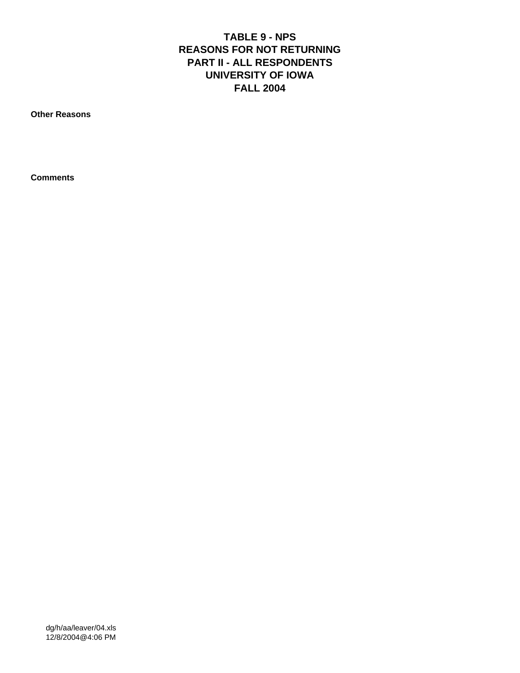# **TABLE 9 - NPS REASONS FOR NOT RETURNING PART II - ALL RESPONDENTS UNIVERSITY OF IOWA FALL 2004**

**Other Reasons**

**Comments**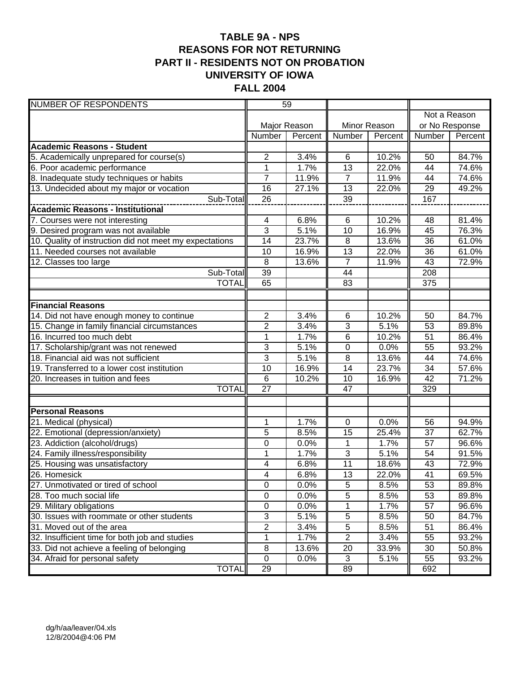# **TABLE 9A - NPS REASONS FOR NOT RETURNING PART II - RESIDENTS NOT ON PROBATION UNIVERSITY OF IOWA FALL 2004**

| <b>NUMBER OF RESPONDENTS</b>                                        | 59               |              |                |         |                 |              |
|---------------------------------------------------------------------|------------------|--------------|----------------|---------|-----------------|--------------|
|                                                                     |                  |              |                |         |                 | Not a Reason |
|                                                                     |                  | Major Reason | Minor Reason   |         | or No Response  |              |
|                                                                     | Number           | Percent      | Number         | Percent | Number          | Percent      |
| <b>Academic Reasons - Student</b>                                   |                  |              |                |         |                 |              |
| 5. Academically unprepared for course(s)                            | 2                | 3.4%         | 6              | 10.2%   | 50              | 84.7%        |
| 6. Poor academic performance                                        | 1                | 1.7%         | 13             | 22.0%   | 44              | 74.6%        |
| 8. Inadequate study techniques or habits                            | $\overline{7}$   | 11.9%        | $\overline{7}$ | 11.9%   | 44              | 74.6%        |
| 13. Undecided about my major or vocation                            | 16               | 27.1%        | 13             | 22.0%   | 29              | 49.2%        |
| Sub-Total                                                           | 26               |              | 39             |         | 167             |              |
| <b>Academic Reasons - Institutional</b>                             |                  |              |                |         |                 |              |
| 7. Courses were not interesting                                     | 4                | 6.8%         | $\,6$          | 10.2%   | 48              | 81.4%        |
| 9. Desired program was not available                                | 3                | 5.1%         | 10             | 16.9%   | 45              | 76.3%        |
| 10. Quality of instruction did not meet my expectations             | 14               | 23.7%        | 8              | 13.6%   | 36              | 61.0%        |
| 11. Needed courses not available                                    | 10               | 16.9%        | 13             | 22.0%   | 36              | 61.0%        |
| 12. Classes too large                                               | 8                | 13.6%        | $\overline{7}$ | 11.9%   | 43              | 72.9%        |
| Sub-Total                                                           | 39               |              | 44             |         | 208             |              |
| <b>TOTAL</b>                                                        | 65               |              | 83             |         | 375             |              |
|                                                                     |                  |              |                |         |                 |              |
| <b>Financial Reasons</b>                                            |                  |              |                |         |                 |              |
| 14. Did not have enough money to continue                           | $\overline{2}$   | 3.4%         | 6              | 10.2%   | 50              | 84.7%        |
| 15. Change in family financial circumstances                        | $\overline{2}$   | 3.4%         | 3              | 5.1%    | 53              | 89.8%        |
| 16. Incurred too much debt                                          | $\mathbf{1}$     | 1.7%         | 6              | 10.2%   | 51              | 86.4%        |
| 17. Scholarship/grant was not renewed                               | 3                | 5.1%         | $\pmb{0}$      | 0.0%    | 55              | 93.2%        |
| 18. Financial aid was not sufficient                                | 3                | 5.1%         | $\overline{8}$ | 13.6%   | 44              | 74.6%        |
| 19. Transferred to a lower cost institution                         | 10               | 16.9%        | 14             | 23.7%   | 34              | 57.6%        |
| 20. Increases in tuition and fees                                   | $6\phantom{1}6$  | 10.2%        | 10             | 16.9%   | 42              | 71.2%        |
| <b>TOTAL</b>                                                        | 27               |              | 47             |         | 329             |              |
|                                                                     |                  |              |                |         |                 |              |
| <b>Personal Reasons</b><br>21. Medical (physical)                   | 1                | 1.7%         | $\mathbf 0$    | 0.0%    | 56              | 94.9%        |
|                                                                     | 5                | 8.5%         | 15             | 25.4%   | 37              | 62.7%        |
| 22. Emotional (depression/anxiety)<br>23. Addiction (alcohol/drugs) | 0                | 0.0%         | 1              | 1.7%    | 57              | 96.6%        |
| 24. Family illness/responsibility                                   | $\mathbf{1}$     | 1.7%         | 3              | 5.1%    | 54              | 91.5%        |
| 25. Housing was unsatisfactory                                      | 4                | 6.8%         | 11             | 18.6%   | 43              | 72.9%        |
| 26. Homesick                                                        | 4                | 6.8%         | 13             | 22.0%   | 41              | 69.5%        |
| 27. Unmotivated or tired of school                                  | $\boldsymbol{0}$ | 0.0%         | $\,$ 5 $\,$    | 8.5%    | 53              | 89.8%        |
| 28. Too much social life                                            | $\pmb{0}$        | 0.0%         | $\overline{5}$ | 8.5%    | 53              | 89.8%        |
| 29. Military obligations                                            | $\mathsf 0$      | 0.0%         | $\mathbf 1$    | 1.7%    | $\overline{57}$ | 96.6%        |
| 30. Issues with roommate or other students                          | $\overline{3}$   | 5.1%         | $\overline{5}$ | 8.5%    | 50              | 84.7%        |
| 31. Moved out of the area                                           | $\overline{2}$   | 3.4%         | $\overline{5}$ | 8.5%    | 51              | 86.4%        |
| 32. Insufficient time for both job and studies                      | 1                | 1.7%         | $\overline{2}$ | 3.4%    | 55              | 93.2%        |
| 33. Did not achieve a feeling of belonging                          | 8                | 13.6%        | 20             | 33.9%   | 30              | 50.8%        |
| 34. Afraid for personal safety                                      | $\pmb{0}$        | 0.0%         | 3              | 5.1%    | 55              | 93.2%        |
| <b>TOTAL</b>                                                        | 29               |              | 89             |         | 692             |              |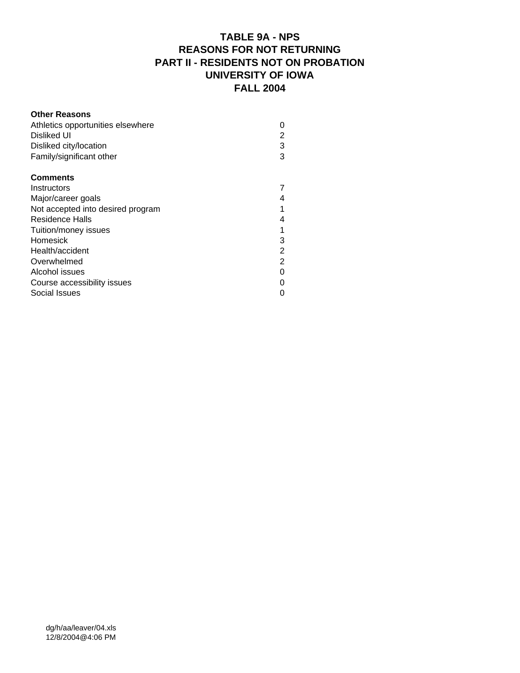#### **TABLE 9A - NPS REASONS FOR NOT RETURNING PART II - RESIDENTS NOT ON PROBATION UNIVERSITY OF IOWA FALL 2004**

#### **Other Reasons** Athletics opportunities elsewhere 0 Disliked UI 2 Disliked city/location 3<br>
Family/significant other 3 Family/significant other 3 **Comments** Instructors 7 Major/career goals 4 Not accepted into desired program 1 Residence Halls 4 Tuition/money issues 1 Homesick 3<br>
Health/accident 2 Health/accident Overwhelmed 2 Alcohol issues 0 Course accessibility issues 0 Social Issues 0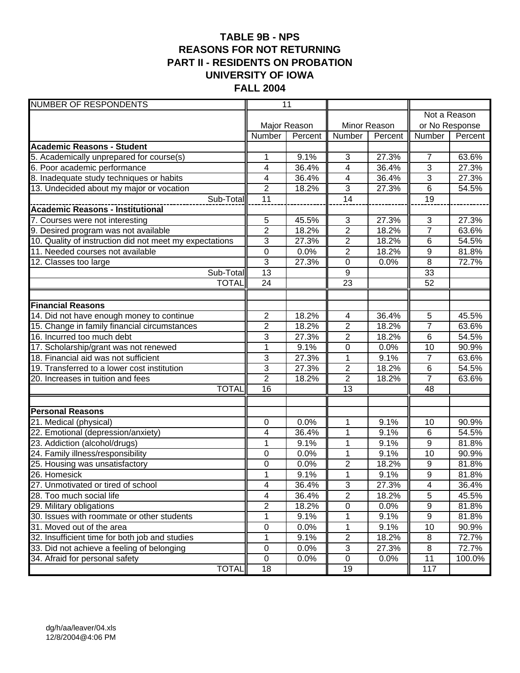#### **TABLE 9B - NPS REASONS FOR NOT RETURNING PART II - RESIDENTS ON PROBATION UNIVERSITY OF IOWA FALL 2004**

| <b>NUMBER OF RESPONDENTS</b>                                        |                              | $\overline{11}$ |                          |                |                 |                |
|---------------------------------------------------------------------|------------------------------|-----------------|--------------------------|----------------|-----------------|----------------|
|                                                                     |                              |                 |                          |                |                 | Not a Reason   |
|                                                                     | Major Reason<br>Minor Reason |                 |                          | or No Response |                 |                |
|                                                                     | Number                       | Percent         | Number                   | Percent        | Number          | Percent        |
| <b>Academic Reasons - Student</b>                                   |                              |                 |                          |                |                 |                |
| 5. Academically unprepared for course(s)                            | 1                            | 9.1%            | 3                        | 27.3%          | $\overline{7}$  | 63.6%          |
| 6. Poor academic performance                                        | 4                            | 36.4%           | 4                        | 36.4%          | 3               | 27.3%          |
| 8. Inadequate study techniques or habits                            | 4                            | 36.4%           | $\overline{4}$           | 36.4%          | 3               | 27.3%          |
| 13. Undecided about my major or vocation                            | $\overline{2}$               | 18.2%           | $\overline{3}$           | 27.3%          | 6               | 54.5%          |
| Sub-Total                                                           | 11                           |                 | $\overline{14}$          |                | $\overline{19}$ |                |
| <b>Academic Reasons - Institutional</b>                             |                              |                 |                          |                |                 |                |
| 7. Courses were not interesting                                     | 5                            | 45.5%           | $\sqrt{3}$               | 27.3%          | $\sqrt{3}$      | 27.3%          |
| 9. Desired program was not available                                | $\overline{2}$               | 18.2%           | $\overline{2}$           | 18.2%          | $\overline{7}$  | 63.6%          |
| 10. Quality of instruction did not meet my expectations             | 3                            | 27.3%           | $\overline{c}$           | 18.2%          | 6               | 54.5%          |
| 11. Needed courses not available                                    | $\overline{0}$               | 0.0%            | $\overline{2}$           | 18.2%          | $9\,$           | 81.8%          |
| $\overline{12}$ . Classes too large                                 | $\overline{3}$               | 27.3%           | $\pmb{0}$                | 0.0%           | $\, 8$          | 72.7%          |
| Sub-Total                                                           | $\overline{13}$              |                 | 9                        |                | 33              |                |
| <b>TOTAL</b>                                                        | 24                           |                 | $\overline{23}$          |                | 52              |                |
|                                                                     |                              |                 |                          |                |                 |                |
| <b>Financial Reasons</b>                                            |                              |                 |                          |                |                 |                |
| 14. Did not have enough money to continue                           | $\overline{2}$               | 18.2%           | $\overline{\mathcal{A}}$ | 36.4%          | $\overline{5}$  | 45.5%          |
| 15. Change in family financial circumstances                        | 2                            | 18.2%           | $\overline{2}$           | 18.2%          | $\overline{7}$  | 63.6%          |
| 16. Incurred too much debt                                          | 3                            | 27.3%           | $\overline{2}$           | 18.2%          | 6               | 54.5%          |
| 17. Scholarship/grant was not renewed                               | $\overline{1}$               | 9.1%            | $\overline{0}$           | 0.0%           | $\overline{10}$ | 90.9%          |
| 18. Financial aid was not sufficient                                | 3                            | 27.3%           | 1                        | 9.1%           | $\overline{7}$  | 63.6%          |
| 19. Transferred to a lower cost institution                         | $\overline{3}$               | 27.3%           | $\overline{2}$           | 18.2%          | 6               | 54.5%          |
| 20. Increases in tuition and fees                                   | $\overline{2}$               | 18.2%           | $\overline{2}$           | 18.2%          | $\overline{7}$  | 63.6%          |
| <b>TOTAL</b>                                                        | $\overline{16}$              |                 | $\overline{13}$          |                | $\overline{48}$ |                |
|                                                                     |                              |                 |                          |                |                 |                |
| <b>Personal Reasons</b>                                             |                              |                 |                          |                |                 | 90.9%          |
| 21. Medical (physical)                                              | 0<br>4                       | 0.0%<br>36.4%   | 1<br>$\mathbf 1$         | 9.1%<br>9.1%   | 10<br>6         | 54.5%          |
| 22. Emotional (depression/anxiety)<br>23. Addiction (alcohol/drugs) | 1                            | 9.1%            | 1                        | 9.1%           | 9               | 81.8%          |
| 24. Family illness/responsibility                                   | 0                            | 0.0%            | 1                        | 9.1%           | 10              | 90.9%          |
| 25. Housing was unsatisfactory                                      | 0                            | 0.0%            | 2                        | 18.2%          | 9               | 81.8%          |
| 26. Homesick                                                        | $\overline{1}$               | 9.1%            | $\overline{1}$           | 9.1%           | $\overline{9}$  | 81.8%          |
| 27. Unmotivated or tired of school                                  | 4                            | 36.4%           | $\sqrt{3}$               | 27.3%          | 4               |                |
| 28. Too much social life                                            |                              | 36.4%           | $\overline{2}$           | 18.2%          | 5               | 36.4%<br>45.5% |
| 29. Military obligations                                            | 4<br>$\overline{2}$          | 18.2%           | $\pmb{0}$                | 0.0%           | 9               |                |
| 30. Issues with roommate or other students                          | 1                            | 9.1%            | 1                        | 9.1%           | 9               | 81.8%<br>81.8% |
| 31. Moved out of the area                                           | 0                            | 0.0%            | 1                        | 9.1%           | 10              | 90.9%          |
| 32. Insufficient time for both job and studies                      | 1                            | 9.1%            | $\overline{2}$           | 18.2%          | 8               | 72.7%          |
| 33. Did not achieve a feeling of belonging                          | $\mathbf 0$                  | 0.0%            | $\sqrt{3}$               | 27.3%          | 8               | 72.7%          |
| 34. Afraid for personal safety                                      | $\mathbf 0$                  | 0.0%            | $\pmb{0}$                | 0.0%           | 11              | 100.0%         |
| <b>TOTAL</b>                                                        | 18                           |                 | 19                       |                | 117             |                |
|                                                                     |                              |                 |                          |                |                 |                |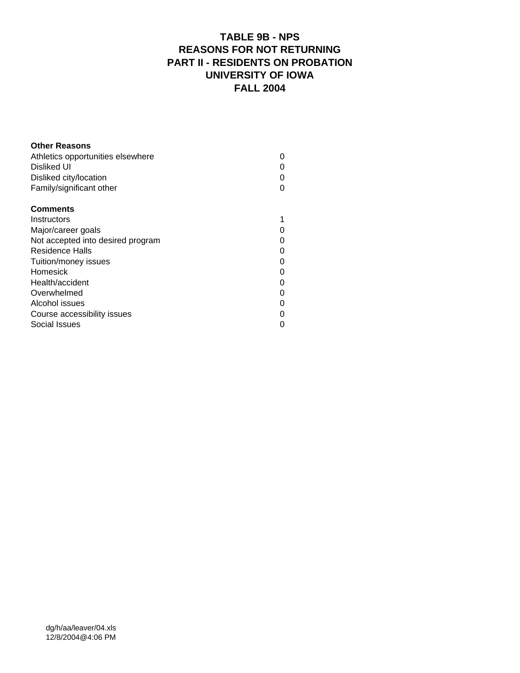# **TABLE 9B - NPS REASONS FOR NOT RETURNING PART II - RESIDENTS ON PROBATION UNIVERSITY OF IOWA FALL 2004**

| <b>Other Reasons</b>              |  |
|-----------------------------------|--|
| Athletics opportunities elsewhere |  |
| Disliked UI                       |  |
| Disliked city/location            |  |
| Family/significant other          |  |
| <b>Comments</b>                   |  |
| Instructors                       |  |
| Major/career goals                |  |
| Not accepted into desired program |  |
| Residence Halls                   |  |
| Tuition/money issues              |  |
| Homesick                          |  |
| Health/accident                   |  |
| Overwhelmed                       |  |
| Alcohol issues                    |  |
| Course accessibility issues       |  |
| Social Issues                     |  |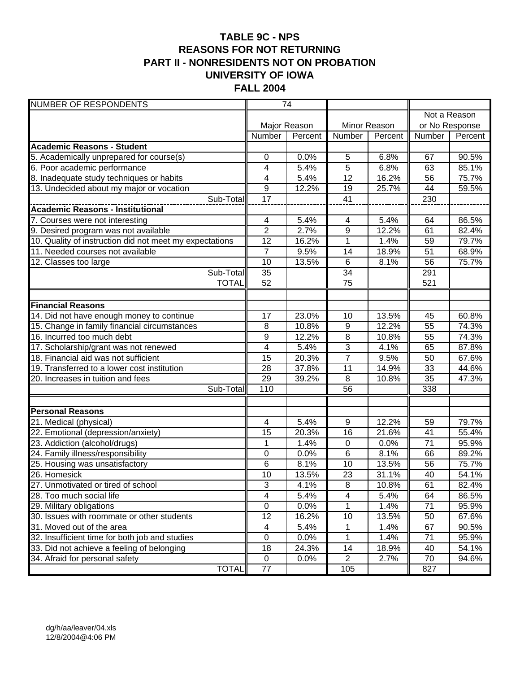# **TABLE 9C - NPS REASONS FOR NOT RETURNING PART II - NONRESIDENTS NOT ON PROBATION UNIVERSITY OF IOWA FALL 2004**

| <b>NUMBER OF RESPONDENTS</b>                            |                           | $\overline{74}$ |                         |              |                 |              |
|---------------------------------------------------------|---------------------------|-----------------|-------------------------|--------------|-----------------|--------------|
|                                                         |                           |                 |                         |              |                 | Not a Reason |
|                                                         |                           | Major Reason    |                         | Minor Reason | or No Response  |              |
|                                                         | Number                    | Percent         | Number                  | Percent      | Number          | Percent      |
| <b>Academic Reasons - Student</b>                       |                           |                 |                         |              |                 |              |
| 5. Academically unprepared for course(s)                | 0                         | 0.0%            | 5                       | 6.8%         | 67              | 90.5%        |
| 6. Poor academic performance                            | 4                         | 5.4%            | 5                       | 6.8%         | 63              | 85.1%        |
| 8. Inadequate study techniques or habits                | 4                         | 5.4%            | 12                      | 16.2%        | 56              | 75.7%        |
| 13. Undecided about my major or vocation                | 9                         | 12.2%           | 19                      | 25.7%        | 44              | 59.5%        |
| Sub-Total                                               | 17                        |                 | 41                      |              | 230             |              |
| <b>Academic Reasons - Institutional</b>                 |                           |                 |                         |              |                 |              |
| 7. Courses were not interesting                         | 4                         | 5.4%            | 4                       | 5.4%         | 64              | 86.5%        |
| 9. Desired program was not available                    | $\overline{c}$            | 2.7%            | 9                       | 12.2%        | 61              | 82.4%        |
| 10. Quality of instruction did not meet my expectations | 12                        | 16.2%           | 1                       | 1.4%         | 59              | 79.7%        |
| 11. Needed courses not available                        | $\overline{7}$            | 9.5%            | 14                      | 18.9%        | 51              | 68.9%        |
| 12. Classes too large                                   | 10                        | 13.5%           | $\overline{6}$          | 8.1%         | 56              | 75.7%        |
| Sub-Total                                               | 35                        |                 | 34                      |              | 291             |              |
| <b>TOTAL</b>                                            | 52                        |                 | $\overline{75}$         |              | 521             |              |
|                                                         |                           |                 |                         |              |                 |              |
| <b>Financial Reasons</b>                                |                           |                 |                         |              |                 |              |
| 14. Did not have enough money to continue               | 17                        | 23.0%           | 10                      | 13.5%        | 45              | 60.8%        |
| 15. Change in family financial circumstances            | 8                         | 10.8%           | $\boldsymbol{9}$        | 12.2%        | $\overline{55}$ | 74.3%        |
| 16. Incurred too much debt                              | 9                         | 12.2%           | 8                       | 10.8%        | 55              | 74.3%        |
| 17. Scholarship/grant was not renewed                   | 4                         | 5.4%            | 3                       | 4.1%         | 65              | 87.8%        |
| 18. Financial aid was not sufficient                    | 15                        | 20.3%           | $\overline{7}$          | 9.5%         | 50              | 67.6%        |
| 19. Transferred to a lower cost institution             | 28                        | 37.8%           | 11                      | 14.9%        | 33              | 44.6%        |
| 20. Increases in tuition and fees                       | 29                        | 39.2%           | 8                       | 10.8%        | 35              | 47.3%        |
| Sub-Total                                               | 110                       |                 | $\overline{56}$         |              | 338             |              |
|                                                         |                           |                 |                         |              |                 |              |
| <b>Personal Reasons</b>                                 |                           |                 |                         |              |                 |              |
| 21. Medical (physical)                                  | 4                         | 5.4%            | 9                       | 12.2%        | 59              | 79.7%        |
| 22. Emotional (depression/anxiety)                      | 15                        | 20.3%           | 16                      | 21.6%        | 41              | 55.4%        |
| 23. Addiction (alcohol/drugs)                           | 1                         | 1.4%            | $\pmb{0}$               | 0.0%         | 71              | 95.9%        |
| 24. Family illness/responsibility                       | 0                         | 0.0%            | 6                       | 8.1%         | 66              | 89.2%        |
| 25. Housing was unsatisfactory                          | 6                         | 8.1%            | 10                      | 13.5%        | 56              | 75.7%        |
| 26. Homesick                                            | 10                        | 13.5%           | 23                      | 31.1%        | 40              | 54.1%        |
| 27. Unmotivated or tired of school                      | $\ensuremath{\mathsf{3}}$ | 4.1%            | 8                       | 10.8%        | 61              | 82.4%        |
| 28. Too much social life                                | 4                         | 5.4%            | $\overline{\mathbf{4}}$ | 5.4%         | 64              | 86.5%        |
| 29. Military obligations                                | $\mathsf 0$               | 0.0%            | 1                       | 1.4%         | $\overline{71}$ | 95.9%        |
| 30. Issues with roommate or other students              | 12                        | 16.2%           | 10                      | 13.5%        | 50              | 67.6%        |
| 31. Moved out of the area                               | 4                         | 5.4%            | 1                       | 1.4%         | 67              | 90.5%        |
| 32. Insufficient time for both job and studies          | $\pmb{0}$                 | 0.0%            | $\mathbf 1$             | 1.4%         | 71              | 95.9%        |
| 33. Did not achieve a feeling of belonging              | 18                        | 24.3%           | 14                      | 18.9%        | 40              | 54.1%        |
| 34. Afraid for personal safety                          | $\mathbf 0$               | 0.0%            | $\overline{2}$          | 2.7%         | 70              | 94.6%        |
| <b>TOTAL</b>                                            | 77                        |                 | 105                     |              | 827             |              |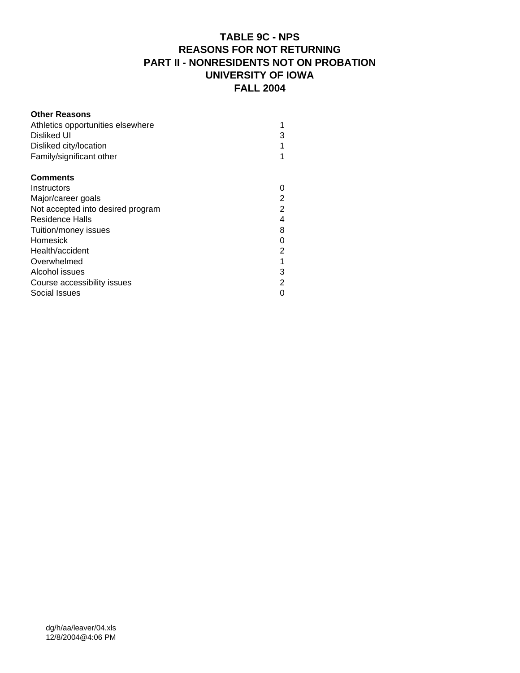# **TABLE 9C - NPS REASONS FOR NOT RETURNING PART II - NONRESIDENTS NOT ON PROBATION UNIVERSITY OF IOWA FALL 2004**

| <b>Other Reasons</b>              |                |
|-----------------------------------|----------------|
| Athletics opportunities elsewhere |                |
| Disliked UI                       | 3              |
| Disliked city/location            |                |
| Family/significant other          |                |
| <b>Comments</b>                   |                |
| Instructors                       |                |
| Major/career goals                | 2              |
| Not accepted into desired program | $\overline{2}$ |
| Residence Halls                   | 4              |
| Tuition/money issues              | 8              |
| Homesick                          | 0              |
| Health/accident                   | 2              |
| Overwhelmed                       |                |
| Alcohol issues                    | 3              |
| Course accessibility issues       | 2              |
| Social Issues                     |                |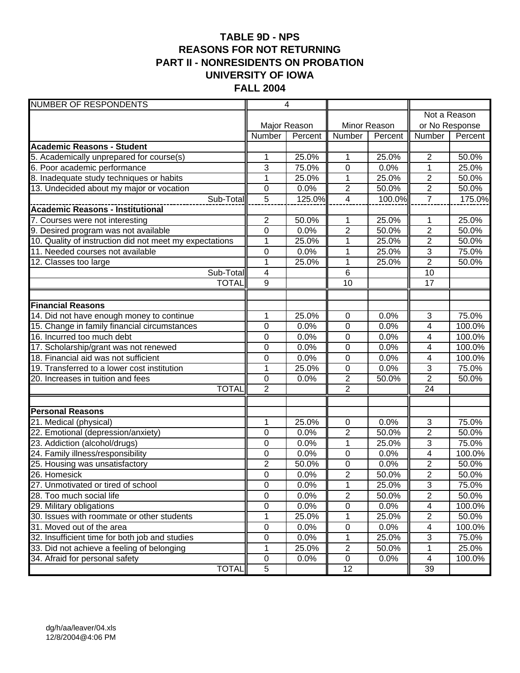# **TABLE 9D - NPS REASONS FOR NOT RETURNING PART II - NONRESIDENTS ON PROBATION UNIVERSITY OF IOWA FALL 2004**

| <b>NUMBER OF RESPONDENTS</b>                            |                  | $\overline{4}$ |                  |              |                         |              |
|---------------------------------------------------------|------------------|----------------|------------------|--------------|-------------------------|--------------|
|                                                         |                  |                |                  |              |                         | Not a Reason |
|                                                         |                  | Major Reason   |                  | Minor Reason | or No Response          |              |
|                                                         | Number           | Percent        | Number           | Percent      | Number                  | Percent      |
| <b>Academic Reasons - Student</b>                       |                  |                |                  |              |                         |              |
| 5. Academically unprepared for course(s)                | 1                | 25.0%          | 1                | 25.0%        | $\overline{2}$          | 50.0%        |
| 6. Poor academic performance                            | 3                | 75.0%          | 0                | 0.0%         | 1                       | 25.0%        |
| 8. Inadequate study techniques or habits                | $\mathbf{1}$     | 25.0%          | $\mathbf{1}$     | 25.0%        | $\overline{2}$          | 50.0%        |
| 13. Undecided about my major or vocation                | 0                | 0.0%           | $\overline{c}$   | 50.0%        | $\overline{2}$          | 50.0%        |
| Sub-Total                                               | $\overline{5}$   | 125.0%         | $\overline{4}$   | 100.0%       | $\overline{7}$          | 175.0%       |
|                                                         |                  |                |                  |              |                         |              |
| 7. Courses were not interesting                         | $\overline{2}$   | 50.0%          | 1                | 25.0%        | 1                       | 25.0%        |
| 9. Desired program was not available                    | $\mathbf 0$      | 0.0%           | $\overline{2}$   | 50.0%        | $\overline{\mathbf{c}}$ | 50.0%        |
| 10. Quality of instruction did not meet my expectations | $\mathbf{1}$     | 25.0%          | 1                | 25.0%        | $\overline{c}$          | 50.0%        |
| 11. Needed courses not available                        | 0                | 0.0%           | 1                | 25.0%        | 3                       | 75.0%        |
| 12. Classes too large                                   | $\mathbf{1}$     | 25.0%          | 1                | 25.0%        | $\overline{2}$          | 50.0%        |
| Sub-Total                                               | 4                |                | 6                |              | 10                      |              |
| <b>TOTAL</b>                                            | $\overline{9}$   |                | 10               |              | 17                      |              |
|                                                         |                  |                |                  |              |                         |              |
| <b>Financial Reasons</b>                                |                  |                |                  |              |                         |              |
| 14. Did not have enough money to continue               | 1                | 25.0%          | 0                | 0.0%         | $\overline{3}$          | 75.0%        |
| 15. Change in family financial circumstances            | $\mathbf 0$      | 0.0%           | $\mathbf 0$      | 0.0%         | 4                       | 100.0%       |
| 16. Incurred too much debt                              | $\mathbf 0$      | 0.0%           | $\mathbf 0$      | 0.0%         | 4                       | 100.0%       |
| 17. Scholarship/grant was not renewed                   | 0                | 0.0%           | 0                | 0.0%         | 4                       | 100.0%       |
| 18. Financial aid was not sufficient                    | $\mathbf 0$      | 0.0%           | $\mathbf 0$      | 0.0%         | $\overline{4}$          | 100.0%       |
| 19. Transferred to a lower cost institution             | $\mathbf{1}$     | 25.0%          | $\pmb{0}$        | 0.0%         | 3                       | 75.0%        |
| 20. Increases in tuition and fees                       | $\mathbf 0$      | 0.0%           | $\mathbf{2}$     | 50.0%        | $\overline{2}$          | 50.0%        |
| <b>TOTAL</b>                                            | $\overline{2}$   |                | $\overline{2}$   |              | $\overline{24}$         |              |
| <b>Personal Reasons</b>                                 |                  |                |                  |              |                         |              |
| 21. Medical (physical)                                  | 1                | 25.0%          | 0                | 0.0%         | 3                       | 75.0%        |
| 22. Emotional (depression/anxiety)                      | 0                | 0.0%           | $\overline{2}$   | 50.0%        | $\overline{2}$          | 50.0%        |
| 23. Addiction (alcohol/drugs)                           | 0                | 0.0%           | 1                | 25.0%        | 3                       | 75.0%        |
| 24. Family illness/responsibility                       | 0                | 0.0%           | $\boldsymbol{0}$ | 0.0%         | 4                       | 100.0%       |
| 25. Housing was unsatisfactory                          | $\overline{2}$   | 50.0%          | 0                | 0.0%         | $\overline{2}$          | 50.0%        |
| 26. Homesick                                            | $\mathbf 0$      | 0.0%           | $\overline{2}$   | 50.0%        | $\overline{2}$          | 50.0%        |
| 27. Unmotivated or tired of school                      | $\boldsymbol{0}$ | 0.0%           | $\mathbf 1$      | 25.0%        | 3                       | 75.0%        |
| 28. Too much social life                                | $\pmb{0}$        | 0.0%           | $\overline{2}$   | 50.0%        | $\overline{2}$          | 50.0%        |
| 29. Military obligations                                | $\mathsf 0$      | 0.0%           | $\overline{0}$   | 0.0%         | 4                       | 100.0%       |
| 30. Issues with roommate or other students              | 1                | 25.0%          | 1                | 25.0%        | $\mathbf{2}$            | 50.0%        |
| 31. Moved out of the area                               | $\overline{0}$   | 0.0%           | $\pmb{0}$        | 0.0%         | 4                       | 100.0%       |
| 32. Insufficient time for both job and studies          | 0                | 0.0%           | 1                | 25.0%        | 3                       | 75.0%        |
| 33. Did not achieve a feeling of belonging              | 1                | 25.0%          | $\boldsymbol{2}$ | 50.0%        | 1                       | 25.0%        |
| 34. Afraid for personal safety                          | $\pmb{0}$        | 0.0%           | $\pmb{0}$        | 0.0%         | 4                       | 100.0%       |
| <b>TOTAL</b>                                            | $\overline{5}$   |                | 12               |              | 39                      |              |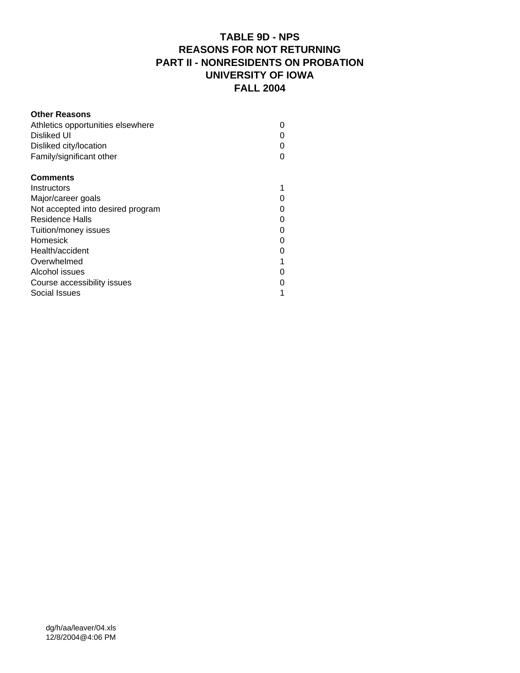#### **TABLE 9D - NPS REASONS FOR NOT RETURNING PART II - NONRESIDENTS ON PROBATION UNIVERSITY OF IOWA FALL 2004**

#### **Other Reasons** Athletics opportunities elsewhere 0 Disliked UI 0 Disliked city/location 0 Family/significant other 0 **Comments** Instructors and the state of the state of the state of the state of the state of the state of the state of the state of the state of the state of the state of the state of the state of the state of the state of the state o Major/career goals 0 Not accepted into desired program 0 Residence Halls 0 Tuition/money issues 0 Homesick 0 Health/accident 0 Overwhelmed 1 Alcohol issues 0 Course accessibility issues 0 Social Issues 1 and 1 and 1 and 1 and 1 and 1 and 1 and 1 and 1 and 1 and 1 and 1 and 1 and 1 and 1 and 1 and 1 and 1 and 1 and 1 and 1 and 1 and 1 and 1 and 1 and 1 and 1 and 1 and 1 and 1 and 1 and 1 and 1 and 1 and 1 an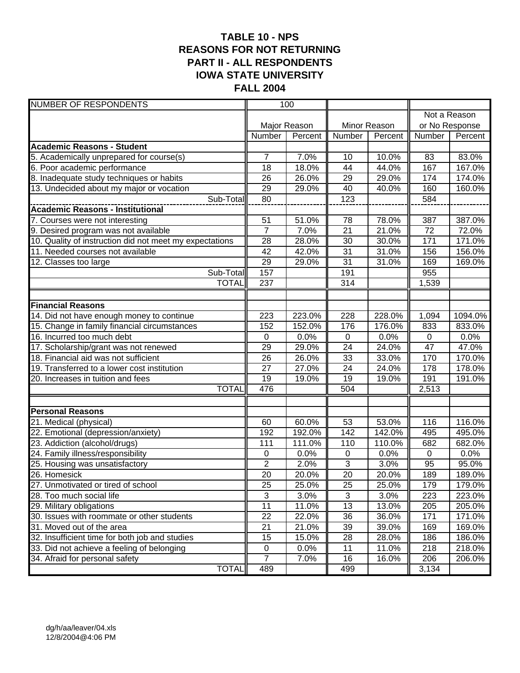# **TABLE 10 - NPS REASONS FOR NOT RETURNING PART II - ALL RESPONDENTS IOWA STATE UNIVERSITY FALL 2004**

| <b>NUMBER OF RESPONDENTS</b>                            |                | 100          |                 |              |                |              |
|---------------------------------------------------------|----------------|--------------|-----------------|--------------|----------------|--------------|
|                                                         |                |              |                 |              |                | Not a Reason |
|                                                         |                | Major Reason |                 | Minor Reason | or No Response |              |
|                                                         | Number         | Percent      | Number          | Percent      | Number         | Percent      |
| <b>Academic Reasons - Student</b>                       |                |              |                 |              |                |              |
| 5. Academically unprepared for course(s)                | $\overline{7}$ | 7.0%         | 10              | 10.0%        | 83             | 83.0%        |
| 6. Poor academic performance                            | 18             | 18.0%        | 44              | 44.0%        | 167            | 167.0%       |
| 8. Inadequate study techniques or habits                | 26             | 26.0%        | 29              | 29.0%        | 174            | 174.0%       |
| 13. Undecided about my major or vocation                | 29             | 29.0%        | 40              | 40.0%        | 160            | 160.0%       |
| Sub-Total                                               | 80             |              | 123             |              | 584            |              |
|                                                         |                |              |                 |              |                |              |
| 7. Courses were not interesting                         | 51             | 51.0%        | 78              | 78.0%        | 387            | 387.0%       |
| 9. Desired program was not available                    | $\overline{7}$ | 7.0%         | $\overline{21}$ | 21.0%        | 72             | 72.0%        |
| 10. Quality of instruction did not meet my expectations | 28             | 28.0%        | $\overline{30}$ | 30.0%        | 171            | 171.0%       |
| 11. Needed courses not available                        | 42             | 42.0%        | 31              | 31.0%        | 156            | 156.0%       |
| 12. Classes too large                                   | 29             | 29.0%        | $\overline{31}$ | 31.0%        | 169            | 169.0%       |
| Sub-Total                                               | 157            |              | 191             |              | 955            |              |
| <b>TOTAL</b>                                            | 237            |              | 314             |              | 1,539          |              |
|                                                         |                |              |                 |              |                |              |
| <b>Financial Reasons</b>                                |                |              |                 |              |                |              |
| 14. Did not have enough money to continue               | 223            | 223.0%       | 228             | 228.0%       | 1,094          | 1094.0%      |
| 15. Change in family financial circumstances            | 152            | 152.0%       | 176             | 176.0%       | 833            | 833.0%       |
| 16. Incurred too much debt                              | $\mathbf 0$    | 0.0%         | $\mathbf 0$     | 0.0%         | $\mathbf 0$    | 0.0%         |
| 17. Scholarship/grant was not renewed                   | 29             | 29.0%        | 24              | 24.0%        | 47             | 47.0%        |
| 18. Financial aid was not sufficient                    | 26             | 26.0%        | 33              | 33.0%        | 170            | 170.0%       |
| 19. Transferred to a lower cost institution             | 27             | 27.0%        | $\overline{24}$ | 24.0%        | 178            | 178.0%       |
| 20. Increases in tuition and fees                       | 19             | 19.0%        | 19              | 19.0%        | 191            | 191.0%       |
| <b>TOTAL</b>                                            | 476            |              | 504             |              | 2,513          |              |
| <b>Personal Reasons</b>                                 |                |              |                 |              |                |              |
| 21. Medical (physical)                                  | 60             | 60.0%        | 53              | 53.0%        | 116            | 116.0%       |
| 22. Emotional (depression/anxiety)                      | 192            | 192.0%       | 142             | 142.0%       | 495            | 495.0%       |
| 23. Addiction (alcohol/drugs)                           | 111            | 111.0%       | 110             | 110.0%       | 682            | 682.0%       |
| 24. Family illness/responsibility                       | 0              | 0.0%         | $\pmb{0}$       | 0.0%         | $\mathbf 0$    | 0.0%         |
| 25. Housing was unsatisfactory                          | $\overline{2}$ | 2.0%         | 3               | 3.0%         | 95             | 95.0%        |
| 26. Homesick                                            | 20             | 20.0%        | $\overline{20}$ | 20.0%        | 189            | 189.0%       |
| 27. Unmotivated or tired of school                      | 25             | 25.0%        | 25              | 25.0%        | 179            | 179.0%       |
| 28. Too much social life                                | $\overline{3}$ | 3.0%         | $\mathfrak{B}$  | 3.0%         | 223            | 223.0%       |
| 29. Military obligations                                | 11             | 11.0%        | $\overline{13}$ | 13.0%        | 205            | 205.0%       |
| 30. Issues with roommate or other students              | 22             | 22.0%        | 36              | 36.0%        | 171            | 171.0%       |
| 31. Moved out of the area                               | 21             | 21.0%        | 39              | 39.0%        | 169            | 169.0%       |
| 32. Insufficient time for both job and studies          | 15             | 15.0%        | 28              | 28.0%        | 186            | 186.0%       |
| 33. Did not achieve a feeling of belonging              | 0              | 0.0%         | 11              | 11.0%        | 218            | 218.0%       |
| 34. Afraid for personal safety                          | 7              | 7.0%         | 16              | 16.0%        | 206            | 206.0%       |
| <b>TOTAL</b>                                            | 489            |              | 499             |              | 3,134          |              |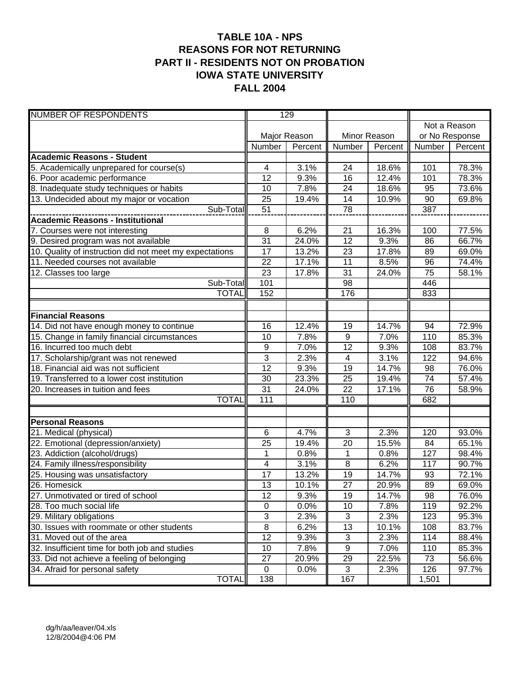### **TABLE 10A - NPS REASONS FOR NOT RETURNING PART II - RESIDENTS NOT ON PROBATION IOWA STATE UNIVERSITY FALL 2004**

| <b>NUMBER OF RESPONDENTS</b>                            |                     | 129          |                  |              |                |              |
|---------------------------------------------------------|---------------------|--------------|------------------|--------------|----------------|--------------|
|                                                         |                     |              |                  |              |                | Not a Reason |
|                                                         |                     | Major Reason |                  | Minor Reason | or No Response |              |
|                                                         | Number              | Percent      | Number           | Percent      | Number         | Percent      |
| <b>Academic Reasons - Student</b>                       |                     |              |                  |              |                |              |
| 5. Academically unprepared for course(s)                | 4                   | 3.1%         | 24               | 18.6%        | 101            | 78.3%        |
| 6. Poor academic performance                            | 12                  | 9.3%         | 16               | 12.4%        | 101            | 78.3%        |
| 8. Inadequate study techniques or habits                | 10                  | 7.8%         | 24               | 18.6%        | 95             | 73.6%        |
| 13. Undecided about my major or vocation                | 25                  | 19.4%        | 14               | 10.9%        | 90             | 69.8%        |
| Sub-Total                                               | 51                  |              | $\overline{78}$  |              | 387            |              |
| <b>Academic Reasons - Institutional</b>                 |                     |              |                  |              |                |              |
| 7. Courses were not interesting                         | 8                   | 6.2%         | 21               | 16.3%        | 100            | 77.5%        |
| 9. Desired program was not available                    | $\overline{31}$     | 24.0%        | $\overline{12}$  | 9.3%         | 86             | 66.7%        |
| 10. Quality of instruction did not meet my expectations | 17                  | 13.2%        | 23               | 17.8%        | 89             | 69.0%        |
| 11. Needed courses not available                        | 22                  | 17.1%        | 11               | 8.5%         | 96             | 74.4%        |
| 12. Classes too large                                   | 23                  | 17.8%        | $\overline{31}$  | 24.0%        | 75             | 58.1%        |
| Sub-Total                                               | 101                 |              | 98               |              | 446            |              |
| <b>TOTAL</b>                                            | 152                 |              | 176              |              | 833            |              |
|                                                         |                     |              |                  |              |                |              |
| <b>Financial Reasons</b>                                |                     |              |                  |              |                |              |
| 14. Did not have enough money to continue               | 16                  | 12.4%        | 19               | 14.7%        | 94             | 72.9%        |
| 15. Change in family financial circumstances            | 10                  | 7.8%         | $\boldsymbol{9}$ | 7.0%         | 110            | 85.3%        |
| 16. Incurred too much debt                              | 9                   | 7.0%         | 12               | 9.3%         | 108            | 83.7%        |
| 17. Scholarship/grant was not renewed                   | 3                   | 2.3%         | 4                | 3.1%         | 122            | 94.6%        |
| 18. Financial aid was not sufficient                    | $\overline{12}$     | 9.3%         | $\overline{19}$  | 14.7%        | 98             | 76.0%        |
| 19. Transferred to a lower cost institution             | 30                  | 23.3%        | 25               | 19.4%        | 74             | 57.4%        |
| 20. Increases in tuition and fees                       | 31                  | 24.0%        | $\overline{22}$  | 17.1%        | 76             | 58.9%        |
| <b>TOTAL</b>                                            | 111                 |              | 110              |              | 682            |              |
|                                                         |                     |              |                  |              |                |              |
| <b>Personal Reasons</b><br>21. Medical (physical)       | 6                   | 4.7%         | 3                | 2.3%         | 120            | 93.0%        |
| 22. Emotional (depression/anxiety)                      | 25                  | 19.4%        | 20               | 15.5%        | 84             | 65.1%        |
| 23. Addiction (alcohol/drugs)                           | 1                   | 0.8%         | 1                | 0.8%         | 127            | 98.4%        |
| 24. Family illness/responsibility                       | 4                   | 3.1%         | 8                | 6.2%         | 117            | 90.7%        |
| 25. Housing was unsatisfactory                          | 17                  | 13.2%        | 19               | 14.7%        | 93             | 72.1%        |
| 26. Homesick                                            | 13                  | 10.1%        | 27               | 20.9%        | 89             | 69.0%        |
| 27. Unmotivated or tired of school                      | 12                  | 9.3%         | 19               | 14.7%        | 98             | 76.0%        |
| 28. Too much social life                                | $\mathbf 0$         | 0.0%         | 10               | 7.8%         | 119            | 92.2%        |
| 29. Military obligations                                | $\overline{3}$      | 2.3%         | 3                | 2.3%         | 123            | 95.3%        |
| 30. Issues with roommate or other students              | $\overline{\infty}$ | 6.2%         | 13               | 10.1%        | 108            | 83.7%        |
| 31. Moved out of the area                               | $\overline{12}$     | 9.3%         | $\sqrt{3}$       | 2.3%         | 114            | 88.4%        |
| 32. Insufficient time for both job and studies          | 10                  | 7.8%         | $\boldsymbol{9}$ | 7.0%         | 110            | 85.3%        |
| 33. Did not achieve a feeling of belonging              | 27                  | 20.9%        | 29               | 22.5%        | 73             | 56.6%        |
| 34. Afraid for personal safety                          | $\mathbf 0$         | 0.0%         | $\mathbf{3}$     | 2.3%         | 126            | 97.7%        |
| <b>TOTAL</b>                                            | 138                 |              | 167              |              | 1,501          |              |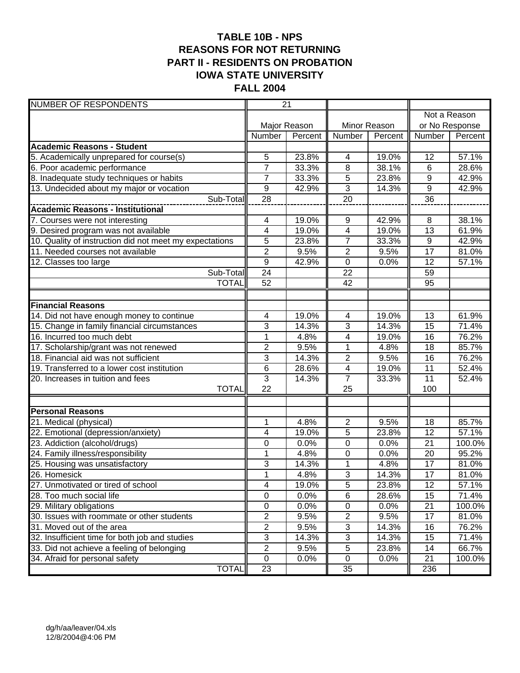# **TABLE 10B - NPS REASONS FOR NOT RETURNING PART II - RESIDENTS ON PROBATION IOWA STATE UNIVERSITY FALL 2004**

| <b>NUMBER OF RESPONDENTS</b>                            |                         | $\overline{21}$ |                         |              |                  |              |
|---------------------------------------------------------|-------------------------|-----------------|-------------------------|--------------|------------------|--------------|
|                                                         |                         |                 |                         |              |                  | Not a Reason |
|                                                         |                         | Major Reason    |                         | Minor Reason | or No Response   |              |
|                                                         | Number                  | Percent         | Number                  | Percent      | Number           | Percent      |
| <b>Academic Reasons - Student</b>                       |                         |                 |                         |              |                  |              |
| 5. Academically unprepared for course(s)                | 5                       | 23.8%           | 4                       | 19.0%        | 12               | 57.1%        |
| 6. Poor academic performance                            | $\overline{7}$          | 33.3%           | 8                       | 38.1%        | $6\phantom{1}$   | 28.6%        |
| 8. Inadequate study techniques or habits                | $\overline{7}$          | 33.3%           | 5                       | 23.8%        | 9                | 42.9%        |
| 13. Undecided about my major or vocation                | 9                       | 42.9%           | $\overline{3}$          | 14.3%        | $\boldsymbol{9}$ | 42.9%        |
| Sub-Total                                               | 28                      |                 | $\overline{20}$         |              | $\overline{36}$  |              |
| <b>Academic Reasons - Institutional</b>                 |                         |                 |                         |              |                  |              |
| 7. Courses were not interesting                         | 4                       | 19.0%           | $\boldsymbol{9}$        | 42.9%        | 8                | 38.1%        |
| 9. Desired program was not available                    | $\overline{\mathbf{4}}$ | 19.0%           | 4                       | 19.0%        | 13               | 61.9%        |
| 10. Quality of instruction did not meet my expectations | 5                       | 23.8%           | $\overline{7}$          | 33.3%        | 9                | 42.9%        |
| 11. Needed courses not available                        | $\overline{2}$          | 9.5%            | $\overline{2}$          | 9.5%         | $\overline{17}$  | 81.0%        |
| $\overline{12}$ . Classes too large                     | $\boldsymbol{9}$        | 42.9%           | $\mathbf 0$             | 0.0%         | 12               | 57.1%        |
| Sub-Total                                               | $\overline{24}$         |                 | $\overline{22}$         |              | 59               |              |
| <b>TOTAL</b>                                            | 52                      |                 | 42                      |              | 95               |              |
|                                                         |                         |                 |                         |              |                  |              |
| <b>Financial Reasons</b>                                |                         |                 |                         |              |                  |              |
| 14. Did not have enough money to continue               | 4                       | 19.0%           | $\overline{\mathbf{4}}$ | 19.0%        | $\overline{13}$  | 61.9%        |
| 15. Change in family financial circumstances            | 3                       | 14.3%           | 3                       | 14.3%        | 15               | 71.4%        |
| 16. Incurred too much debt                              | 1                       | 4.8%            | 4                       | 19.0%        | 16               | 76.2%        |
| 17. Scholarship/grant was not renewed                   | $\overline{2}$          | 9.5%            | $\overline{1}$          | 4.8%         | $\overline{18}$  | 85.7%        |
| 18. Financial aid was not sufficient                    | 3                       | 14.3%           | $\overline{c}$          | 9.5%         | 16               | 76.2%        |
| 19. Transferred to a lower cost institution             | 6                       | 28.6%           | $\overline{\mathbf{4}}$ | 19.0%        | 11               | 52.4%        |
| 20. Increases in tuition and fees                       | $\overline{3}$          | 14.3%           | $\overline{7}$          | 33.3%        | 11               | 52.4%        |
| <b>TOTAL</b>                                            | 22                      |                 | 25                      |              | 100              |              |
| <b>Personal Reasons</b>                                 |                         |                 |                         |              |                  |              |
| 21. Medical (physical)                                  | 1                       | 4.8%            | $\boldsymbol{2}$        | 9.5%         | 18               | 85.7%        |
| 22. Emotional (depression/anxiety)                      | 4                       | 19.0%           | 5                       | 23.8%        | 12               | 57.1%        |
| 23. Addiction (alcohol/drugs)                           | 0                       | 0.0%            | $\mathbf 0$             | 0.0%         | 21               | 100.0%       |
| 24. Family illness/responsibility                       | $\mathbf{1}$            | 4.8%            | $\mathbf 0$             | 0.0%         | 20               | 95.2%        |
| 25. Housing was unsatisfactory                          | 3                       | 14.3%           | 1                       | 4.8%         | 17               | 81.0%        |
| 26. Homesick                                            | $\overline{1}$          | 4.8%            | $\overline{3}$          | 14.3%        | $\overline{17}$  | 81.0%        |
| 27. Unmotivated or tired of school                      | 4                       | 19.0%           | $\sqrt{5}$              | 23.8%        | 12               | 57.1%        |
| 28. Too much social life                                | $\pmb{0}$               | 0.0%            | $\,6$                   | 28.6%        | 15               | 71.4%        |
| 29. Military obligations                                | $\pmb{0}$               | 0.0%            | $\pmb{0}$               | 0.0%         | 21               | 100.0%       |
| 30. Issues with roommate or other students              | $\overline{2}$          | 9.5%            | $\mathbf{2}$            | 9.5%         | 17               | 81.0%        |
| 31. Moved out of the area                               | 2                       | 9.5%            | $\overline{3}$          | 14.3%        | 16               | 76.2%        |
| 32. Insufficient time for both job and studies          | 3                       | 14.3%           | $\overline{3}$          | 14.3%        | 15               | 71.4%        |
| 33. Did not achieve a feeling of belonging              | $\overline{c}$          | 9.5%            | $\sqrt{5}$              | 23.8%        | 14               | 66.7%        |
| 34. Afraid for personal safety                          | 0                       | 0.0%            | $\mathbf 0$             | 0.0%         | 21               | 100.0%       |
| <b>TOTAL</b>                                            | 23                      |                 | 35                      |              | 236              |              |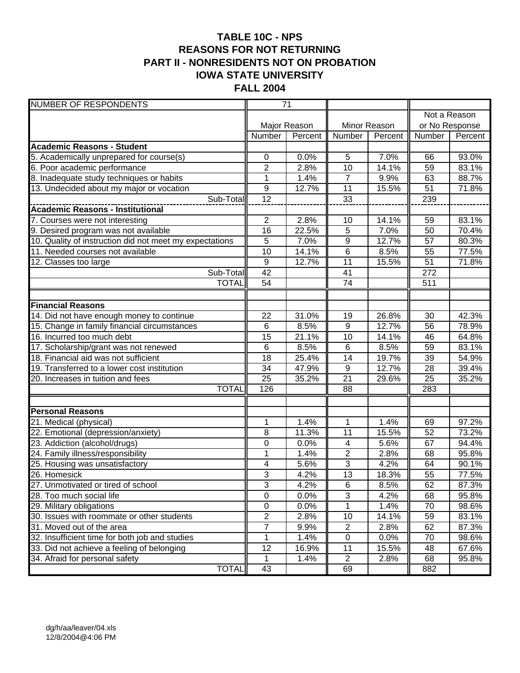# **TABLE 10C - NPS REASONS FOR NOT RETURNING PART II - NONRESIDENTS NOT ON PROBATION IOWA STATE UNIVERSITY FALL 2004**

| <b>NUMBER OF RESPONDENTS</b>                            |                  | $\overline{71}$ |                 |              |                |         |
|---------------------------------------------------------|------------------|-----------------|-----------------|--------------|----------------|---------|
|                                                         |                  |                 |                 |              | Not a Reason   |         |
|                                                         |                  | Major Reason    |                 | Minor Reason | or No Response |         |
|                                                         | Number           | Percent         | Number          | Percent      | Number         | Percent |
| <b>Academic Reasons - Student</b>                       |                  |                 |                 |              |                |         |
| 5. Academically unprepared for course(s)                | $\pmb{0}$        | 0.0%            | 5               | 7.0%         | 66             | 93.0%   |
| 6. Poor academic performance                            | $\overline{2}$   | 2.8%            | 10              | 14.1%        | 59             | 83.1%   |
| 8. Inadequate study techniques or habits                | 1                | 1.4%            | $\overline{7}$  | 9.9%         | 63             | 88.7%   |
| 13. Undecided about my major or vocation                | $\boldsymbol{9}$ | 12.7%           | $\overline{11}$ | 15.5%        | 51             | 71.8%   |
| Sub-Total                                               | 12               |                 | 33              |              | 239            |         |
|                                                         |                  |                 |                 |              |                |         |
| 7. Courses were not interesting                         | $\overline{2}$   | 2.8%            | 10              | 14.1%        | 59             | 83.1%   |
| 9. Desired program was not available                    | $\overline{16}$  | 22.5%           | $\overline{5}$  | 7.0%         | 50             | 70.4%   |
| 10. Quality of instruction did not meet my expectations | $\overline{5}$   | 7.0%            | $\overline{9}$  | 12.7%        | 57             | 80.3%   |
| 11. Needed courses not available                        | 10               | 14.1%           | 6               | 8.5%         | 55             | 77.5%   |
| 12. Classes too large                                   | $\boldsymbol{9}$ | 12.7%           | 11              | 15.5%        | 51             | 71.8%   |
| Sub-Total                                               | $\overline{42}$  |                 | 41              |              | 272            |         |
| <b>TOTAL</b>                                            | 54               |                 | $\overline{74}$ |              | 511            |         |
|                                                         |                  |                 |                 |              |                |         |
| <b>Financial Reasons</b>                                |                  |                 |                 |              |                |         |
| 14. Did not have enough money to continue               | 22               | 31.0%           | 19              | 26.8%        | 30             | 42.3%   |
| 15. Change in family financial circumstances            | 6                | 8.5%            | $\overline{9}$  | 12.7%        | 56             | 78.9%   |
| 16. Incurred too much debt                              | 15               | 21.1%           | 10              | 14.1%        | 46             | 64.8%   |
| 17. Scholarship/grant was not renewed                   | 6                | 8.5%            | $\,6$           | 8.5%         | 59             | 83.1%   |
| 18. Financial aid was not sufficient                    | 18               | 25.4%           | 14              | 19.7%        | 39             | 54.9%   |
| 19. Transferred to a lower cost institution             | 34               | 47.9%           | $\overline{9}$  | 12.7%        | 28             | 39.4%   |
| 20. Increases in tuition and fees                       | 25               | 35.2%           | $\overline{21}$ | 29.6%        | 25             | 35.2%   |
| <b>TOTAL</b>                                            | 126              |                 | $\overline{88}$ |              | 283            |         |
|                                                         |                  |                 |                 |              |                |         |
| <b>Personal Reasons</b>                                 |                  |                 |                 |              |                |         |
| 21. Medical (physical)                                  | 1                | 1.4%            | 1               | 1.4%         | 69             | 97.2%   |
| 22. Emotional (depression/anxiety)                      | 8                | 11.3%           | 11              | 15.5%        | 52             | 73.2%   |
| 23. Addiction (alcohol/drugs)                           | 0                | 0.0%            | 4               | 5.6%         | 67             | 94.4%   |
| 24. Family illness/responsibility                       | $\mathbf{1}$     | 1.4%            | $\overline{2}$  | 2.8%         | 68             | 95.8%   |
| 25. Housing was unsatisfactory                          | 4                | 5.6%            | $\overline{3}$  | 4.2%         | 64             | 90.1%   |
| 26. Homesick                                            | 3                | 4.2%            | $\overline{13}$ | 18.3%        | 55             | 77.5%   |
| 27. Unmotivated or tired of school                      | 3                | 4.2%            | 6               | 8.5%         | 62             | 87.3%   |
| 28. Too much social life                                | $\overline{0}$   | 0.0%            | 3               | 4.2%         | 68             | 95.8%   |
| 29. Military obligations                                | $\pmb{0}$        | 0.0%            | $\mathbf 1$     | 1.4%         | 70             | 98.6%   |
| 30. Issues with roommate or other students              | $\overline{2}$   | 2.8%            | 10              | 14.1%        | 59             | 83.1%   |
| 31. Moved out of the area                               | 7                | 9.9%            | $\overline{c}$  | 2.8%         | 62             | 87.3%   |
| 32. Insufficient time for both job and studies          | 1                | 1.4%            | $\pmb{0}$       | 0.0%         | 70             | 98.6%   |
| 33. Did not achieve a feeling of belonging              | 12               | 16.9%           | 11              | 15.5%        | 48             | 67.6%   |
| 34. Afraid for personal safety                          | 1                | 1.4%            | $\overline{2}$  | 2.8%         | 68             | 95.8%   |
| <b>TOTAL</b>                                            | 43               |                 | 69              |              | 882            |         |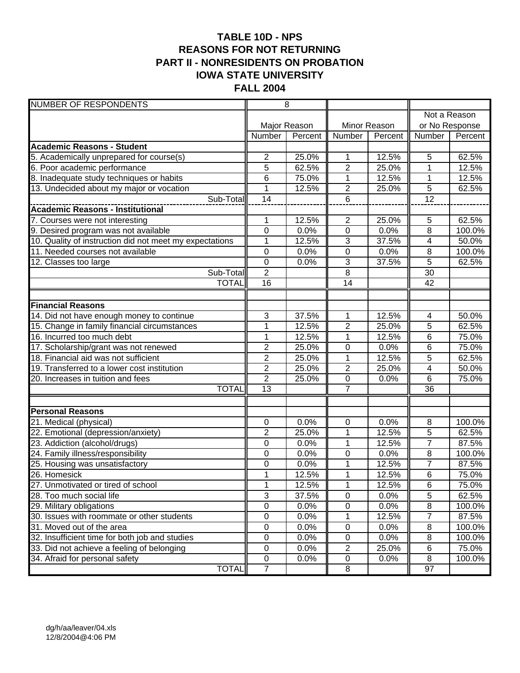# **TABLE 10D - NPS REASONS FOR NOT RETURNING PART II - NONRESIDENTS ON PROBATION IOWA STATE UNIVERSITY FALL 2004**

| <b>NUMBER OF RESPONDENTS</b>                            |                  | $\overline{8}$ |                |              |                 |              |  |
|---------------------------------------------------------|------------------|----------------|----------------|--------------|-----------------|--------------|--|
|                                                         |                  |                |                |              |                 | Not a Reason |  |
|                                                         |                  | Major Reason   |                | Minor Reason | or No Response  |              |  |
|                                                         | Number           | Percent        | Number         | Percent      | Number          | Percent      |  |
| <b>Academic Reasons - Student</b>                       |                  |                |                |              |                 |              |  |
| 5. Academically unprepared for course(s)                | $\overline{2}$   | 25.0%          | 1              | 12.5%        | 5               | 62.5%        |  |
| 6. Poor academic performance                            | 5                | 62.5%          | $\overline{2}$ | 25.0%        | 1               | 12.5%        |  |
| 8. Inadequate study techniques or habits                | 6                | 75.0%          | 1              | 12.5%        | 1               | 12.5%        |  |
| 13. Undecided about my major or vocation                | 1                | 12.5%          | $\overline{c}$ | 25.0%        | $\overline{5}$  | 62.5%        |  |
| Sub-Total                                               | 14               |                | 6              |              | $\overline{12}$ |              |  |
| <b>Academic Reasons - Institutional</b>                 |                  |                |                |              |                 |              |  |
| 7. Courses were not interesting                         | 1                | 12.5%          | $\overline{2}$ | 25.0%        | 5               | 62.5%        |  |
| 9. Desired program was not available                    | $\overline{0}$   | 0.0%           | $\overline{0}$ | 0.0%         | $\overline{8}$  | 100.0%       |  |
| 10. Quality of instruction did not meet my expectations | $\mathbf{1}$     | 12.5%          | 3              | 37.5%        | 4               | 50.0%        |  |
| 11. Needed courses not available                        | $\mathbf 0$      | 0.0%           | $\overline{0}$ | 0.0%         | 8               | 100.0%       |  |
| 12. Classes too large                                   | $\boldsymbol{0}$ | 0.0%           | 3              | 37.5%        | $\overline{5}$  | 62.5%        |  |
| Sub-Total                                               | $\overline{2}$   |                | $\overline{8}$ |              | 30              |              |  |
| <b>TOTAL</b>                                            | $\overline{16}$  |                | 14             |              | 42              |              |  |
|                                                         |                  |                |                |              |                 |              |  |
| <b>Financial Reasons</b>                                |                  |                |                |              |                 |              |  |
| 14. Did not have enough money to continue               | 3                | 37.5%          | 1              | 12.5%        | $\overline{4}$  | 50.0%        |  |
| 15. Change in family financial circumstances            | $\mathbf{1}$     | 12.5%          | $\overline{2}$ | 25.0%        | 5               | 62.5%        |  |
| 16. Incurred too much debt                              | $\mathbf{1}$     | 12.5%          | 1              | 12.5%        | 6               | 75.0%        |  |
| 17. Scholarship/grant was not renewed                   | $\overline{2}$   | 25.0%          | 0              | 0.0%         | 6               | 75.0%        |  |
| 18. Financial aid was not sufficient                    | $\overline{c}$   | 25.0%          | 1              | 12.5%        | 5               | 62.5%        |  |
| 19. Transferred to a lower cost institution             | $\overline{2}$   | 25.0%          | $\overline{2}$ | 25.0%        | $\overline{4}$  | 50.0%        |  |
| 20. Increases in tuition and fees                       | $\overline{2}$   | 25.0%          | $\pmb{0}$      | 0.0%         | $\,6$           | 75.0%        |  |
| <b>TOTAL</b>                                            | 13               |                | $\overline{7}$ |              | $\overline{36}$ |              |  |
|                                                         |                  |                |                |              |                 |              |  |
| <b>Personal Reasons</b>                                 |                  |                |                |              |                 |              |  |
| 21. Medical (physical)                                  | $\mathbf 0$      | 0.0%           | $\pmb{0}$      | 0.0%         | 8               | 100.0%       |  |
| 22. Emotional (depression/anxiety)                      | $\overline{2}$   | 25.0%          | 1              | 12.5%        | 5               | 62.5%        |  |
| 23. Addiction (alcohol/drugs)                           | 0                | 0.0%           | $\mathbf 1$    | 12.5%        | $\overline{7}$  | 87.5%        |  |
| 24. Family illness/responsibility                       | 0                | 0.0%           | $\mathbf 0$    | 0.0%         | 8               | 100.0%       |  |
| 25. Housing was unsatisfactory                          | 0                | 0.0%           | 1              | 12.5%        | $\overline{7}$  | 87.5%        |  |
| 26. Homesick                                            | $\mathbf{1}$     | 12.5%          | $\mathbf 1$    | 12.5%        | $6\phantom{1}6$ | 75.0%        |  |
| 27. Unmotivated or tired of school                      | 1                | 12.5%          | 1              | 12.5%        | $\,6$           | 75.0%        |  |
| 28. Too much social life                                | 3                | 37.5%          | $\overline{0}$ | 0.0%         | 5               | 62.5%        |  |
| 29. Military obligations                                | $\overline{0}$   | 0.0%           | $\overline{0}$ | 0.0%         | $\overline{8}$  | 100.0%       |  |
| 30. Issues with roommate or other students              | $\mathsf 0$      | 0.0%           | 1              | 12.5%        | $\overline{7}$  | 87.5%        |  |
| 31. Moved out of the area                               | $\pmb{0}$        | 0.0%           | $\pmb{0}$      | 0.0%         | 8               | 100.0%       |  |
| 32. Insufficient time for both job and studies          | $\pmb{0}$        | 0.0%           | $\pmb{0}$      | 0.0%         | 8               | 100.0%       |  |
| 33. Did not achieve a feeling of belonging              | $\pmb{0}$        | 0.0%           | $\overline{c}$ | 25.0%        | $\,6$           | 75.0%        |  |
| 34. Afraid for personal safety                          | 0                | 0.0%           | $\pmb{0}$      | 0.0%         | 8               | 100.0%       |  |
| <b>TOTAL</b>                                            | $\overline{7}$   |                | 8              |              | 97              |              |  |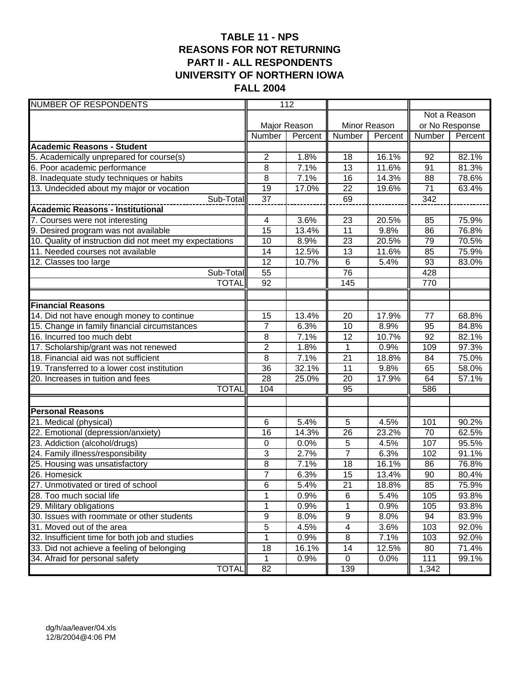# **TABLE 11 - NPS REASONS FOR NOT RETURNING PART II - ALL RESPONDENTS UNIVERSITY OF NORTHERN IOWA FALL 2004**

| <b>NUMBER OF RESPONDENTS</b>                            |                 | 112          |                 |              |                 |                |
|---------------------------------------------------------|-----------------|--------------|-----------------|--------------|-----------------|----------------|
|                                                         |                 |              |                 |              |                 | Not a Reason   |
|                                                         |                 | Major Reason |                 | Minor Reason |                 | or No Response |
|                                                         | Number          | Percent      | Number          | Percent      | Number          | Percent        |
| <b>Academic Reasons - Student</b>                       |                 |              |                 |              |                 |                |
| 5. Academically unprepared for course(s)                | 2               | 1.8%         | 18              | 16.1%        | 92              | 82.1%          |
| 6. Poor academic performance                            | 8               | 7.1%         | $\overline{13}$ | 11.6%        | 91              | 81.3%          |
| 8. Inadequate study techniques or habits                | 8               | 7.1%         | 16              | 14.3%        | 88              | 78.6%          |
| 13. Undecided about my major or vocation                | 19              | 17.0%        | 22              | 19.6%        | 71              | 63.4%          |
| Sub-Total                                               | 37              |              | 69              |              | 342             |                |
| <b>Academic Reasons - Institutional</b>                 |                 |              |                 |              |                 |                |
| 7. Courses were not interesting                         | 4               | 3.6%         | 23              | 20.5%        | 85              | 75.9%          |
| 9. Desired program was not available                    | 15              | 13.4%        | $\overline{11}$ | 9.8%         | 86              | 76.8%          |
| 10. Quality of instruction did not meet my expectations | 10              | 8.9%         | 23              | 20.5%        | 79              | 70.5%          |
| 11. Needed courses not available                        | 14              | 12.5%        | 13              | 11.6%        | 85              | 75.9%          |
| $\overline{12}$ . Classes too large                     | 12              | 10.7%        | $6\phantom{1}$  | 5.4%         | 93              | 83.0%          |
| Sub-Total                                               | $\overline{55}$ |              | $\overline{76}$ |              | 428             |                |
| <b>TOTAL</b>                                            | 92              |              | 145             |              | 770             |                |
|                                                         |                 |              |                 |              |                 |                |
| <b>Financial Reasons</b>                                |                 |              |                 |              |                 |                |
| 14. Did not have enough money to continue               | 15              | 13.4%        | $\overline{20}$ | 17.9%        | 77              | 68.8%          |
| 15. Change in family financial circumstances            | 7               | 6.3%         | 10              | 8.9%         | 95              | 84.8%          |
| 16. Incurred too much debt                              | 8               | 7.1%         | 12              | 10.7%        | 92              | 82.1%          |
| 17. Scholarship/grant was not renewed                   | $\overline{2}$  | 1.8%         | $\overline{1}$  | 0.9%         | 109             | 97.3%          |
| 18. Financial aid was not sufficient                    | $\overline{8}$  | 7.1%         | $\overline{21}$ | 18.8%        | 84              | 75.0%          |
| 19. Transferred to a lower cost institution             | 36              | 32.1%        | 11              | 9.8%         | 65              | 58.0%          |
| 20. Increases in tuition and fees                       | 28              | 25.0%        | 20              | 17.9%        | 64              | 57.1%          |
| <b>TOTAL</b>                                            | 104             |              | 95              |              | 586             |                |
|                                                         |                 |              |                 |              |                 |                |
| <b>Personal Reasons</b><br>21. Medical (physical)       | 6               | 5.4%         | 5               | 4.5%         | 101             | 90.2%          |
| 22. Emotional (depression/anxiety)                      | 16              | 14.3%        | 26              | 23.2%        | 70              | 62.5%          |
| 23. Addiction (alcohol/drugs)                           | $\mathbf 0$     | 0.0%         | 5               | 4.5%         | 107             | 95.5%          |
| 24. Family illness/responsibility                       | 3               | 2.7%         | $\overline{7}$  | 6.3%         | 102             | 91.1%          |
| 25. Housing was unsatisfactory                          | 8               | 7.1%         | 18              | 16.1%        | 86              | 76.8%          |
| 26. Homesick                                            | $\overline{7}$  | 6.3%         | 15              | 13.4%        | $\overline{90}$ | 80.4%          |
| 27. Unmotivated or tired of school                      | 6               | 5.4%         | 21              | 18.8%        | 85              | 75.9%          |
| 28. Too much social life                                | 1               | 0.9%         | 6               | 5.4%         | 105             | 93.8%          |
| 29. Military obligations                                | 1               | 0.9%         | 1               | 0.9%         | 105             | 93.8%          |
| 30. Issues with roommate or other students              | $\overline{9}$  | 8.0%         | 9               | 8.0%         | 94              | 83.9%          |
| 31. Moved out of the area                               | $\overline{5}$  | 4.5%         | 4               | 3.6%         | 103             | 92.0%          |
| 32. Insufficient time for both job and studies          | $\mathbf{1}$    | 0.9%         | 8               | 7.1%         | 103             | 92.0%          |
| 33. Did not achieve a feeling of belonging              | 18              | 16.1%        | 14              | 12.5%        | 80              | 71.4%          |
| 34. Afraid for personal safety                          | 1               | 0.9%         | 0               | 0.0%         | 111             | 99.1%          |
| <b>TOTAL</b>                                            | 82              |              | 139             |              | 1,342           |                |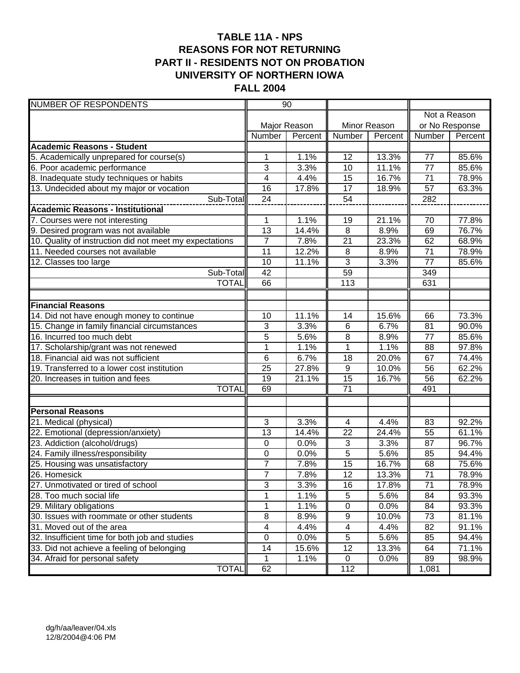# **TABLE 11A - NPS REASONS FOR NOT RETURNING PART II - RESIDENTS NOT ON PROBATION UNIVERSITY OF NORTHERN IOWA FALL 2004**

| <b>NUMBER OF RESPONDENTS</b>                            |                     | $\overline{90}$ |                 |                |                       |                |
|---------------------------------------------------------|---------------------|-----------------|-----------------|----------------|-----------------------|----------------|
|                                                         |                     |                 |                 |                |                       | Not a Reason   |
|                                                         |                     | Major Reason    |                 | Minor Reason   | or No Response        |                |
|                                                         | Number              | Percent         | Number          | Percent        | Number                | Percent        |
| <b>Academic Reasons - Student</b>                       |                     |                 |                 |                |                       |                |
| 5. Academically unprepared for course(s)                | 1                   | 1.1%            | 12              | 13.3%          | 77                    | 85.6%          |
| 6. Poor academic performance                            | 3                   | 3.3%            | 10              | 11.1%          | $\overline{77}$       | 85.6%          |
| 8. Inadequate study techniques or habits                | 4                   | 4.4%            | 15              | 16.7%          | 71                    | 78.9%          |
| 13. Undecided about my major or vocation                | 16                  | 17.8%           | $\overline{17}$ | 18.9%          | $\overline{57}$       | 63.3%          |
| Sub-Total                                               | 24                  |                 | 54              |                | 282                   |                |
| <b>Academic Reasons - Institutional</b>                 |                     |                 |                 |                |                       |                |
| 7. Courses were not interesting                         | 1                   | 1.1%            | 19              | 21.1%          | 70                    | 77.8%          |
| 9. Desired program was not available                    | 13                  | 14.4%           | 8               | 8.9%           | 69                    | 76.7%          |
| 10. Quality of instruction did not meet my expectations | $\overline{7}$      | 7.8%            | 21              | 23.3%          | 62                    | 68.9%          |
| 11. Needed courses not available                        | 11                  | 12.2%           | 8               | 8.9%           | 71                    | 78.9%          |
| 12. Classes too large                                   | 10                  | 11.1%           | 3               | 3.3%           | 77                    | 85.6%          |
| Sub-Total                                               | 42                  |                 | 59              |                | 349                   |                |
| <b>TOTAL</b>                                            | 66                  |                 | 113             |                | 631                   |                |
|                                                         |                     |                 |                 |                |                       |                |
| <b>Financial Reasons</b>                                |                     |                 |                 |                |                       |                |
| 14. Did not have enough money to continue               | 10                  | 11.1%           | 14              | 15.6%          | 66                    | 73.3%          |
| 15. Change in family financial circumstances            | 3                   | 3.3%            | $6\phantom{1}$  | 6.7%           | 81                    | 90.0%          |
| 16. Incurred too much debt                              | 5                   | 5.6%            | 8               | 8.9%           | 77                    | 85.6%          |
| 17. Scholarship/grant was not renewed                   | $\overline{1}$      | 1.1%            | $\overline{1}$  | 1.1%           | 88                    | 97.8%          |
| 18. Financial aid was not sufficient                    | 6                   | 6.7%            | 18              | 20.0%          | 67                    | 74.4%          |
| 19. Transferred to a lower cost institution             | 25                  | 27.8%           | 9               | 10.0%          | 56                    | 62.2%          |
| 20. Increases in tuition and fees                       | 19                  | 21.1%           | 15              | 16.7%          | 56                    | 62.2%          |
| <b>TOTAL</b>                                            | 69                  |                 | $\overline{71}$ |                | 491                   |                |
|                                                         |                     |                 |                 |                |                       |                |
| <b>Personal Reasons</b>                                 |                     |                 |                 |                |                       |                |
| 21. Medical (physical)                                  | 3                   | 3.3%            | 4               | 4.4%           | 83                    | 92.2%          |
| 22. Emotional (depression/anxiety)                      | 13                  | 14.4%           | 22              | 24.4%          | 55                    | 61.1%          |
| 23. Addiction (alcohol/drugs)                           | 0                   | 0.0%            | 3<br>5          | 3.3%           | 87                    | 96.7%          |
| 24. Family illness/responsibility                       | 0                   | 0.0%            |                 | 5.6%           | 85                    | 94.4%          |
| 25. Housing was unsatisfactory<br>26. Homesick          | 7<br>$\overline{7}$ | 7.8%<br>7.8%    | 15<br>12        | 16.7%<br>13.3% | 68<br>$\overline{71}$ | 75.6%          |
| 27. Unmotivated or tired of school                      |                     |                 |                 |                | 71                    | 78.9%          |
|                                                         | 3                   | 3.3%            | 16<br>5         | 17.8%          |                       | 78.9%          |
| 28. Too much social life<br>29. Military obligations    | 1<br>1              | 1.1%<br>1.1%    | $\overline{0}$  | 5.6%<br>0.0%   | 84<br>84              | 93.3%<br>93.3% |
| 30. Issues with roommate or other students              | 8                   | 8.9%            | 9               | 10.0%          | 73                    | 81.1%          |
| 31. Moved out of the area                               | 4                   | 4.4%            | 4               | 4.4%           | 82                    | 91.1%          |
| 32. Insufficient time for both job and studies          | $\pmb{0}$           | 0.0%            | $\overline{5}$  | 5.6%           | 85                    | 94.4%          |
| 33. Did not achieve a feeling of belonging              | 14                  | 15.6%           | 12              | 13.3%          | 64                    | 71.1%          |
| 34. Afraid for personal safety                          | 1                   | 1.1%            | $\mathbf 0$     | 0.0%           | 89                    | 98.9%          |
| <b>TOTAL</b>                                            | 62                  |                 | 112             |                | 1,081                 |                |
|                                                         |                     |                 |                 |                |                       |                |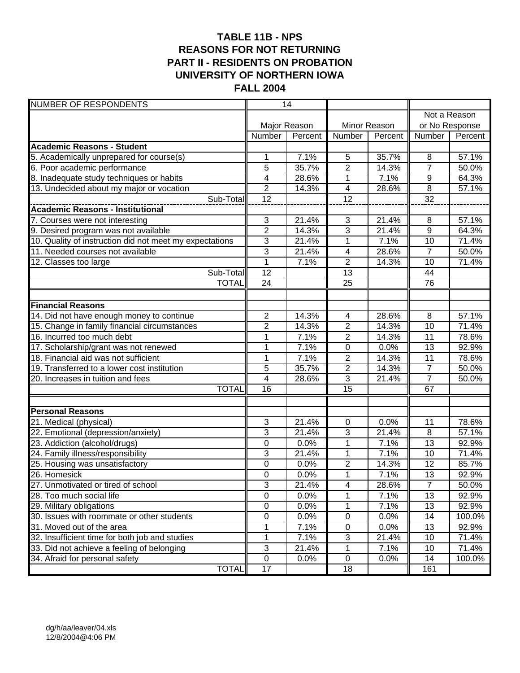# **TABLE 11B - NPS REASONS FOR NOT RETURNING PART II - RESIDENTS ON PROBATION UNIVERSITY OF NORTHERN IOWA FALL 2004**

| <b>NUMBER OF RESPONDENTS</b>                            |                  | 14           |                          |              |                 |              |
|---------------------------------------------------------|------------------|--------------|--------------------------|--------------|-----------------|--------------|
|                                                         |                  |              |                          |              |                 | Not a Reason |
|                                                         |                  | Major Reason |                          | Minor Reason | or No Response  |              |
|                                                         | Number           | Percent      | Number                   | Percent      | Number          | Percent      |
| <b>Academic Reasons - Student</b>                       |                  |              |                          |              |                 |              |
| 5. Academically unprepared for course(s)                | 1                | 7.1%         | 5                        | 35.7%        | 8               | 57.1%        |
| 6. Poor academic performance                            | 5                | 35.7%        | $\overline{2}$           | 14.3%        | $\overline{7}$  | 50.0%        |
| 8. Inadequate study techniques or habits                | 4                | 28.6%        | $\mathbf{1}$             | 7.1%         | 9               | 64.3%        |
| 13. Undecided about my major or vocation                | $\overline{2}$   | 14.3%        | $\overline{\mathcal{A}}$ | 28.6%        | 8               | 57.1%        |
| Sub-Total                                               | $\overline{12}$  |              | $\overline{12}$          |              | $\overline{32}$ |              |
| <b>Academic Reasons - Institutional</b>                 |                  |              |                          |              |                 |              |
| 7. Courses were not interesting                         | 3                | 21.4%        | $\mathbf{3}$             | 21.4%        | 8               | 57.1%        |
| 9. Desired program was not available                    | $\overline{2}$   | 14.3%        | 3                        | 21.4%        | $9\,$           | 64.3%        |
| 10. Quality of instruction did not meet my expectations | 3                | 21.4%        | $\mathbf{1}$             | 7.1%         | 10              | 71.4%        |
| 11. Needed courses not available                        | 3                | 21.4%        | 4                        | 28.6%        | $\overline{7}$  | 50.0%        |
| $\overline{12}$ . Classes too large                     | 1                | 7.1%         | $\overline{2}$           | 14.3%        | 10              | 71.4%        |
| Sub-Total                                               | 12               |              | 13                       |              | 44              |              |
| <b>TOTAL</b>                                            | $\overline{24}$  |              | $\overline{25}$          |              | 76              |              |
|                                                         |                  |              |                          |              |                 |              |
| <b>Financial Reasons</b>                                |                  |              |                          |              |                 |              |
| 14. Did not have enough money to continue               | $\overline{2}$   | 14.3%        | $\overline{4}$           | 28.6%        | 8               | 57.1%        |
| 15. Change in family financial circumstances            | 2                | 14.3%        | $\overline{c}$           | 14.3%        | 10              | 71.4%        |
| 16. Incurred too much debt                              | $\overline{1}$   | 7.1%         | $\overline{2}$           | 14.3%        | 11              | 78.6%        |
| 17. Scholarship/grant was not renewed                   | 1                | 7.1%         | 0                        | 0.0%         | 13              | 92.9%        |
| 18. Financial aid was not sufficient                    | $\mathbf 1$      | 7.1%         | $\overline{2}$           | 14.3%        | 11              | 78.6%        |
| 19. Transferred to a lower cost institution             | 5                | 35.7%        | $\overline{2}$           | 14.3%        | $\overline{7}$  | 50.0%        |
| 20. Increases in tuition and fees                       | 4                | 28.6%        | $\overline{3}$           | 21.4%        | $\overline{7}$  | 50.0%        |
| <b>TOTAL</b>                                            | 16               |              | $\overline{15}$          |              | 67              |              |
|                                                         |                  |              |                          |              |                 |              |
| <b>Personal Reasons</b><br>21. Medical (physical)       | 3                | 21.4%        | $\mathbf 0$              | 0.0%         | 11              | 78.6%        |
| 22. Emotional (depression/anxiety)                      | 3                | 21.4%        | 3                        | 21.4%        | 8               | 57.1%        |
| 23. Addiction (alcohol/drugs)                           | 0                | 0.0%         | 1                        | 7.1%         | 13              | 92.9%        |
| 24. Family illness/responsibility                       | 3                | 21.4%        | 1                        | 7.1%         | 10              | 71.4%        |
| 25. Housing was unsatisfactory                          | $\mathbf 0$      | 0.0%         | $\overline{2}$           | 14.3%        | $\overline{12}$ | 85.7%        |
| 26. Homesick                                            | $\overline{0}$   | 0.0%         | 1                        | 7.1%         | $\overline{13}$ | 92.9%        |
| 27. Unmotivated or tired of school                      | 3                | 21.4%        | 4                        | 28.6%        | $\overline{7}$  | 50.0%        |
| 28. Too much social life                                | $\pmb{0}$        | 0.0%         | 1                        | 7.1%         | 13              | 92.9%        |
| 29. Military obligations                                | $\boldsymbol{0}$ | 0.0%         | 1                        | 7.1%         | $\overline{13}$ | 92.9%        |
| 30. Issues with roommate or other students              | 0                | 0.0%         | $\pmb{0}$                | 0.0%         | 14              | 100.0%       |
| 31. Moved out of the area                               | 1                | 7.1%         | $\pmb{0}$                | 0.0%         | 13              | 92.9%        |
| 32. Insufficient time for both job and studies          | 1                | 7.1%         | $\sqrt{3}$               | 21.4%        | 10              | 71.4%        |
| 33. Did not achieve a feeling of belonging              | 3                | 21.4%        | 1                        | 7.1%         | 10              | 71.4%        |
| 34. Afraid for personal safety                          | $\pmb{0}$        | 0.0%         | $\mathsf 0$              | 0.0%         | 14              | 100.0%       |
| <b>TOTAL</b>                                            | 17               |              | 18                       |              | 161             |              |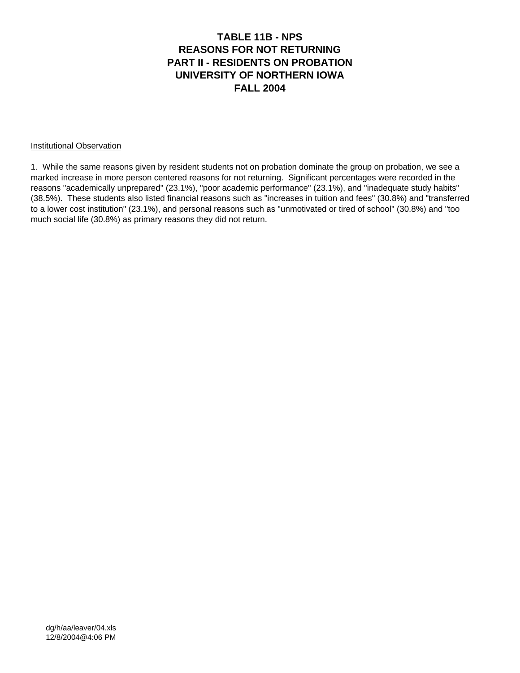#### **TABLE 11B - NPS REASONS FOR NOT RETURNING PART II - RESIDENTS ON PROBATION UNIVERSITY OF NORTHERN IOWA FALL 2004**

#### Institutional Observation

1. While the same reasons given by resident students not on probation dominate the group on probation, we see a marked increase in more person centered reasons for not returning. Significant percentages were recorded in the reasons "academically unprepared" (23.1%), "poor academic performance" (23.1%), and "inadequate study habits" (38.5%). These students also listed financial reasons such as "increases in tuition and fees" (30.8%) and "transferred to a lower cost institution" (23.1%), and personal reasons such as "unmotivated or tired of school" (30.8%) and "too much social life (30.8%) as primary reasons they did not return.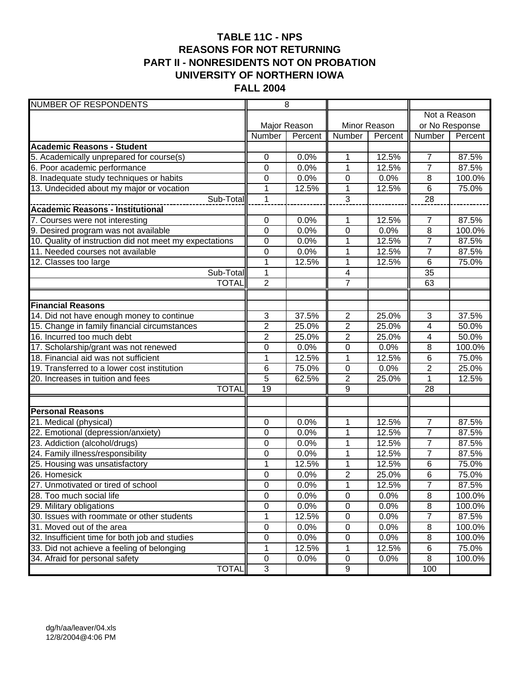# **TABLE 11C - NPS REASONS FOR NOT RETURNING PART II - NONRESIDENTS NOT ON PROBATION UNIVERSITY OF NORTHERN IOWA FALL 2004**

| <b>NUMBER OF RESPONDENTS</b>                            |                 | $\overline{8}$ |                  |              |                 |              |
|---------------------------------------------------------|-----------------|----------------|------------------|--------------|-----------------|--------------|
|                                                         |                 |                |                  |              |                 | Not a Reason |
|                                                         |                 | Major Reason   |                  | Minor Reason | or No Response  |              |
|                                                         | Number          | Percent        | Number           | Percent      | Number          | Percent      |
| <b>Academic Reasons - Student</b>                       |                 |                |                  |              |                 |              |
| 5. Academically unprepared for course(s)                | 0               | 0.0%           | 1                | 12.5%        | $\overline{7}$  | 87.5%        |
| 6. Poor academic performance                            | 0               | 0.0%           | 1                | 12.5%        | $\overline{7}$  | 87.5%        |
| 8. Inadequate study techniques or habits                | 0               | 0.0%           | 0                | 0.0%         | 8               | 100.0%       |
| 13. Undecided about my major or vocation                | 1               | 12.5%          | 1                | 12.5%        | 6               | 75.0%        |
| Sub-Total                                               | $\mathbf{1}$    |                | 3                |              | 28              |              |
|                                                         |                 |                |                  |              |                 |              |
| 7. Courses were not interesting                         | $\mathbf 0$     | 0.0%           | 1                | 12.5%        | 7               | 87.5%        |
| 9. Desired program was not available                    | $\mathbf 0$     | 0.0%           | $\mathbf 0$      | 0.0%         | $\overline{8}$  | 100.0%       |
| 10. Quality of instruction did not meet my expectations | 0               | 0.0%           | 1                | 12.5%        | $\overline{7}$  | 87.5%        |
| 11. Needed courses not available                        | 0               | 0.0%           | 1                | 12.5%        | $\overline{7}$  | 87.5%        |
| 12. Classes too large                                   | $\mathbf 1$     | 12.5%          | 1                | 12.5%        | $6\phantom{1}6$ | 75.0%        |
| Sub-Total                                               | 1               |                | $\overline{4}$   |              | $\overline{35}$ |              |
| <b>TOTAL</b>                                            | $\overline{2}$  |                | $\overline{7}$   |              | 63              |              |
|                                                         |                 |                |                  |              |                 |              |
| <b>Financial Reasons</b>                                |                 |                |                  |              |                 |              |
| 14. Did not have enough money to continue               | 3               | 37.5%          | $\overline{2}$   | 25.0%        | 3               | 37.5%        |
| 15. Change in family financial circumstances            | $\overline{2}$  | 25.0%          | $\overline{2}$   | 25.0%        | 4               | 50.0%        |
| 16. Incurred too much debt                              | $\overline{2}$  | 25.0%          | $\overline{2}$   | 25.0%        | 4               | 50.0%        |
| 17. Scholarship/grant was not renewed                   | 0               | 0.0%           | 0                | 0.0%         | 8               | 100.0%       |
| 18. Financial aid was not sufficient                    | $\overline{1}$  | 12.5%          | $\overline{1}$   | 12.5%        | 6               | 75.0%        |
| 19. Transferred to a lower cost institution             | 6               | 75.0%          | $\pmb{0}$        | 0.0%         | $\overline{2}$  | 25.0%        |
| 20. Increases in tuition and fees                       | $\overline{5}$  | 62.5%          | $\overline{2}$   | 25.0%        | 1               | 12.5%        |
| <b>TOTAL</b>                                            | $\overline{19}$ |                | $\overline{9}$   |              | 28              |              |
|                                                         |                 |                |                  |              |                 |              |
| <b>Personal Reasons</b><br>21. Medical (physical)       | 0               | 0.0%           | 1                | 12.5%        | $\overline{7}$  | 87.5%        |
| 22. Emotional (depression/anxiety)                      | 0               | 0.0%           | 1                | 12.5%        | $\overline{7}$  | 87.5%        |
| 23. Addiction (alcohol/drugs)                           | 0               | 0.0%           | 1                | 12.5%        | $\overline{7}$  | 87.5%        |
| 24. Family illness/responsibility                       | 0               | 0.0%           | 1                | 12.5%        | $\overline{7}$  | 87.5%        |
| 25. Housing was unsatisfactory                          | 1               | 12.5%          | $\mathbf{1}$     | 12.5%        | 6               | 75.0%        |
| 26. Homesick                                            | 0               | 0.0%           | $\overline{2}$   | 25.0%        | 6               | 75.0%        |
| 27. Unmotivated or tired of school                      | $\mathbf 0$     | 0.0%           | $\mathbf 1$      | 12.5%        | $\overline{7}$  | 87.5%        |
| 28. Too much social life                                | $\pmb{0}$       | 0.0%           | $\pmb{0}$        | 0.0%         | $\, 8$          | 100.0%       |
| 29. Military obligations                                | $\overline{0}$  | 0.0%           | $\pmb{0}$        | 0.0%         | $\overline{8}$  | 100.0%       |
| 30. Issues with roommate or other students              | 1               | 12.5%          | $\pmb{0}$        | 0.0%         | 7               | 87.5%        |
| 31. Moved out of the area                               | $\overline{0}$  | 0.0%           | $\pmb{0}$        | 0.0%         | 8               | 100.0%       |
| 32. Insufficient time for both job and studies          | 0               | 0.0%           | 0                | 0.0%         | 8               | 100.0%       |
| 33. Did not achieve a feeling of belonging              | 1               | 12.5%          | 1                | 12.5%        | 6               | 75.0%        |
| 34. Afraid for personal safety                          | $\pmb{0}$       | 0.0%           | $\pmb{0}$        | 0.0%         | 8               | 100.0%       |
| <b>TOTAL</b>                                            | 3               |                | $\boldsymbol{9}$ |              | 100             |              |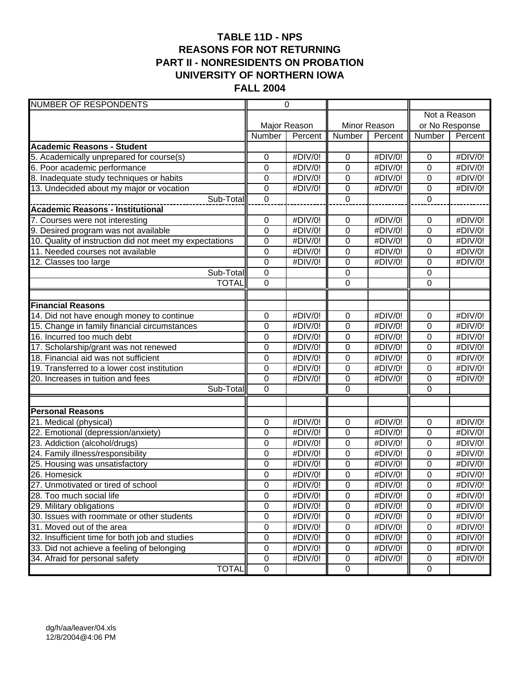# **TABLE 11D - NPS REASONS FOR NOT RETURNING PART II - NONRESIDENTS ON PROBATION UNIVERSITY OF NORTHERN IOWA FALL 2004**

| <b>NUMBER OF RESPONDENTS</b>                            | $\overline{0}$   |         |                |         |                  |         |
|---------------------------------------------------------|------------------|---------|----------------|---------|------------------|---------|
|                                                         |                  |         |                |         | Not a Reason     |         |
|                                                         | Major Reason     |         | Minor Reason   |         | or No Response   |         |
|                                                         | Number           | Percent | Number         | Percent | Number           | Percent |
| <b>Academic Reasons - Student</b>                       |                  |         |                |         |                  |         |
| 5. Academically unprepared for course(s)                | 0                | #DIV/0! | 0              | #DIV/0! | $\pmb{0}$        | #DIV/0! |
| 6. Poor academic performance                            | 0                | #DIV/0! | $\mathbf 0$    | #DIV/0! | 0                | #DIV/0! |
| 8. Inadequate study techniques or habits                | 0                | #DIV/0! | 0              | #DIV/0! | 0                | #DIV/0! |
| 13. Undecided about my major or vocation                | 0                | #DIV/0! | $\mathbf 0$    | #DIV/0! | $\boldsymbol{0}$ | #DIV/0! |
| Sub-Total                                               | $\overline{0}$   |         | $\overline{0}$ |         | $\overline{0}$   |         |
|                                                         |                  |         |                |         |                  |         |
| 7. Courses were not interesting                         | 0                | #DIV/0! | 0              | #DIV/0! | 0                | #DIV/0! |
| 9. Desired program was not available                    | $\mathbf 0$      | #DIV/0! | $\overline{0}$ | #DIV/0! | $\mathbf 0$      | #DIV/0! |
| 10. Quality of instruction did not meet my expectations | $\mathbf 0$      | #DIV/0! | 0              | #DIV/0! | $\mathbf 0$      | #DIV/0! |
| 11. Needed courses not available                        | $\boldsymbol{0}$ | #DIV/0! | 0              | #DIV/0! | $\mathbf 0$      | #DIV/0! |
| 12. Classes too large                                   | $\boldsymbol{0}$ | #DIV/0! | 0              | #DIV/0! | 0                | #DIV/0! |
| Sub-Total                                               | $\mathbf 0$      |         | 0              |         | $\boldsymbol{0}$ |         |
| <b>TOTAL</b>                                            | $\overline{0}$   |         | $\overline{0}$ |         | $\mathbf 0$      |         |
|                                                         |                  |         |                |         |                  |         |
| <b>Financial Reasons</b>                                |                  |         |                |         |                  |         |
| 14. Did not have enough money to continue               | $\mathbf 0$      | #DIV/0! | 0              | #DIV/0! | $\mathbf 0$      | #DIV/0! |
| 15. Change in family financial circumstances            | 0                | #DIV/0! | $\overline{0}$ | #DIV/0! | $\mathbf 0$      | #DIV/0! |
| 16. Incurred too much debt                              | 0                | #DIV/0! | $\mathbf 0$    | #DIV/0! | $\mathbf 0$      | #DIV/0! |
| 17. Scholarship/grant was not renewed                   | 0                | #DIV/0! | $\overline{0}$ | #DIV/0! | 0                | #DIV/0! |
| 18. Financial aid was not sufficient                    | 0                | #DIV/0! | 0              | #DIV/0! | 0                | #DIV/0! |
| 19. Transferred to a lower cost institution             | $\mathbf 0$      | #DIV/0! | $\mathbf 0$    | #DIV/0! | $\mathbf 0$      | #DIV/0! |
| 20. Increases in tuition and fees                       | $\mathbf 0$      | #DIV/0! | 0              | #DIV/0! | $\pmb{0}$        | #DIV/0! |
| Sub-Total                                               | $\overline{0}$   |         | $\overline{0}$ |         | $\overline{0}$   |         |
|                                                         |                  |         |                |         |                  |         |
| <b>Personal Reasons</b>                                 |                  |         |                |         |                  |         |
| 21. Medical (physical)                                  | $\mathbf 0$      | #DIV/0! | 0              | #DIV/0! | $\mathbf 0$      | #DIV/0! |
| 22. Emotional (depression/anxiety)                      | 0                | #DIV/0! | 0              | #DIV/0! | $\mathbf 0$      | #DIV/0! |
| 23. Addiction (alcohol/drugs)                           | 0                | #DIV/0! | 0              | #DIV/0! | 0                | #DIV/0! |
| 24. Family illness/responsibility                       | 0                | #DIV/0! | $\overline{0}$ | #DIV/0! | 0                | #DIV/0! |
| 25. Housing was unsatisfactory                          | 0                | #DIV/0! | 0              | #DIV/0! | 0                | #DIV/0! |
| 26. Homesick                                            | $\mathbf 0$      | #DIV/0! | $\overline{0}$ | #DIV/0! | 0                | #DIV/0! |
| 27. Unmotivated or tired of school                      | $\pmb{0}$        | #DIV/0! | $\mathbf 0$    | #DIV/0! | $\mathbf 0$      | #DIV/0! |
| 28. Too much social life                                | $\overline{0}$   | #DIV/0! | $\overline{0}$ | #DIV/0! | $\mathbf 0$      | #DIV/0! |
| 29. Military obligations                                | $\overline{0}$   | #DIV/0! | $\pmb{0}$      | #DIV/0! | $\mathbf 0$      | #DIV/0! |
| 30. Issues with roommate or other students              | $\mathsf 0$      | #DIV/0! | $\pmb{0}$      | #DIV/0! | $\mathbf 0$      | #DIV/0! |
| 31. Moved out of the area                               | $\pmb{0}$        | #DIV/0! | $\pmb{0}$      | #DIV/0! | 0                | #DIV/0! |
| 32. Insufficient time for both job and studies          | $\pmb{0}$        | #DIV/0! | $\pmb{0}$      | #DIV/0! | $\mathbf 0$      | #DIV/0! |
| 33. Did not achieve a feeling of belonging              | $\pmb{0}$        | #DIV/0! | $\pmb{0}$      | #DIV/0! | 0                | #DIV/0! |
| 34. Afraid for personal safety                          | $\pmb{0}$        | #DIV/0! | $\pmb{0}$      | #DIV/0! | 0                | #DIV/0! |
| <b>TOTAL</b>                                            | $\mathsf 0$      |         | $\pmb{0}$      |         | $\mathbf 0$      |         |